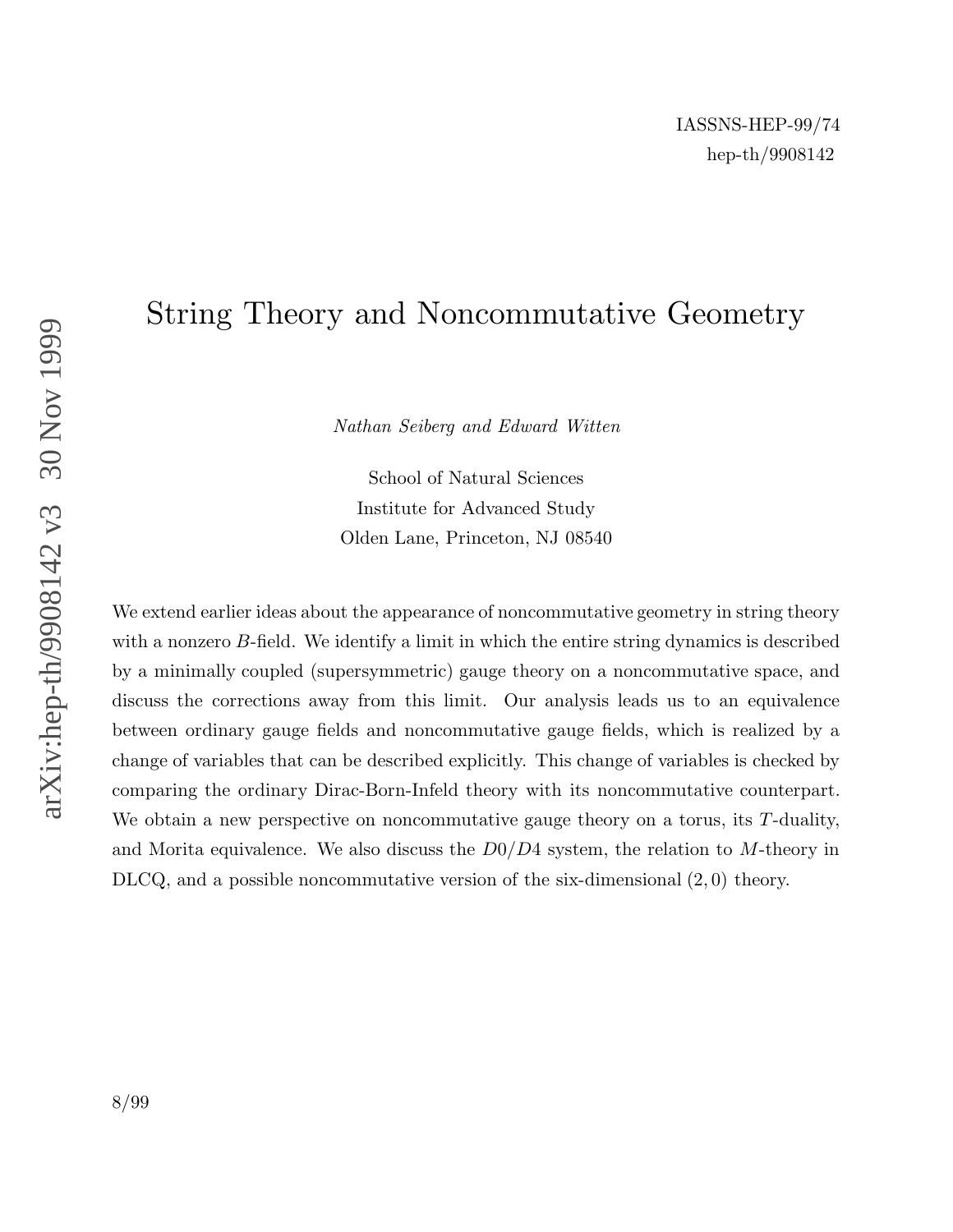# String Theory and Noncommutative Geometry

Nathan Seiberg and Edward Witten

School of Natural Sciences Institute for Advanced Study Olden Lane, Princeton, NJ 08540

We extend earlier ideas about the appearance of noncommutative geometry in string theory with a nonzero B-field. We identify a limit in which the entire string dynamics is described by a minimally coupled (supersymmetric) gauge theory on a noncommutative space, and discuss the corrections away from this limit. Our analysis leads us to an equivalence between ordinary gauge fields and noncommutative gauge fields, which is realized by a change of variables that can be described explicitly. This change of variables is checked by comparing the ordinary Dirac-Born-Infeld theory with its noncommutative counterpart. We obtain a new perspective on noncommutative gauge theory on a torus, its  $T$ -duality, and Morita equivalence. We also discuss the  $D0/D4$  system, the relation to M-theory in DLCQ, and a possible noncommutative version of the six-dimensional (2, 0) theory.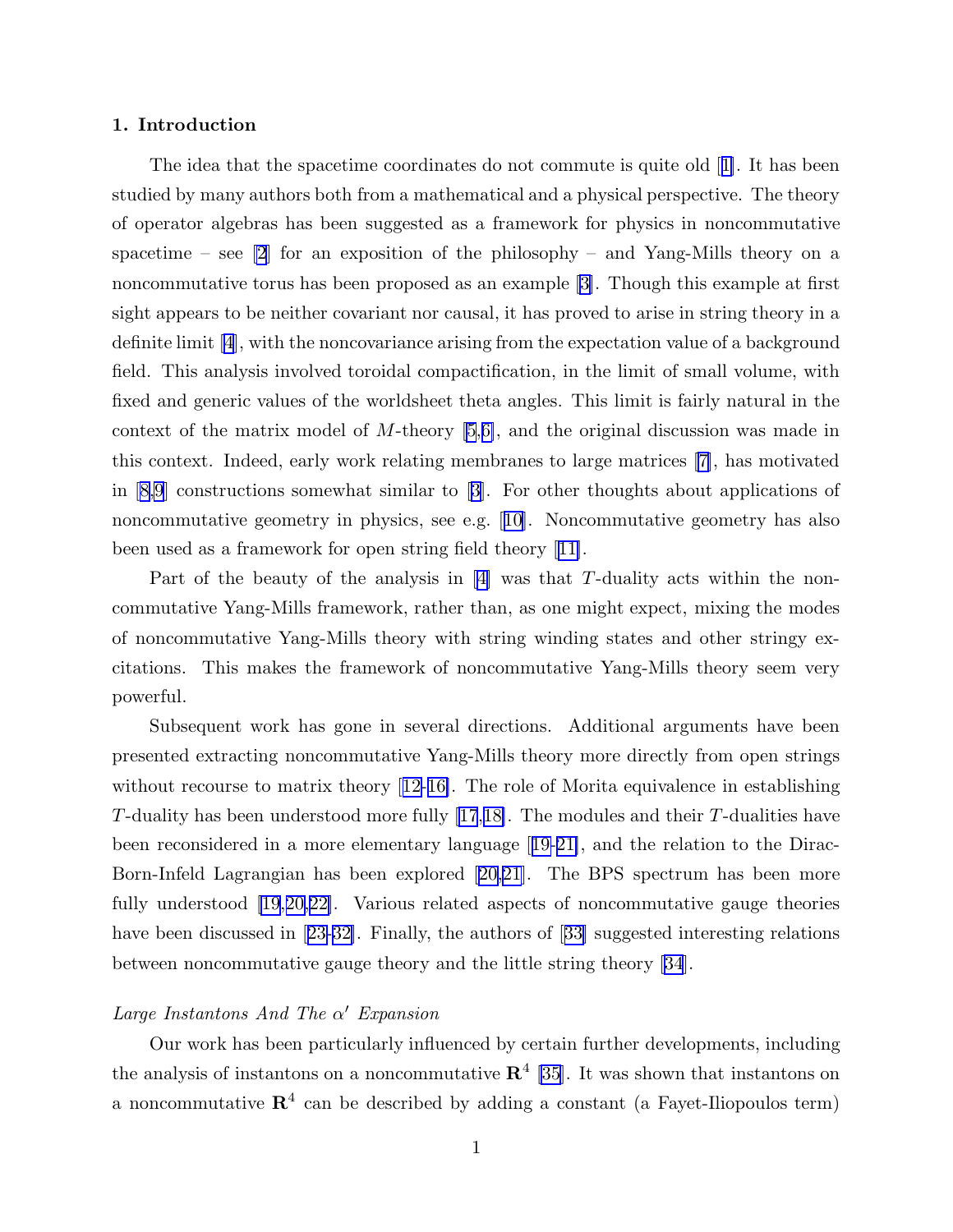#### 1. Introduction

The idea that the spacetime coordinates do not commute is quite old [[1\]](#page-95-0). It has been studied by many authors both from a mathematical and a physical perspective. The theory of operator algebras has been suggested as a framework for physics in noncommutative spacetime – see  $\lbrack 2\rbrack$  for an exposition of the philosophy – and Yang-Mills theory on a noncommutative torus has been proposed as an example [[3\]](#page-95-0). Though this example at first sight appears to be neither covariant nor causal, it has proved to arise in string theory in a definite limit [\[4](#page-95-0)], with the noncovariance arising from the expectation value of a background field. This analysis involved toroidal compactification, in the limit of small volume, with fixed and generic values of the worldsheet theta angles. This limit is fairly natural in the context of the matrix model of M-theory [[5](#page-95-0),[6\]](#page-95-0), and the original discussion was made in this context. Indeed, early work relating membranes to large matrices [[7\]](#page-95-0), has motivated in [[8,9](#page-95-0)] constructions somewhat similar to [[3\]](#page-95-0). For other thoughts about applications of noncommutative geometry in physics, see e.g. [[10\]](#page-95-0). Noncommutative geometry has also been used as a framework for open string field theory [[11\]](#page-95-0).

Part of the beauty of the analysis in  $|4|$  was that T-duality acts within the noncommutative Yang-Mills framework, rather than, as one might expect, mixing the modes of noncommutative Yang-Mills theory with string winding states and other stringy excitations. This makes the framework of noncommutative Yang-Mills theory seem very powerful.

Subsequent work has gone in several directions. Additional arguments have been presented extracting noncommutative Yang-Mills theory more directly from open strings without recourse to matrix theory [[12-](#page-95-0)[16\]](#page-96-0). The role of Morita equivalence in establishing T-duality has been understood more fully  $(17,18)$ . The modules and their T-dualities have been reconsidered in a more elementary language [[19-21\]](#page-96-0), and the relation to the Dirac-Born-Infeld Lagrangian has been explored [[20,21](#page-96-0)]. The BPS spectrum has been more fully understood [\[19](#page-96-0),[20,22\]](#page-96-0). Various related aspects of noncommutative gauge theories have been discussed in [[23-](#page-96-0)[32\]](#page-97-0). Finally, the authors of [[33\]](#page-97-0) suggested interesting relations between noncommutative gauge theory and the little string theory [\[34](#page-97-0)].

## Large Instantons And The  $\alpha'$  Expansion

Our work has been particularly influenced by certain further developments, including the analysis of instantons on a noncommutative  $\mathbb{R}^4$  [\[35](#page-97-0)]. It was shown that instantons on a noncommutative  $\mathbb{R}^4$  can be described by adding a constant (a Fayet-Iliopoulos term)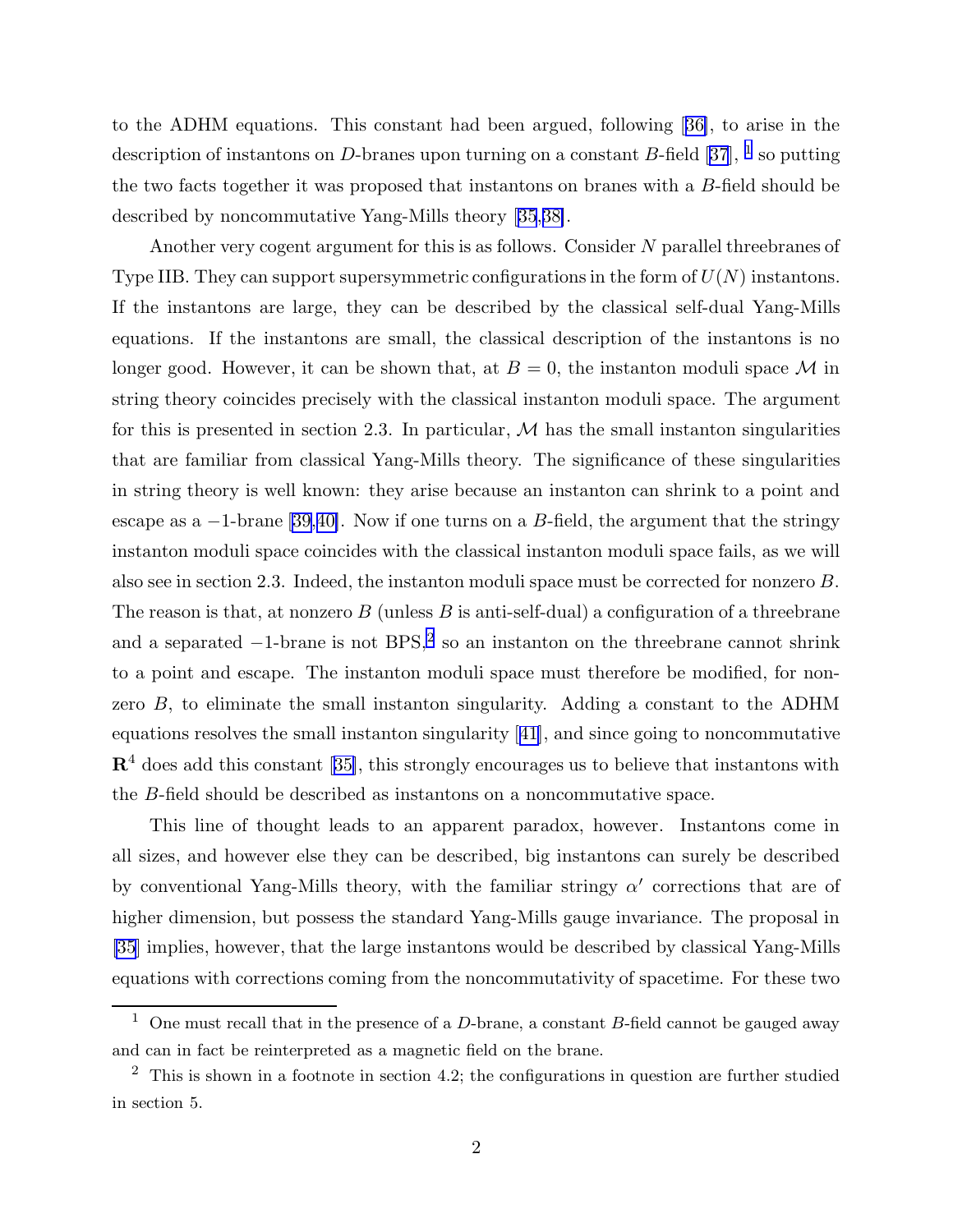to the ADHM equations. This constant had been argued, following [[36\]](#page-97-0), to arise in the description of instantons on D-branes upon turning on a constant B-field [\[37](#page-97-0)], <sup>1</sup> so putting the two facts together it was proposed that instantons on branes with a B-field should be described by noncommutative Yang-Mills theory [\[35](#page-97-0),[38\]](#page-97-0).

Another very cogent argument for this is as follows. Consider  $N$  parallel threebranes of Type IIB. They can support supersymmetric configurations in the form of  $U(N)$  instantons. If the instantons are large, they can be described by the classical self-dual Yang-Mills equations. If the instantons are small, the classical description of the instantons is no longer good. However, it can be shown that, at  $B = 0$ , the instanton moduli space M in string theory coincides precisely with the classical instanton moduli space. The argument for this is presented in section 2.3. In particular,  $\mathcal M$  has the small instanton singularities that are familiar from classical Yang-Mills theory. The significance of these singularities in string theory is well known: they arise because an instanton can shrink to a point and escape as a  $-1$ -brane [[39](#page-97-0),[40\]](#page-97-0). Now if one turns on a B-field, the argument that the stringy instanton moduli space coincides with the classical instanton moduli space fails, as we will also see in section 2.3. Indeed, the instanton moduli space must be corrected for nonzero B. The reason is that, at nonzero  $B$  (unless  $B$  is anti-self-dual) a configuration of a threebrane and a separated −1-brane is not BPS, 2 so an instanton on the threebrane cannot shrink to a point and escape. The instanton moduli space must therefore be modified, for nonzero B, to eliminate the small instanton singularity. Adding a constant to the ADHM equations resolves the small instanton singularity [[41\]](#page-97-0), and since going to noncommutative  $\mathbb{R}^4$  does add this constant [[35\]](#page-97-0), this strongly encourages us to believe that instantons with the B-field should be described as instantons on a noncommutative space.

This line of thought leads to an apparent paradox, however. Instantons come in all sizes, and however else they can be described, big instantons can surely be described by conventional Yang-Mills theory, with the familiar stringy  $\alpha'$  corrections that are of higher dimension, but possess the standard Yang-Mills gauge invariance. The proposal in [\[35](#page-97-0)] implies, however, that the large instantons would be described by classical Yang-Mills equations with corrections coming from the noncommutativity of spacetime. For these two

<sup>&</sup>lt;sup>1</sup> One must recall that in the presence of a D-brane, a constant B-field cannot be gauged away and can in fact be reinterpreted as a magnetic field on the brane.

 $2$  This is shown in a footnote in section 4.2; the configurations in question are further studied in section 5.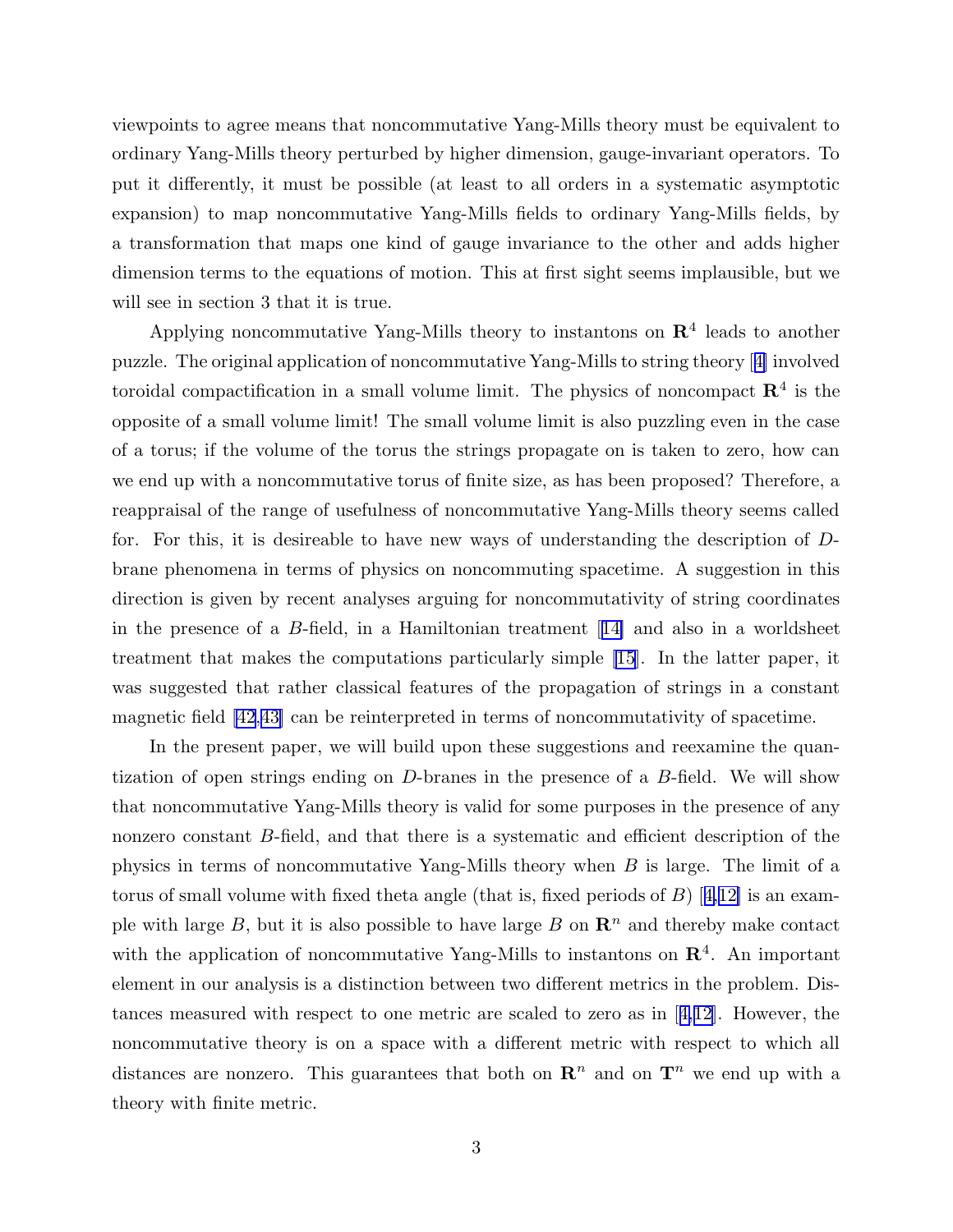viewpoints to agree means that noncommutative Yang-Mills theory must be equivalent to ordinary Yang-Mills theory perturbed by higher dimension, gauge-invariant operators. To put it differently, it must be possible (at least to all orders in a systematic asymptotic expansion) to map noncommutative Yang-Mills fields to ordinary Yang-Mills fields, by a transformation that maps one kind of gauge invariance to the other and adds higher dimension terms to the equations of motion. This at first sight seems implausible, but we will see in section 3 that it is true.

Applying noncommutative Yang-Mills theory to instantons on  $\mathbb{R}^4$  leads to another puzzle. The original application of noncommutative Yang-Mills to string theory [[4\]](#page-95-0) involved toroidal compactification in a small volume limit. The physics of noncompact  $\mathbb{R}^4$  is the opposite of a small volume limit! The small volume limit is also puzzling even in the case of a torus; if the volume of the torus the strings propagate on is taken to zero, how can we end up with a noncommutative torus of finite size, as has been proposed? Therefore, a reappraisal of the range of usefulness of noncommutative Yang-Mills theory seems called for. For this, it is desireable to have new ways of understanding the description of Dbrane phenomena in terms of physics on noncommuting spacetime. A suggestion in this direction is given by recent analyses arguing for noncommutativity of string coordinates in the presence of a  $B$ -field, in a Hamiltonian treatment [[14\]](#page-95-0) and also in a worldsheet treatment that makes the computations particularly simple [\[15](#page-96-0)]. In the latter paper, it was suggested that rather classical features of the propagation of strings in a constant magnetic field [\[42](#page-97-0),[43\]](#page-97-0) can be reinterpreted in terms of noncommutativity of spacetime.

In the present paper, we will build upon these suggestions and reexamine the quantization of open strings ending on D-branes in the presence of a B-field. We will show that noncommutative Yang-Mills theory is valid for some purposes in the presence of any nonzero constant B-field, and that there is a systematic and efficient description of the physics in terms of noncommutative Yang-Mills theory when B is large. The limit of a torus of small volume with fixed theta angle (that is, fixed periods of  $B$ ) [[4,12\]](#page-95-0) is an example with large B, but it is also possible to have large B on  $\mathbb{R}^n$  and thereby make contact with the application of noncommutative Yang-Mills to instantons on  $\mathbb{R}^4$ . An important element in our analysis is a distinction between two different metrics in the problem. Distances measured with respect to one metric are scaled to zero as in  $\vert 4,12 \vert$ . However, the noncommutative theory is on a space with a different metric with respect to which all distances are nonzero. This guarantees that both on  $\mathbb{R}^n$  and on  $\mathbb{T}^n$  we end up with a theory with finite metric.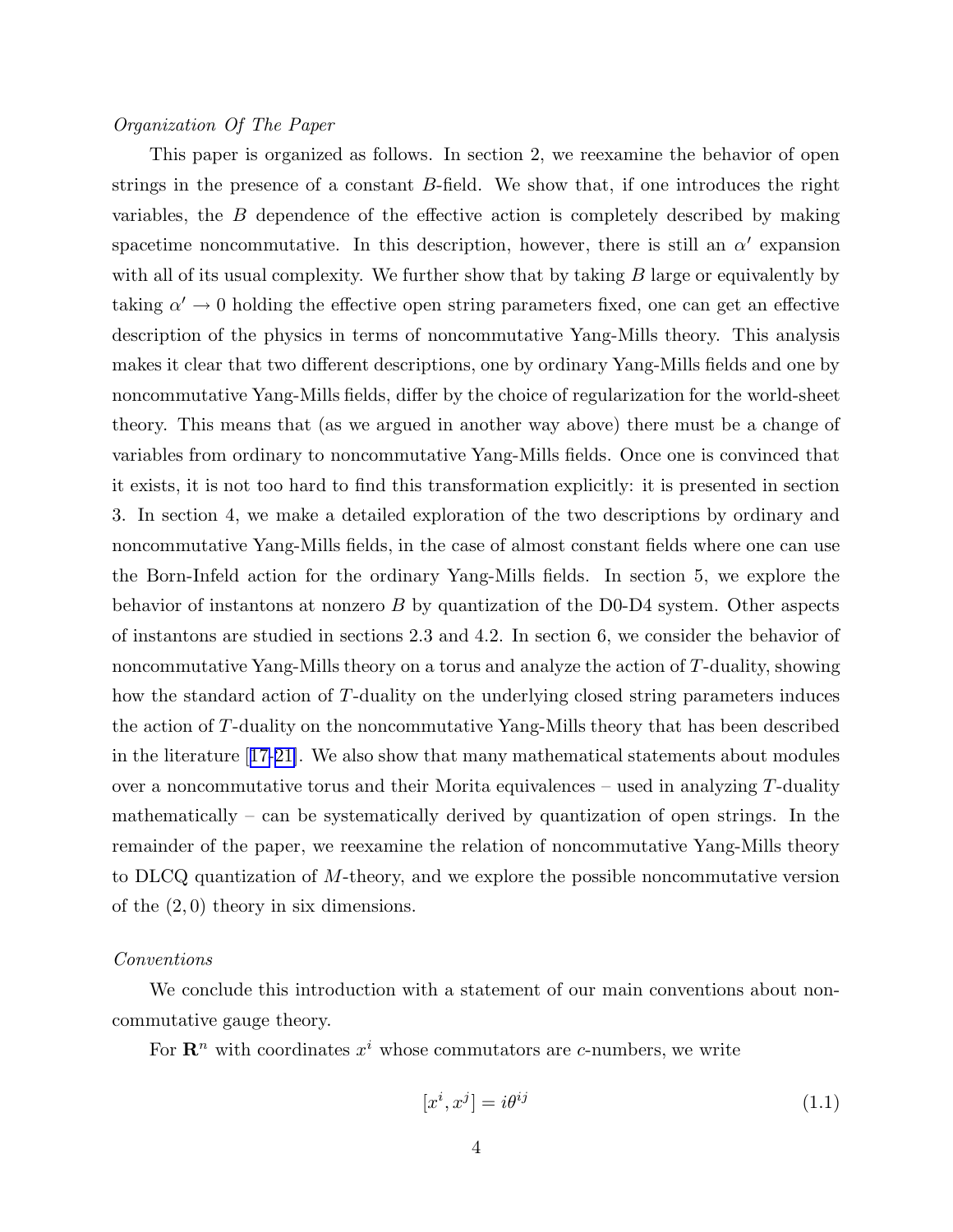#### Organization Of The Paper

This paper is organized as follows. In section 2, we reexamine the behavior of open strings in the presence of a constant  $B$ -field. We show that, if one introduces the right variables, the B dependence of the effective action is completely described by making spacetime noncommutative. In this description, however, there is still an  $\alpha'$  expansion with all of its usual complexity. We further show that by taking  $B$  large or equivalently by taking  $\alpha' \to 0$  holding the effective open string parameters fixed, one can get an effective description of the physics in terms of noncommutative Yang-Mills theory. This analysis makes it clear that two different descriptions, one by ordinary Yang-Mills fields and one by noncommutative Yang-Mills fields, differ by the choice of regularization for the world-sheet theory. This means that (as we argued in another way above) there must be a change of variables from ordinary to noncommutative Yang-Mills fields. Once one is convinced that it exists, it is not too hard to find this transformation explicitly: it is presented in section 3. In section 4, we make a detailed exploration of the two descriptions by ordinary and noncommutative Yang-Mills fields, in the case of almost constant fields where one can use the Born-Infeld action for the ordinary Yang-Mills fields. In section 5, we explore the behavior of instantons at nonzero  $B$  by quantization of the D0-D4 system. Other aspects of instantons are studied in sections 2.3 and 4.2. In section 6, we consider the behavior of noncommutative Yang-Mills theory on a torus and analyze the action of T-duality, showing how the standard action of T-duality on the underlying closed string parameters induces the action of T-duality on the noncommutative Yang-Mills theory that has been described in the literature [[17-21\]](#page-96-0). We also show that many mathematical statements about modules over a noncommutative torus and their Morita equivalences – used in analyzing  $T$ -duality mathematically – can be systematically derived by quantization of open strings. In the remainder of the paper, we reexamine the relation of noncommutative Yang-Mills theory to DLCQ quantization of M-theory, and we explore the possible noncommutative version of the (2, 0) theory in six dimensions.

#### Conventions

We conclude this introduction with a statement of our main conventions about noncommutative gauge theory.

For  $\mathbb{R}^n$  with coordinates  $x^i$  whose commutators are c-numbers, we write

$$
[x^i, x^j] = i\theta^{ij} \tag{1.1}
$$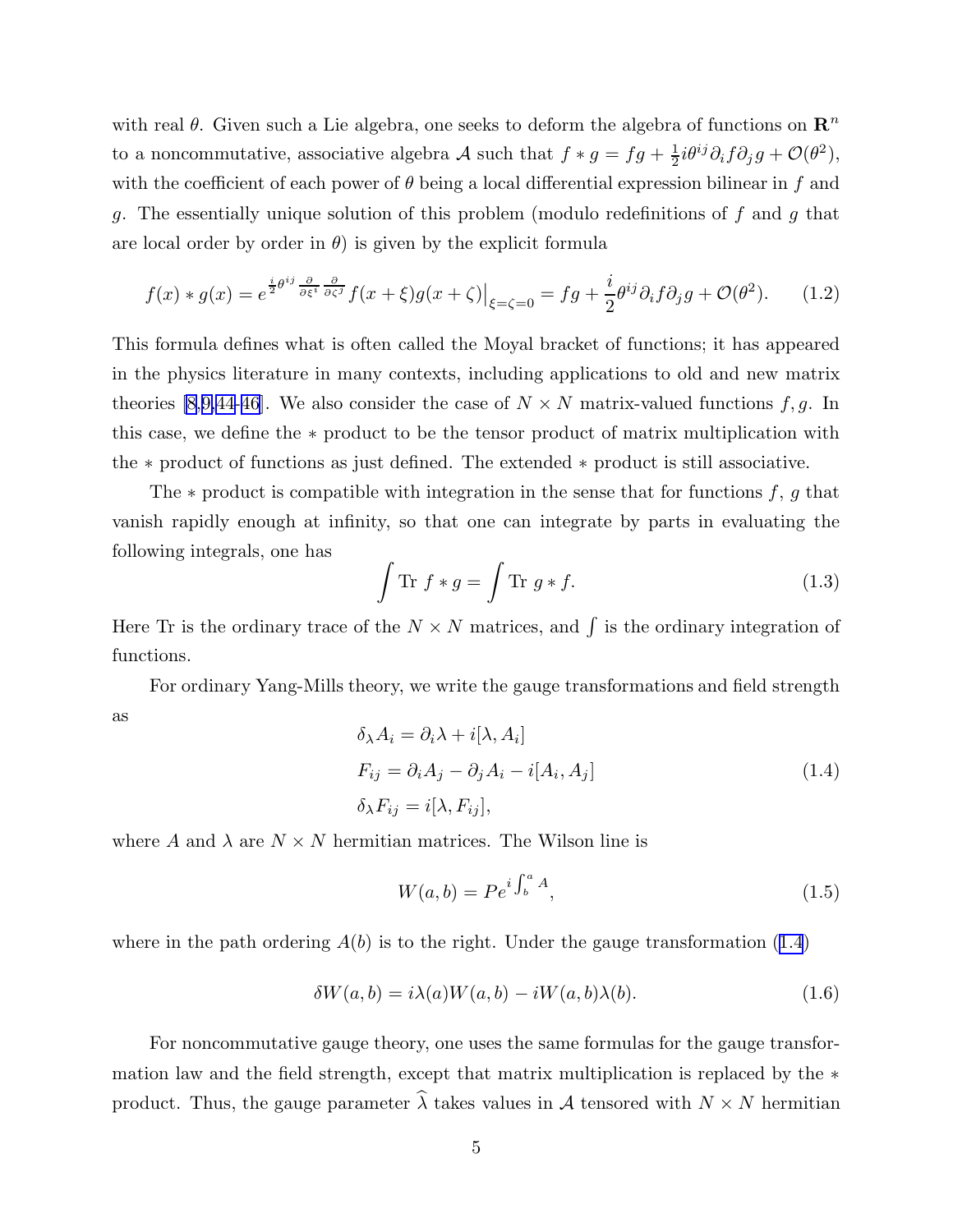<span id="page-5-0"></span>with real  $\theta$ . Given such a Lie algebra, one seeks to deform the algebra of functions on  $\mathbb{R}^n$ to a noncommutative, associative algebra A such that  $f * g = fg + \frac{1}{2}i\theta^{ij}\partial_i f \partial_j g + \mathcal{O}(\theta^2)$ , with the coefficient of each power of  $\theta$  being a local differential expression bilinear in f and g. The essentially unique solution of this problem (modulo redefinitions of f and g that are local order by order in  $\theta$ ) is given by the explicit formula

$$
f(x) * g(x) = e^{\frac{i}{2}\theta^{ij}\frac{\partial}{\partial\xi^i}\frac{\partial}{\partial\zeta^j}}f(x+\xi)g(x+\zeta)\Big|_{\xi=\zeta=0} = fg + \frac{i}{2}\theta^{ij}\partial_i f\partial_j g + \mathcal{O}(\theta^2). \tag{1.2}
$$

This formula defines what is often called the Moyal bracket of functions; it has appeared in the physics literature in many contexts, including applications to old and new matrix theories [\[8](#page-95-0),[9,](#page-95-0)[44-46\]](#page-98-0). We also consider the case of  $N \times N$  matrix-valued functions f, g. In this case, we define the ∗ product to be the tensor product of matrix multiplication with the ∗ product of functions as just defined. The extended ∗ product is still associative.

The  $*$  product is compatible with integration in the sense that for functions  $f, g$  that vanish rapidly enough at infinity, so that one can integrate by parts in evaluating the following integrals, one has

$$
\int \text{Tr } f * g = \int \text{Tr } g * f. \tag{1.3}
$$

Here Tr is the ordinary trace of the  $N \times N$  matrices, and  $\int$  is the ordinary integration of functions.

For ordinary Yang-Mills theory, we write the gauge transformations and field strength as

$$
\delta_{\lambda} A_i = \partial_i \lambda + i[\lambda, A_i]
$$
  
\n
$$
F_{ij} = \partial_i A_j - \partial_j A_i - i[A_i, A_j]
$$
  
\n
$$
\delta_{\lambda} F_{ij} = i[\lambda, F_{ij}],
$$
\n(1.4)

where A and  $\lambda$  are  $N \times N$  hermitian matrices. The Wilson line is

$$
W(a,b) = Pe^{i \int_b^a A}, \tag{1.5}
$$

where in the path ordering  $A(b)$  is to the right. Under the gauge transformation (1.4)

$$
\delta W(a,b) = i\lambda(a)W(a,b) - iW(a,b)\lambda(b). \tag{1.6}
$$

For noncommutative gauge theory, one uses the same formulas for the gauge transformation law and the field strength, except that matrix multiplication is replaced by the ∗ product. Thus, the gauge parameter  $\widehat{\lambda}$  takes values in A tensored with  $N \times N$  hermitian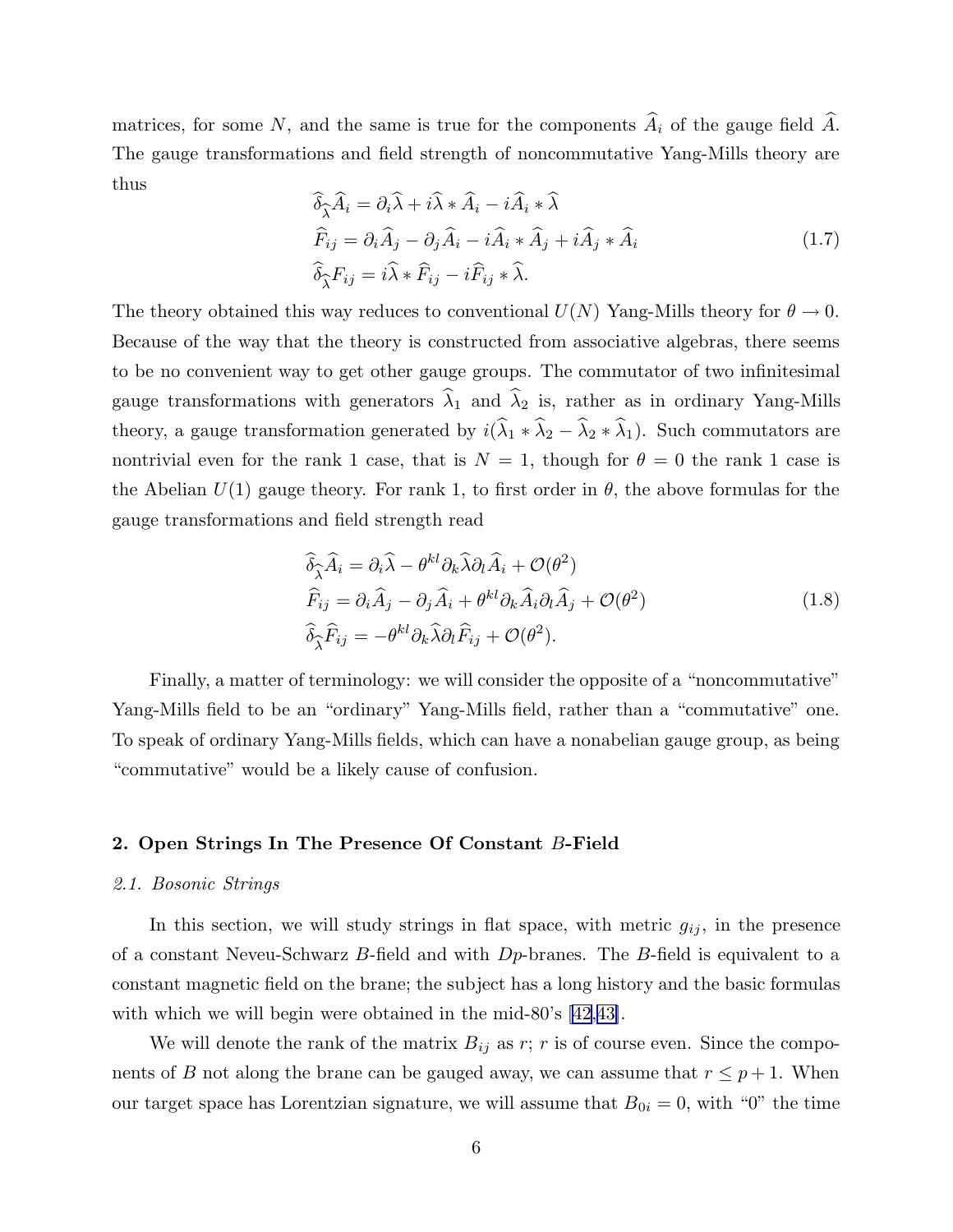matrices, for some N, and the same is true for the components  $\hat{A}_i$  of the gauge field  $\hat{A}$ . The gauge transformations and field strength of noncommutative Yang-Mills theory are thus

$$
\begin{aligned}\n\widehat{\delta}_{\widehat{\lambda}}\widehat{A}_{i} &= \partial_{i}\widehat{\lambda} + i\widehat{\lambda} * \widehat{A}_{i} - i\widehat{A}_{i} * \widehat{\lambda} \\
\widehat{F}_{ij} &= \partial_{i}\widehat{A}_{j} - \partial_{j}\widehat{A}_{i} - i\widehat{A}_{i} * \widehat{A}_{j} + i\widehat{A}_{j} * \widehat{A}_{i} \\
\widehat{\delta}_{\widehat{\lambda}}F_{ij} &= i\widehat{\lambda} * \widehat{F}_{ij} - i\widehat{F}_{ij} * \widehat{\lambda}.\n\end{aligned}
$$
\n(1.7)

The theory obtained this way reduces to conventional  $U(N)$  Yang-Mills theory for  $\theta \to 0$ . Because of the way that the theory is constructed from associative algebras, there seems to be no convenient way to get other gauge groups. The commutator of two infinitesimal gauge transformations with generators  $\lambda_1$  and  $\lambda_2$  is, rather as in ordinary Yang-Mills theory, a gauge transformation generated by  $i(\hat{\lambda}_1 * \hat{\lambda}_2 - \hat{\lambda}_2 * \hat{\lambda}_1)$ . Such commutators are nontrivial even for the rank 1 case, that is  $N = 1$ , though for  $\theta = 0$  the rank 1 case is the Abelian  $U(1)$  gauge theory. For rank 1, to first order in  $\theta$ , the above formulas for the gauge transformations and field strength read

$$
\hat{\delta}_{\widehat{\lambda}}\widehat{A}_i = \partial_i \widehat{\lambda} - \theta^{kl}\partial_k \widehat{\lambda}\partial_l \widehat{A}_i + \mathcal{O}(\theta^2)
$$
  
\n
$$
\widehat{F}_{ij} = \partial_i \widehat{A}_j - \partial_j \widehat{A}_i + \theta^{kl}\partial_k \widehat{A}_i \partial_l \widehat{A}_j + \mathcal{O}(\theta^2)
$$
  
\n
$$
\widehat{\delta}_{\widehat{\lambda}}\widehat{F}_{ij} = -\theta^{kl}\partial_k \widehat{\lambda}\partial_l \widehat{F}_{ij} + \mathcal{O}(\theta^2).
$$
\n(1.8)

Finally, a matter of terminology: we will consider the opposite of a "noncommutative" Yang-Mills field to be an "ordinary" Yang-Mills field, rather than a "commutative" one. To speak of ordinary Yang-Mills fields, which can have a nonabelian gauge group, as being "commutative" would be a likely cause of confusion.

#### 2. Open Strings In The Presence Of Constant B-Field

#### 2.1. Bosonic Strings

In this section, we will study strings in flat space, with metric  $g_{ij}$ , in the presence of a constant Neveu-Schwarz B-field and with  $D_p$ -branes. The B-field is equivalent to a constant magnetic field on the brane; the subject has a long history and the basic formulas with which we will begin were obtained in the mid-80's  $(42,43)$ .

We will denote the rank of the matrix  $B_{ij}$  as r; r is of course even. Since the components of B not along the brane can be gauged away, we can assume that  $r \leq p+1$ . When our target space has Lorentzian signature, we will assume that  $B_{0i} = 0$ , with "0" the time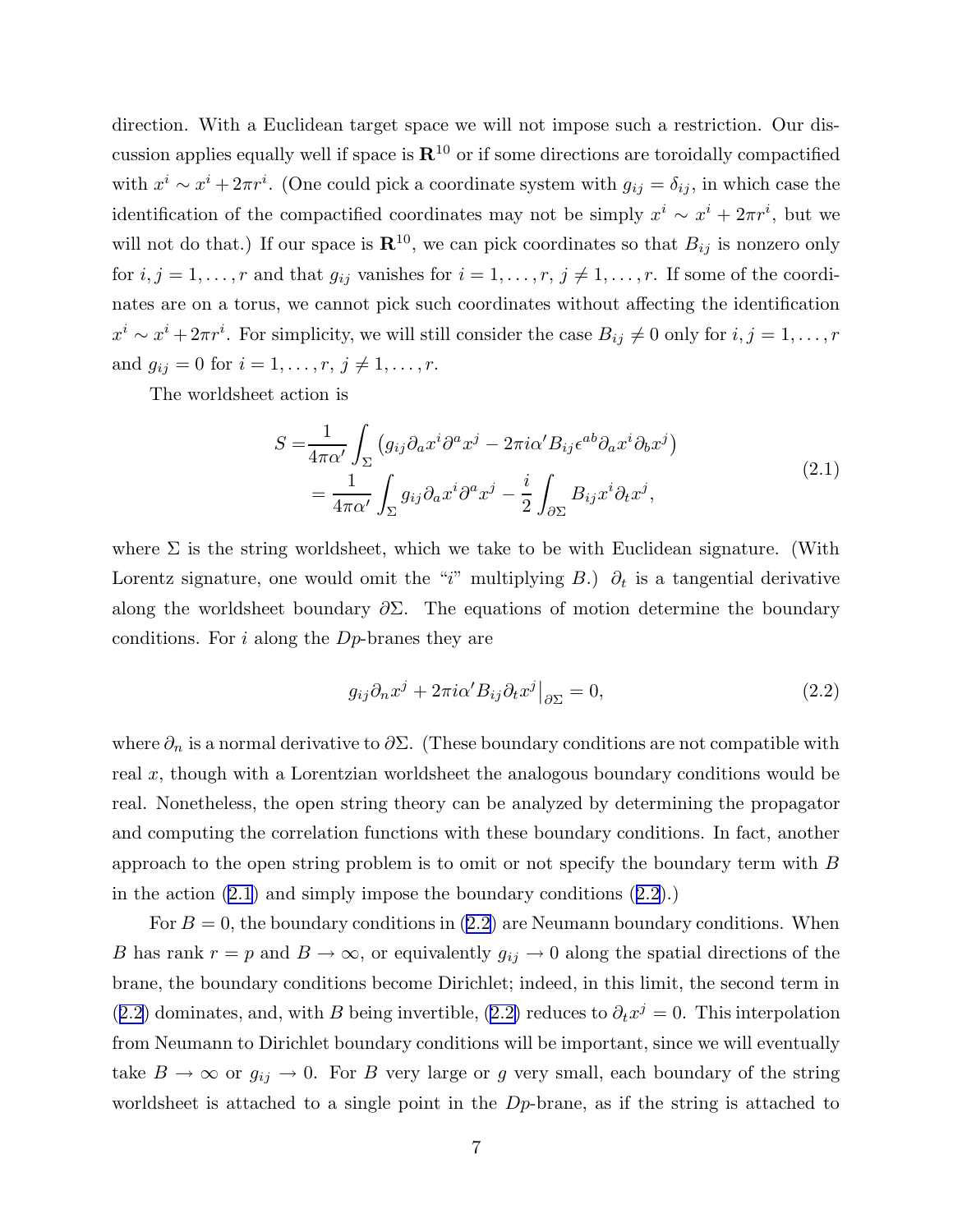<span id="page-7-0"></span>direction. With a Euclidean target space we will not impose such a restriction. Our discussion applies equally well if space is  $\mathbb{R}^{10}$  or if some directions are toroidally compactified with  $x^i \sim x^i + 2\pi r^i$ . (One could pick a coordinate system with  $g_{ij} = \delta_{ij}$ , in which case the identification of the compactified coordinates may not be simply  $x^i \sim x^i + 2\pi r^i$ , but we will not do that.) If our space is  $\mathbb{R}^{10}$ , we can pick coordinates so that  $B_{ij}$  is nonzero only for  $i, j = 1, \ldots, r$  and that  $g_{ij}$  vanishes for  $i = 1, \ldots, r, j \neq 1, \ldots, r$ . If some of the coordinates are on a torus, we cannot pick such coordinates without affecting the identification  $x^i \sim x^i + 2\pi r^i$ . For simplicity, we will still consider the case  $B_{ij} \neq 0$  only for  $i, j = 1, ..., r$ and  $g_{ij} = 0$  for  $i = 1, ..., r, j \neq 1, ..., r$ .

The worldsheet action is

$$
S = \frac{1}{4\pi\alpha'} \int_{\Sigma} \left( g_{ij} \partial_a x^i \partial^a x^j - 2\pi i \alpha' B_{ij} \epsilon^{ab} \partial_a x^i \partial_b x^j \right)
$$
  
= 
$$
\frac{1}{4\pi\alpha'} \int_{\Sigma} g_{ij} \partial_a x^i \partial^a x^j - \frac{i}{2} \int_{\partial \Sigma} B_{ij} x^i \partial_t x^j,
$$
 (2.1)

where  $\Sigma$  is the string worldsheet, which we take to be with Euclidean signature. (With Lorentz signature, one would omit the "i" multiplying B.)  $\partial_t$  is a tangential derivative along the worldsheet boundary  $\partial \Sigma$ . The equations of motion determine the boundary conditions. For i along the Dp-branes they are

$$
g_{ij}\partial_n x^j + 2\pi i \alpha' B_{ij}\partial_t x^j \big|_{\partial \Sigma} = 0,
$$
\n(2.2)

where  $\partial_n$  is a normal derivative to  $\partial \Sigma$ . (These boundary conditions are not compatible with real x, though with a Lorentzian worldsheet the analogous boundary conditions would be real. Nonetheless, the open string theory can be analyzed by determining the propagator and computing the correlation functions with these boundary conditions. In fact, another approach to the open string problem is to omit or not specify the boundary term with B in the action (2.1) and simply impose the boundary conditions (2.2).)

For  $B = 0$ , the boundary conditions in  $(2.2)$  are Neumann boundary conditions. When B has rank  $r = p$  and  $B \to \infty$ , or equivalently  $g_{ij} \to 0$  along the spatial directions of the brane, the boundary conditions become Dirichlet; indeed, in this limit, the second term in (2.2) dominates, and, with B being invertible, (2.2) reduces to  $\partial_t x^j = 0$ . This interpolation from Neumann to Dirichlet boundary conditions will be important, since we will eventually take  $B \to \infty$  or  $g_{ij} \to 0$ . For B very large or g very small, each boundary of the string worldsheet is attached to a single point in the Dp-brane, as if the string is attached to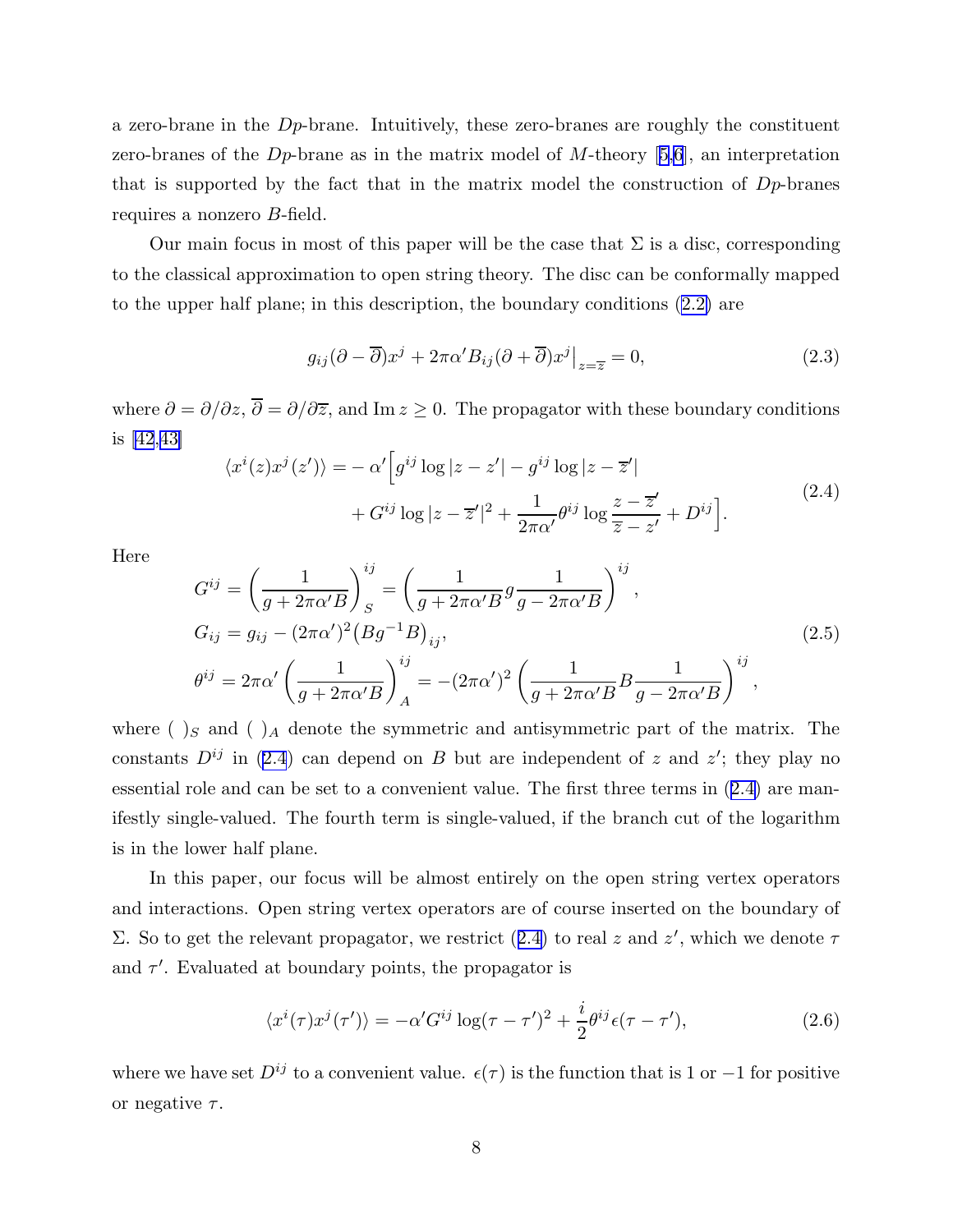<span id="page-8-0"></span>a zero-brane in the  $D_p$ -brane. Intuitively, these zero-branes are roughly the constituent zero-branes of the D<sub>p</sub>-brane as in the matrix model of M-theory [[5,6](#page-95-0)], an interpretation that is supported by the fact that in the matrix model the construction of  $D_p$ -branes requires a nonzero B-field.

Our main focus in most of this paper will be the case that  $\Sigma$  is a disc, corresponding to the classical approximation to open string theory. The disc can be conformally mapped to the upper half plane; in this description, the boundary conditions [\(2.2\)](#page-7-0) are

$$
g_{ij}(\partial - \overline{\partial})x^{j} + 2\pi\alpha' B_{ij}(\partial + \overline{\partial})x^{j}|_{z=\overline{z}} = 0,
$$
\n(2.3)

where  $\partial = \partial/\partial z$ ,  $\overline{\partial} = \partial/\partial \overline{z}$ , and Im  $z \ge 0$ . The propagator with these boundary conditions is [\[42](#page-97-0),[43\]](#page-97-0)

$$
\langle x^{i}(z)x^{j}(z')\rangle = -\alpha'\Big[g^{ij}\log|z-z'| - g^{ij}\log|z-\overline{z}'|
$$
  
+  $G^{ij}\log|z-\overline{z}'|^{2} + \frac{1}{2\pi\alpha'}\theta^{ij}\log\frac{z-\overline{z}'}{\overline{z}-z'} + D^{ij}\Big].$  (2.4)

Here

$$
G^{ij} = \left(\frac{1}{g + 2\pi\alpha'B}\right)^{ij}_{S} = \left(\frac{1}{g + 2\pi\alpha'B}g\frac{1}{g - 2\pi\alpha'B}\right)^{ij},
$$
  
\n
$$
G_{ij} = g_{ij} - (2\pi\alpha')^{2}(Bg^{-1}B)_{ij},
$$
  
\n
$$
\theta^{ij} = 2\pi\alpha'\left(\frac{1}{g + 2\pi\alpha'B}\right)^{ij}_{A} = -(2\pi\alpha')^{2}\left(\frac{1}{g + 2\pi\alpha'B}B\frac{1}{g - 2\pi\alpha'B}\right)^{ij},
$$
\n(2.5)

where ( $S$ )<sub>S</sub> and ( $A$ )<sub>A</sub> denote the symmetric and antisymmetric part of the matrix. The constants  $D^{ij}$  in (2.4) can depend on B but are independent of z and z'; they play no essential role and can be set to a convenient value. The first three terms in (2.4) are manifestly single-valued. The fourth term is single-valued, if the branch cut of the logarithm is in the lower half plane.

In this paper, our focus will be almost entirely on the open string vertex operators and interactions. Open string vertex operators are of course inserted on the boundary of Σ. So to get the relevant propagator, we restrict (2.4) to real z and z', which we denote  $τ$ and  $\tau'$ . Evaluated at boundary points, the propagator is

$$
\langle x^{i}(\tau)x^{j}(\tau')\rangle = -\alpha' G^{ij} \log(\tau - \tau')^{2} + \frac{i}{2} \theta^{ij} \epsilon(\tau - \tau'), \qquad (2.6)
$$

where we have set  $D^{ij}$  to a convenient value.  $\epsilon(\tau)$  is the function that is 1 or -1 for positive or negative  $\tau$ .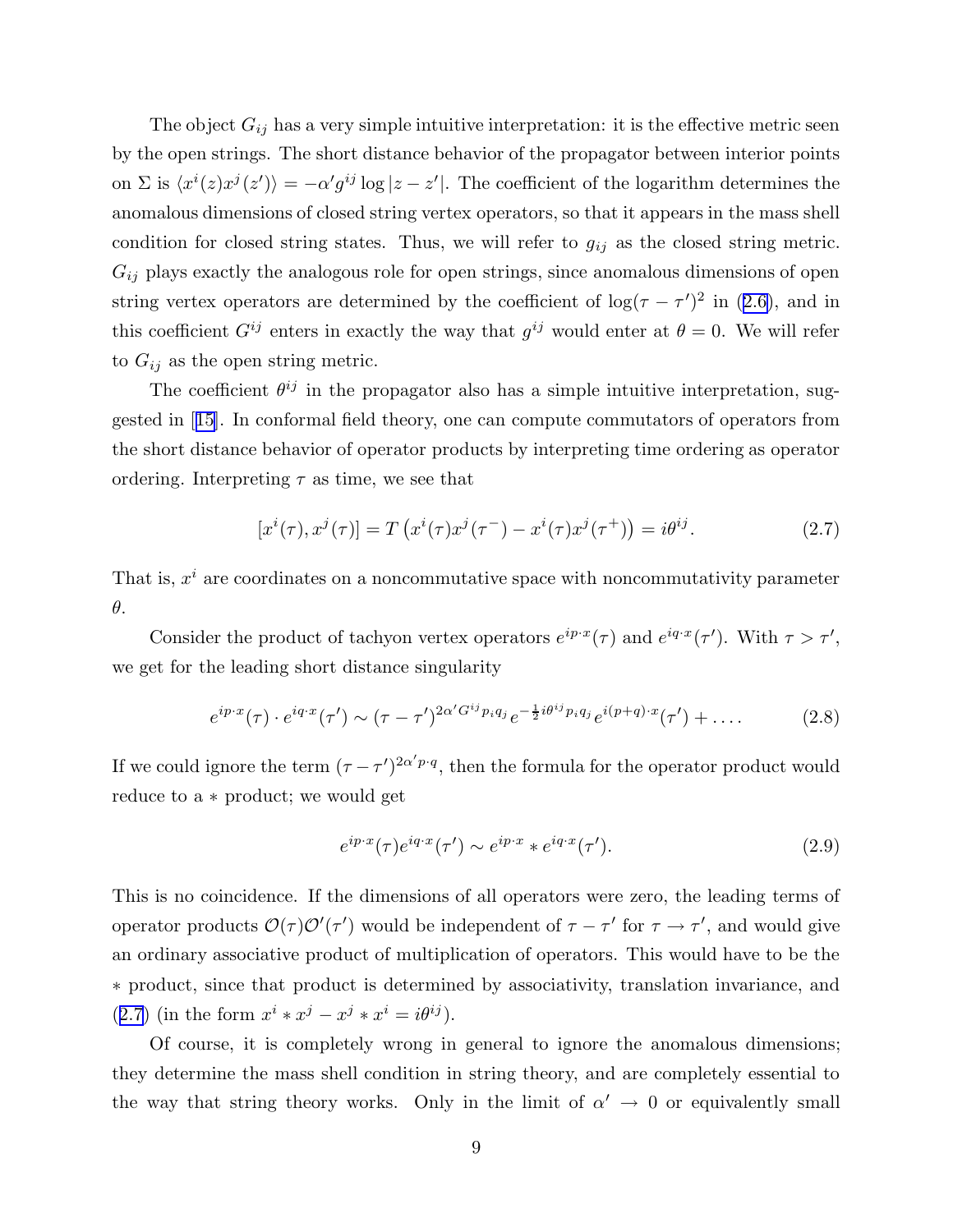The object  $G_{ij}$  has a very simple intuitive interpretation: it is the effective metric seen by the open strings. The short distance behavior of the propagator between interior points on  $\Sigma$  is  $\langle x^i(z)x^j(z')\rangle = -\alpha' g^{ij} \log|z-z'|$ . The coefficient of the logarithm determines the anomalous dimensions of closed string vertex operators, so that it appears in the mass shell condition for closed string states. Thus, we will refer to  $g_{ij}$  as the closed string metric.  $G_{ij}$  plays exactly the analogous role for open strings, since anomalous dimensions of open string vertex operators are determined by the coefficient of  $\log(\tau - \tau')^2$  in ([2.6\)](#page-8-0), and in this coefficient  $G^{ij}$  enters in exactly the way that  $g^{ij}$  would enter at  $\theta = 0$ . We will refer to  $G_{ij}$  as the open string metric.

The coefficient  $\theta^{ij}$  in the propagator also has a simple intuitive interpretation, suggested in [[15\]](#page-96-0). In conformal field theory, one can compute commutators of operators from the short distance behavior of operator products by interpreting time ordering as operator ordering. Interpreting  $\tau$  as time, we see that

$$
[x^{i}(\tau), x^{j}(\tau)] = T\left(x^{i}(\tau)x^{j}(\tau^{-}) - x^{i}(\tau)x^{j}(\tau^{+})\right) = i\theta^{ij}.
$$
 (2.7)

That is,  $x^i$  are coordinates on a noncommutative space with noncommutativity parameter θ.

Consider the product of tachyon vertex operators  $e^{ip\cdot x}(\tau)$  and  $e^{iq\cdot x}(\tau')$ . With  $\tau > \tau'$ , we get for the leading short distance singularity

$$
e^{ip\cdot x}(\tau) \cdot e^{iq\cdot x}(\tau') \sim (\tau - \tau')^{2\alpha' G^{ij} p_i q_j} e^{-\frac{1}{2}i\theta^{ij} p_i q_j} e^{i(p+q)\cdot x}(\tau') + \dots
$$
 (2.8)

If we could ignore the term  $(\tau - \tau')^{2\alpha' p \cdot q}$ , then the formula for the operator product would reduce to a ∗ product; we would get

$$
e^{ip\cdot x}(\tau)e^{iq\cdot x}(\tau') \sim e^{ip\cdot x} * e^{iq\cdot x}(\tau'). \tag{2.9}
$$

This is no coincidence. If the dimensions of all operators were zero, the leading terms of operator products  $\mathcal{O}(\tau)\mathcal{O}'(\tau')$  would be independent of  $\tau - \tau'$  for  $\tau \to \tau'$ , and would give an ordinary associative product of multiplication of operators. This would have to be the ∗ product, since that product is determined by associativity, translation invariance, and (2.7) (in the form  $x^{i} * x^{j} - x^{j} * x^{i} = i\theta^{ij}$ ).

Of course, it is completely wrong in general to ignore the anomalous dimensions; they determine the mass shell condition in string theory, and are completely essential to the way that string theory works. Only in the limit of  $\alpha' \to 0$  or equivalently small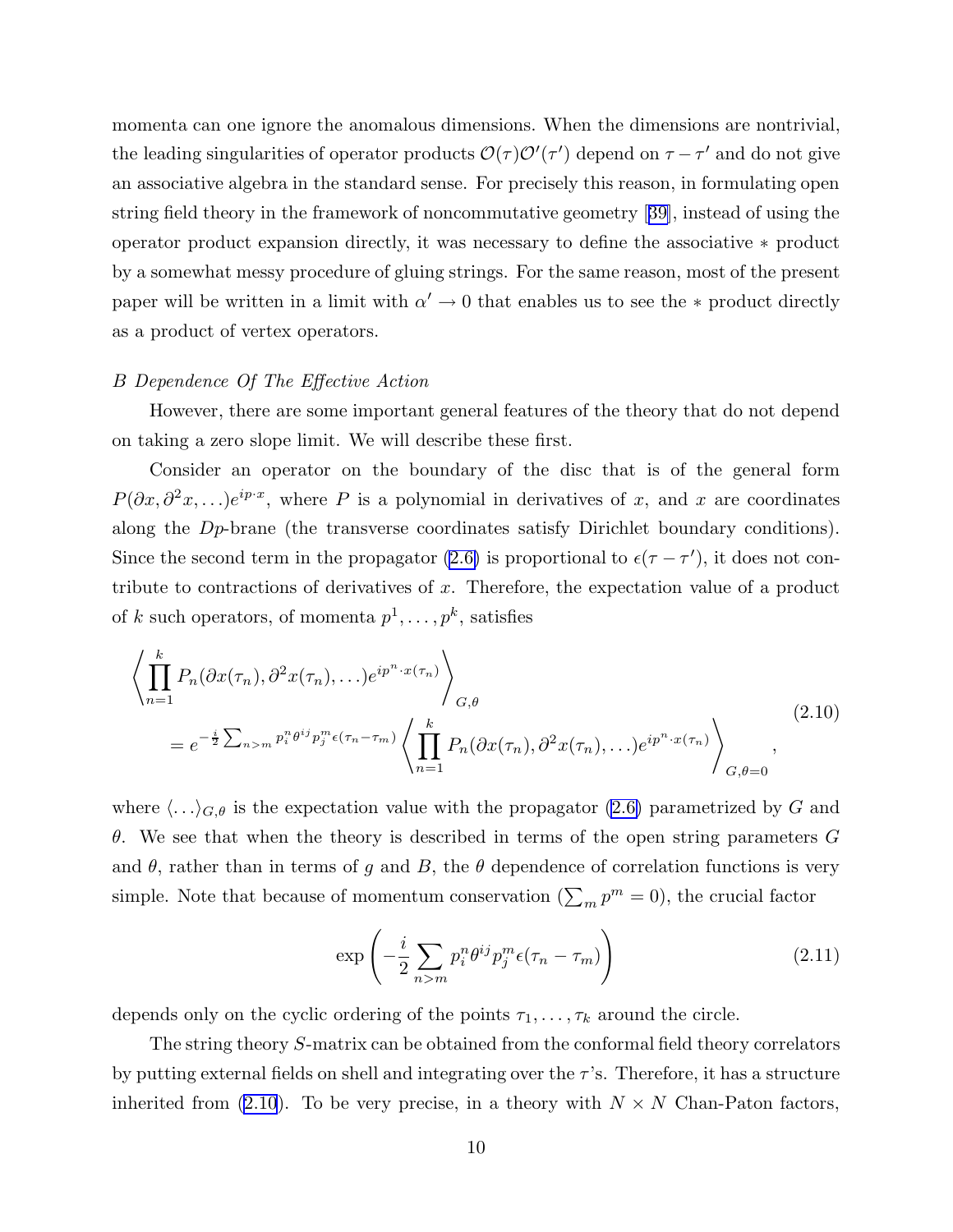<span id="page-10-0"></span>momenta can one ignore the anomalous dimensions. When the dimensions are nontrivial, the leading singularities of operator products  $\mathcal{O}(\tau)\mathcal{O}'(\tau')$  depend on  $\tau-\tau'$  and do not give an associative algebra in the standard sense. For precisely this reason, in formulating open string field theory in the framework of noncommutative geometry [[39\]](#page-97-0), instead of using the operator product expansion directly, it was necessary to define the associative ∗ product by a somewhat messy procedure of gluing strings. For the same reason, most of the present paper will be written in a limit with  $\alpha' \to 0$  that enables us to see the  $*$  product directly as a product of vertex operators.

#### B Dependence Of The Effective Action

However, there are some important general features of the theory that do not depend on taking a zero slope limit. We will describe these first.

Consider an operator on the boundary of the disc that is of the general form  $P(\partial x, \partial^2 x, \ldots)e^{ip \cdot x}$ , where P is a polynomial in derivatives of x, and x are coordinates along the Dp-brane (the transverse coordinates satisfy Dirichlet boundary conditions). Since the second term in the propagator [\(2.6\)](#page-8-0) is proportional to  $\epsilon(\tau - \tau')$ , it does not contribute to contractions of derivatives of  $x$ . Therefore, the expectation value of a product of k such operators, of momenta  $p^1, \ldots, p^k$ , satisfies

$$
\left\langle \prod_{n=1}^{k} P_n(\partial x(\tau_n), \partial^2 x(\tau_n), \ldots) e^{ip^n \cdot x(\tau_n)} \right\rangle_{G, \theta}
$$
\n
$$
= e^{-\frac{i}{2} \sum_{n>m} p_i^n \theta^{ij} p_j^m \epsilon(\tau_n - \tau_m)} \left\langle \prod_{n=1}^{k} P_n(\partial x(\tau_n), \partial^2 x(\tau_n), \ldots) e^{ip^n \cdot x(\tau_n)} \right\rangle_{G, \theta = 0},
$$
\n(2.10)

where  $\langle \ldots \rangle_{G,\theta}$  is the expectation value with the propagator [\(2.6\)](#page-8-0) parametrized by G and θ. We see that when the theory is described in terms of the open string parameters G and  $\theta$ , rather than in terms of g and B, the  $\theta$  dependence of correlation functions is very simple. Note that because of momentum conservation  $(\sum_m p^m = 0)$ , the crucial factor

$$
\exp\left(-\frac{i}{2}\sum_{n>m}p_i^n\theta^{ij}p_j^m\epsilon(\tau_n-\tau_m)\right) \tag{2.11}
$$

depends only on the cyclic ordering of the points  $\tau_1, \ldots, \tau_k$  around the circle.

The string theory S-matrix can be obtained from the conformal field theory correlators by putting external fields on shell and integrating over the  $\tau$ 's. Therefore, it has a structure inherited from (2.10). To be very precise, in a theory with  $N \times N$  Chan-Paton factors,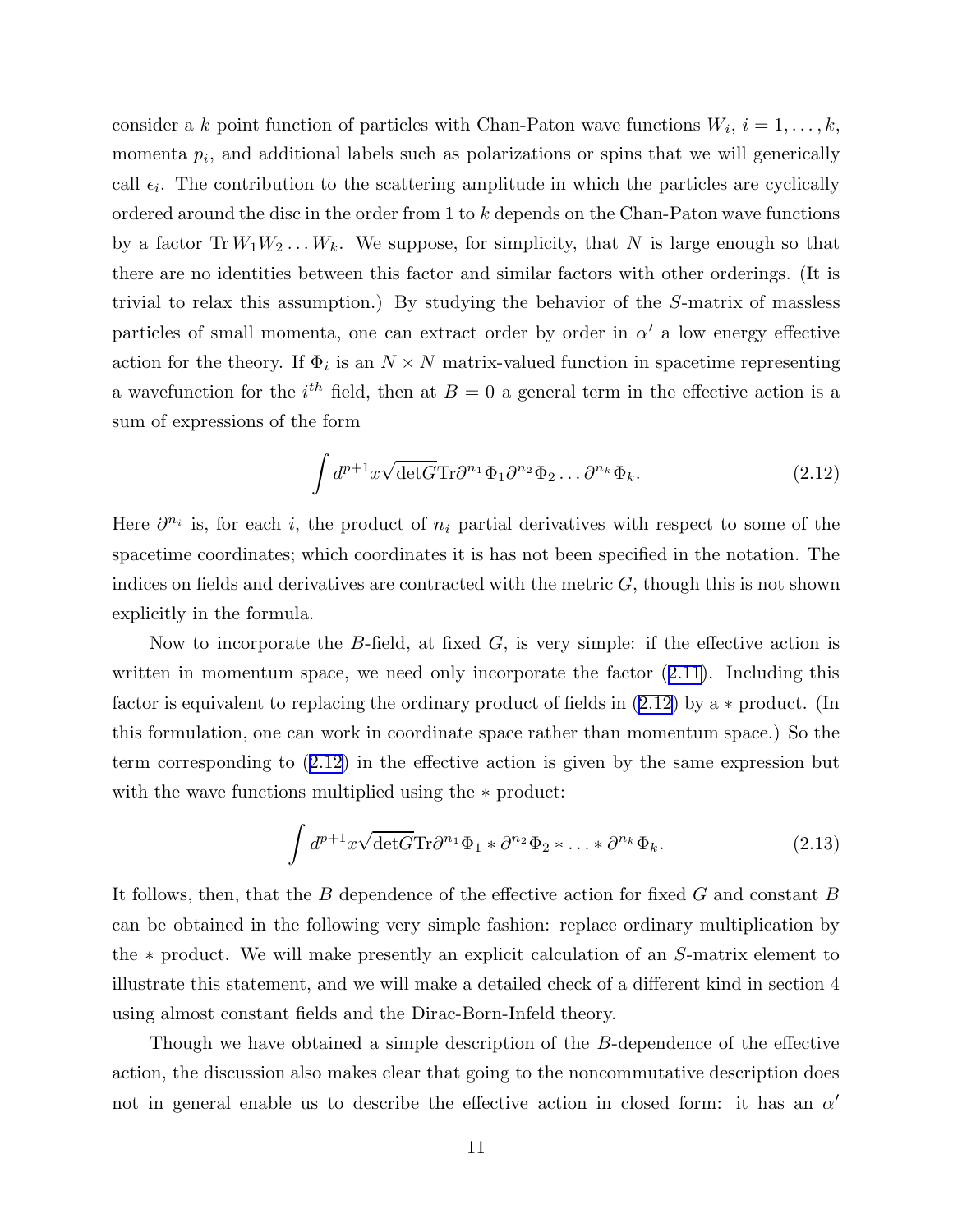consider a k point function of particles with Chan-Paton wave functions  $W_i$ ,  $i = 1, \ldots, k$ , momenta  $p_i$ , and additional labels such as polarizations or spins that we will generically call  $\epsilon_i$ . The contribution to the scattering amplitude in which the particles are cyclically ordered around the disc in the order from 1 to k depends on the Chan-Paton wave functions by a factor  $Tr W_1 W_2 \ldots W_k$ . We suppose, for simplicity, that N is large enough so that there are no identities between this factor and similar factors with other orderings. (It is trivial to relax this assumption.) By studying the behavior of the S-matrix of massless particles of small momenta, one can extract order by order in  $\alpha'$  a low energy effective action for the theory. If  $\Phi_i$  is an  $N \times N$  matrix-valued function in spacetime representing a wavefunction for the  $i<sup>th</sup>$  field, then at  $B = 0$  a general term in the effective action is a sum of expressions of the form

$$
\int d^{p+1}x \sqrt{\det G} \text{Tr} \partial^{n_1} \Phi_1 \partial^{n_2} \Phi_2 \dots \partial^{n_k} \Phi_k.
$$
 (2.12)

Here  $\partial^{n_i}$  is, for each i, the product of  $n_i$  partial derivatives with respect to some of the spacetime coordinates; which coordinates it is has not been specified in the notation. The indices on fields and derivatives are contracted with the metric  $G$ , though this is not shown explicitly in the formula.

Now to incorporate the B-field, at fixed  $G$ , is very simple: if the effective action is written in momentum space, we need only incorporate the factor  $(2.11)$  $(2.11)$ . Including this factor is equivalent to replacing the ordinary product of fields in (2.12) by a ∗ product. (In this formulation, one can work in coordinate space rather than momentum space.) So the term corresponding to (2.12) in the effective action is given by the same expression but with the wave functions multiplied using the ∗ product:

$$
\int d^{p+1}x \sqrt{\det G} \text{Tr} \partial^{n_1} \Phi_1 * \partial^{n_2} \Phi_2 * \dots * \partial^{n_k} \Phi_k.
$$
 (2.13)

It follows, then, that the B dependence of the effective action for fixed G and constant B can be obtained in the following very simple fashion: replace ordinary multiplication by the ∗ product. We will make presently an explicit calculation of an S-matrix element to illustrate this statement, and we will make a detailed check of a different kind in section 4 using almost constant fields and the Dirac-Born-Infeld theory.

Though we have obtained a simple description of the B-dependence of the effective action, the discussion also makes clear that going to the noncommutative description does not in general enable us to describe the effective action in closed form: it has an  $\alpha'$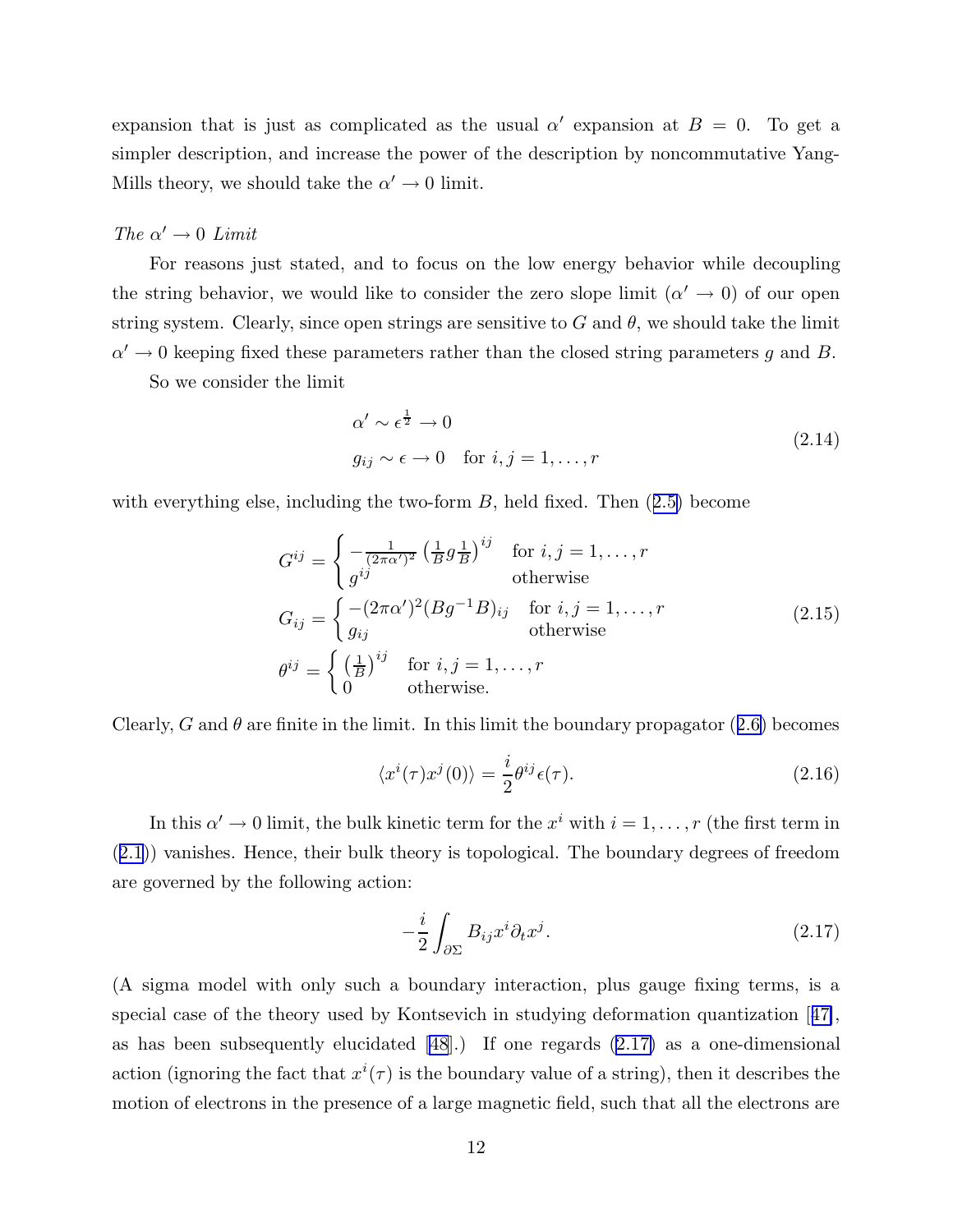<span id="page-12-0"></span>expansion that is just as complicated as the usual  $\alpha'$  expansion at  $B = 0$ . To get a simpler description, and increase the power of the description by noncommutative Yang-Mills theory, we should take the  $\alpha' \to 0$  limit.

# The  $\alpha' \rightarrow 0$  Limit

For reasons just stated, and to focus on the low energy behavior while decoupling the string behavior, we would like to consider the zero slope limit  $(\alpha' \to 0)$  of our open string system. Clearly, since open strings are sensitive to G and  $\theta$ , we should take the limit  $\alpha' \to 0$  keeping fixed these parameters rather than the closed string parameters g and B.

So we consider the limit

$$
\alpha' \sim \epsilon^{\frac{1}{2}} \to 0
$$
  

$$
g_{ij} \sim \epsilon \to 0 \quad \text{for } i, j = 1, ..., r
$$
 (2.14)

with everything else, including the two-form  $B$ , held fixed. Then  $(2.5)$  $(2.5)$  become

$$
G^{ij} = \begin{cases} -\frac{1}{(2\pi\alpha')^2} \left(\frac{1}{B}g\frac{1}{B}\right)^{ij} & \text{for } i, j = 1, \dots, r\\ g^{ij} & \text{otherwise} \end{cases}
$$
  
\n
$$
G_{ij} = \begin{cases} -(2\pi\alpha')^2 (Bg^{-1}B)_{ij} & \text{for } i, j = 1, \dots, r\\ g_{ij} & \text{otherwise} \end{cases}
$$
  
\n
$$
\theta^{ij} = \begin{cases} \left(\frac{1}{B}\right)^{ij} & \text{for } i, j = 1, \dots, r\\ 0 & \text{otherwise.} \end{cases}
$$
\n(2.15)

Clearly, G and  $\theta$  are finite in the limit. In this limit the boundary propagator ([2.6\)](#page-8-0) becomes

$$
\langle x^i(\tau)x^j(0)\rangle = \frac{i}{2}\theta^{ij}\epsilon(\tau). \tag{2.16}
$$

In this  $\alpha' \to 0$  limit, the bulk kinetic term for the  $x^i$  with  $i = 1, \ldots, r$  (the first term in ([2.1\)](#page-7-0)) vanishes. Hence, their bulk theory is topological. The boundary degrees of freedom are governed by the following action:

$$
-\frac{i}{2} \int_{\partial \Sigma} B_{ij} x^i \partial_t x^j. \tag{2.17}
$$

(A sigma model with only such a boundary interaction, plus gauge fixing terms, is a special case of the theory used by Kontsevich in studying deformation quantization [[47\]](#page-98-0), as has been subsequently elucidated [\[48](#page-98-0)].) If one regards (2.17) as a one-dimensional action (ignoring the fact that  $x^{i}(\tau)$  is the boundary value of a string), then it describes the motion of electrons in the presence of a large magnetic field, such that all the electrons are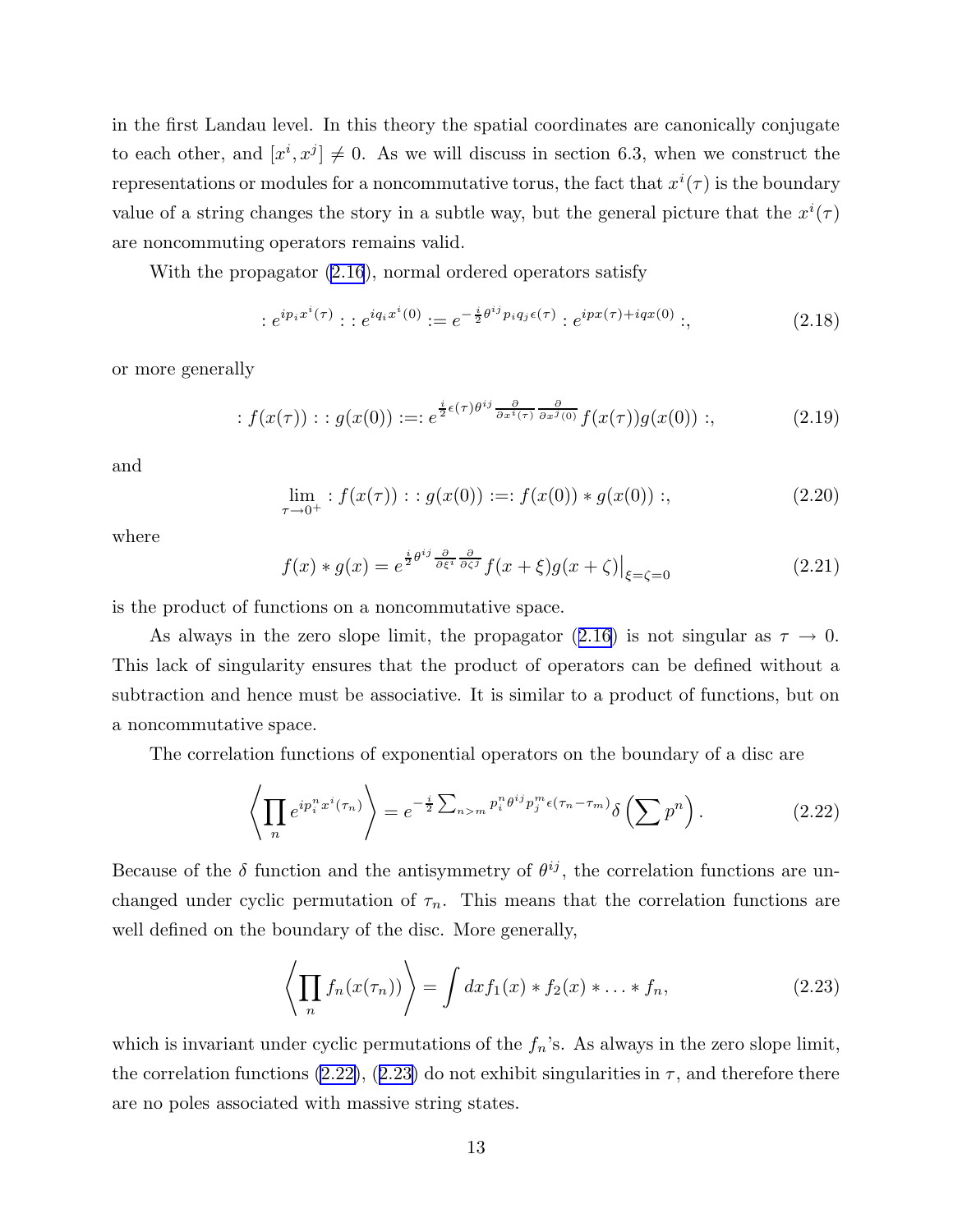<span id="page-13-0"></span>in the first Landau level. In this theory the spatial coordinates are canonically conjugate to each other, and  $[x^i, x^j] \neq 0$ . As we will discuss in section 6.3, when we construct the representations or modules for a noncommutative torus, the fact that  $x^{i}(\tau)$  is the boundary value of a string changes the story in a subtle way, but the general picture that the  $x^{i}(\tau)$ are noncommuting operators remains valid.

With the propagator [\(2.16](#page-12-0)), normal ordered operators satisfy

$$
:e^{ip_ix^i(\tau)}: :e^{iq_ix^i(0)}: = e^{-\frac{i}{2}\theta^{ij}p_iq_j\epsilon(\tau)}:e^{ipx(\tau)+iqx(0)}: \tag{2.18}
$$

or more generally

$$
: f(x(\tau)) : g(x(0)) :=: e^{\frac{i}{2}\epsilon(\tau)\theta^{ij}\frac{\partial}{\partial x^i(\tau)}\frac{\partial}{\partial x^j(0)}}f(x(\tau))g(x(0)) :,
$$
 (2.19)

and

$$
\lim_{\tau \to 0^+} : f(x(\tau)) : g(x(0)) := f(x(0)) * g(x(0)) ;
$$
\n(2.20)

where

$$
f(x) * g(x) = e^{\frac{i}{2}\theta^{ij}\frac{\partial}{\partial\xi^i}\frac{\partial}{\partial\zeta^j}}f(x+\xi)g(x+\zeta)\Big|_{\xi=\zeta=0}
$$
\n(2.21)

is the product of functions on a noncommutative space.

As always in the zero slope limit, the propagator ([2.16\)](#page-12-0) is not singular as  $\tau \to 0$ . This lack of singularity ensures that the product of operators can be defined without a subtraction and hence must be associative. It is similar to a product of functions, but on a noncommutative space.

The correlation functions of exponential operators on the boundary of a disc are

$$
\left\langle \prod_{n} e^{ip_i^n x^i (\tau_n)} \right\rangle = e^{-\frac{i}{2} \sum_{n>m} p_i^n \theta^{ij} p_j^m \epsilon (\tau_n - \tau_m)} \delta \left( \sum p^n \right). \tag{2.22}
$$

Because of the  $\delta$  function and the antisymmetry of  $\theta^{ij}$ , the correlation functions are unchanged under cyclic permutation of  $\tau_n$ . This means that the correlation functions are well defined on the boundary of the disc. More generally,

$$
\left\langle \prod_{n} f_n(x(\tau_n)) \right\rangle = \int dx f_1(x) * f_2(x) * \dots * f_n,
$$
\n(2.23)

which is invariant under cyclic permutations of the  $f_n$ 's. As always in the zero slope limit, the correlation functions (2.22), (2.23) do not exhibit singularities in  $\tau$ , and therefore there are no poles associated with massive string states.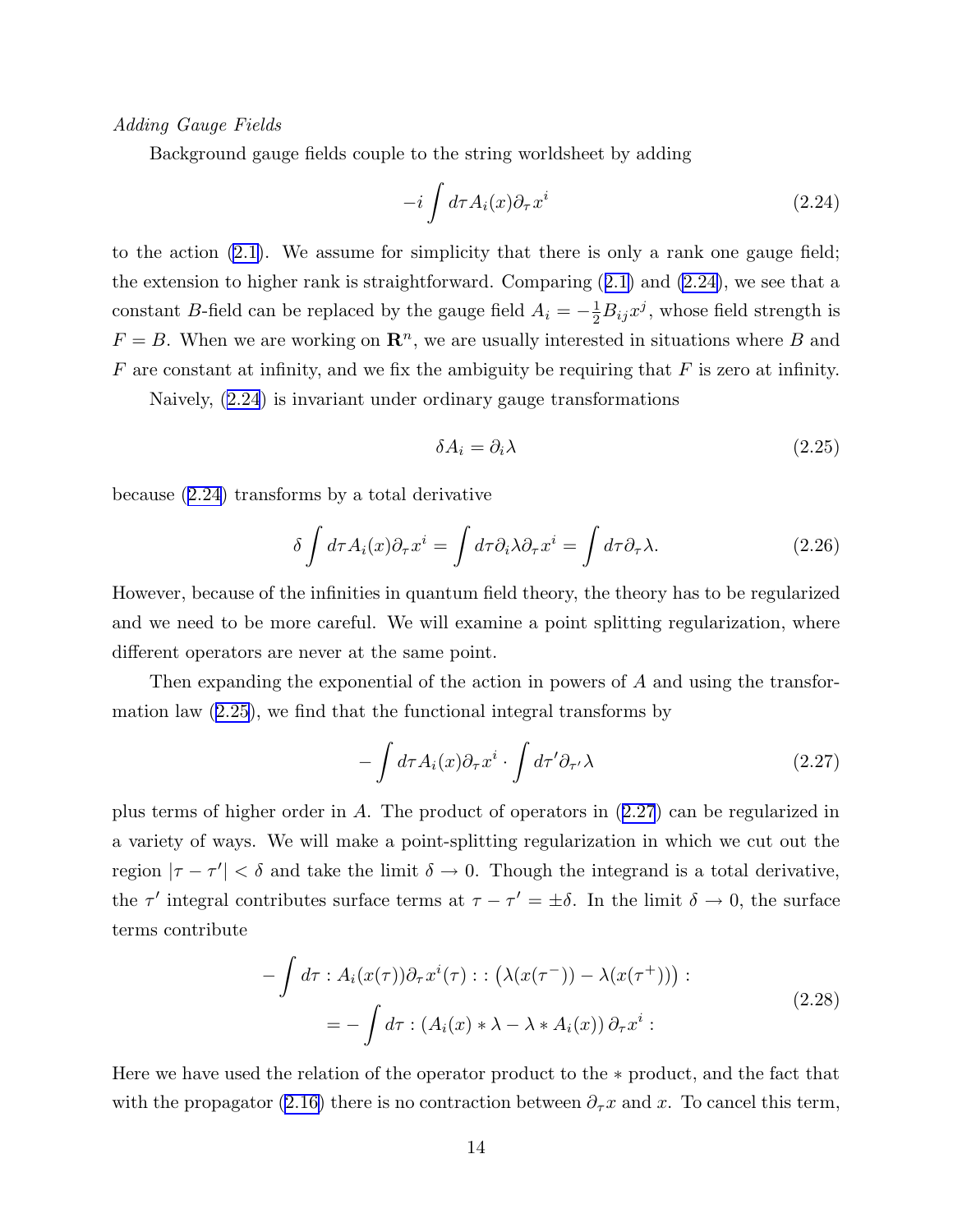<span id="page-14-0"></span>Adding Gauge Fields

Background gauge fields couple to the string worldsheet by adding

$$
-i \int d\tau A_i(x) \partial_\tau x^i \tag{2.24}
$$

to the action [\(2.1\)](#page-7-0). We assume for simplicity that there is only a rank one gauge field; the extension to higher rank is straightforward. Comparing ([2.1\)](#page-7-0) and (2.24), we see that a constant B-field can be replaced by the gauge field  $A_i = -\frac{1}{2}B_{ij}x^j$ , whose field strength is  $F = B$ . When we are working on  $\mathbb{R}^n$ , we are usually interested in situations where B and  $F$  are constant at infinity, and we fix the ambiguity be requiring that  $F$  is zero at infinity.

Naively, (2.24) is invariant under ordinary gauge transformations

$$
\delta A_i = \partial_i \lambda \tag{2.25}
$$

because (2.24) transforms by a total derivative

$$
\delta \int d\tau A_i(x) \partial_\tau x^i = \int d\tau \partial_i \lambda \partial_\tau x^i = \int d\tau \partial_\tau \lambda. \tag{2.26}
$$

However, because of the infinities in quantum field theory, the theory has to be regularized and we need to be more careful. We will examine a point splitting regularization, where different operators are never at the same point.

Then expanding the exponential of the action in powers of A and using the transformation law (2.25), we find that the functional integral transforms by

$$
-\int d\tau A_i(x)\partial_\tau x^i \cdot \int d\tau' \partial_{\tau'} \lambda \tag{2.27}
$$

plus terms of higher order in A. The product of operators in (2.27) can be regularized in a variety of ways. We will make a point-splitting regularization in which we cut out the region  $|\tau - \tau'| < \delta$  and take the limit  $\delta \to 0$ . Though the integrand is a total derivative, the  $\tau'$  integral contributes surface terms at  $\tau - \tau' = \pm \delta$ . In the limit  $\delta \to 0$ , the surface terms contribute

$$
-\int d\tau : A_i(x(\tau))\partial_\tau x^i(\tau) : : (\lambda(x(\tau^{-})) - \lambda(x(\tau^{+}))) : = -\int d\tau : (A_i(x) * \lambda - \lambda * A_i(x)) \partial_\tau x^i :
$$
 (2.28)

Here we have used the relation of the operator product to the ∗ product, and the fact that with the propagator [\(2.16\)](#page-12-0) there is no contraction between  $\partial_{\tau}x$  and x. To cancel this term,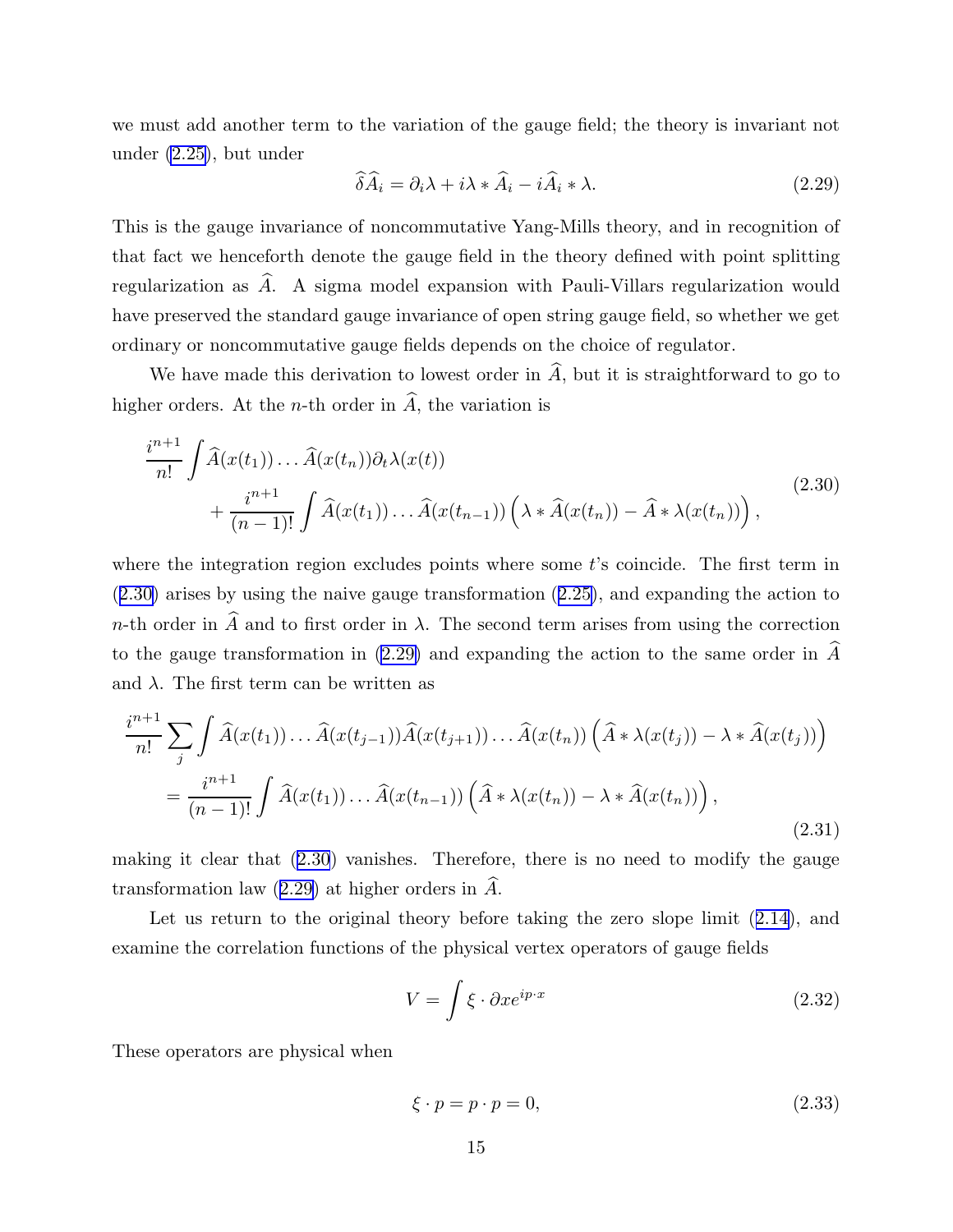<span id="page-15-0"></span>we must add another term to the variation of the gauge field; the theory is invariant not under [\(2.25\)](#page-14-0), but under

$$
\widehat{\delta A}_i = \partial_i \lambda + i \lambda \ast \widehat{A}_i - i \widehat{A}_i \ast \lambda. \tag{2.29}
$$

This is the gauge invariance of noncommutative Yang-Mills theory, and in recognition of that fact we henceforth denote the gauge field in the theory defined with point splitting regularization as  $\widehat{A}$ . A sigma model expansion with Pauli-Villars regularization would have preserved the standard gauge invariance of open string gauge field, so whether we get ordinary or noncommutative gauge fields depends on the choice of regulator.

We have made this derivation to lowest order in  $\hat{A}$ , but it is straightforward to go to higher orders. At the *n*-th order in  $\hat{A}$ , the variation is

$$
\frac{i^{n+1}}{n!} \int \widehat{A}(x(t_1)) \dots \widehat{A}(x(t_n)) \partial_t \lambda(x(t))
$$
\n
$$
+ \frac{i^{n+1}}{(n-1)!} \int \widehat{A}(x(t_1)) \dots \widehat{A}(x(t_{n-1})) \left( \lambda * \widehat{A}(x(t_n)) - \widehat{A} * \lambda(x(t_n)) \right),
$$
\n(2.30)

where the integration region excludes points where some  $t$ 's coincide. The first term in (2.30) arises by using the naive gauge transformation ([2.25\)](#page-14-0), and expanding the action to n-th order in  $\widehat{A}$  and to first order in  $\lambda$ . The second term arises from using the correction to the gauge transformation in (2.29) and expanding the action to the same order in  $\widehat{A}$ and  $\lambda$ . The first term can be written as

$$
\frac{i^{n+1}}{n!} \sum_{j} \int \widehat{A}(x(t_1)) \dots \widehat{A}(x(t_{j-1})) \widehat{A}(x(t_{j+1})) \dots \widehat{A}(x(t_n)) \left( \widehat{A} * \lambda(x(t_j)) - \lambda * \widehat{A}(x(t_j)) \right)
$$

$$
= \frac{i^{n+1}}{(n-1)!} \int \widehat{A}(x(t_1)) \dots \widehat{A}(x(t_{n-1})) \left( \widehat{A} * \lambda(x(t_n)) - \lambda * \widehat{A}(x(t_n)) \right), \tag{2.31}
$$

making it clear that (2.30) vanishes. Therefore, there is no need to modify the gauge transformation law  $(2.29)$  at higher orders in A.

Let us return to the original theory before taking the zero slope limit  $(2.14)$  $(2.14)$ , and examine the correlation functions of the physical vertex operators of gauge fields

$$
V = \int \xi \cdot \partial x e^{ip \cdot x} \tag{2.32}
$$

These operators are physical when

$$
\xi \cdot p = p \cdot p = 0,\tag{2.33}
$$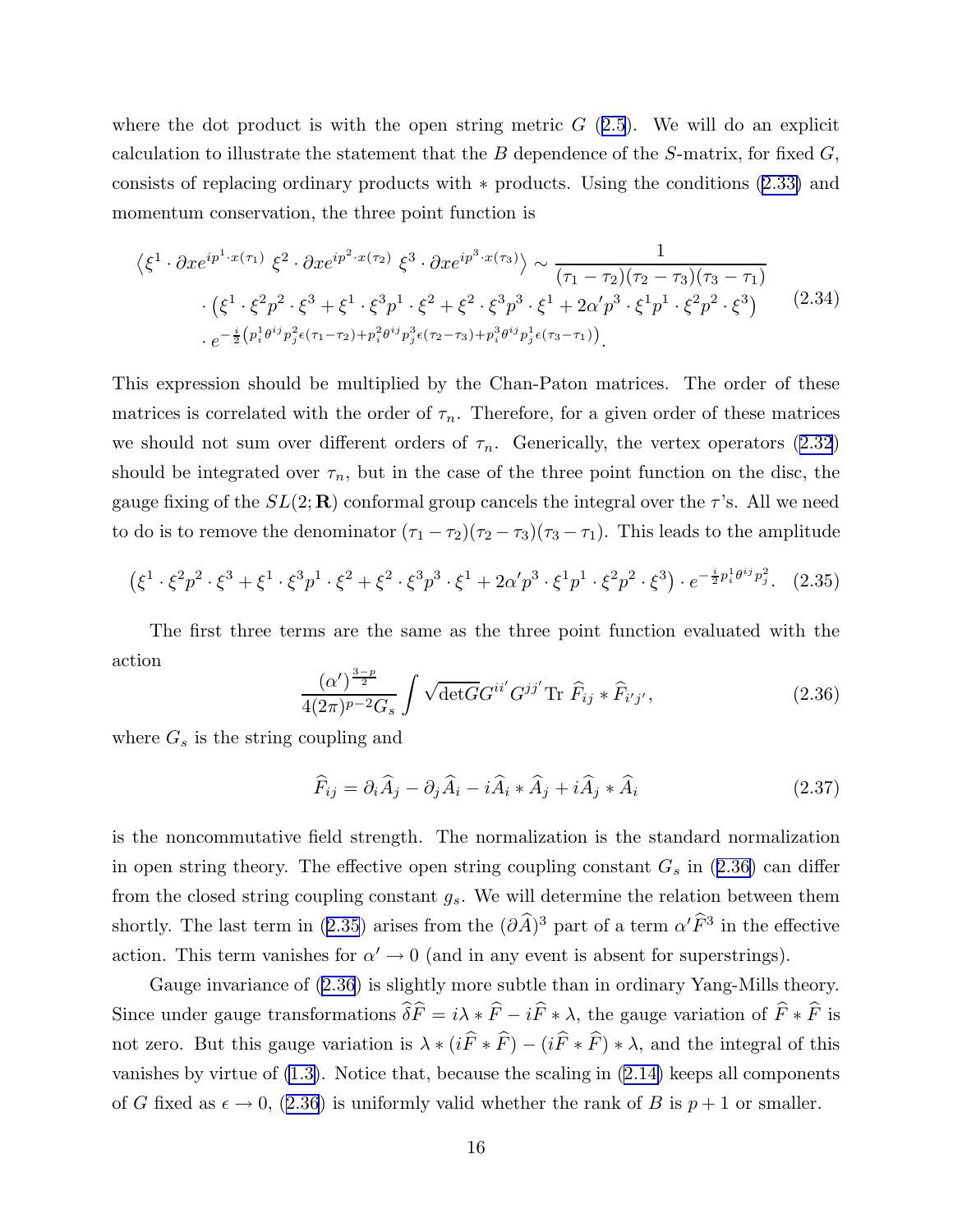<span id="page-16-0"></span>where the dot product is with the open string metric  $G(2.5)$  $G(2.5)$ . We will do an explicit calculation to illustrate the statement that the  $B$  dependence of the S-matrix, for fixed  $G$ , consists of replacing ordinary products with ∗ products. Using the conditions [\(2.33\)](#page-15-0) and momentum conservation, the three point function is

$$
\langle \xi^1 \cdot \partial x e^{ip^1 \cdot x(\tau_1)} \xi^2 \cdot \partial x e^{ip^2 \cdot x(\tau_2)} \xi^3 \cdot \partial x e^{ip^3 \cdot x(\tau_3)} \rangle \sim \frac{1}{(\tau_1 - \tau_2)(\tau_2 - \tau_3)(\tau_3 - \tau_1)} \cdot (\xi^1 \cdot \xi^2 p^2 \cdot \xi^3 + \xi^1 \cdot \xi^3 p^1 \cdot \xi^2 + \xi^2 \cdot \xi^3 p^3 \cdot \xi^1 + 2\alpha' p^3 \cdot \xi^1 p^1 \cdot \xi^2 p^2 \cdot \xi^3) \cdot e^{-\frac{i}{2} (p_i^1 \theta^{ij} p_j^2 \epsilon(\tau_1 - \tau_2) + p_i^2 \theta^{ij} p_j^3 \epsilon(\tau_2 - \tau_3) + p_i^3 \theta^{ij} p_j^1 \epsilon(\tau_3 - \tau_1))}.
$$
\n(2.34)

This expression should be multiplied by the Chan-Paton matrices. The order of these matrices is correlated with the order of  $\tau_n$ . Therefore, for a given order of these matrices we should not sum over different orders of  $\tau_n$ . Generically, the vertex operators ([2.32](#page-15-0)) should be integrated over  $\tau_n$ , but in the case of the three point function on the disc, the gauge fixing of the  $SL(2;\mathbf{R})$  conformal group cancels the integral over the  $\tau$ 's. All we need to do is to remove the denominator  $(\tau_1 - \tau_2)(\tau_2 - \tau_3)(\tau_3 - \tau_1)$ . This leads to the amplitude

$$
(\xi^1 \cdot \xi^2 p^2 \cdot \xi^3 + \xi^1 \cdot \xi^3 p^1 \cdot \xi^2 + \xi^2 \cdot \xi^3 p^3 \cdot \xi^1 + 2\alpha' p^3 \cdot \xi^1 p^1 \cdot \xi^2 p^2 \cdot \xi^3) \cdot e^{-\frac{i}{2} p_i^1 \theta^{ij} p_j^2}.
$$
 (2.35)

The first three terms are the same as the three point function evaluated with the action

$$
\frac{(\alpha')^{\frac{3-p}{2}}}{4(2\pi)^{p-2}G_s} \int \sqrt{\det G} G^{ii'} G^{jj'} \text{Tr} \ \hat{F}_{ij} * \hat{F}_{i'j'}, \tag{2.36}
$$

where  $G_s$  is the string coupling and

$$
\widehat{F}_{ij} = \partial_i \widehat{A}_j - \partial_j \widehat{A}_i - i \widehat{A}_i * \widehat{A}_j + i \widehat{A}_j * \widehat{A}_i \tag{2.37}
$$

is the noncommutative field strength. The normalization is the standard normalization in open string theory. The effective open string coupling constant  $G_s$  in (2.36) can differ from the closed string coupling constant  $g_s$ . We will determine the relation between them shortly. The last term in (2.35) arises from the  $(\partial \hat{A})^3$  part of a term  $\alpha' \hat{F}^3$  in the effective action. This term vanishes for  $\alpha' \to 0$  (and in any event is absent for superstrings).

Gauge invariance of (2.36) is slightly more subtle than in ordinary Yang-Mills theory. Since under gauge transformations  $\hat{\delta}\hat{F} = i\lambda * \hat{F} - i\hat{F} * \lambda$ , the gauge variation of  $\hat{F} * \hat{F}$  is not zero. But this gauge variation is  $\lambda * (i\hat{F} * \hat{F}) - (i\hat{F} * \hat{F}) * \lambda$ , and the integral of this vanishes by virtue of [\(1.3\)](#page-5-0). Notice that, because the scaling in [\(2.14\)](#page-12-0) keeps all components of G fixed as  $\epsilon \to 0$ , (2.36) is uniformly valid whether the rank of B is  $p + 1$  or smaller.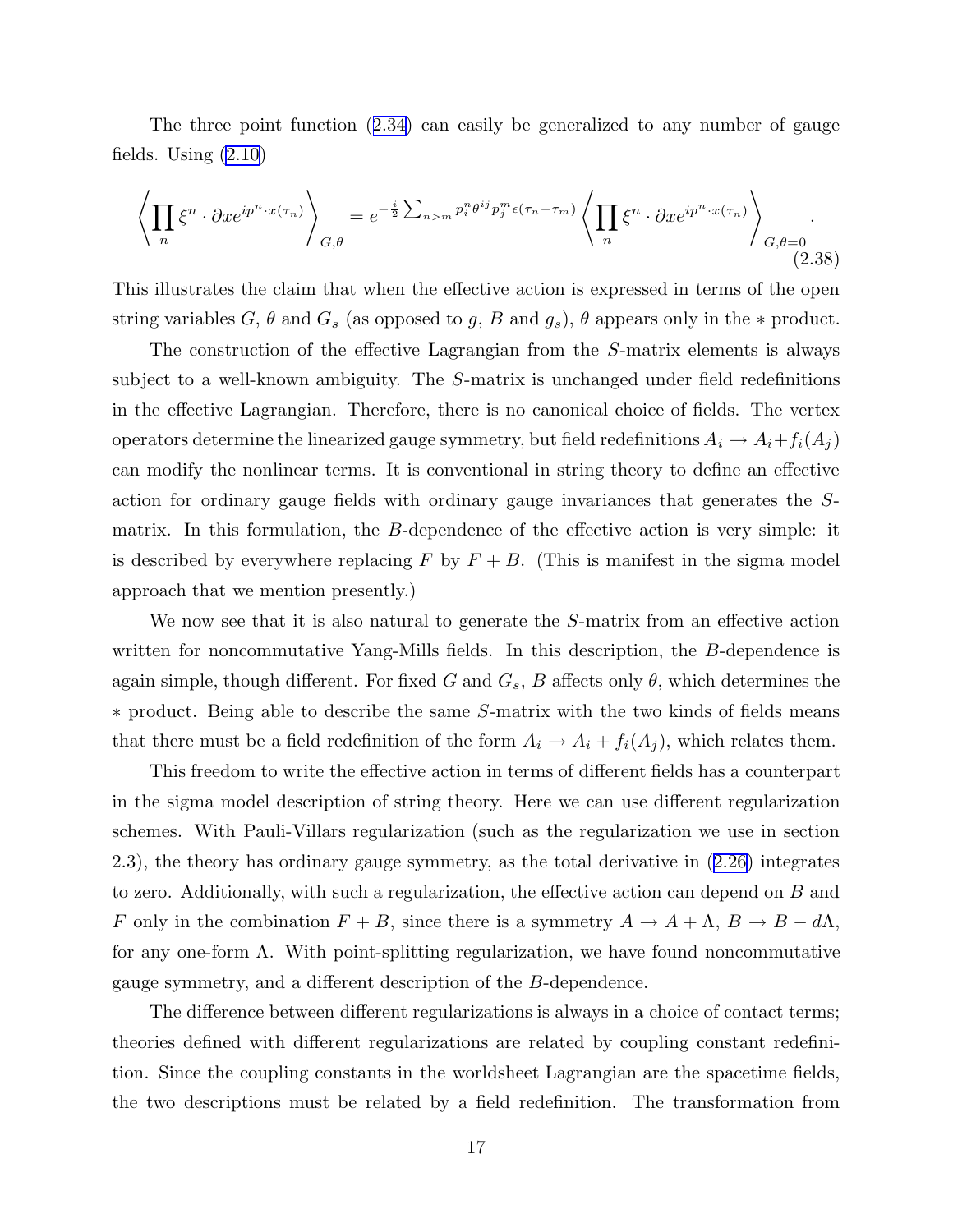<span id="page-17-0"></span>The three point function ([2.34\)](#page-16-0) can easily be generalized to any number of gauge fields. Using [\(2.10\)](#page-10-0)

$$
\left\langle \prod_{n} \xi^{n} \cdot \partial x e^{ip^{n} \cdot x(\tau_{n})} \right\rangle_{G, \theta} = e^{-\frac{i}{2} \sum_{n>m} p_{i}^{n} \theta^{ij} p_{j}^{m} \epsilon(\tau_{n} - \tau_{m})} \left\langle \prod_{n} \xi^{n} \cdot \partial x e^{ip^{n} \cdot x(\tau_{n})} \right\rangle_{G, \theta = 0}.
$$
\n(2.38)

This illustrates the claim that when the effective action is expressed in terms of the open string variables G,  $\theta$  and  $G_s$  (as opposed to g, B and  $g_s$ ),  $\theta$  appears only in the  $*$  product.

The construction of the effective Lagrangian from the S-matrix elements is always subject to a well-known ambiguity. The S-matrix is unchanged under field redefinitions in the effective Lagrangian. Therefore, there is no canonical choice of fields. The vertex operators determine the linearized gauge symmetry, but field redefinitions  $A_i \to A_i + f_i(A_j)$ can modify the nonlinear terms. It is conventional in string theory to define an effective action for ordinary gauge fields with ordinary gauge invariances that generates the Smatrix. In this formulation, the B-dependence of the effective action is very simple: it is described by everywhere replacing F by  $F + B$ . (This is manifest in the sigma model approach that we mention presently.)

We now see that it is also natural to generate the S-matrix from an effective action written for noncommutative Yang-Mills fields. In this description, the B-dependence is again simple, though different. For fixed G and  $G_s$ , B affects only  $\theta$ , which determines the ∗ product. Being able to describe the same S-matrix with the two kinds of fields means that there must be a field redefinition of the form  $A_i \to A_i + f_i(A_j)$ , which relates them.

This freedom to write the effective action in terms of different fields has a counterpart in the sigma model description of string theory. Here we can use different regularization schemes. With Pauli-Villars regularization (such as the regularization we use in section 2.3), the theory has ordinary gauge symmetry, as the total derivative in ([2.26\)](#page-14-0) integrates to zero. Additionally, with such a regularization, the effective action can depend on B and F only in the combination  $F + B$ , since there is a symmetry  $A \to A + \Lambda$ ,  $B \to B - d\Lambda$ , for any one-form  $\Lambda$ . With point-splitting regularization, we have found noncommutative gauge symmetry, and a different description of the B-dependence.

The difference between different regularizations is always in a choice of contact terms; theories defined with different regularizations are related by coupling constant redefinition. Since the coupling constants in the worldsheet Lagrangian are the spacetime fields, the two descriptions must be related by a field redefinition. The transformation from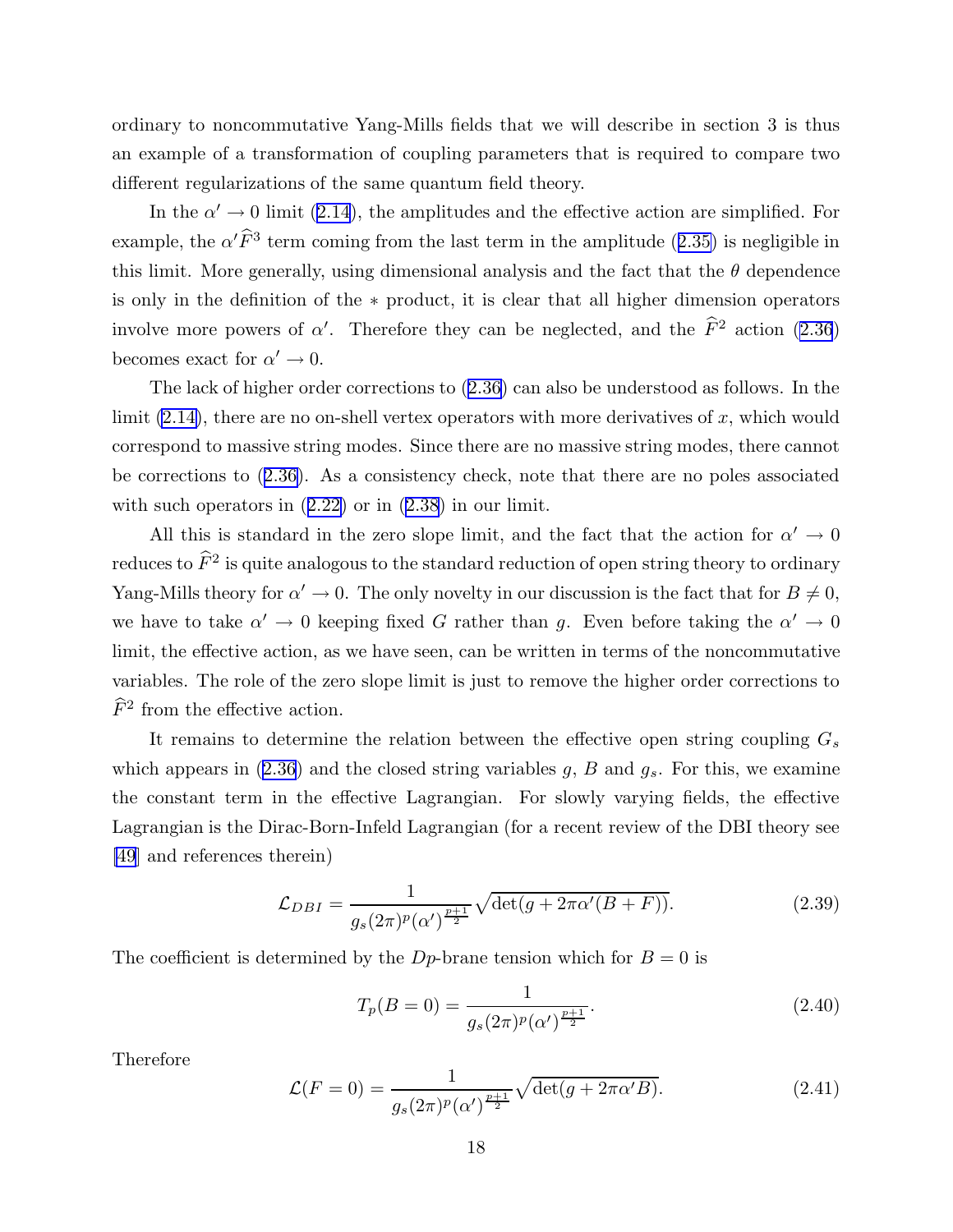<span id="page-18-0"></span>ordinary to noncommutative Yang-Mills fields that we will describe in section 3 is thus an example of a transformation of coupling parameters that is required to compare two different regularizations of the same quantum field theory.

In the  $\alpha' \to 0$  limit ([2.14](#page-12-0)), the amplitudes and the effective action are simplified. For example, the  $\alpha' \hat{F}^3$  term coming from the last term in the amplitude ([2.35\)](#page-16-0) is negligible in this limit. More generally, using dimensional analysis and the fact that the  $\theta$  dependence is only in the definition of the ∗ product, it is clear that all higher dimension operators involve more powers of  $\alpha'$ . Therefore they can be neglected, and the  $\hat{F}^2$  action [\(2.36](#page-16-0)) becomes exact for  $\alpha' \to 0$ .

The lack of higher order corrections to ([2.36](#page-16-0)) can also be understood as follows. In the limit  $(2.14)$ , there are no on-shell vertex operators with more derivatives of x, which would correspond to massive string modes. Since there are no massive string modes, there cannot be corrections to ([2.36\)](#page-16-0). As a consistency check, note that there are no poles associated with such operators in  $(2.22)$  $(2.22)$  or in  $(2.38)$  $(2.38)$  $(2.38)$  in our limit.

All this is standard in the zero slope limit, and the fact that the action for  $\alpha' \to 0$ reduces to  $\widehat{F}^2$  is quite analogous to the standard reduction of open string theory to ordinary Yang-Mills theory for  $\alpha' \to 0$ . The only novelty in our discussion is the fact that for  $B \neq 0$ , we have to take  $\alpha' \to 0$  keeping fixed G rather than g. Even before taking the  $\alpha' \to 0$ limit, the effective action, as we have seen, can be written in terms of the noncommutative variables. The role of the zero slope limit is just to remove the higher order corrections to  $\widehat{F}^2$  from the effective action.

It remains to determine the relation between the effective open string coupling  $G_s$ which appears in  $(2.36)$  $(2.36)$  $(2.36)$  and the closed string variables g, B and  $g_s$ . For this, we examine the constant term in the effective Lagrangian. For slowly varying fields, the effective Lagrangian is the Dirac-Born-Infeld Lagrangian (for a recent review of the DBI theory see [\[49](#page-98-0)] and references therein)

$$
\mathcal{L}_{DBI} = \frac{1}{g_s(2\pi)^p (\alpha')^{\frac{p+1}{2}}} \sqrt{\det(g + 2\pi \alpha'(B + F))}.
$$
 (2.39)

The coefficient is determined by the D<sub>p</sub>-brane tension which for  $B = 0$  is

$$
T_p(B=0) = \frac{1}{g_s(2\pi)^p(\alpha')^{\frac{p+1}{2}}}.
$$
\n(2.40)

Therefore

$$
\mathcal{L}(F=0) = \frac{1}{g_s(2\pi)^p (\alpha')^{\frac{p+1}{2}}} \sqrt{\det(g + 2\pi \alpha' B)}.
$$
\n(2.41)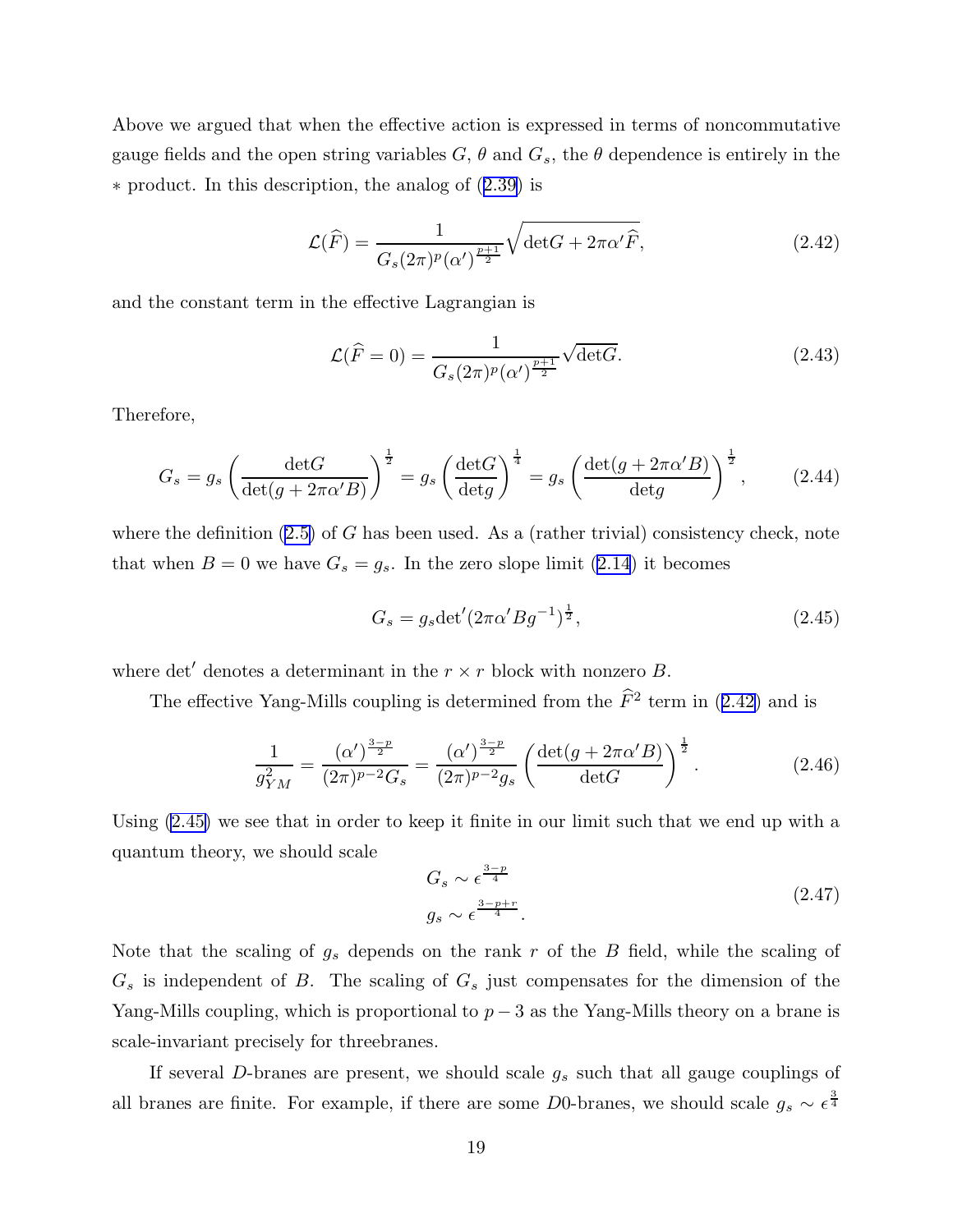<span id="page-19-0"></span>Above we argued that when the effective action is expressed in terms of noncommutative gauge fields and the open string variables  $G, \theta$  and  $G_s$ , the  $\theta$  dependence is entirely in the ∗ product. In this description, the analog of ([2.39\)](#page-18-0) is

$$
\mathcal{L}(\widehat{F}) = \frac{1}{G_s(2\pi)^p (\alpha')^{\frac{p+1}{2}}} \sqrt{\det G + 2\pi \alpha' \widehat{F}},
$$
\n(2.42)

and the constant term in the effective Lagrangian is

$$
\mathcal{L}(\hat{F} = 0) = \frac{1}{G_s (2\pi)^p (\alpha')^{\frac{p+1}{2}}} \sqrt{\det G}.
$$
 (2.43)

Therefore,

$$
G_s = g_s \left(\frac{\det G}{\det(g + 2\pi\alpha' B)}\right)^{\frac{1}{2}} = g_s \left(\frac{\det G}{\det g}\right)^{\frac{1}{4}} = g_s \left(\frac{\det(g + 2\pi\alpha' B)}{\det g}\right)^{\frac{1}{2}},\tag{2.44}
$$

where the definition  $(2.5)$  of G has been used. As a (rather trivial) consistency check, note that when  $B = 0$  we have  $G_s = g_s$ . In the zero slope limit ([2.14](#page-12-0)) it becomes

$$
G_s = g_s \det'(2\pi \alpha' B g^{-1})^{\frac{1}{2}},\tag{2.45}
$$

where det' denotes a determinant in the  $r \times r$  block with nonzero B.

The effective Yang-Mills coupling is determined from the  $\tilde{F}^2$  term in (2.42) and is

$$
\frac{1}{g_{YM}^2} = \frac{(\alpha')^{\frac{3-p}{2}}}{(2\pi)^{p-2}G_s} = \frac{(\alpha')^{\frac{3-p}{2}}}{(2\pi)^{p-2}g_s} \left(\frac{\det(g + 2\pi\alpha'B)}{\det G}\right)^{\frac{1}{2}}.
$$
 (2.46)

Using (2.45) we see that in order to keep it finite in our limit such that we end up with a quantum theory, we should scale

$$
G_s \sim \epsilon^{\frac{3-p}{4}}
$$
  
\n
$$
g_s \sim \epsilon^{\frac{3-p+r}{4}}.
$$
\n(2.47)

Note that the scaling of  $g_s$  depends on the rank r of the B field, while the scaling of  $G_s$  is independent of B. The scaling of  $G_s$  just compensates for the dimension of the Yang-Mills coupling, which is proportional to  $p-3$  as the Yang-Mills theory on a brane is scale-invariant precisely for threebranes.

If several  $D$ -branes are present, we should scale  $g_s$  such that all gauge couplings of all branes are finite. For example, if there are some D0-branes, we should scale  $g_s \sim \epsilon^{\frac{3}{4}}$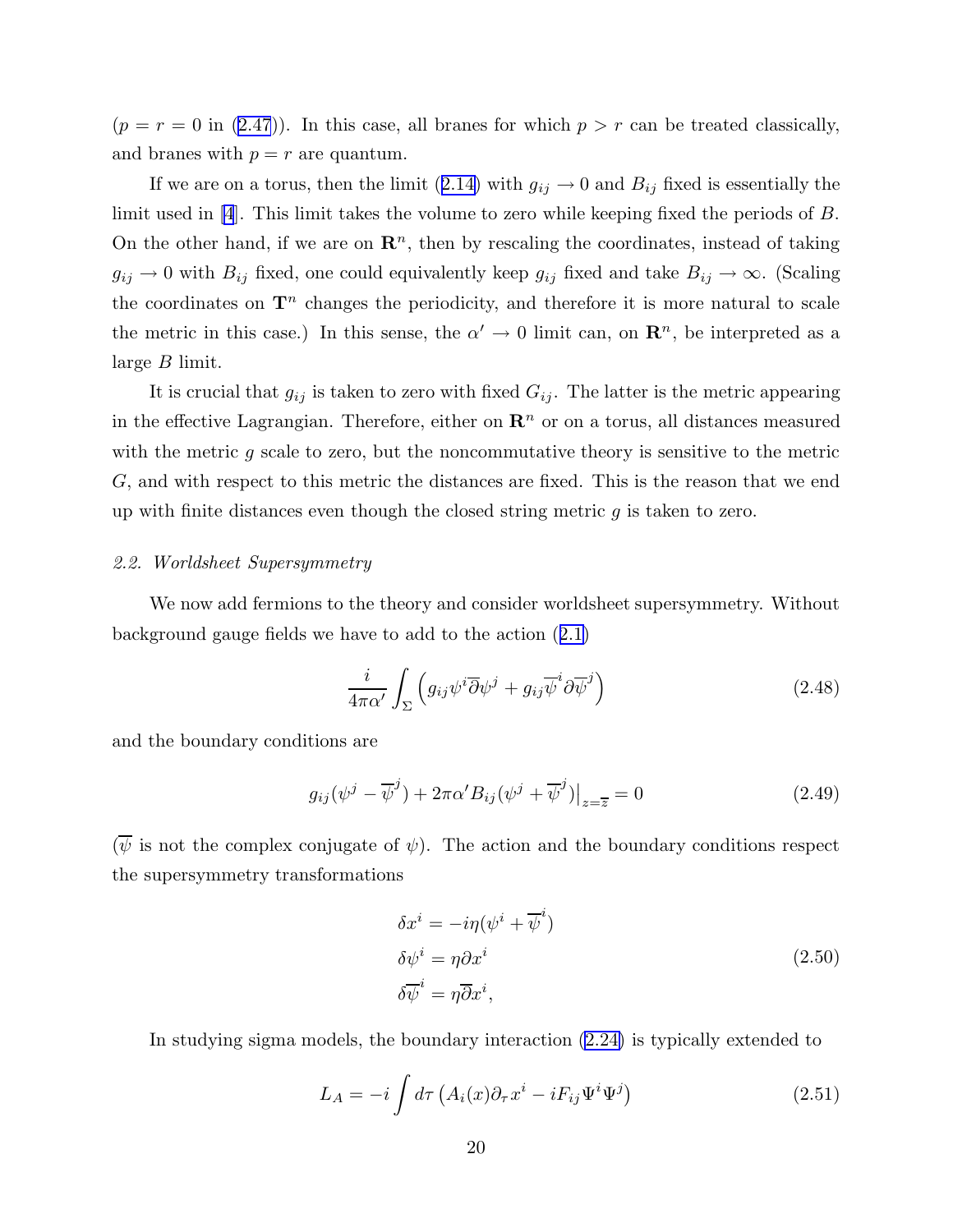<span id="page-20-0"></span> $(p = r = 0$  in  $(2.47)$  $(2.47)$ ). In this case, all branes for which  $p > r$  can be treated classically, and branes with  $p = r$  are quantum.

If we are on a torus, then the limit ([2.14\)](#page-12-0) with  $g_{ij} \to 0$  and  $B_{ij}$  fixed is essentially the limit used in [\[4](#page-95-0)]. This limit takes the volume to zero while keeping fixed the periods of B. On the other hand, if we are on  $\mathbb{R}^n$ , then by rescaling the coordinates, instead of taking  $g_{ij} \to 0$  with  $B_{ij}$  fixed, one could equivalently keep  $g_{ij}$  fixed and take  $B_{ij} \to \infty$ . (Scaling the coordinates on  $\mathbf{T}^n$  changes the periodicity, and therefore it is more natural to scale the metric in this case.) In this sense, the  $\alpha' \to 0$  limit can, on  $\mathbb{R}^n$ , be interpreted as a large  $B$  limit.

It is crucial that  $g_{ij}$  is taken to zero with fixed  $G_{ij}$ . The latter is the metric appearing in the effective Lagrangian. Therefore, either on  $\mathbb{R}^n$  or on a torus, all distances measured with the metric  $q$  scale to zero, but the noncommutative theory is sensitive to the metric G, and with respect to this metric the distances are fixed. This is the reason that we end up with finite distances even though the closed string metric  $g$  is taken to zero.

#### 2.2. Worldsheet Supersymmetry

We now add fermions to the theory and consider worldsheet supersymmetry. Without background gauge fields we have to add to the action ([2.1\)](#page-7-0)

$$
\frac{i}{4\pi\alpha'}\int_{\Sigma}\left(g_{ij}\psi^{i}\overline{\partial}\psi^{j}+g_{ij}\overline{\psi}^{i}\partial\overline{\psi}^{j}\right)
$$
\n(2.48)

and the boundary conditions are

$$
g_{ij}(\psi^j - \overline{\psi}^j) + 2\pi\alpha' B_{ij}(\psi^j + \overline{\psi}^j)|_{z=\overline{z}} = 0
$$
\n(2.49)

 $(\overline{\psi})$  is not the complex conjugate of  $\psi$ ). The action and the boundary conditions respect the supersymmetry transformations

$$
\delta x^{i} = -i\eta(\psi^{i} + \overline{\psi}^{i})
$$
  
\n
$$
\delta \psi^{i} = \eta \partial x^{i}
$$
  
\n
$$
\delta \overline{\psi}^{i} = \eta \overline{\partial} x^{i},
$$
\n(2.50)

In studying sigma models, the boundary interaction [\(2.24\)](#page-14-0) is typically extended to

$$
L_A = -i \int d\tau \left( A_i(x) \partial_\tau x^i - i F_{ij} \Psi^i \Psi^j \right) \tag{2.51}
$$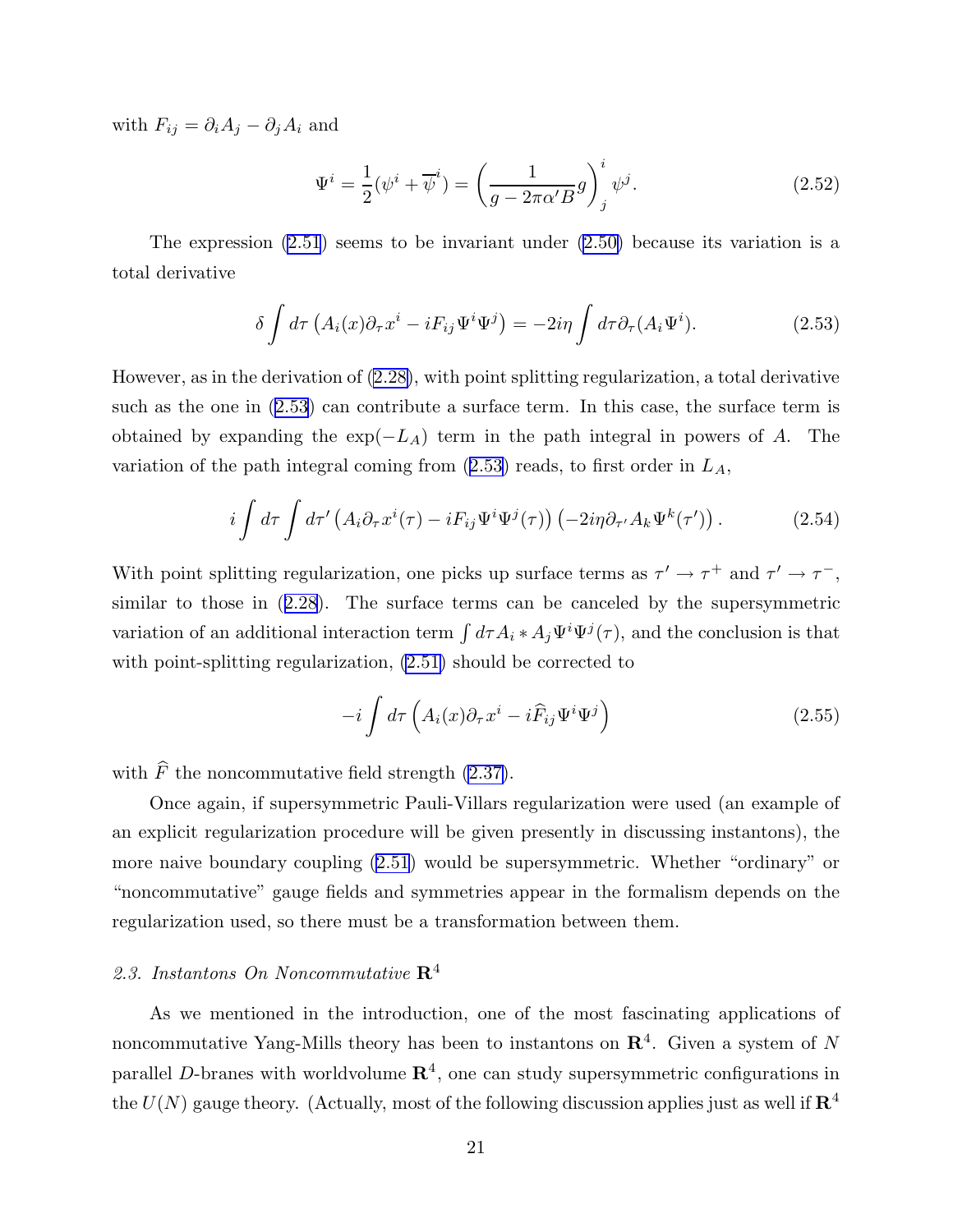<span id="page-21-0"></span>with  $F_{ij} = \partial_i A_j - \partial_j A_i$  and

$$
\Psi^i = \frac{1}{2}(\psi^i + \overline{\psi}^i) = \left(\frac{1}{g - 2\pi\alpha' B}g\right)^i_j \psi^j.
$$
\n(2.52)

The expression  $(2.51)$  $(2.51)$  seems to be invariant under  $(2.50)$  because its variation is a total derivative

$$
\delta \int d\tau \left( A_i(x) \partial_\tau x^i - i F_{ij} \Psi^i \Psi^j \right) = -2i\eta \int d\tau \partial_\tau (A_i \Psi^i). \tag{2.53}
$$

However, as in the derivation of [\(2.28\)](#page-14-0), with point splitting regularization, a total derivative such as the one in (2.53) can contribute a surface term. In this case, the surface term is obtained by expanding the  $\exp(-L_A)$  term in the path integral in powers of A. The variation of the path integral coming from  $(2.53)$  reads, to first order in  $L_A$ ,

$$
i\int d\tau \int d\tau' \left( A_i \partial_\tau x^i(\tau) - i F_{ij} \Psi^i \Psi^j(\tau) \right) \left( -2i\eta \partial_{\tau'} A_k \Psi^k(\tau') \right). \tag{2.54}
$$

With point splitting regularization, one picks up surface terms as  $\tau' \to \tau^+$  and  $\tau' \to \tau^-$ , similar to those in ([2.28\)](#page-14-0). The surface terms can be canceled by the supersymmetric variation of an additional interaction term  $\int d\tau A_i * A_j \Psi^i \Psi^j(\tau)$ , and the conclusion is that with point-splitting regularization,  $(2.51)$  should be corrected to

$$
-i\int d\tau \left( A_i(x)\partial_\tau x^i - i\widehat{F}_{ij}\Psi^i\Psi^j \right) \tag{2.55}
$$

with  $\widehat{F}$  the noncommutative field strength [\(2.37\)](#page-16-0).

Once again, if supersymmetric Pauli-Villars regularization were used (an example of an explicit regularization procedure will be given presently in discussing instantons), the more naive boundary coupling ([2.51](#page-20-0)) would be supersymmetric. Whether "ordinary" or "noncommutative" gauge fields and symmetries appear in the formalism depends on the regularization used, so there must be a transformation between them.

# 2.3. Instantons On Noncommutative  $\mathbb{R}^4$

As we mentioned in the introduction, one of the most fascinating applications of noncommutative Yang-Mills theory has been to instantons on  $\mathbb{R}^4$ . Given a system of N parallel D-branes with worldvolume  $\mathbb{R}^4$ , one can study supersymmetric configurations in the  $U(N)$  gauge theory. (Actually, most of the following discussion applies just as well if  $\mathbb{R}^4$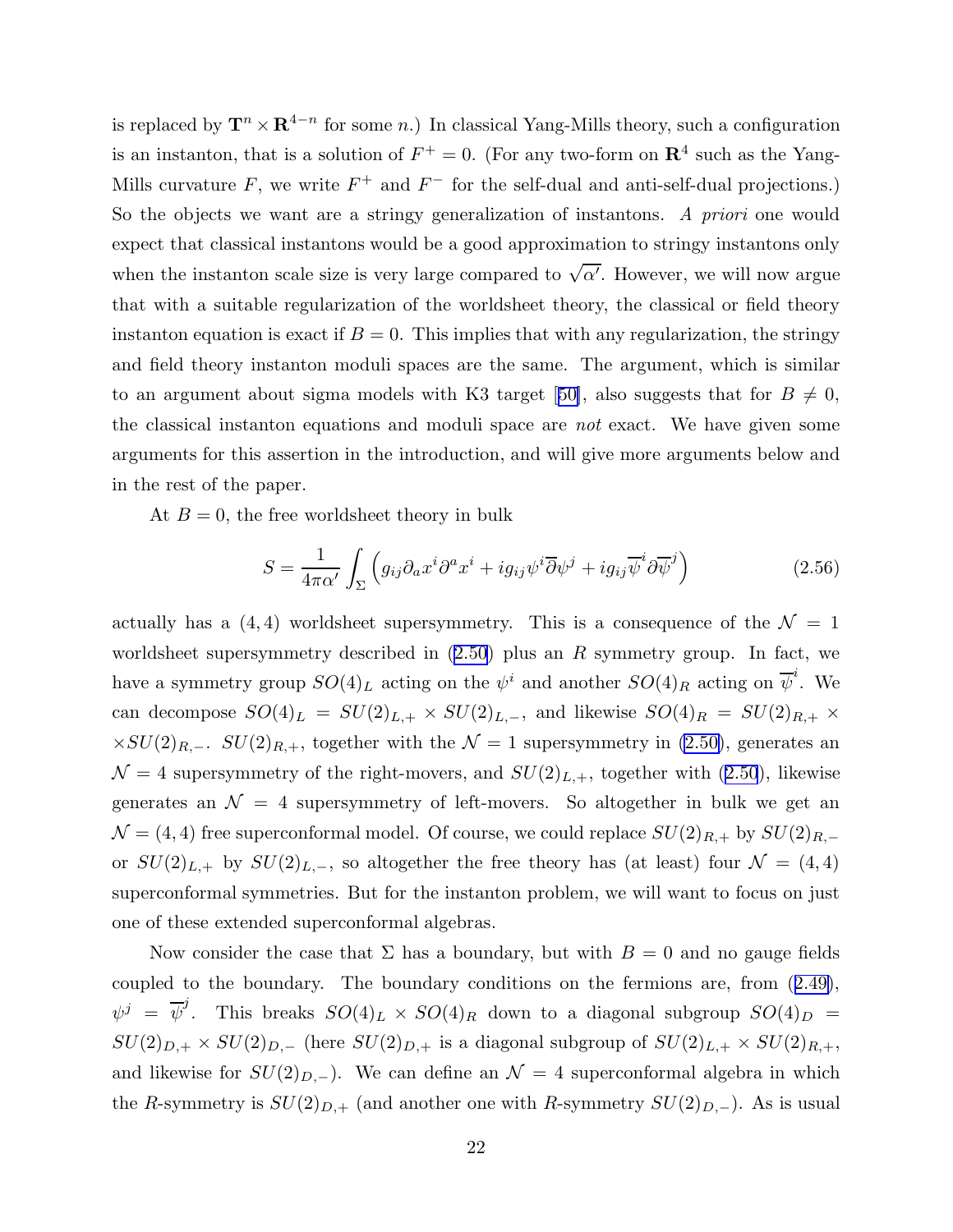is replaced by  $\mathbf{T}^n \times \mathbf{R}^{4-n}$  for some n.) In classical Yang-Mills theory, such a configuration is an instanton, that is a solution of  $F^+ = 0$ . (For any two-form on  $\mathbb{R}^4$  such as the Yang-Mills curvature F, we write  $F^+$  and  $F^-$  for the self-dual and anti-self-dual projections.) So the objects we want are a stringy generalization of instantons. A priori one would expect that classical instantons would be a good approximation to stringy instantons only when the instanton scale size is very large compared to  $\sqrt{\alpha'}$ . However, we will now argue that with a suitable regularization of the worldsheet theory, the classical or field theory instanton equation is exact if  $B = 0$ . This implies that with any regularization, the stringy and field theory instanton moduli spaces are the same. The argument, which is similar to an argument about sigma models with K3 target [[50\]](#page-98-0), also suggests that for  $B \neq 0$ , the classical instanton equations and moduli space are not exact. We have given some arguments for this assertion in the introduction, and will give more arguments below and in the rest of the paper.

At  $B = 0$ , the free worldsheet theory in bulk

$$
S = \frac{1}{4\pi\alpha'} \int_{\Sigma} \left( g_{ij} \partial_a x^i \partial^a x^i + ig_{ij} \psi^i \overline{\partial} \psi^j + ig_{ij} \overline{\psi}^i \partial \overline{\psi}^j \right) \tag{2.56}
$$

actually has a  $(4, 4)$  worldsheet supersymmetry. This is a consequence of the  $\mathcal{N} = 1$ worldsheet supersymmetry described in  $(2.50)$  $(2.50)$  $(2.50)$  plus an R symmetry group. In fact, we have a symmetry group  $SO(4)_L$  acting on the  $\psi^i$  and another  $SO(4)_R$  acting on  $\overline{\psi}^i$ . We can decompose  $SO(4)_L = SU(2)_{L,+} \times SU(2)_{L,-}$ , and likewise  $SO(4)_R = SU(2)_{R,+} \times$  $\times SU(2)_{R,-}$ .  $SU(2)_{R,+}$ , together with the  $\mathcal{N}=1$  supersymmetry in [\(2.50\)](#page-20-0), generates an  $\mathcal{N} = 4$  supersymmetry of the right-movers, and  $SU(2)_{L,+}$ , together with [\(2.50](#page-20-0)), likewise generates an  $\mathcal{N} = 4$  supersymmetry of left-movers. So altogether in bulk we get an  $\mathcal{N} = (4, 4)$  free superconformal model. Of course, we could replace  $SU(2)_{R,+}$  by  $SU(2)_{R,-}$ or  $SU(2)_{L,+}$  by  $SU(2)_{L,-}$ , so altogether the free theory has (at least) four  $\mathcal{N} = (4,4)$ superconformal symmetries. But for the instanton problem, we will want to focus on just one of these extended superconformal algebras.

Now consider the case that  $\Sigma$  has a boundary, but with  $B = 0$  and no gauge fields coupled to the boundary. The boundary conditions on the fermions are, from ([2.49\)](#page-20-0),  $\psi^j = \overline{\psi}^j$ . This breaks  $SO(4)_L \times SO(4)_R$  down to a diagonal subgroup  $SO(4)_D$  =  $SU(2)_{D,+} \times SU(2)_{D,-}$  (here  $SU(2)_{D,+}$  is a diagonal subgroup of  $SU(2)_{L,+} \times SU(2)_{R,+}$ , and likewise for  $SU(2)_{D,-}$ ). We can define an  $\mathcal{N}=4$  superconformal algebra in which the R-symmetry is  $SU(2)_{D,+}$  (and another one with R-symmetry  $SU(2)_{D,-}$ ). As is usual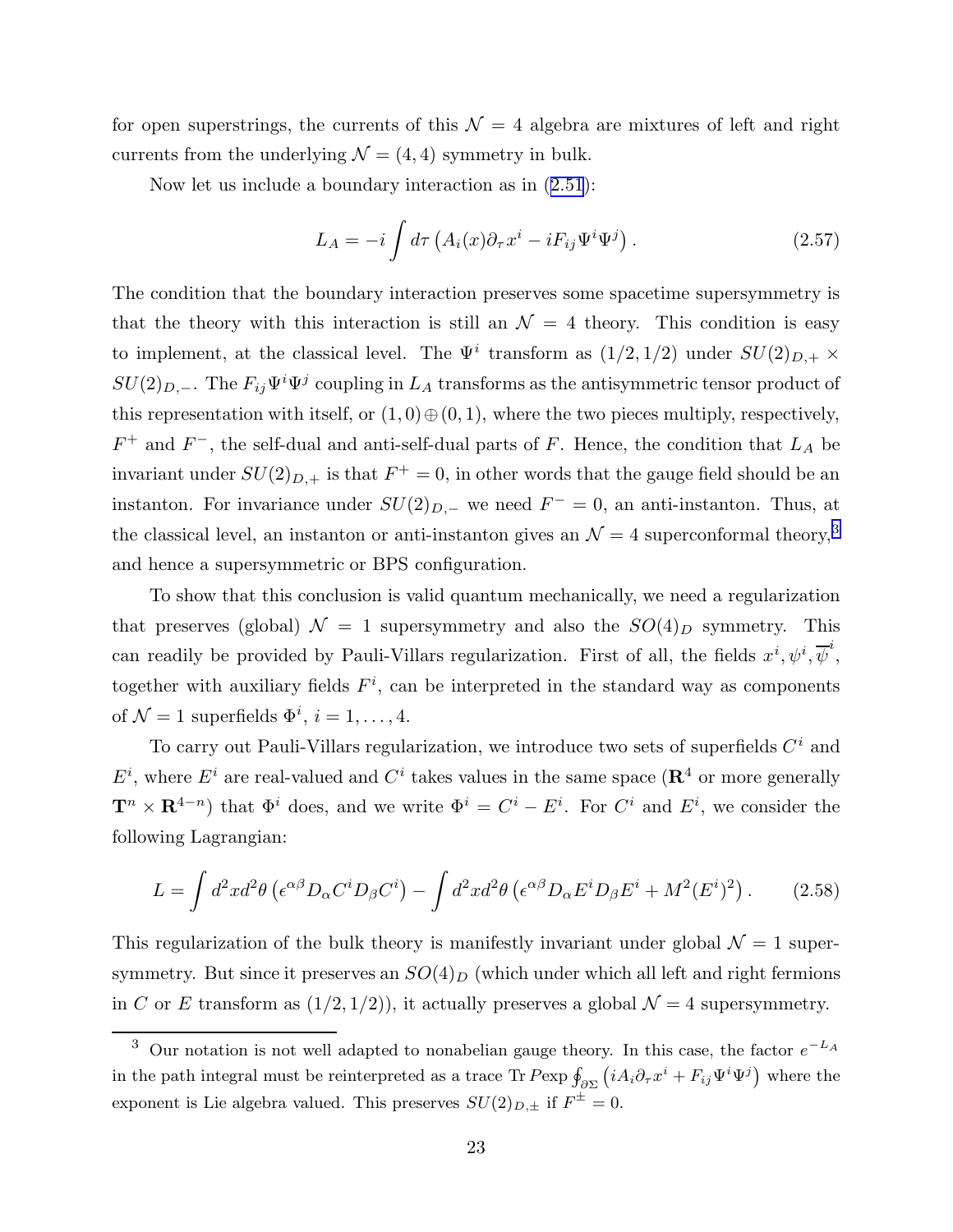for open superstrings, the currents of this  $\mathcal{N} = 4$  algebra are mixtures of left and right currents from the underlying  $\mathcal{N} = (4, 4)$  symmetry in bulk.

Now let us include a boundary interaction as in ([2.51](#page-20-0)):

$$
L_A = -i \int d\tau \left( A_i(x) \partial_\tau x^i - i F_{ij} \Psi^i \Psi^j \right). \tag{2.57}
$$

The condition that the boundary interaction preserves some spacetime supersymmetry is that the theory with this interaction is still an  $\mathcal{N} = 4$  theory. This condition is easy to implement, at the classical level. The  $\Psi^i$  transform as  $(1/2, 1/2)$  under  $SU(2)_{D,+} \times$  $SU(2)_{D,-}$ . The  $F_{ij}\Psi^i\Psi^j$  coupling in  $L_A$  transforms as the antisymmetric tensor product of this representation with itself, or  $(1,0) \oplus (0,1)$ , where the two pieces multiply, respectively,  $F^+$  and  $F^-$ , the self-dual and anti-self-dual parts of F. Hence, the condition that  $L_A$  be invariant under  $SU(2)_{D,+}$  is that  $F^+=0$ , in other words that the gauge field should be an instanton. For invariance under  $SU(2)_{D,-}$  we need  $F^- = 0$ , an anti-instanton. Thus, at the classical level, an instanton or anti-instanton gives an  $\mathcal{N}=4$  superconformal theory,<sup>3</sup> and hence a supersymmetric or BPS configuration.

To show that this conclusion is valid quantum mechanically, we need a regularization that preserves (global)  $\mathcal{N} = 1$  supersymmetry and also the  $SO(4)_D$  symmetry. This can readily be provided by Pauli-Villars regularization. First of all, the fields  $x^i, \psi^i, \overline{\psi}^i$ , together with auxiliary fields  $F^i$ , can be interpreted in the standard way as components of  $\mathcal{N}=1$  superfields  $\Phi^i$ ,  $i=1,\ldots,4$ .

To carry out Pauli-Villars regularization, we introduce two sets of superfields  $C<sup>i</sup>$  and  $E^i$ , where  $E^i$  are real-valued and  $C^i$  takes values in the same space ( $\mathbf{R}^4$  or more generally  $\mathbf{T}^n \times \mathbf{R}^{4-n}$  that  $\Phi^i$  does, and we write  $\Phi^i = C^i - E^i$ . For  $C^i$  and  $E^i$ , we consider the following Lagrangian:

$$
L = \int d^2x d^2\theta \left( \epsilon^{\alpha\beta} D_\alpha C^i D_\beta C^i \right) - \int d^2x d^2\theta \left( \epsilon^{\alpha\beta} D_\alpha E^i D_\beta E^i + M^2 (E^i)^2 \right). \tag{2.58}
$$

This regularization of the bulk theory is manifestly invariant under global  $\mathcal{N}=1$  supersymmetry. But since it preserves an  $SO(4)_D$  (which under which all left and right fermions in C or E transform as  $(1/2, 1/2)$ , it actually preserves a global  $\mathcal{N}=4$  supersymmetry.

<sup>&</sup>lt;sup>3</sup> Our notation is not well adapted to nonabelian gauge theory. In this case, the factor  $e^{-L_A}$ in the path integral must be reinterpreted as a trace Tr  $P$ exp  $\oint_{\partial \Sigma} (iA_i \partial_\tau x^i + F_{ij} \Psi^i \Psi^j)$  where the exponent is Lie algebra valued. This preserves  $SU(2)_{D,\pm}$  if  $F^{\pm}=0$ .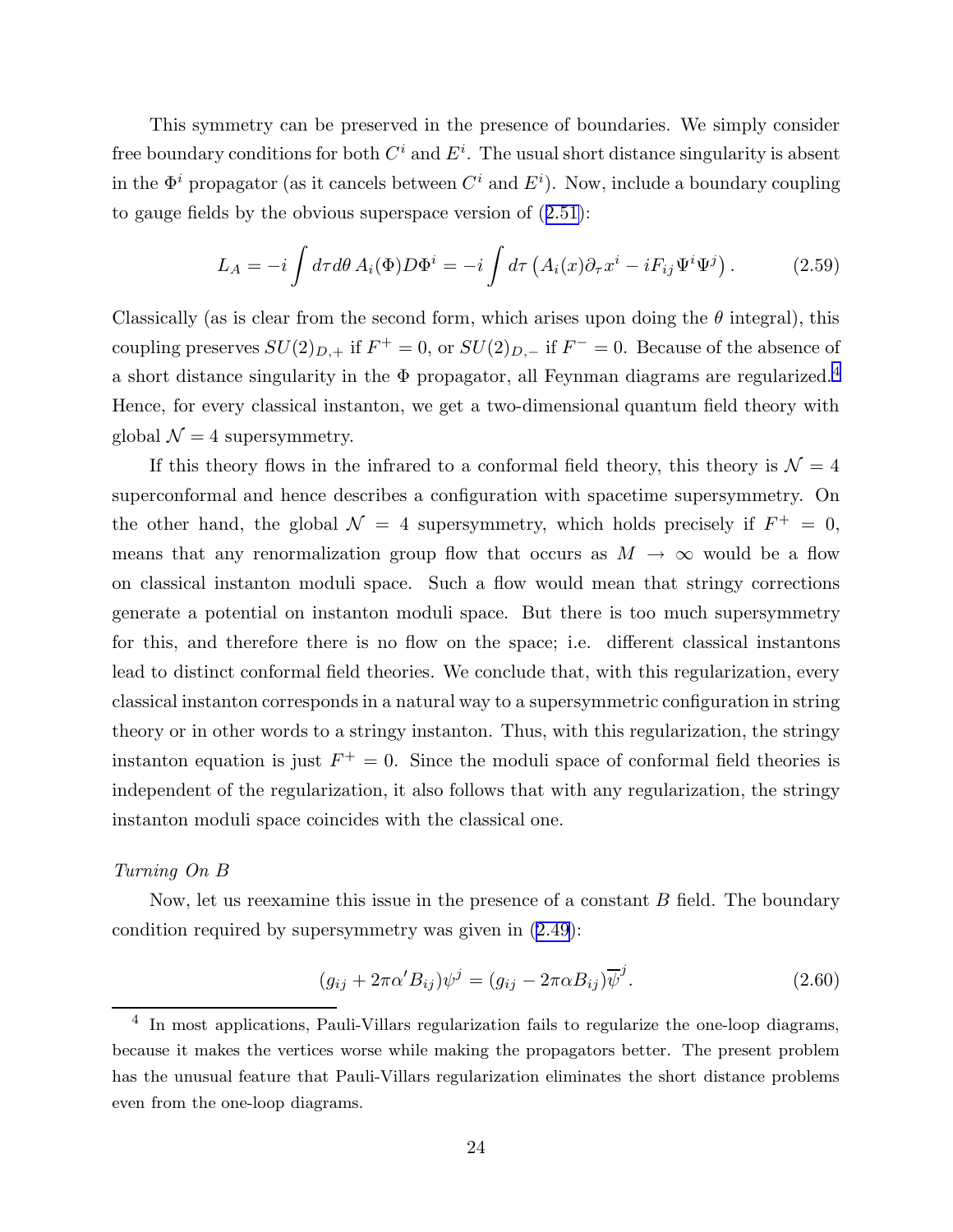<span id="page-24-0"></span>This symmetry can be preserved in the presence of boundaries. We simply consider free boundary conditions for both  $C^i$  and  $E^i$ . The usual short distance singularity is absent in the  $\Phi^i$  propagator (as it cancels between  $C^i$  and  $E^i$ ). Now, include a boundary coupling to gauge fields by the obvious superspace version of ([2.51\)](#page-20-0):

$$
L_A = -i \int d\tau d\theta A_i(\Phi) D\Phi^i = -i \int d\tau \left( A_i(x) \partial_\tau x^i - i F_{ij} \Psi^i \Psi^j \right). \tag{2.59}
$$

Classically (as is clear from the second form, which arises upon doing the  $\theta$  integral), this coupling preserves  $SU(2)_{D,+}$  if  $F^+ = 0$ , or  $SU(2)_{D,-}$  if  $F^- = 0$ . Because of the absence of a short distance singularity in the  $\Phi$  propagator, all Feynman diagrams are regularized.<sup>4</sup> Hence, for every classical instanton, we get a two-dimensional quantum field theory with global  $\mathcal{N}=4$  supersymmetry.

If this theory flows in the infrared to a conformal field theory, this theory is  $\mathcal{N} = 4$ superconformal and hence describes a configuration with spacetime supersymmetry. On the other hand, the global  $\mathcal{N} = 4$  supersymmetry, which holds precisely if  $F^+ = 0$ , means that any renormalization group flow that occurs as  $M \to \infty$  would be a flow on classical instanton moduli space. Such a flow would mean that stringy corrections generate a potential on instanton moduli space. But there is too much supersymmetry for this, and therefore there is no flow on the space; i.e. different classical instantons lead to distinct conformal field theories. We conclude that, with this regularization, every classical instanton corresponds in a natural way to a supersymmetric configuration in string theory or in other words to a stringy instanton. Thus, with this regularization, the stringy instanton equation is just  $F^+ = 0$ . Since the moduli space of conformal field theories is independent of the regularization, it also follows that with any regularization, the stringy instanton moduli space coincides with the classical one.

## Turning On B

Now, let us reexamine this issue in the presence of a constant  $B$  field. The boundary condition required by supersymmetry was given in ([2.49\)](#page-20-0):

$$
(g_{ij} + 2\pi\alpha' B_{ij})\psi^j = (g_{ij} - 2\pi\alpha B_{ij})\overline{\psi}^j.
$$
\n(2.60)

<sup>&</sup>lt;sup>4</sup> In most applications, Pauli-Villars regularization fails to regularize the one-loop diagrams, because it makes the vertices worse while making the propagators better. The present problem has the unusual feature that Pauli-Villars regularization eliminates the short distance problems even from the one-loop diagrams.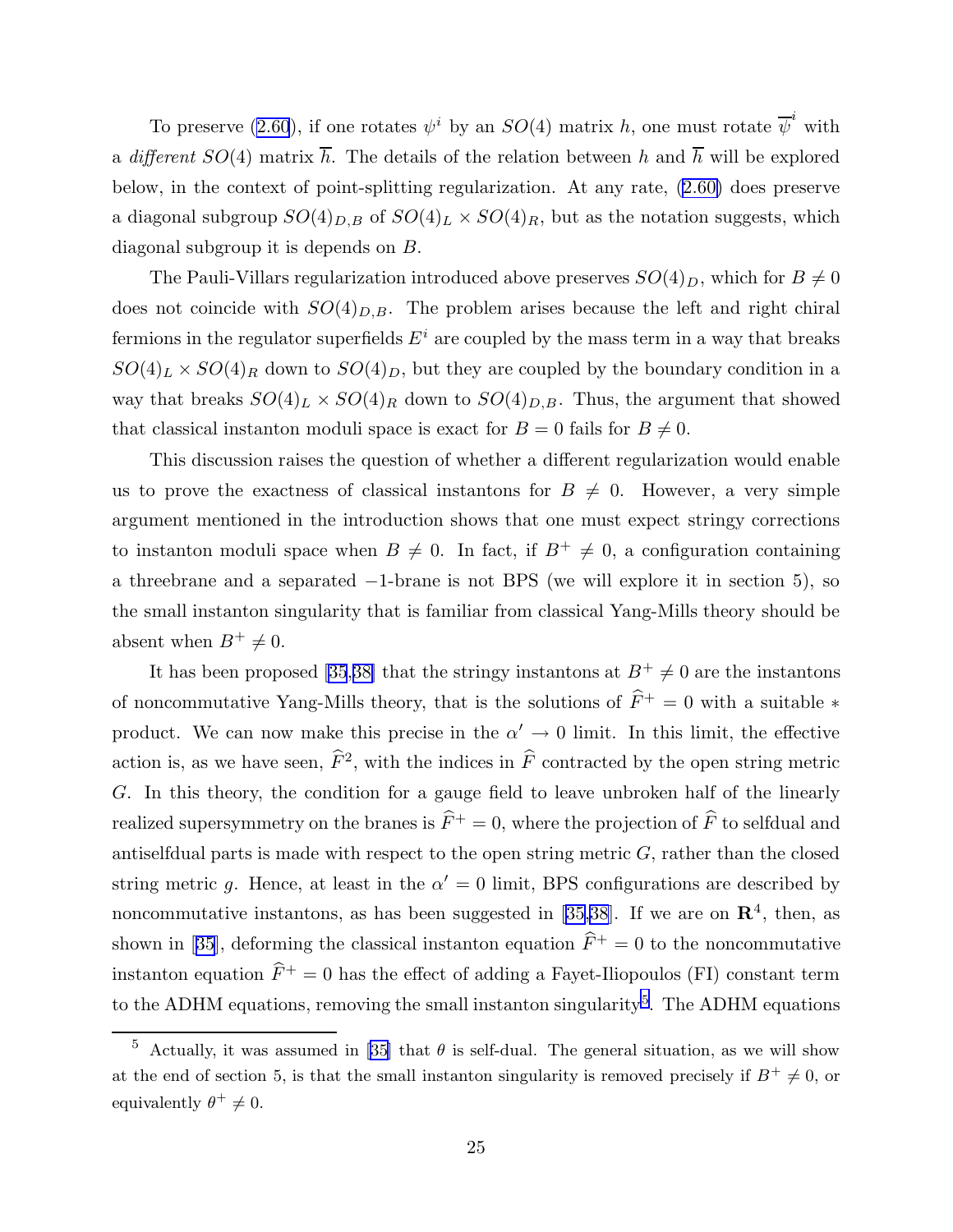To preserve [\(2.60](#page-24-0)), if one rotates  $\psi^i$  by an  $SO(4)$  matrix h, one must rotate  $\overline{\psi}^i$  with a different  $SO(4)$  matrix  $\overline{h}$ . The details of the relation between h and  $\overline{h}$  will be explored below, in the context of point-splitting regularization. At any rate, ([2.60\)](#page-24-0) does preserve a diagonal subgroup  $SO(4)_{D,B}$  of  $SO(4)_L \times SO(4)_R$ , but as the notation suggests, which diagonal subgroup it is depends on B.

The Pauli-Villars regularization introduced above preserves  $SO(4)_D$ , which for  $B \neq 0$ does not coincide with  $SO(4)_{D,B}$ . The problem arises because the left and right chiral fermions in the regulator superfields  $E^i$  are coupled by the mass term in a way that breaks  $SO(4)_L \times SO(4)_R$  down to  $SO(4)_D$ , but they are coupled by the boundary condition in a way that breaks  $SO(4)_L \times SO(4)_R$  down to  $SO(4)_{D,B}$ . Thus, the argument that showed that classical instanton moduli space is exact for  $B = 0$  fails for  $B \neq 0$ .

This discussion raises the question of whether a different regularization would enable us to prove the exactness of classical instantons for  $B \neq 0$ . However, a very simple argument mentioned in the introduction shows that one must expect stringy corrections to instanton moduli space when  $B \neq 0$ . In fact, if  $B^+ \neq 0$ , a configuration containing a threebrane and a separated −1-brane is not BPS (we will explore it in section 5), so the small instanton singularity that is familiar from classical Yang-Mills theory should be absent when  $B^+ \neq 0$ .

It has been proposed [\[35](#page-97-0),[38\]](#page-97-0) that the stringy instantons at  $B^+ \neq 0$  are the instantons of noncommutative Yang-Mills theory, that is the solutions of  $\widehat{F}^+ = 0$  with a suitable  $*$ product. We can now make this precise in the  $\alpha' \to 0$  limit. In this limit, the effective action is, as we have seen,  $\hat{F}^2$ , with the indices in  $\hat{F}$  contracted by the open string metric G. In this theory, the condition for a gauge field to leave unbroken half of the linearly realized supersymmetry on the branes is  $\hat{F}^+ = 0$ , where the projection of  $\hat{F}$  to selfdual and antiselfdual parts is made with respect to the open string metric  $G$ , rather than the closed string metric g. Hence, at least in the  $\alpha' = 0$  limit, BPS configurations are described by noncommutative instantons, as has been suggested in [[35,38](#page-97-0)]. If we are on  $\mathbb{R}^4$ , then, as shown in [[35\]](#page-97-0), deforming the classical instanton equation  $\hat{F}^+ = 0$  to the noncommutative instanton equation  $\hat{F}^+ = 0$  has the effect of adding a Fayet-Iliopoulos (FI) constant term to the ADHM equations, removing the small instanton singularity<sup>5</sup>. The ADHM equations

<sup>&</sup>lt;sup>5</sup> Actually, it was assumed in [\[35](#page-97-0)] that  $\theta$  is self-dual. The general situation, as we will show at the end of section 5, is that the small instanton singularity is removed precisely if  $B^+ \neq 0$ , or equivalently  $\theta^+ \neq 0$ .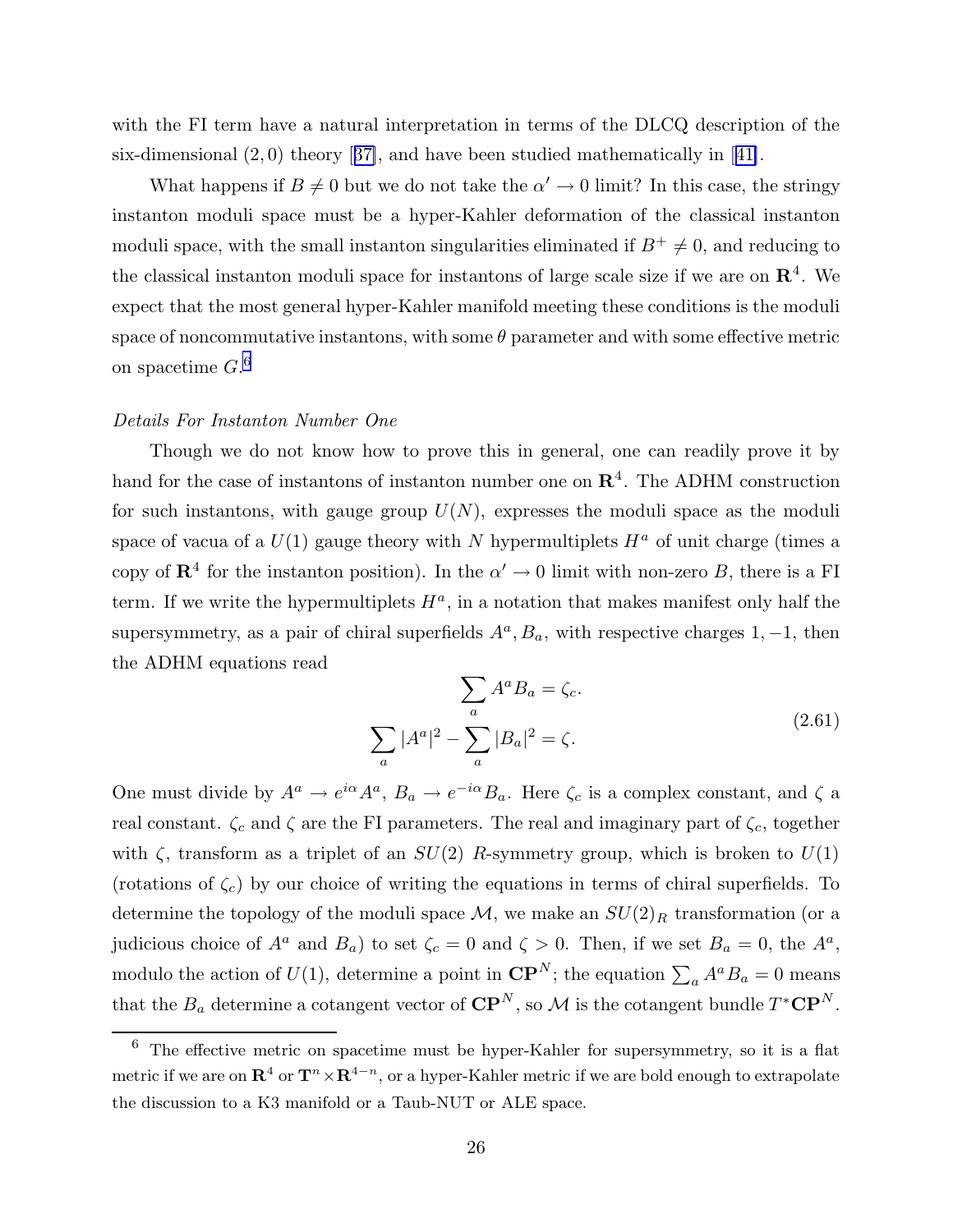with the FI term have a natural interpretation in terms of the DLCQ description of the six-dimensional  $(2,0)$  theory [[37\]](#page-97-0), and have been studied mathematically in [[41\]](#page-97-0).

What happens if  $B \neq 0$  but we do not take the  $\alpha' \to 0$  limit? In this case, the stringy instanton moduli space must be a hyper-Kahler deformation of the classical instanton moduli space, with the small instanton singularities eliminated if  $B^+ \neq 0$ , and reducing to the classical instanton moduli space for instantons of large scale size if we are on  $\mathbb{R}^4$ . We expect that the most general hyper-Kahler manifold meeting these conditions is the moduli space of noncommutative instantons, with some  $\theta$  parameter and with some effective metric on spacetime  $G^{6}$ 

#### Details For Instanton Number One

Though we do not know how to prove this in general, one can readily prove it by hand for the case of instantons of instanton number one on  $\mathbb{R}^4$ . The ADHM construction for such instantons, with gauge group  $U(N)$ , expresses the moduli space as the moduli space of vacua of a  $U(1)$  gauge theory with N hypermultiplets  $H^a$  of unit charge (times a copy of  $\mathbb{R}^4$  for the instanton position). In the  $\alpha' \to 0$  limit with non-zero B, there is a FI term. If we write the hypermultiplets  $H^a$ , in a notation that makes manifest only half the supersymmetry, as a pair of chiral superfields  $A^a$ ,  $B_a$ , with respective charges 1, -1, then the ADHM equations read

$$
\sum_{a} A^{a} B_{a} = \zeta_{c}.
$$
\n
$$
\sum_{a} |A^{a}|^{2} - \sum_{a} |B_{a}|^{2} = \zeta.
$$
\n(2.61)

One must divide by  $A^a \to e^{i\alpha} A^a$ ,  $B_a \to e^{-i\alpha} B_a$ . Here  $\zeta_c$  is a complex constant, and  $\zeta$  a real constant.  $\zeta_c$  and  $\zeta$  are the FI parameters. The real and imaginary part of  $\zeta_c$ , together with  $\zeta$ , transform as a triplet of an  $SU(2)$  R-symmetry group, which is broken to  $U(1)$ (rotations of  $\zeta_c$ ) by our choice of writing the equations in terms of chiral superfields. To determine the topology of the moduli space  $\mathcal{M}$ , we make an  $SU(2)_R$  transformation (or a judicious choice of  $A^a$  and  $B_a$ ) to set  $\zeta_c = 0$  and  $\zeta > 0$ . Then, if we set  $B_a = 0$ , the  $A^a$ , modulo the action of  $U(1)$ , determine a point in  $\mathbf{CP}^N$ ; the equation  $\sum_a A^a B_a = 0$  means that the  $B_a$  determine a cotangent vector of  $\mathbf{CP}^N$ , so M is the cotangent bundle  $T^*\mathbf{CP}^N$ .

<sup>6</sup> The effective metric on spacetime must be hyper-Kahler for supersymmetry, so it is a flat metric if we are on  $\mathbf{R}^4$  or  $\mathbf{T}^n\times\mathbf{R}^{4-n}$ , or a hyper-Kahler metric if we are bold enough to extrapolate the discussion to a K3 manifold or a Taub-NUT or ALE space.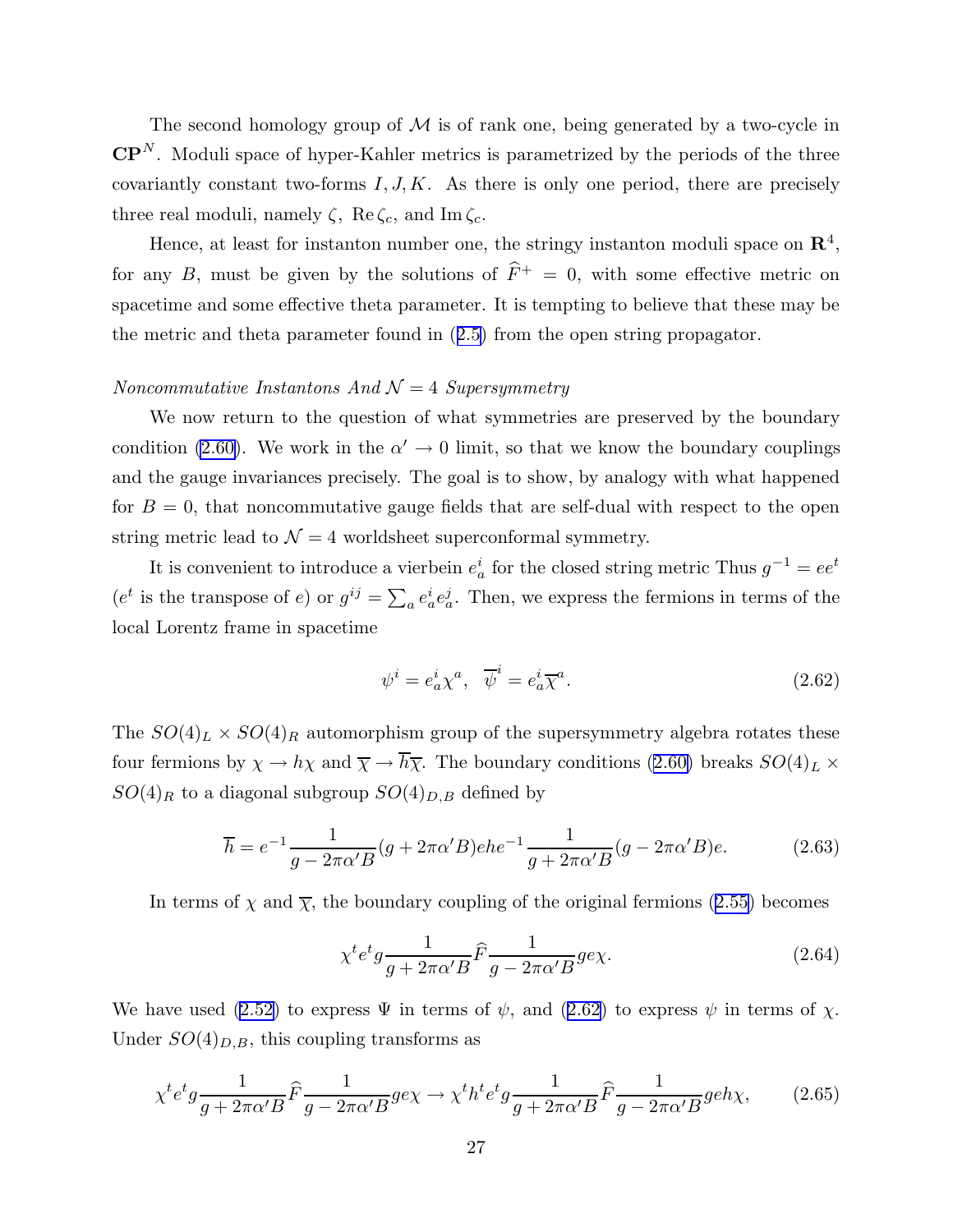The second homology group of  $M$  is of rank one, being generated by a two-cycle in  $\mathbf{CP}^N$ . Moduli space of hyper-Kahler metrics is parametrized by the periods of the three covariantly constant two-forms  $I, J, K$ . As there is only one period, there are precisely three real moduli, namely  $\zeta$ , Re $\zeta_c$ , and Im  $\zeta_c$ .

Hence, at least for instanton number one, the stringy instanton moduli space on  $\mathbb{R}^4$ , for any B, must be given by the solutions of  $\hat{F}^+=0$ , with some effective metric on spacetime and some effective theta parameter. It is tempting to believe that these may be the metric and theta parameter found in ([2.5\)](#page-8-0) from the open string propagator.

# Noncommutative Instantons And  $\mathcal{N}=4$  Supersymmetry

We now return to the question of what symmetries are preserved by the boundary condition [\(2.60\)](#page-24-0). We work in the  $\alpha' \to 0$  limit, so that we know the boundary couplings and the gauge invariances precisely. The goal is to show, by analogy with what happened for  $B = 0$ , that noncommutative gauge fields that are self-dual with respect to the open string metric lead to  $\mathcal{N} = 4$  worldsheet superconformal symmetry.

It is convenient to introduce a vierbein  $e_a^i$  for the closed string metric Thus  $g^{-1} = ee^t$ ( $e^t$  is the transpose of e) or  $g^{ij} = \sum_a e_a^i e_a^j$ . Then, we express the fermions in terms of the local Lorentz frame in spacetime

$$
\psi^i = e^i_a \chi^a, \quad \overline{\psi}^i = e^i_a \overline{\chi}^a. \tag{2.62}
$$

The  $SO(4)_L \times SO(4)_R$  automorphism group of the supersymmetry algebra rotates these four fermions by  $\chi \to h\chi$  and  $\overline{\chi} \to \overline{h}\overline{\chi}$ . The boundary conditions [\(2.60\)](#page-24-0) breaks  $SO(4)_L \times$  $SO(4)_R$  to a diagonal subgroup  $SO(4)_{D,B}$  defined by

$$
\overline{h} = e^{-1} \frac{1}{g - 2\pi\alpha' B} (g + 2\pi\alpha' B) e^{-1} \frac{1}{g + 2\pi\alpha' B} (g - 2\pi\alpha' B) e.
$$
 (2.63)

In terms of  $\chi$  and  $\overline{\chi}$ , the boundary coupling of the original fermions ([2.55\)](#page-21-0) becomes

$$
\chi^t e^t g \frac{1}{g + 2\pi \alpha' B} \hat{F} \frac{1}{g - 2\pi \alpha' B} g e \chi.
$$
\n(2.64)

We have used [\(2.52\)](#page-21-0) to express  $\Psi$  in terms of  $\psi$ , and (2.62) to express  $\psi$  in terms of  $\chi$ . Under  $SO(4)_{D,B}$ , this coupling transforms as

$$
\chi^t e^t g \frac{1}{g + 2\pi \alpha' B} \hat{F} \frac{1}{g - 2\pi \alpha' B} g e \chi \to \chi^t h^t e^t g \frac{1}{g + 2\pi \alpha' B} \hat{F} \frac{1}{g - 2\pi \alpha' B} g e h \chi, \tag{2.65}
$$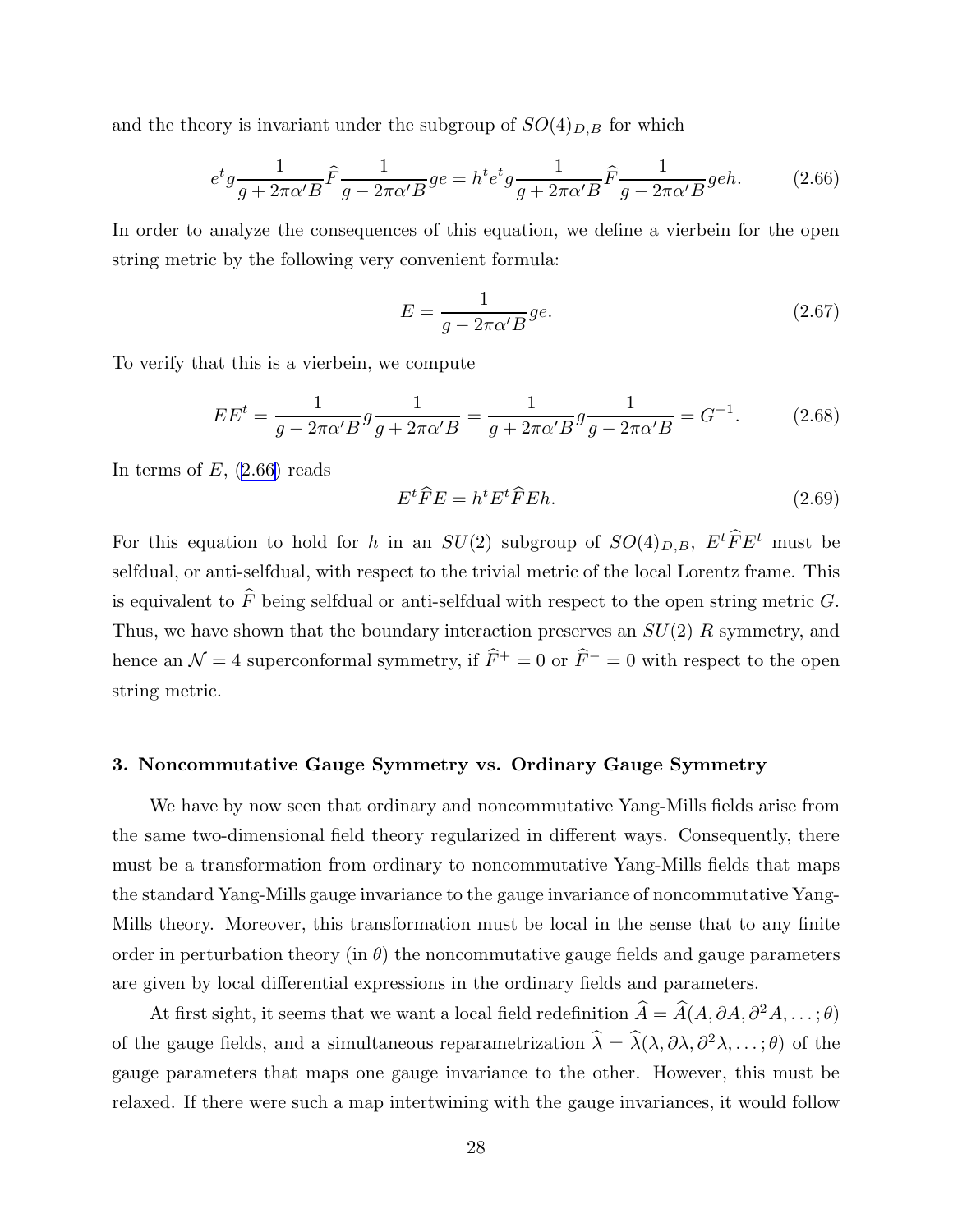and the theory is invariant under the subgroup of  $SO(4)_{D,B}$  for which

$$
e^t g \frac{1}{g + 2\pi\alpha' B} \hat{F} \frac{1}{g - 2\pi\alpha' B} g e = h^t e^t g \frac{1}{g + 2\pi\alpha' B} \hat{F} \frac{1}{g - 2\pi\alpha' B} g e h.
$$
 (2.66)

In order to analyze the consequences of this equation, we define a vierbein for the open string metric by the following very convenient formula:

$$
E = \frac{1}{g - 2\pi\alpha' B} g e. \tag{2.67}
$$

To verify that this is a vierbein, we compute

$$
EE^{t} = \frac{1}{g - 2\pi\alpha' B} g \frac{1}{g + 2\pi\alpha' B} = \frac{1}{g + 2\pi\alpha' B} g \frac{1}{g - 2\pi\alpha' B} = G^{-1}.
$$
 (2.68)

In terms of  $E$ ,  $(2.66)$  reads

$$
E^t \widehat{F} E = h^t E^t \widehat{F} E h. \tag{2.69}
$$

For this equation to hold for h in an  $SU(2)$  subgroup of  $SO(4)_{D,B}$ ,  $E^t\hat{F}E^t$  must be selfdual, or anti-selfdual, with respect to the trivial metric of the local Lorentz frame. This is equivalent to  $\widehat{F}$  being selfdual or anti-selfdual with respect to the open string metric G. Thus, we have shown that the boundary interaction preserves an  $SU(2)$  R symmetry, and hence an  $\mathcal{N} = 4$  superconformal symmetry, if  $\widehat{F}^+ = 0$  or  $\widehat{F}^- = 0$  with respect to the open string metric.

#### 3. Noncommutative Gauge Symmetry vs. Ordinary Gauge Symmetry

We have by now seen that ordinary and noncommutative Yang-Mills fields arise from the same two-dimensional field theory regularized in different ways. Consequently, there must be a transformation from ordinary to noncommutative Yang-Mills fields that maps the standard Yang-Mills gauge invariance to the gauge invariance of noncommutative Yang-Mills theory. Moreover, this transformation must be local in the sense that to any finite order in perturbation theory (in  $\theta$ ) the noncommutative gauge fields and gauge parameters are given by local differential expressions in the ordinary fields and parameters.

At first sight, it seems that we want a local field redefinition  $\hat{A} = \hat{A}(A, \partial A, \partial^2 A, \dots; \theta)$ of the gauge fields, and a simultaneous reparametrization  $\hat{\lambda} = \hat{\lambda}(\lambda, \partial \lambda, \partial^2 \lambda, \dots; \theta)$  of the gauge parameters that maps one gauge invariance to the other. However, this must be relaxed. If there were such a map intertwining with the gauge invariances, it would follow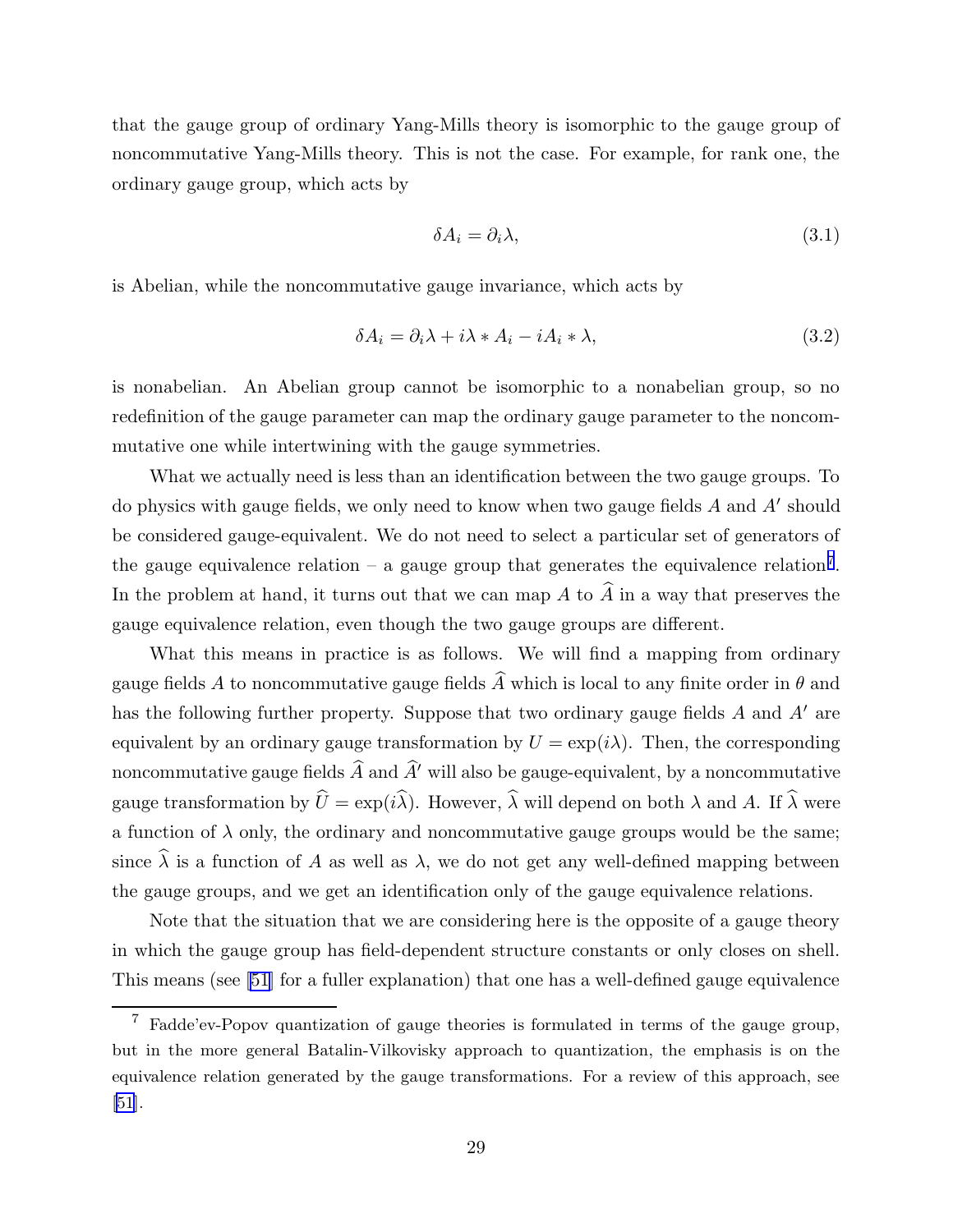that the gauge group of ordinary Yang-Mills theory is isomorphic to the gauge group of noncommutative Yang-Mills theory. This is not the case. For example, for rank one, the ordinary gauge group, which acts by

$$
\delta A_i = \partial_i \lambda,\tag{3.1}
$$

is Abelian, while the noncommutative gauge invariance, which acts by

$$
\delta A_i = \partial_i \lambda + i \lambda * A_i - i A_i * \lambda,
$$
\n(3.2)

is nonabelian. An Abelian group cannot be isomorphic to a nonabelian group, so no redefinition of the gauge parameter can map the ordinary gauge parameter to the noncommutative one while intertwining with the gauge symmetries.

What we actually need is less than an identification between the two gauge groups. To do physics with gauge fields, we only need to know when two gauge fields  $A$  and  $A'$  should be considered gauge-equivalent. We do not need to select a particular set of generators of the gauge equivalence relation  $-$  a gauge group that generates the equivalence relation<sup>7</sup>. In the problem at hand, it turns out that we can map A to  $\hat{A}$  in a way that preserves the gauge equivalence relation, even though the two gauge groups are different.

What this means in practice is as follows. We will find a mapping from ordinary gauge fields A to noncommutative gauge fields  $\hat{A}$  which is local to any finite order in  $\theta$  and has the following further property. Suppose that two ordinary gauge fields  $A$  and  $A'$  are equivalent by an ordinary gauge transformation by  $U = \exp(i\lambda)$ . Then, the corresponding noncommutative gauge fields  $\widehat{A}$  and  $\widehat{A}'$  will also be gauge-equivalent, by a noncommutative gauge transformation by  $\hat{U} = \exp(i\hat{\lambda})$ . However,  $\hat{\lambda}$  will depend on both  $\lambda$  and A. If  $\hat{\lambda}$  were a function of  $\lambda$  only, the ordinary and noncommutative gauge groups would be the same; since  $\hat{\lambda}$  is a function of A as well as  $\lambda$ , we do not get any well-defined mapping between the gauge groups, and we get an identification only of the gauge equivalence relations.

Note that the situation that we are considering here is the opposite of a gauge theory in which the gauge group has field-dependent structure constants or only closes on shell. This means (see [\[51](#page-98-0)] for a fuller explanation) that one has a well-defined gauge equivalence

<sup>7</sup> Fadde'ev-Popov quantization of gauge theories is formulated in terms of the gauge group, but in the more general Batalin-Vilkovisky approach to quantization, the emphasis is on the equivalence relation generated by the gauge transformations. For a review of this approach, see [\[51](#page-98-0)].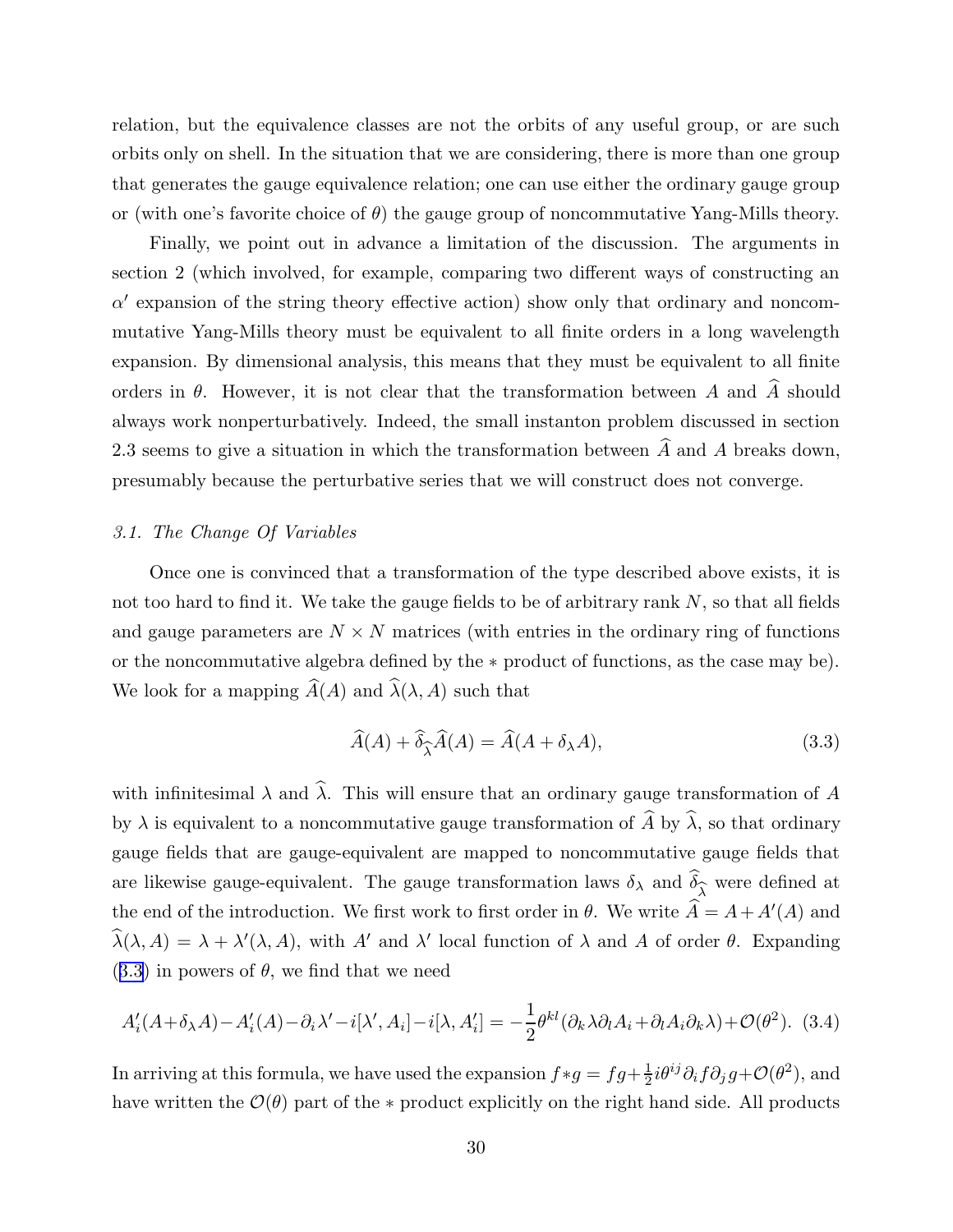<span id="page-30-0"></span>relation, but the equivalence classes are not the orbits of any useful group, or are such orbits only on shell. In the situation that we are considering, there is more than one group that generates the gauge equivalence relation; one can use either the ordinary gauge group or (with one's favorite choice of  $\theta$ ) the gauge group of noncommutative Yang-Mills theory.

Finally, we point out in advance a limitation of the discussion. The arguments in section 2 (which involved, for example, comparing two different ways of constructing an  $\alpha'$  expansion of the string theory effective action) show only that ordinary and noncommutative Yang-Mills theory must be equivalent to all finite orders in a long wavelength expansion. By dimensional analysis, this means that they must be equivalent to all finite orders in  $\theta$ . However, it is not clear that the transformation between A and  $\hat{A}$  should always work nonperturbatively. Indeed, the small instanton problem discussed in section 2.3 seems to give a situation in which the transformation between  $\widehat{A}$  and A breaks down, presumably because the perturbative series that we will construct does not converge.

#### 3.1. The Change Of Variables

Once one is convinced that a transformation of the type described above exists, it is not too hard to find it. We take the gauge fields to be of arbitrary rank  $N$ , so that all fields and gauge parameters are  $N \times N$  matrices (with entries in the ordinary ring of functions or the noncommutative algebra defined by the ∗ product of functions, as the case may be). We look for a mapping  $\widehat{A}(A)$  and  $\widehat{\lambda}(\lambda, A)$  such that

$$
\widehat{A}(A) + \widehat{\delta}_{\widehat{\lambda}} \widehat{A}(A) = \widehat{A}(A + \delta_{\lambda} A), \tag{3.3}
$$

with infinitesimal  $\lambda$  and  $\widehat{\lambda}$ . This will ensure that an ordinary gauge transformation of A by  $\lambda$  is equivalent to a noncommutative gauge transformation of  $\hat{A}$  by  $\hat{\lambda}$ , so that ordinary gauge fields that are gauge-equivalent are mapped to noncommutative gauge fields that are likewise gauge-equivalent. The gauge transformation laws  $\delta_{\lambda}$  and  $\delta_{\widehat{\lambda}}$  were defined at  $\lambda$ the end of the introduction. We first work to first order in  $\theta$ . We write  $A = A + A'(A)$  and  $\lambda(\lambda, A) = \lambda + \lambda'(\lambda, A)$ , with A' and  $\lambda'$  local function of  $\lambda$  and A of order  $\theta$ . Expanding  $(3.3)$  in powers of  $\theta$ , we find that we need

$$
A'_i(A+\delta_{\lambda}A) - A'_i(A) - \partial_i \lambda' - i[\lambda', A_i] - i[\lambda, A'_i] = -\frac{1}{2}\theta^{kl}(\partial_k \lambda \partial_l A_i + \partial_l A_i \partial_k \lambda) + \mathcal{O}(\theta^2). \tag{3.4}
$$

In arriving at this formula, we have used the expansion  $f*g = fg + \frac{1}{2}$  $\frac{1}{2}i\theta^{ij}\partial_i f \partial_j g + \mathcal{O}(\theta^2)$ , and have written the  $\mathcal{O}(\theta)$  part of the  $*$  product explicitly on the right hand side. All products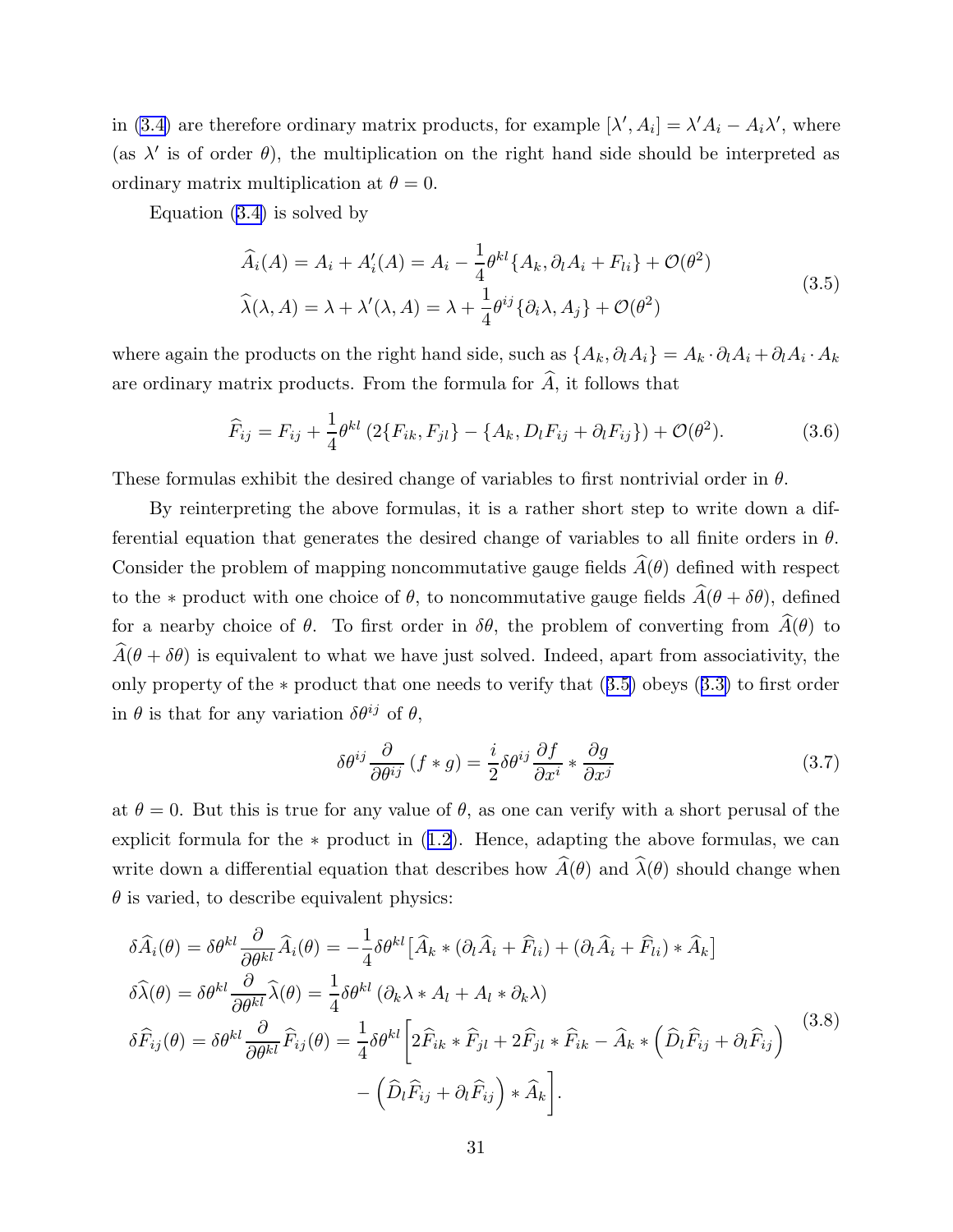<span id="page-31-0"></span>in [\(3.4\)](#page-30-0) are therefore ordinary matrix products, for example  $[\lambda', A_i] = \lambda' A_i - A_i \lambda'$ , where (as  $\lambda'$  is of order  $\theta$ ), the multiplication on the right hand side should be interpreted as ordinary matrix multiplication at  $\theta = 0$ .

Equation [\(3.4\)](#page-30-0) is solved by

$$
\widehat{A}_i(A) = A_i + A'_i(A) = A_i - \frac{1}{4} \theta^{kl} \{A_k, \partial_l A_i + F_{li}\} + \mathcal{O}(\theta^2)
$$
\n
$$
\widehat{\lambda}(\lambda, A) = \lambda + \lambda'(\lambda, A) = \lambda + \frac{1}{4} \theta^{ij} \{ \partial_i \lambda, A_j \} + \mathcal{O}(\theta^2)
$$
\n(3.5)

where again the products on the right hand side, such as  $\{A_k, \partial_l A_i\} = A_k \cdot \partial_l A_i + \partial_l A_i \cdot A_k$ are ordinary matrix products. From the formula for  $\widehat{A}$ , it follows that

$$
\widehat{F}_{ij} = F_{ij} + \frac{1}{4} \theta^{kl} \left( 2 \{ F_{ik}, F_{jl} \} - \{ A_k, D_l F_{ij} + \partial_l F_{ij} \} \right) + \mathcal{O}(\theta^2). \tag{3.6}
$$

These formulas exhibit the desired change of variables to first nontrivial order in  $\theta$ .

By reinterpreting the above formulas, it is a rather short step to write down a differential equation that generates the desired change of variables to all finite orders in  $\theta$ . Consider the problem of mapping noncommutative gauge fields  $\widehat{A}(\theta)$  defined with respect to the \* product with one choice of  $\theta$ , to noncommutative gauge fields  $\widehat{A}(\theta + \delta\theta)$ , defined for a nearby choice of  $\theta$ . To first order in  $\delta\theta$ , the problem of converting from  $\widehat{A}(\theta)$  to  $\widehat{A}(\theta + \delta \theta)$  is equivalent to what we have just solved. Indeed, apart from associativity, the only property of the ∗ product that one needs to verify that (3.5) obeys ([3.3\)](#page-30-0) to first order in  $\theta$  is that for any variation  $\delta\theta^{ij}$  of  $\theta$ ,

$$
\delta\theta^{ij}\frac{\partial}{\partial\theta^{ij}}\left(f*g\right) = \frac{i}{2}\delta\theta^{ij}\frac{\partial f}{\partial x^i} * \frac{\partial g}{\partial x^j} \tag{3.7}
$$

at  $\theta = 0$ . But this is true for any value of  $\theta$ , as one can verify with a short perusal of the explicit formula for the  $*$  product in  $(1.2)$  $(1.2)$ . Hence, adapting the above formulas, we can write down a differential equation that describes how  $\widehat{A}(\theta)$  and  $\widehat{\lambda}(\theta)$  should change when  $\theta$  is varied, to describe equivalent physics:

$$
\delta\widehat{A}_{i}(\theta) = \delta\theta^{kl}\frac{\partial}{\partial\theta^{kl}}\widehat{A}_{i}(\theta) = -\frac{1}{4}\delta\theta^{kl}\big[\widehat{A}_{k} * (\partial_{l}\widehat{A}_{i} + \widehat{F}_{li}) + (\partial_{l}\widehat{A}_{i} + \widehat{F}_{li}) * \widehat{A}_{k}\big]
$$

$$
\delta\widehat{\lambda}(\theta) = \delta\theta^{kl}\frac{\partial}{\partial\theta^{kl}}\widehat{\lambda}(\theta) = \frac{1}{4}\delta\theta^{kl}\left(\partial_{k}\lambda * A_{l} + A_{l} * \partial_{k}\lambda\right)
$$

$$
\delta\widehat{F}_{ij}(\theta) = \delta\theta^{kl}\frac{\partial}{\partial\theta^{kl}}\widehat{F}_{ij}(\theta) = \frac{1}{4}\delta\theta^{kl}\big[2\widehat{F}_{ik} * \widehat{F}_{jl} + 2\widehat{F}_{jl} * \widehat{F}_{ik} - \widehat{A}_{k} * \left(\widehat{D}_{l}\widehat{F}_{ij} + \partial_{l}\widehat{F}_{ij}\right)\big] \tag{3.8}
$$

$$
-\left(\widehat{D}_{l}\widehat{F}_{ij} + \partial_{l}\widehat{F}_{ij}\right) * \widehat{A}_{k}\bigg].
$$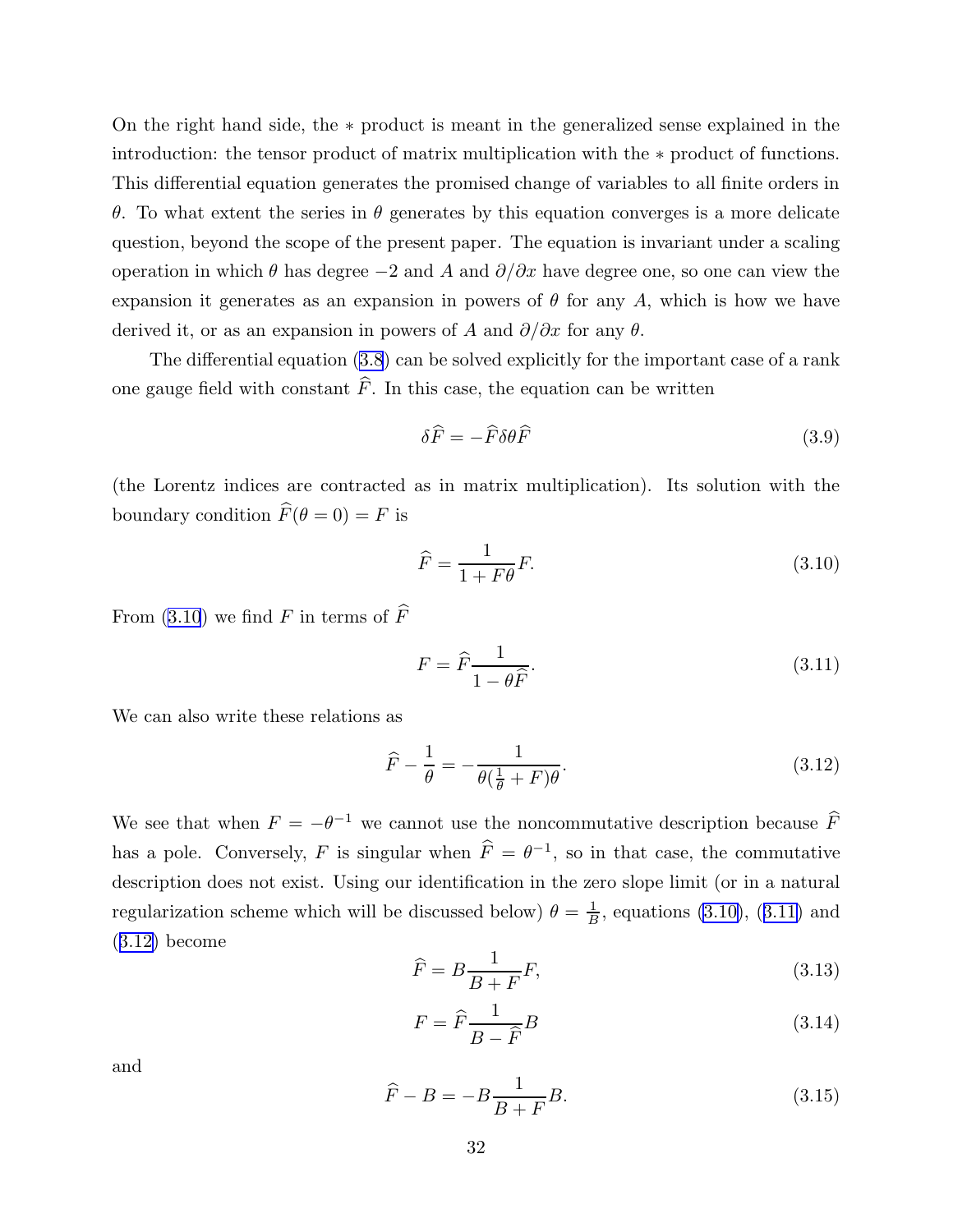<span id="page-32-0"></span>On the right hand side, the ∗ product is meant in the generalized sense explained in the introduction: the tensor product of matrix multiplication with the ∗ product of functions. This differential equation generates the promised change of variables to all finite orders in θ. To what extent the series in θ generates by this equation converges is a more delicate question, beyond the scope of the present paper. The equation is invariant under a scaling operation in which  $\theta$  has degree  $-2$  and A and  $\partial/\partial x$  have degree one, so one can view the expansion it generates as an expansion in powers of  $\theta$  for any A, which is how we have derived it, or as an expansion in powers of A and  $\partial/\partial x$  for any  $\theta$ .

The differential equation [\(3.8](#page-31-0)) can be solved explicitly for the important case of a rank one gauge field with constant  $\widehat{F}$ . In this case, the equation can be written

$$
\delta \widehat{F} = -\widehat{F}\delta\theta\widehat{F} \tag{3.9}
$$

(the Lorentz indices are contracted as in matrix multiplication). Its solution with the boundary condition  $\widehat{F}(\theta = 0) = F$  is

$$
\widehat{F} = \frac{1}{1 + F\theta} F. \tag{3.10}
$$

From (3.10) we find F in terms of  $\widehat{F}$ 

$$
F = \widehat{F} \frac{1}{1 - \theta \widehat{F}}.\tag{3.11}
$$

We can also write these relations as

$$
\widehat{F} - \frac{1}{\theta} = -\frac{1}{\theta(\frac{1}{\theta} + F)\theta}.\tag{3.12}
$$

We see that when  $F = -\theta^{-1}$  we cannot use the noncommutative description because  $\widehat{F}$ has a pole. Conversely, F is singular when  $\hat{F} = \theta^{-1}$ , so in that case, the commutative description does not exist. Using our identification in the zero slope limit (or in a natural regularization scheme which will be discussed below)  $\theta = \frac{1}{B}$  $\frac{1}{B}$ , equations (3.10), (3.11) and (3.12) become

$$
\widehat{F} = B \frac{1}{B+F} F,\tag{3.13}
$$

$$
F = \hat{F} \frac{1}{B - \hat{F}} B \tag{3.14}
$$

and

$$
\widehat{F} - B = -B \frac{1}{B+F} B. \tag{3.15}
$$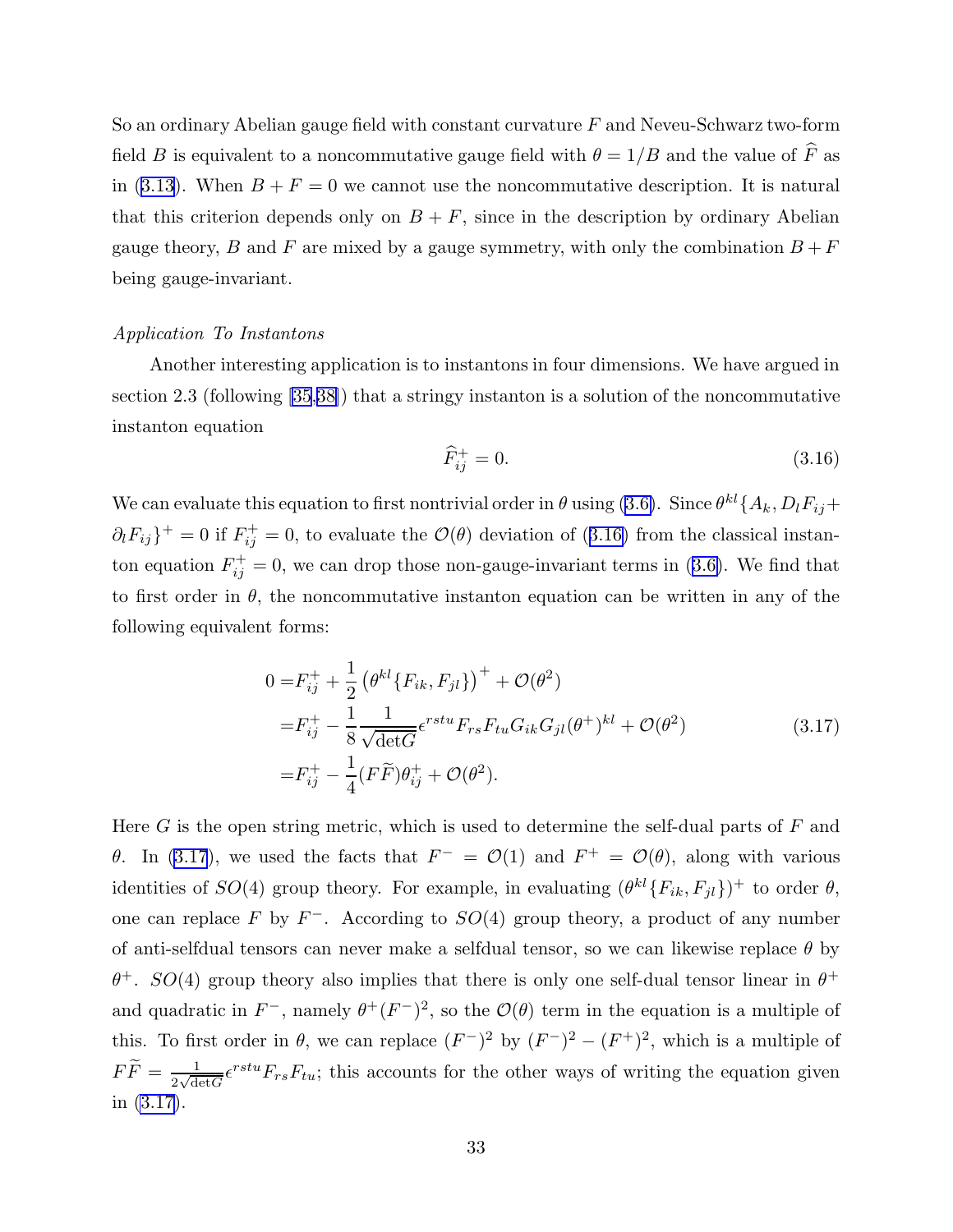<span id="page-33-0"></span>So an ordinary Abelian gauge field with constant curvature  $F$  and Neveu-Schwarz two-form field  $B$  is equivalent to a noncommutative gauge field with  $\theta = 1/B$  and the value of  $\widehat{F}$  as in ([3.13](#page-32-0)). When  $B + F = 0$  we cannot use the noncommutative description. It is natural that this criterion depends only on  $B + F$ , since in the description by ordinary Abelian gauge theory, B and F are mixed by a gauge symmetry, with only the combination  $B + F$ being gauge-invariant.

#### Application To Instantons

Another interesting application is to instantons in four dimensions. We have argued in section 2.3 (following [\[35](#page-97-0),[38\]](#page-97-0)) that a stringy instanton is a solution of the noncommutative instanton equation

$$
\widehat{F}_{ij}^+ = 0.\tag{3.16}
$$

We can evaluate this equation to first nontrivial order in  $\theta$  using [\(3.6\)](#page-31-0). Since  $\theta^{kl}$  { $A_k$ ,  $D_lF_{ij}$  +  $\partial_l F_{ij}$ <sup>+</sup> = 0 if  $F_{ij}^+$  = 0, to evaluate the  $\mathcal{O}(\theta)$  deviation of (3.16) from the classical instanton equation  $F_{ij}^+ = 0$ , we can drop those non-gauge-invariant terms in [\(3.6\)](#page-31-0). We find that to first order in  $\theta$ , the noncommutative instanton equation can be written in any of the following equivalent forms:

$$
0 = F_{ij}^{+} + \frac{1}{2} (\theta^{kl} \{ F_{ik}, F_{jl} \})^{+} + \mathcal{O}(\theta^{2})
$$
  
\n
$$
= F_{ij}^{+} - \frac{1}{8} \frac{1}{\sqrt{\det G}} e^{rstu} F_{rs} F_{tu} G_{ik} G_{jl}(\theta^{+})^{kl} + \mathcal{O}(\theta^{2})
$$
  
\n
$$
= F_{ij}^{+} - \frac{1}{4} (F \tilde{F}) \theta_{ij}^{+} + \mathcal{O}(\theta^{2}).
$$
\n(3.17)

Here  $G$  is the open string metric, which is used to determine the self-dual parts of  $F$  and θ. In (3.17), we used the facts that  $F^- = \mathcal{O}(1)$  and  $F^+ = \mathcal{O}(\theta)$ , along with various identities of  $SO(4)$  group theory. For example, in evaluating  $(\theta^{kl}\{F_{ik}, F_{jl}\})^+$  to order  $\theta$ , one can replace F by  $F^-$ . According to  $SO(4)$  group theory, a product of any number of anti-selfdual tensors can never make a selfdual tensor, so we can likewise replace  $\theta$  by  $\theta^+$ .  $SO(4)$  group theory also implies that there is only one self-dual tensor linear in  $\theta^+$ and quadratic in  $F^-$ , namely  $\theta^+(F^-)^2$ , so the  $\mathcal{O}(\theta)$  term in the equation is a multiple of this. To first order in  $\theta$ , we can replace  $(F^-)^2$  by  $(F^-)^2 - (F^+)^2$ , which is a multiple of  $F\widetilde{F}=\frac{1}{2\sqrt{\mathrm{d}t}}$  $\frac{1}{2\sqrt{\det G}} \epsilon^{rstu} F_{rs} F_{tu}$ ; this accounts for the other ways of writing the equation given in (3.17).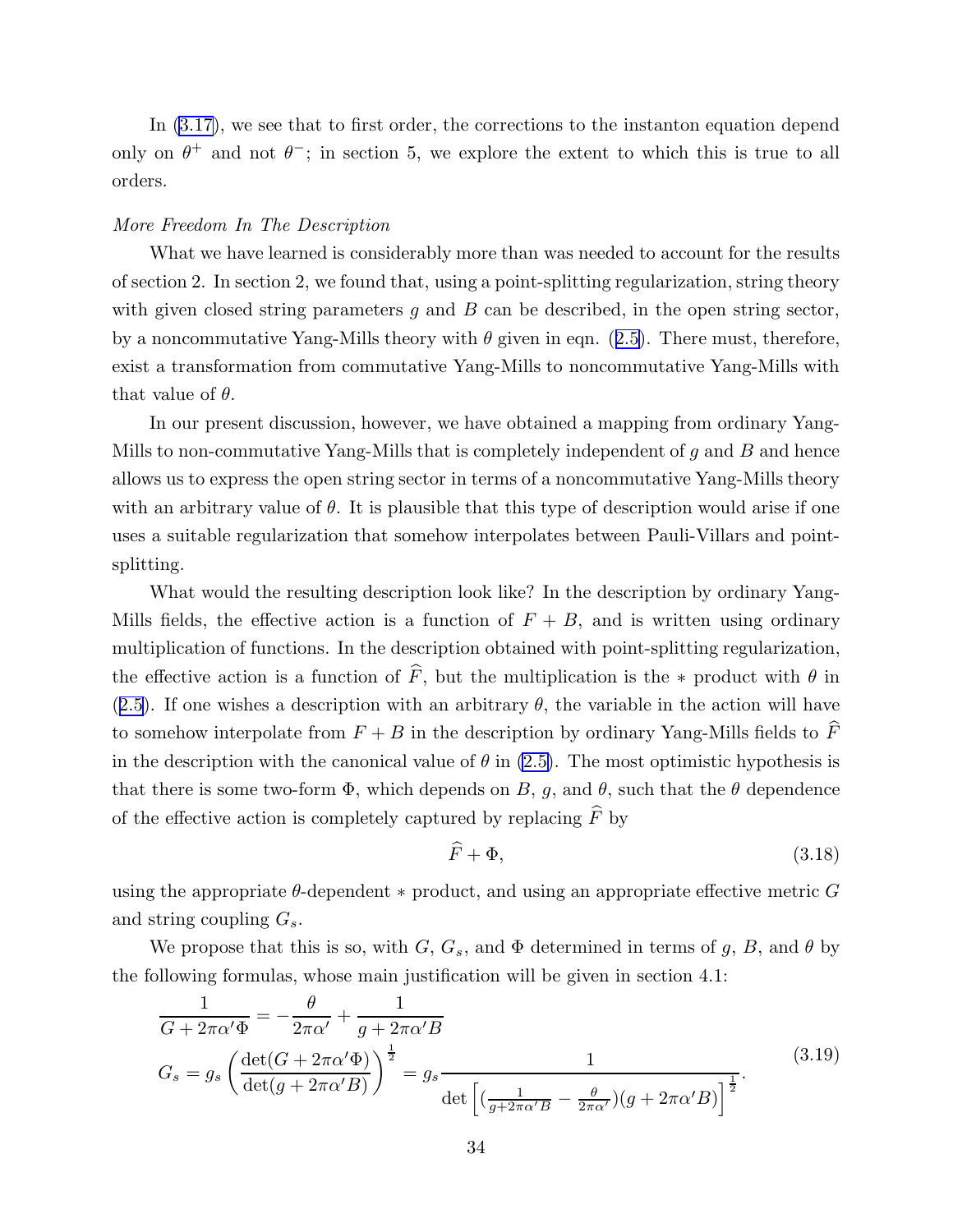<span id="page-34-0"></span>In [\(3.17\)](#page-33-0), we see that to first order, the corrections to the instanton equation depend only on  $\theta^+$  and not  $\theta^-$ ; in section 5, we explore the extent to which this is true to all orders.

#### More Freedom In The Description

What we have learned is considerably more than was needed to account for the results of section 2. In section 2, we found that, using a point-splitting regularization, string theory with given closed string parameters q and  $B$  can be described, in the open string sector, by a noncommutative Yang-Mills theory with  $\theta$  given in eqn. ([2.5\)](#page-8-0). There must, therefore, exist a transformation from commutative Yang-Mills to noncommutative Yang-Mills with that value of  $\theta$ .

In our present discussion, however, we have obtained a mapping from ordinary Yang-Mills to non-commutative Yang-Mills that is completely independent of  $g$  and  $B$  and hence allows us to express the open string sector in terms of a noncommutative Yang-Mills theory with an arbitrary value of  $\theta$ . It is plausible that this type of description would arise if one uses a suitable regularization that somehow interpolates between Pauli-Villars and pointsplitting.

What would the resulting description look like? In the description by ordinary Yang-Mills fields, the effective action is a function of  $F + B$ , and is written using ordinary multiplication of functions. In the description obtained with point-splitting regularization, the effective action is a function of  $\hat{F}$ , but the multiplication is the ∗ product with  $\theta$  in ([2.5\)](#page-8-0). If one wishes a description with an arbitrary  $\theta$ , the variable in the action will have to somehow interpolate from  $F + B$  in the description by ordinary Yang-Mills fields to  $\widehat{F}$ in the description with the canonical value of  $\theta$  in [\(2.5\)](#page-8-0). The most optimistic hypothesis is that there is some two-form  $\Phi$ , which depends on B, g, and  $\theta$ , such that the  $\theta$  dependence of the effective action is completely captured by replacing  $\hat{F}$  by

$$
\widehat{F} + \Phi,\tag{3.18}
$$

using the appropriate  $\theta$ -dependent  $*$  product, and using an appropriate effective metric  $G$ and string coupling  $G_s$ .

We propose that this is so, with G,  $G_s$ , and  $\Phi$  determined in terms of g, B, and  $\theta$  by the following formulas, whose main justification will be given in section 4.1:

$$
\frac{1}{G + 2\pi\alpha'\Phi} = -\frac{\theta}{2\pi\alpha'} + \frac{1}{g + 2\pi\alpha'B}
$$
\n
$$
G_s = g_s \left(\frac{\det(G + 2\pi\alpha'\Phi)}{\det(g + 2\pi\alpha'B)}\right)^{\frac{1}{2}} = g_s \frac{1}{\det\left[\left(\frac{1}{g + 2\pi\alpha'B} - \frac{\theta}{2\pi\alpha'}\right)(g + 2\pi\alpha'B)\right]^{\frac{1}{2}}}.
$$
\n(3.19)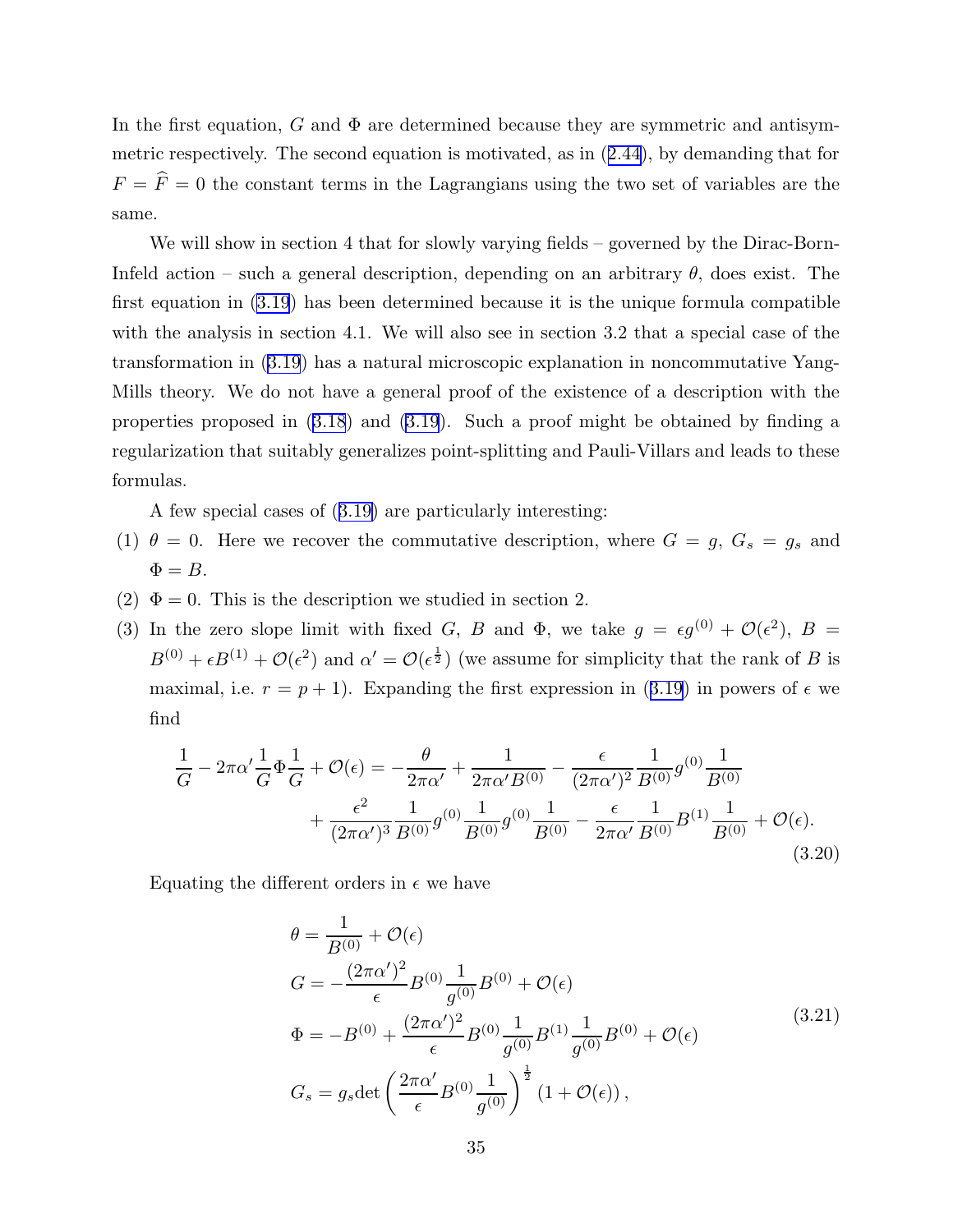In the first equation, G and  $\Phi$  are determined because they are symmetric and antisymmetric respectively. The second equation is motivated, as in ([2.44\)](#page-19-0), by demanding that for  $F = \hat{F} = 0$  the constant terms in the Lagrangians using the two set of variables are the same.

We will show in section 4 that for slowly varying fields – governed by the Dirac-Born-Infeld action – such a general description, depending on an arbitrary  $\theta$ , does exist. The first equation in [\(3.19](#page-34-0)) has been determined because it is the unique formula compatible with the analysis in section 4.1. We will also see in section 3.2 that a special case of the transformation in [\(3.19](#page-34-0)) has a natural microscopic explanation in noncommutative Yang-Mills theory. We do not have a general proof of the existence of a description with the properties proposed in [\(3.18](#page-34-0)) and [\(3.19](#page-34-0)). Such a proof might be obtained by finding a regularization that suitably generalizes point-splitting and Pauli-Villars and leads to these formulas.

A few special cases of ([3.19\)](#page-34-0) are particularly interesting:

- (1)  $\theta = 0$ . Here we recover the commutative description, where  $G = g, G_s = g_s$  and  $\Phi = B$ .
- (2)  $\Phi = 0$ . This is the description we studied in section 2.
- (3) In the zero slope limit with fixed G, B and  $\Phi$ , we take  $g = \epsilon g^{(0)} + \mathcal{O}(\epsilon^2)$ ,  $B =$  $B^{(0)} + \epsilon B^{(1)} + \mathcal{O}(\epsilon^2)$  and  $\alpha' = \mathcal{O}(\epsilon^{\frac{1}{2}})$  (we assume for simplicity that the rank of B is maximal, i.e.  $r = p + 1$ ). Expanding the first expression in ([3.19\)](#page-34-0) in powers of  $\epsilon$  we find

$$
\frac{1}{G} - 2\pi\alpha' \frac{1}{G} \Phi \frac{1}{G} + \mathcal{O}(\epsilon) = -\frac{\theta}{2\pi\alpha'} + \frac{1}{2\pi\alpha' B^{(0)}} - \frac{\epsilon}{(2\pi\alpha')^2} \frac{1}{B^{(0)}} g^{(0)} \frac{1}{B^{(0)}} \n+ \frac{\epsilon^2}{(2\pi\alpha')^3} \frac{1}{B^{(0)}} g^{(0)} \frac{1}{B^{(0)}} g^{(0)} \frac{1}{B^{(0)}} - \frac{\epsilon}{2\pi\alpha'} \frac{1}{B^{(0)}} B^{(1)} \frac{1}{B^{(0)}} + \mathcal{O}(\epsilon).
$$
\n(3.20)

Equating the different orders in  $\epsilon$  we have

$$
\theta = \frac{1}{B^{(0)}} + \mathcal{O}(\epsilon)
$$
  
\n
$$
G = -\frac{(2\pi\alpha')^2}{\epsilon} B^{(0)} \frac{1}{g^{(0)}} B^{(0)} + \mathcal{O}(\epsilon)
$$
  
\n
$$
\Phi = -B^{(0)} + \frac{(2\pi\alpha')^2}{\epsilon} B^{(0)} \frac{1}{g^{(0)}} B^{(1)} \frac{1}{g^{(0)}} B^{(0)} + \mathcal{O}(\epsilon)
$$
  
\n
$$
G_s = g_s \det \left(\frac{2\pi\alpha'}{\epsilon} B^{(0)} \frac{1}{g^{(0)}}\right)^{\frac{1}{2}} (1 + \mathcal{O}(\epsilon)),
$$
\n(3.21)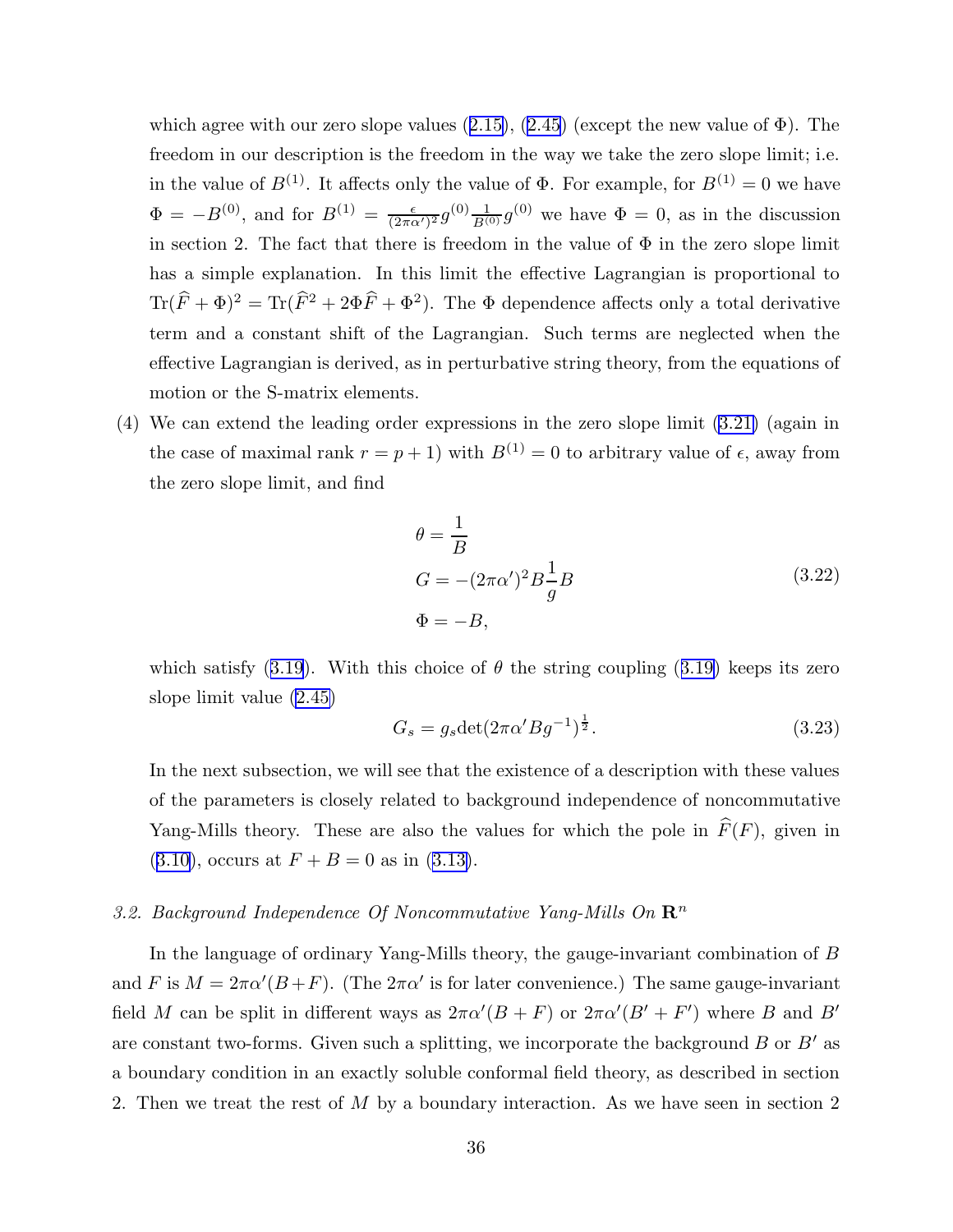<span id="page-36-0"></span>which agree with our zero slope values  $(2.15)$  $(2.15)$ ,  $(2.45)$  $(2.45)$  $(2.45)$  (except the new value of  $\Phi$ ). The freedom in our description is the freedom in the way we take the zero slope limit; i.e. in the value of  $B^{(1)}$ . It affects only the value of  $\Phi$ . For example, for  $B^{(1)} = 0$  we have  $\Phi = -B^{(0)}$ , and for  $B^{(1)} = \frac{\epsilon}{(2\pi\epsilon)}$  $\frac{\epsilon}{(2\pi\alpha')^2}g^{(0)}\frac{1}{B^{(0)}}g^{(0)}$  we have  $\Phi=0$ , as in the discussion in section 2. The fact that there is freedom in the value of  $\Phi$  in the zero slope limit has a simple explanation. In this limit the effective Lagrangian is proportional to  $\text{Tr}(\hat{F} + \Phi)^2 = \text{Tr}(\hat{F}^2 + 2\Phi\hat{F} + \Phi^2)$ . The  $\Phi$  dependence affects only a total derivative term and a constant shift of the Lagrangian. Such terms are neglected when the effective Lagrangian is derived, as in perturbative string theory, from the equations of motion or the S-matrix elements.

(4) We can extend the leading order expressions in the zero slope limit [\(3.21\)](#page-35-0) (again in the case of maximal rank  $r = p + 1$ ) with  $B^{(1)} = 0$  to arbitrary value of  $\epsilon$ , away from the zero slope limit, and find

$$
\theta = \frac{1}{B}
$$
  
\n
$$
G = -(2\pi\alpha')^2 B \frac{1}{g} B
$$
  
\n
$$
\Phi = -B,
$$
\n(3.22)

which satisfy ([3.19](#page-34-0)). With this choice of  $\theta$  the string coupling ([3.19\)](#page-34-0) keeps its zero slope limit value [\(2.45\)](#page-19-0)

$$
G_s = g_s \det(2\pi \alpha' B g^{-1})^{\frac{1}{2}}.
$$
\n(3.23)

In the next subsection, we will see that the existence of a description with these values of the parameters is closely related to background independence of noncommutative Yang-Mills theory. These are also the values for which the pole in  $\widehat{F}(F)$ , given in  $(3.10)$  $(3.10)$ , occurs at  $F + B = 0$  as in  $(3.13)$ .

# 3.2. Background Independence Of Noncommutative Yang-Mills On  $\mathbb{R}^n$

In the language of ordinary Yang-Mills theory, the gauge-invariant combination of B and F is  $M = 2\pi\alpha'(B+F)$ . (The  $2\pi\alpha'$  is for later convenience.) The same gauge-invariant field M can be split in different ways as  $2\pi\alpha'(B+F)$  or  $2\pi\alpha'(B'+F')$  where B and B' are constant two-forms. Given such a splitting, we incorporate the background  $B$  or  $B'$  as a boundary condition in an exactly soluble conformal field theory, as described in section 2. Then we treat the rest of M by a boundary interaction. As we have seen in section 2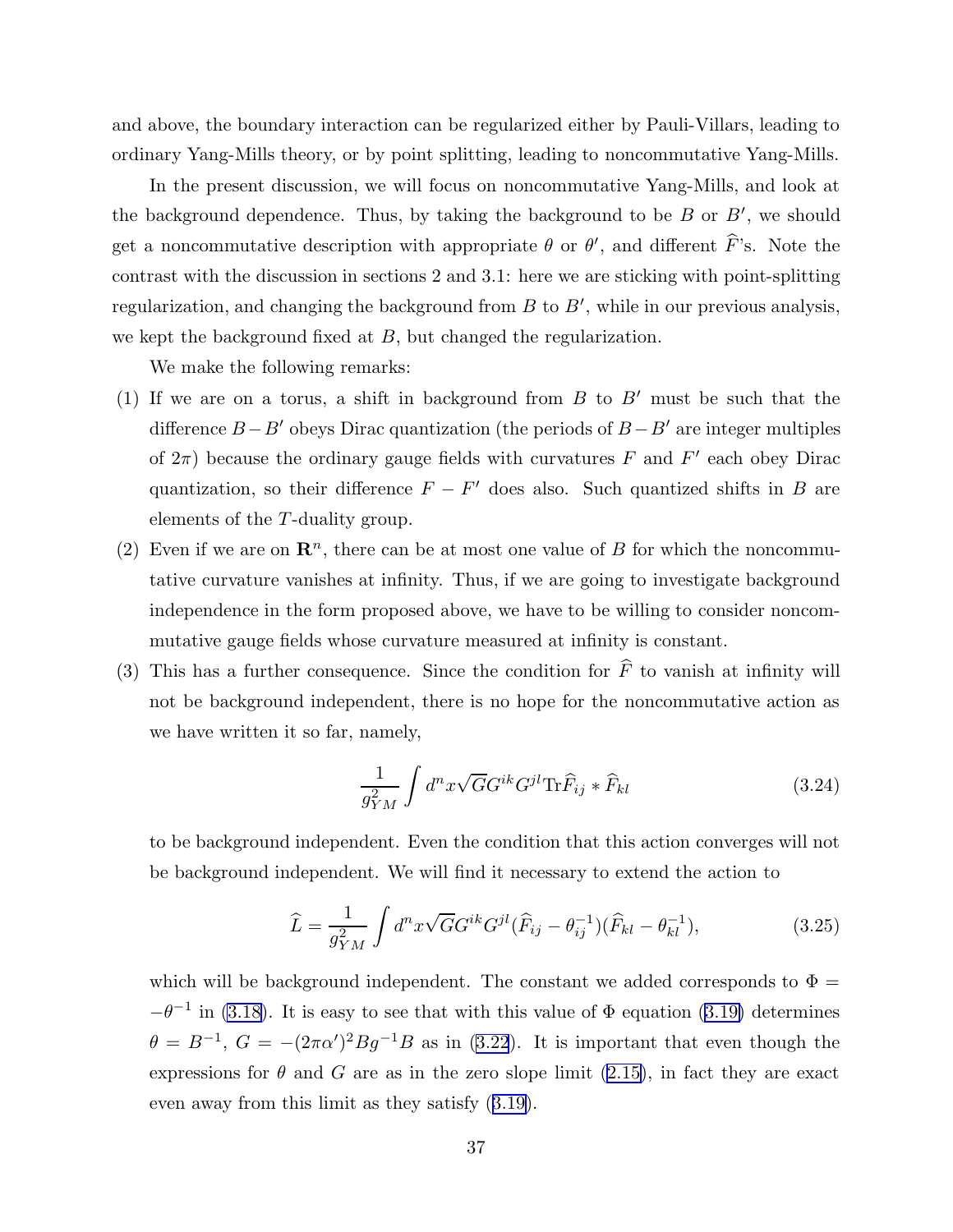<span id="page-37-0"></span>and above, the boundary interaction can be regularized either by Pauli-Villars, leading to ordinary Yang-Mills theory, or by point splitting, leading to noncommutative Yang-Mills.

In the present discussion, we will focus on noncommutative Yang-Mills, and look at the background dependence. Thus, by taking the background to be  $B$  or  $B'$ , we should get a noncommutative description with appropriate  $\theta$  or  $\theta'$ , and different F's. Note the contrast with the discussion in sections 2 and 3.1: here we are sticking with point-splitting regularization, and changing the background from  $B$  to  $B'$ , while in our previous analysis, we kept the background fixed at  $B$ , but changed the regularization.

We make the following remarks:

- (1) If we are on a torus, a shift in background from  $B$  to  $B'$  must be such that the difference  $B-B'$  obeys Dirac quantization (the periods of  $B-B'$  are integer multiples of  $2\pi$ ) because the ordinary gauge fields with curvatures F and F' each obey Dirac quantization, so their difference  $F - F'$  does also. Such quantized shifts in B are elements of the T-duality group.
- (2) Even if we are on  $\mathbb{R}^n$ , there can be at most one value of B for which the noncommutative curvature vanishes at infinity. Thus, if we are going to investigate background independence in the form proposed above, we have to be willing to consider noncommutative gauge fields whose curvature measured at infinity is constant.
- (3) This has a further consequence. Since the condition for  $\hat{F}$  to vanish at infinity will not be background independent, there is no hope for the noncommutative action as we have written it so far, namely,

$$
\frac{1}{g_{YM}^2} \int d^n x \sqrt{G} G^{ik} G^{jl} \text{Tr} \widehat{F}_{ij} * \widehat{F}_{kl} \tag{3.24}
$$

to be background independent. Even the condition that this action converges will not be background independent. We will find it necessary to extend the action to

$$
\widehat{L} = \frac{1}{g_{YM}^2} \int d^n x \sqrt{G} G^{ik} G^{jl} (\widehat{F}_{ij} - \theta_{ij}^{-1}) (\widehat{F}_{kl} - \theta_{kl}^{-1}), \tag{3.25}
$$

which will be background independent. The constant we added corresponds to  $\Phi =$  $-\theta^{-1}$  in [\(3.18\)](#page-34-0). It is easy to see that with this value of  $\Phi$  equation [\(3.19\)](#page-34-0) determines  $\theta = B^{-1}$ ,  $G = -(2\pi\alpha')^2 B g^{-1} B$  as in [\(3.22](#page-36-0)). It is important that even though the expressions for  $\theta$  and G are as in the zero slope limit [\(2.15\)](#page-12-0), in fact they are exact even away from this limit as they satisfy ([3.19\)](#page-34-0).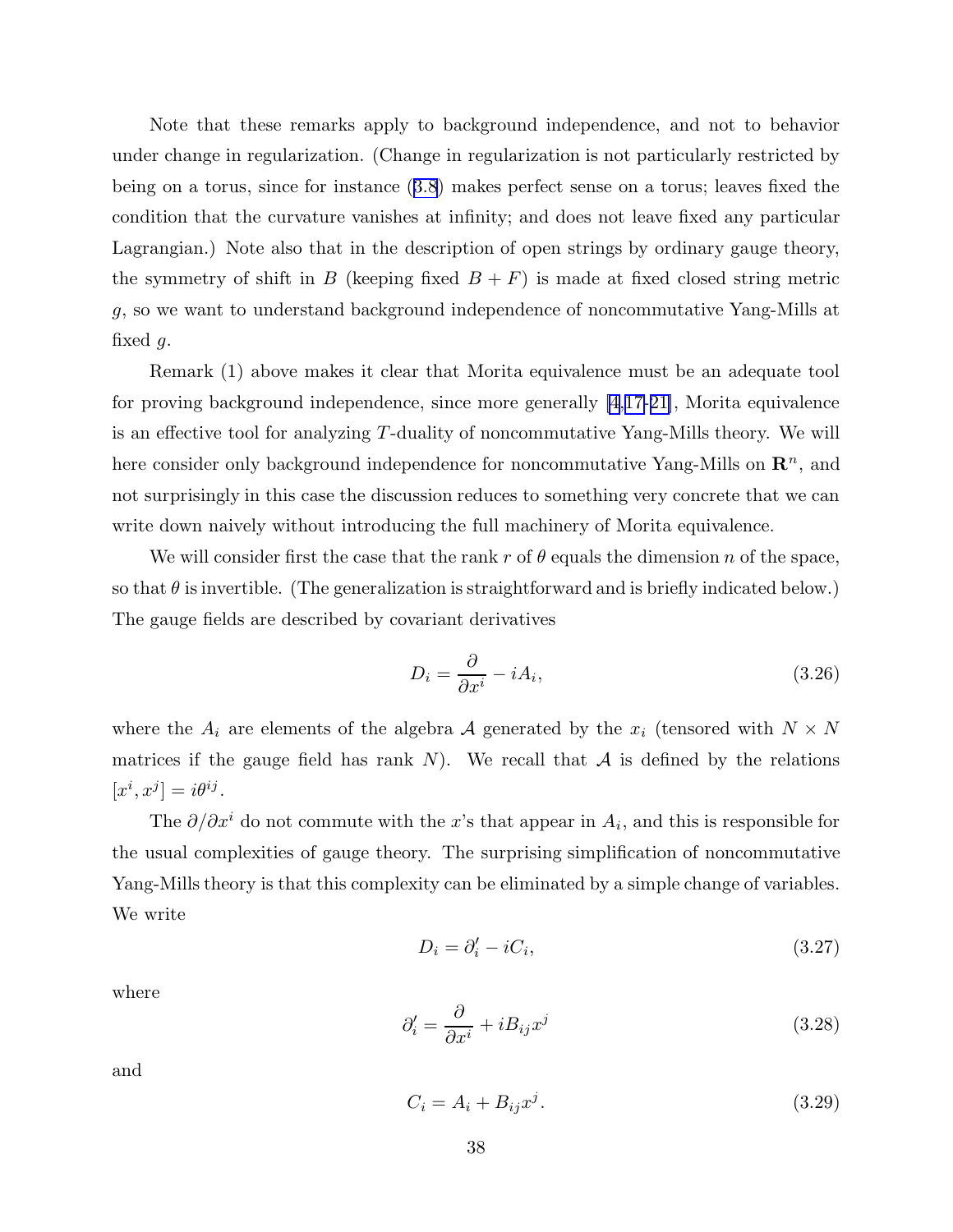Note that these remarks apply to background independence, and not to behavior under change in regularization. (Change in regularization is not particularly restricted by being on a torus, since for instance ([3.8](#page-31-0)) makes perfect sense on a torus; leaves fixed the condition that the curvature vanishes at infinity; and does not leave fixed any particular Lagrangian.) Note also that in the description of open strings by ordinary gauge theory, the symmetry of shift in B (keeping fixed  $B + F$ ) is made at fixed closed string metric g, so we want to understand background independence of noncommutative Yang-Mills at fixed  $q$ .

Remark (1) above makes it clear that Morita equivalence must be an adequate tool for proving background independence, since more generally [\[4](#page-95-0),[17-21\]](#page-96-0), Morita equivalence is an effective tool for analyzing T-duality of noncommutative Yang-Mills theory. We will here consider only background independence for noncommutative Yang-Mills on  $\mathbb{R}^n$ , and not surprisingly in this case the discussion reduces to something very concrete that we can write down naively without introducing the full machinery of Morita equivalence.

We will consider first the case that the rank r of  $\theta$  equals the dimension n of the space, so that  $\theta$  is invertible. (The generalization is straightforward and is briefly indicated below.) The gauge fields are described by covariant derivatives

$$
D_i = \frac{\partial}{\partial x^i} - iA_i,\tag{3.26}
$$

where the  $A_i$  are elements of the algebra A generated by the  $x_i$  (tensored with  $N \times N$ matrices if the gauge field has rank  $N$ ). We recall that  $A$  is defined by the relations  $[x^i, x^j] = i\theta^{ij}.$ 

The  $\partial/\partial x^i$  do not commute with the x's that appear in  $A_i$ , and this is responsible for the usual complexities of gauge theory. The surprising simplification of noncommutative Yang-Mills theory is that this complexity can be eliminated by a simple change of variables. We write

$$
D_i = \partial_i' - iC_i,\tag{3.27}
$$

where

$$
\partial_i' = \frac{\partial}{\partial x^i} + i B_{ij} x^j \tag{3.28}
$$

and

$$
C_i = A_i + B_{ij} x^j. \tag{3.29}
$$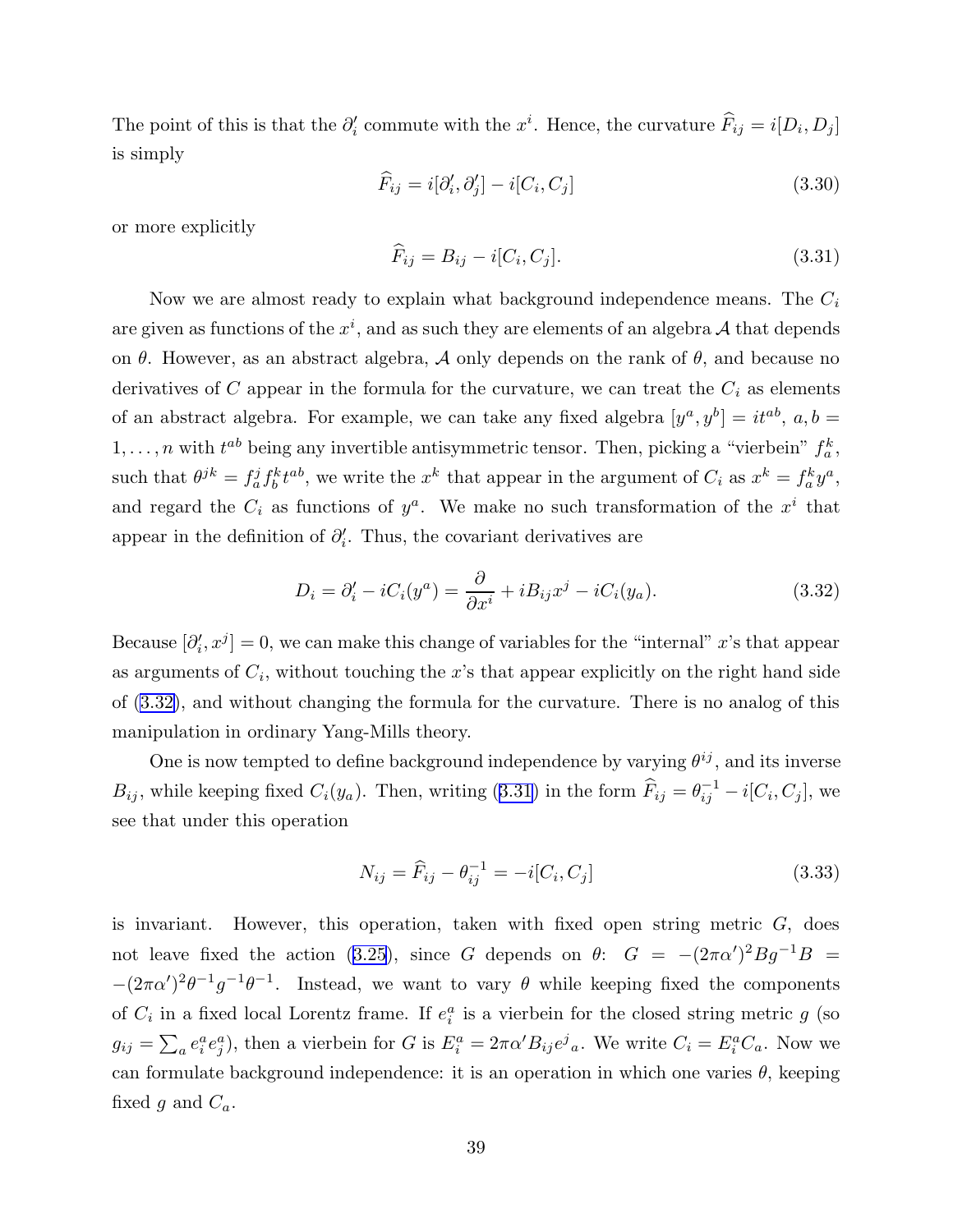<span id="page-39-0"></span>The point of this is that the  $\partial_i'$  commute with the  $x^i$ . Hence, the curvature  $\widehat{F}_{ij} = i[D_i, D_j]$ is simply

$$
\widehat{F}_{ij} = i[\partial'_i, \partial'_j] - i[C_i, C_j]
$$
\n(3.30)

or more explicitly

$$
\widehat{F}_{ij} = B_{ij} - i[C_i, C_j].\tag{3.31}
$$

Now we are almost ready to explain what background independence means. The  $C_i$ are given as functions of the  $x^i$ , and as such they are elements of an algebra  $A$  that depends on  $\theta$ . However, as an abstract algebra,  $\mathcal A$  only depends on the rank of  $\theta$ , and because no derivatives of C appear in the formula for the curvature, we can treat the  $C_i$  as elements of an abstract algebra. For example, we can take any fixed algebra  $[y^a, y^b] = it^{ab}$ ,  $a, b =$  $1, \ldots, n$  with  $t^{ab}$  being any invertible antisymmetric tensor. Then, picking a "vierbein"  $f_a^k$ , such that  $\theta^{jk} = f_a^j f_b^k t^{ab}$ , we write the  $x^k$  that appear in the argument of  $C_i$  as  $x^k = f_a^k y^a$ , and regard the  $C_i$  as functions of  $y^a$ . We make no such transformation of the  $x^i$  that appear in the definition of  $\partial_i'$ . Thus, the covariant derivatives are

$$
D_i = \partial_i' - iC_i(y^a) = \frac{\partial}{\partial x^i} + iB_{ij}x^j - iC_i(y_a). \tag{3.32}
$$

Because  $[\partial'_i, x^j] = 0$ , we can make this change of variables for the "internal" x's that appear as arguments of  $C_i$ , without touching the x's that appear explicitly on the right hand side of (3.32), and without changing the formula for the curvature. There is no analog of this manipulation in ordinary Yang-Mills theory.

One is now tempted to define background independence by varying  $\theta^{ij}$ , and its inverse  $B_{ij}$ , while keeping fixed  $C_i(y_a)$ . Then, writing (3.31) in the form  $\widehat{F}_{ij} = \theta_{ij}^{-1} - i[C_i, C_j]$ , we see that under this operation

$$
N_{ij} = \widehat{F}_{ij} - \theta_{ij}^{-1} = -i[C_i, C_j]
$$
\n(3.33)

is invariant. However, this operation, taken with fixed open string metric  $G$ , does not leave fixed the action ([3.25](#page-37-0)), since G depends on  $\theta$ :  $G = -(2\pi\alpha')^2Bg^{-1}B =$  $-(2\pi\alpha')^2\theta^{-1}g^{-1}\theta^{-1}$ . Instead, we want to vary  $\theta$  while keeping fixed the components of  $C_i$  in a fixed local Lorentz frame. If  $e_i^a$  is a vierbein for the closed string metric g (so  $g_{ij} = \sum_a e_i^a e_j^a$ , then a vierbein for G is  $E_i^a = 2\pi \alpha' B_{ij} e^j{}_a$ . We write  $C_i = E_i^a C_a$ . Now we can formulate background independence: it is an operation in which one varies  $\theta$ , keeping fixed g and  $C_a$ .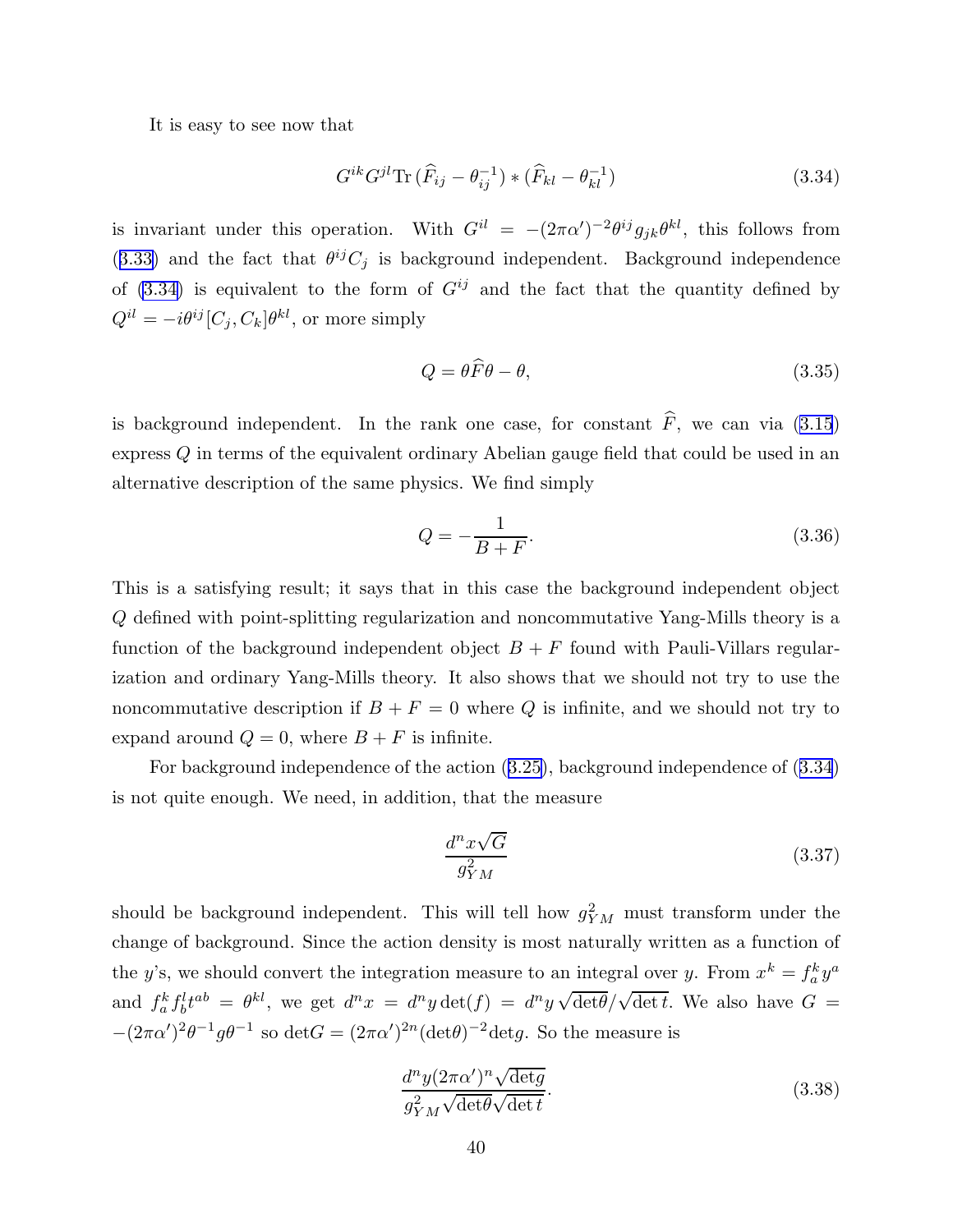It is easy to see now that

$$
G^{ik}G^{jl}\text{Tr}\left(\widehat{F}_{ij}-\theta_{ij}^{-1}\right) * \left(\widehat{F}_{kl}-\theta_{kl}^{-1}\right) \tag{3.34}
$$

is invariant under this operation. With  $G^{il} = -(2\pi\alpha')^{-2}\theta^{ij}g_{jk}\theta^{kl}$ , this follows from ([3.33\)](#page-39-0) and the fact that  $\theta^{ij}C_j$  is background independent. Background independence of  $(3.34)$  is equivalent to the form of  $G^{ij}$  and the fact that the quantity defined by  $Q^{il} = -i\theta^{ij} [C_j, C_k] \theta^{kl}$ , or more simply

$$
Q = \theta \widehat{F} \theta - \theta,\tag{3.35}
$$

is background independent. In the rank one case, for constant  $\hat{F}$ , we can via [\(3.15](#page-32-0)) express Q in terms of the equivalent ordinary Abelian gauge field that could be used in an alternative description of the same physics. We find simply

$$
Q = -\frac{1}{B+F}.\tag{3.36}
$$

This is a satisfying result; it says that in this case the background independent object Q defined with point-splitting regularization and noncommutative Yang-Mills theory is a function of the background independent object  $B + F$  found with Pauli-Villars regularization and ordinary Yang-Mills theory. It also shows that we should not try to use the noncommutative description if  $B + F = 0$  where Q is infinite, and we should not try to expand around  $Q = 0$ , where  $B + F$  is infinite.

For background independence of the action ([3.25\)](#page-37-0), background independence of (3.34) is not quite enough. We need, in addition, that the measure

$$
\frac{d^n x \sqrt{G}}{g_{YM}^2} \tag{3.37}
$$

should be background independent. This will tell how  $g_{YM}^2$  must transform under the change of background. Since the action density is most naturally written as a function of the y's, we should convert the integration measure to an integral over y. From  $x^k = f_a^k y^a$ and  $f_a^k f_b^l t^{ab} = \theta^{kl}$ , we get  $d^n x = d^n y \det(f) = d^n y \sqrt{\det(f)} \sqrt{\det f}$ . We also have  $G =$  $-(2\pi\alpha')^2\theta^{-1}g\theta^{-1}$  so  $\det G = (2\pi\alpha')^{2n}(\det \theta)^{-2}\det g$ . So the measure is

$$
\frac{d^n y (2\pi \alpha')^n \sqrt{\det g}}{g_{YM}^2 \sqrt{\det \theta} \sqrt{\det t}}.
$$
\n(3.38)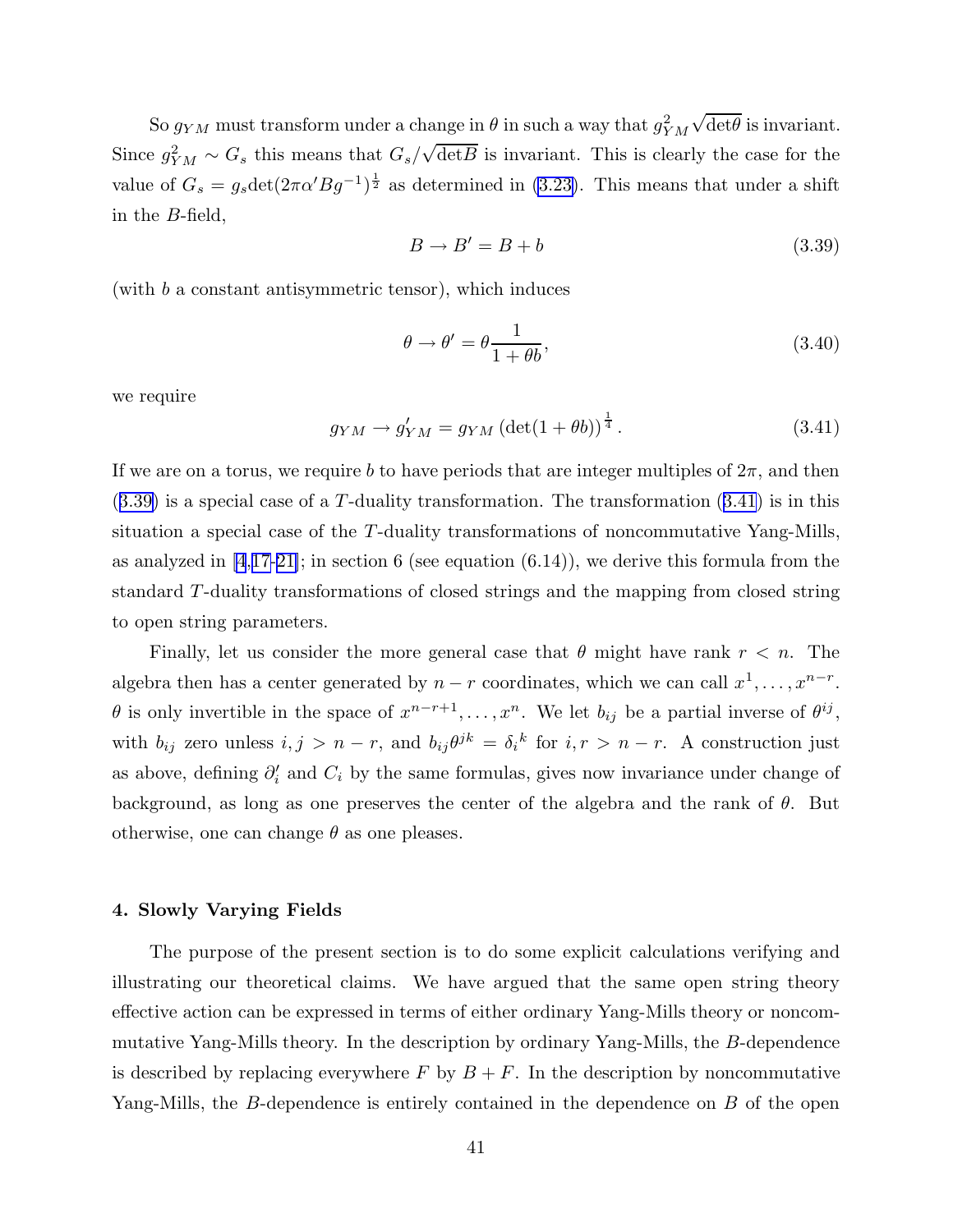So  $g_{YM}$  must transform under a change in  $\theta$  in such a way that  $g_{YM}^2$  $\sqrt{\det \theta}$  is invariant. Since  $g_{YM}^2 \sim G_s$  this means that  $G_s/\sqrt{\det B}$  is invariant. This is clearly the case for the value of  $G_s = g_s \det(2\pi \alpha' B g^{-1})^{\frac{1}{2}}$  as determined in [\(3.23\)](#page-36-0). This means that under a shift in the B-field,

$$
B \to B' = B + b \tag{3.39}
$$

(with b a constant antisymmetric tensor), which induces

$$
\theta \to \theta' = \theta \frac{1}{1 + \theta b},\tag{3.40}
$$

we require

$$
g_{YM} \rightarrow g'_{YM} = g_{YM} \left(\det(1+\theta b)\right)^{\frac{1}{4}}.
$$
\n(3.41)

If we are on a torus, we require b to have periods that are integer multiples of  $2\pi$ , and then  $(3.39)$  is a special case of a T-duality transformation. The transformation  $(3.41)$  is in this situation a special case of the T-duality transformations of noncommutative Yang-Mills, as analyzed in  $[4,17-21]$  $[4,17-21]$  $[4,17-21]$ ; in section 6 (see equation  $(6.14)$ ), we derive this formula from the standard T-duality transformations of closed strings and the mapping from closed string to open string parameters.

Finally, let us consider the more general case that  $\theta$  might have rank  $r < n$ . The algebra then has a center generated by  $n - r$  coordinates, which we can call  $x^1, \ldots, x^{n-r}$ .  $\theta$  is only invertible in the space of  $x^{n-r+1}, \ldots, x^n$ . We let  $b_{ij}$  be a partial inverse of  $\theta^{ij}$ , with  $b_{ij}$  zero unless  $i, j > n - r$ , and  $b_{ij}\theta^{jk} = \delta_i^k$  for  $i, r > n - r$ . A construction just as above, defining  $\partial_i'$  and  $C_i$  by the same formulas, gives now invariance under change of background, as long as one preserves the center of the algebra and the rank of  $\theta$ . But otherwise, one can change  $\theta$  as one pleases.

### 4. Slowly Varying Fields

The purpose of the present section is to do some explicit calculations verifying and illustrating our theoretical claims. We have argued that the same open string theory effective action can be expressed in terms of either ordinary Yang-Mills theory or noncommutative Yang-Mills theory. In the description by ordinary Yang-Mills, the B-dependence is described by replacing everywhere F by  $B + F$ . In the description by noncommutative Yang-Mills, the B-dependence is entirely contained in the dependence on B of the open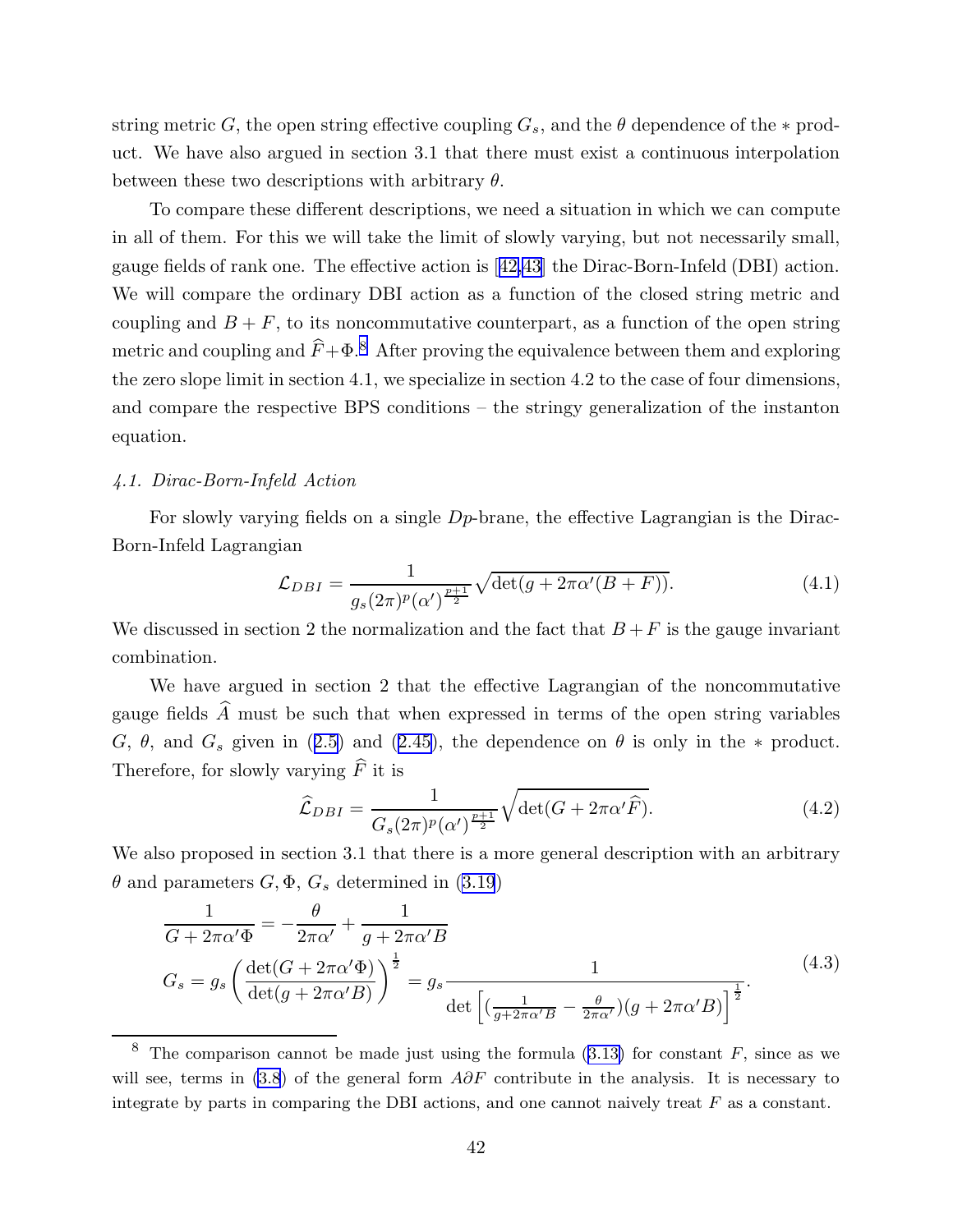<span id="page-42-0"></span>string metric G, the open string effective coupling  $G_s$ , and the  $\theta$  dependence of the  $*$  product. We have also argued in section 3.1 that there must exist a continuous interpolation between these two descriptions with arbitrary  $\theta$ .

To compare these different descriptions, we need a situation in which we can compute in all of them. For this we will take the limit of slowly varying, but not necessarily small, gauge fields of rank one. The effective action is [[42,43\]](#page-97-0) the Dirac-Born-Infeld (DBI) action. We will compare the ordinary DBI action as a function of the closed string metric and coupling and  $B + F$ , to its noncommutative counterpart, as a function of the open string metric and coupling and  $\hat{F}+\Phi$ .<sup>8</sup> After proving the equivalence between them and exploring the zero slope limit in section 4.1, we specialize in section 4.2 to the case of four dimensions, and compare the respective BPS conditions – the stringy generalization of the instanton equation.

### 4.1. Dirac-Born-Infeld Action

For slowly varying fields on a single  $Dp$ -brane, the effective Lagrangian is the Dirac-Born-Infeld Lagrangian

$$
\mathcal{L}_{DBI} = \frac{1}{g_s(2\pi)^p (\alpha')^{\frac{p+1}{2}}} \sqrt{\det(g + 2\pi \alpha'(B + F))}.
$$
 (4.1)

We discussed in section 2 the normalization and the fact that  $B + F$  is the gauge invariant combination.

We have argued in section 2 that the effective Lagrangian of the noncommutative gauge fields  $\widehat{A}$  must be such that when expressed in terms of the open string variables G,  $\theta$ , and  $G_s$  given in ([2.5\)](#page-8-0) and ([2.45](#page-19-0)), the dependence on  $\theta$  is only in the \* product. Therefore, for slowly varying  $\widehat{F}$  it is

$$
\widehat{\mathcal{L}}_{DBI} = \frac{1}{G_s(2\pi)^p (\alpha')^{\frac{p+1}{2}}} \sqrt{\det(G + 2\pi \alpha' \widehat{F})}.
$$
\n(4.2)

We also proposed in section 3.1 that there is a more general description with an arbitrary  $\theta$  and parameters  $G, \Phi, G_s$  determined in [\(3.19](#page-34-0))

$$
\frac{1}{G + 2\pi\alpha'\Phi} = -\frac{\theta}{2\pi\alpha'} + \frac{1}{g + 2\pi\alpha'B}
$$
\n
$$
G_s = g_s \left(\frac{\det(G + 2\pi\alpha'\Phi)}{\det(g + 2\pi\alpha'B)}\right)^{\frac{1}{2}} = g_s \frac{1}{\det\left[\left(\frac{1}{g + 2\pi\alpha'B} - \frac{\theta}{2\pi\alpha'}\right)(g + 2\pi\alpha'B)\right]^{\frac{1}{2}}}.
$$
\n(4.3)

<sup>&</sup>lt;sup>8</sup> The comparison cannot be made just using the formula ([3.13\)](#page-32-0) for constant  $F$ , since as we will see, terms in  $(3.8)$  $(3.8)$  of the general form  $A\partial F$  contribute in the analysis. It is necessary to integrate by parts in comparing the DBI actions, and one cannot naively treat  $F$  as a constant.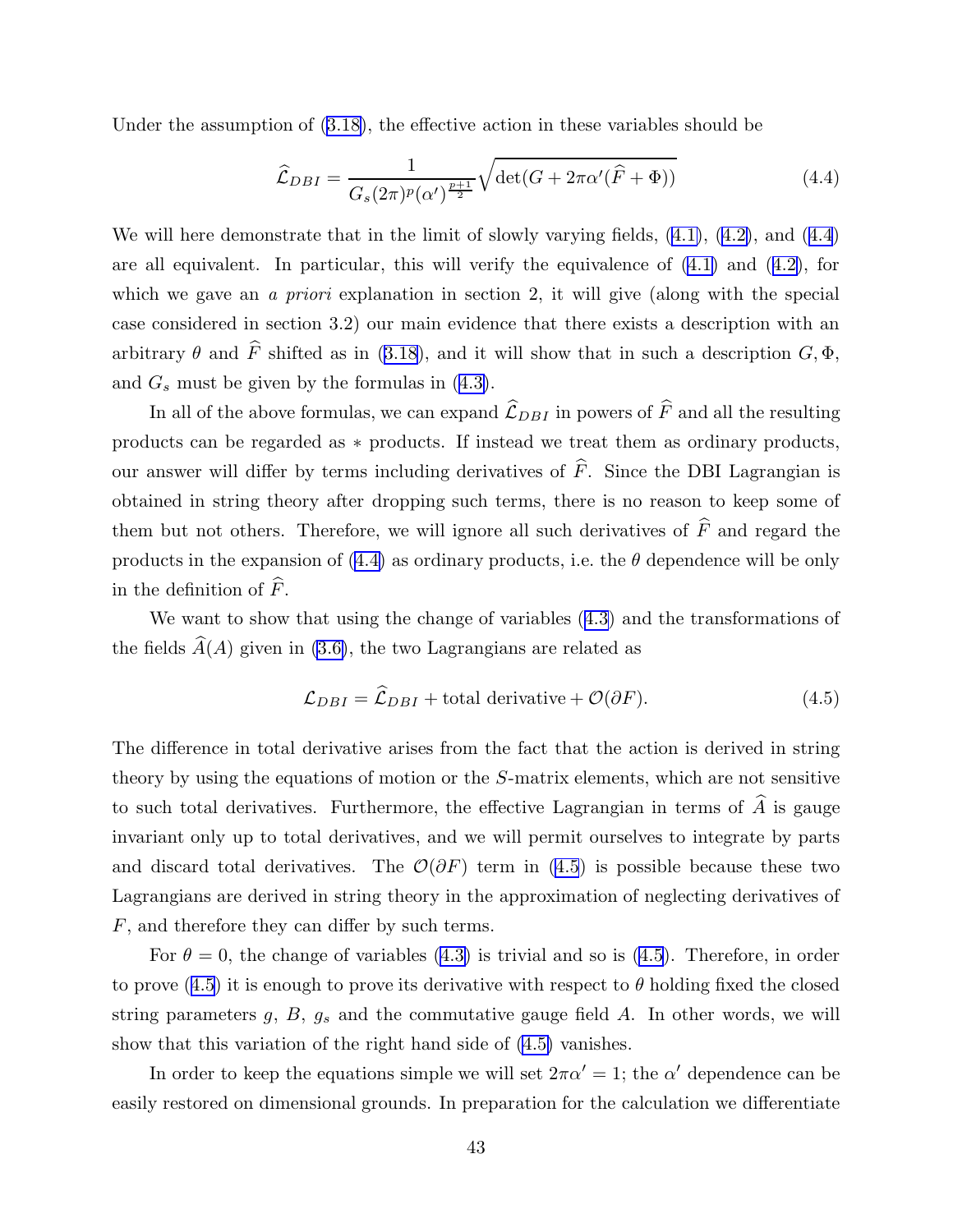<span id="page-43-0"></span>Under the assumption of [\(3.18\)](#page-34-0), the effective action in these variables should be

$$
\widehat{\mathcal{L}}_{DBI} = \frac{1}{G_s(2\pi)^p (\alpha')^{\frac{p+1}{2}}} \sqrt{\det(G + 2\pi \alpha'(\widehat{F} + \Phi))}
$$
(4.4)

We will here demonstrate that in the limit of slowly varying fields,  $(4.1)$ ,  $(4.2)$ , and  $(4.4)$ are all equivalent. In particular, this will verify the equivalence of  $(4.1)$  and  $(4.2)$  $(4.2)$ , for which we gave an *a priori* explanation in section 2, it will give (along with the special case considered in section 3.2) our main evidence that there exists a description with an arbitrary  $\theta$  and  $\hat{F}$  shifted as in ([3.18](#page-34-0)), and it will show that in such a description  $G, \Phi$ , and  $G_s$  must be given by the formulas in [\(4.3\)](#page-42-0).

In all of the above formulas, we can expand  $\widehat{\mathcal{L}}_{DBI}$  in powers of  $\widehat{F}$  and all the resulting products can be regarded as \* products. If instead we treat them as ordinary products, our answer will differ by terms including derivatives of  $\hat{F}$ . Since the DBI Lagrangian is obtained in string theory after dropping such terms, there is no reason to keep some of them but not others. Therefore, we will ignore all such derivatives of  $\widehat{F}$  and regard the products in the expansion of (4.4) as ordinary products, i.e. the  $\theta$  dependence will be only in the definition of  $\widehat{F}$ .

We want to show that using the change of variables ([4.3\)](#page-42-0) and the transformations of the fields  $\widehat{A}(A)$  given in [\(3.6\)](#page-31-0), the two Lagrangians are related as

$$
\mathcal{L}_{DBI} = \widehat{\mathcal{L}}_{DBI} + \text{total derivative} + \mathcal{O}(\partial F). \tag{4.5}
$$

The difference in total derivative arises from the fact that the action is derived in string theory by using the equations of motion or the S-matrix elements, which are not sensitive to such total derivatives. Furthermore, the effective Lagrangian in terms of  $\hat{A}$  is gauge invariant only up to total derivatives, and we will permit ourselves to integrate by parts and discard total derivatives. The  $\mathcal{O}(\partial F)$  term in (4.5) is possible because these two Lagrangians are derived in string theory in the approximation of neglecting derivatives of F, and therefore they can differ by such terms.

For  $\theta = 0$ , the change of variables [\(4.3\)](#page-42-0) is trivial and so is (4.5). Therefore, in order to prove  $(4.5)$  it is enough to prove its derivative with respect to  $\theta$  holding fixed the closed string parameters  $g, B, g_s$  and the commutative gauge field  $A$ . In other words, we will show that this variation of the right hand side of (4.5) vanishes.

In order to keep the equations simple we will set  $2\pi\alpha' = 1$ ; the  $\alpha'$  dependence can be easily restored on dimensional grounds. In preparation for the calculation we differentiate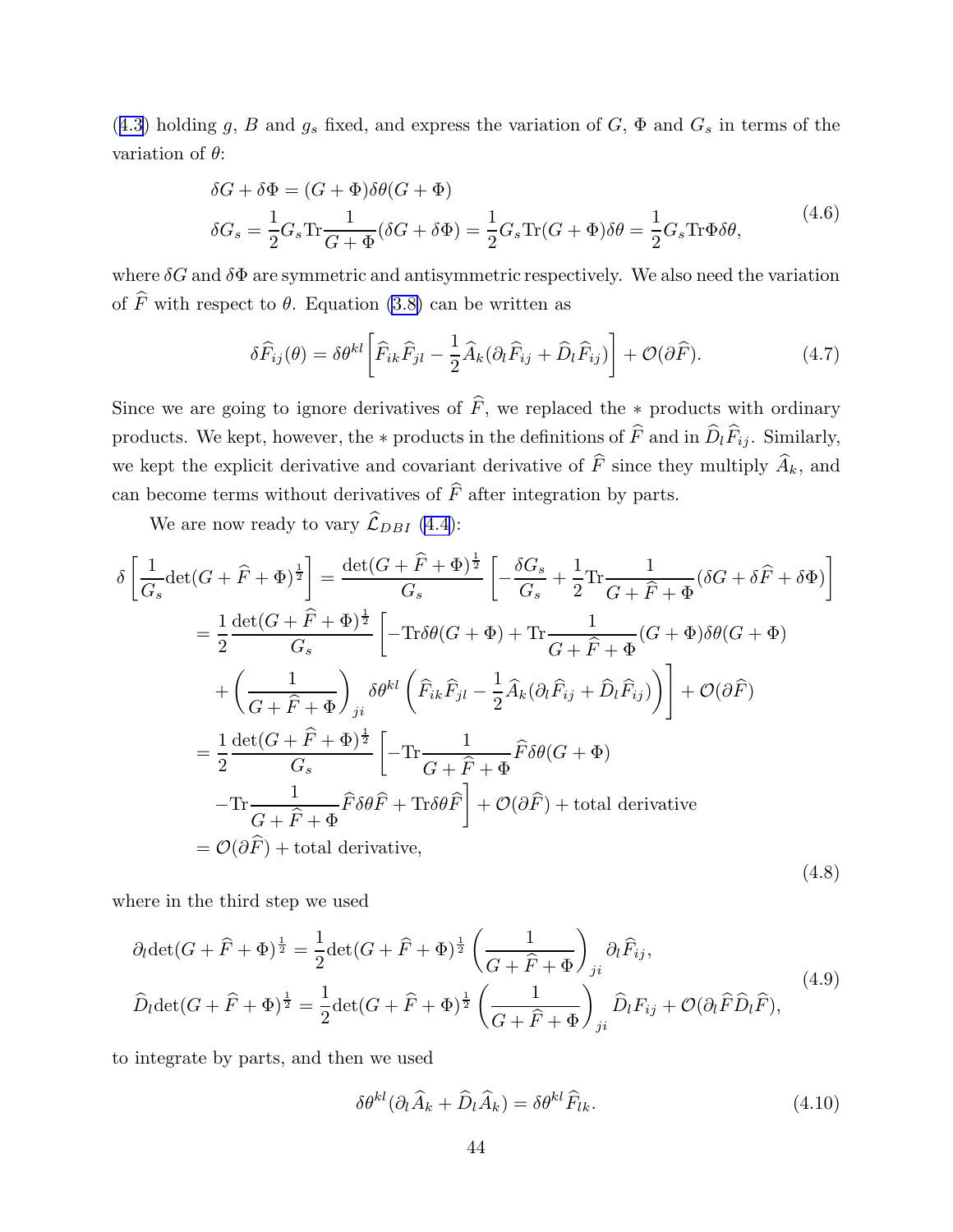<span id="page-44-0"></span>([4.3\)](#page-42-0) holding g, B and  $g_s$  fixed, and express the variation of G,  $\Phi$  and  $G_s$  in terms of the variation of  $\theta$ :

$$
\delta G + \delta \Phi = (G + \Phi)\delta \theta (G + \Phi)
$$
  

$$
\delta G_s = \frac{1}{2} G_s \text{Tr} \frac{1}{G + \Phi} (\delta G + \delta \Phi) = \frac{1}{2} G_s \text{Tr}(G + \Phi) \delta \theta = \frac{1}{2} G_s \text{Tr} \Phi \delta \theta,
$$
 (4.6)

where  $\delta G$  and  $\delta \Phi$  are symmetric and antisymmetric respectively. We also need the variation of  $\widehat{F}$  with respect to  $\theta$ . Equation [\(3.8\)](#page-31-0) can be written as

$$
\delta \widehat{F}_{ij}(\theta) = \delta \theta^{kl} \left[ \widehat{F}_{ik} \widehat{F}_{jl} - \frac{1}{2} \widehat{A}_k (\partial_l \widehat{F}_{ij} + \widehat{D}_l \widehat{F}_{ij}) \right] + \mathcal{O}(\partial \widehat{F}). \tag{4.7}
$$

Since we are going to ignore derivatives of  $\widehat{F}$ , we replaced the ∗ products with ordinary products. We kept, however, the ∗ products in the definitions of  $\widehat{F}$  and in  $\widehat{D}_l \widehat{F}_{ij}$ . Similarly, we kept the explicit derivative and covariant derivative of  $\widehat{F}$  since they multiply  $\widehat{A}_k$ , and can become terms without derivatives of  $\widehat{F}$  after integration by parts.

We are now ready to vary  $\widehat{\mathcal{L}}_{DBI}$  [\(4.4\)](#page-43-0):

$$
\delta \left[ \frac{1}{G_s} \det(G + \hat{F} + \Phi)^{\frac{1}{2}} \right] = \frac{\det(G + \hat{F} + \Phi)^{\frac{1}{2}}}{G_s} \left[ -\frac{\delta G_s}{G_s} + \frac{1}{2} \text{Tr} \frac{1}{G + \hat{F} + \Phi} (\delta G + \delta \hat{F} + \delta \Phi) \right]
$$
  
\n
$$
= \frac{1}{2} \frac{\det(G + \hat{F} + \Phi)^{\frac{1}{2}}}{G_s} \left[ -\text{Tr}\delta\theta(G + \Phi) + \text{Tr} \frac{1}{G + \hat{F} + \Phi} (G + \Phi) \delta\theta(G + \Phi) \right]
$$
  
\n
$$
+ \left( \frac{1}{G + \hat{F} + \Phi} \right)_{ji} \delta\theta^{kl} \left( \hat{F}_{ik} \hat{F}_{jl} - \frac{1}{2} \hat{A}_k (\partial_l \hat{F}_{ij} + \hat{D}_l \hat{F}_{ij}) \right) \right] + \mathcal{O}(\partial \hat{F})
$$
  
\n
$$
= \frac{1}{2} \frac{\det(G + \hat{F} + \Phi)^{\frac{1}{2}}}{G_s} \left[ -\text{Tr} \frac{1}{G + \hat{F} + \Phi} \hat{F} \delta\theta(G + \Phi) \right]
$$
  
\n
$$
- \text{Tr} \frac{1}{G + \hat{F} + \Phi} \hat{F} \delta\theta \hat{F} + \text{Tr}\delta\theta \hat{F} \right] + \mathcal{O}(\partial \hat{F}) + \text{total derivative}
$$
  
\n
$$
= \mathcal{O}(\partial \hat{F}) + \text{total derivative}, \tag{4.8}
$$

where in the third step we used

$$
\partial_l \det(G + \widehat{F} + \Phi)^{\frac{1}{2}} = \frac{1}{2} \det(G + \widehat{F} + \Phi)^{\frac{1}{2}} \left(\frac{1}{G + \widehat{F} + \Phi}\right)_{ji} \partial_l \widehat{F}_{ij},
$$
\n
$$
\widehat{D}_l \det(G + \widehat{F} + \Phi)^{\frac{1}{2}} = \frac{1}{2} \det(G + \widehat{F} + \Phi)^{\frac{1}{2}} \left(\frac{1}{G + \widehat{F} + \Phi}\right)_{ji} \widehat{D}_l F_{ij} + \mathcal{O}(\partial_l \widehat{F} \widehat{D}_l \widehat{F}),
$$
\n(4.9)

to integrate by parts, and then we used

$$
\delta \theta^{kl} (\partial_l \widehat{A}_k + \widehat{D}_l \widehat{A}_k) = \delta \theta^{kl} \widehat{F}_{lk}. \tag{4.10}
$$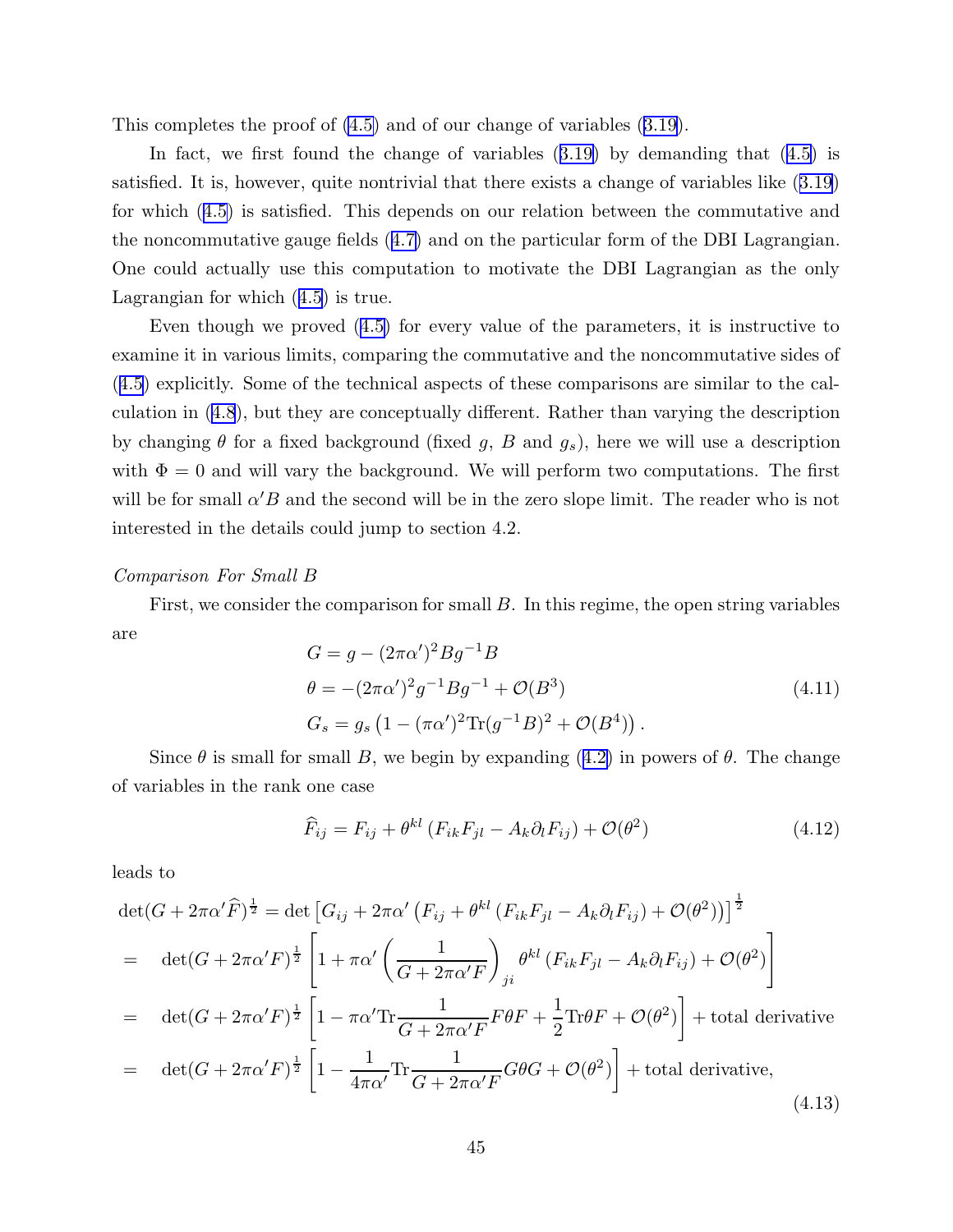<span id="page-45-0"></span>This completes the proof of [\(4.5\)](#page-43-0) and of our change of variables ([3.19](#page-34-0)).

In fact, we first found the change of variables ([3.19\)](#page-34-0) by demanding that ([4.5\)](#page-43-0) is satisfied. It is, however, quite nontrivial that there exists a change of variables like ([3.19\)](#page-34-0) for which ([4.5\)](#page-43-0) is satisfied. This depends on our relation between the commutative and the noncommutative gauge fields ([4.7\)](#page-44-0) and on the particular form of the DBI Lagrangian. One could actually use this computation to motivate the DBI Lagrangian as the only Lagrangian for which ([4.5\)](#page-43-0) is true.

Even though we proved ([4.5\)](#page-43-0) for every value of the parameters, it is instructive to examine it in various limits, comparing the commutative and the noncommutative sides of ([4.5\)](#page-43-0) explicitly. Some of the technical aspects of these comparisons are similar to the calculation in [\(4.8](#page-44-0)), but they are conceptually different. Rather than varying the description by changing  $\theta$  for a fixed background (fixed g, B and  $g_s$ ), here we will use a description with  $\Phi = 0$  and will vary the background. We will perform two computations. The first will be for small  $\alpha' B$  and the second will be in the zero slope limit. The reader who is not interested in the details could jump to section 4.2.

### Comparison For Small B

First, we consider the comparison for small B. In this regime, the open string variables are

$$
G = g - (2\pi\alpha')^2 B g^{-1} B
$$
  
\n
$$
\theta = -(2\pi\alpha')^2 g^{-1} B g^{-1} + \mathcal{O}(B^3)
$$
  
\n
$$
G_s = g_s \left(1 - (\pi\alpha')^2 \text{Tr}(g^{-1} B)^2 + \mathcal{O}(B^4)\right).
$$
\n(4.11)

Since  $\theta$  is small for small B, we begin by expanding ([4.2\)](#page-42-0) in powers of  $\theta$ . The change of variables in the rank one case

$$
\widehat{F}_{ij} = F_{ij} + \theta^{kl} \left( F_{ik} F_{jl} - A_k \partial_l F_{ij} \right) + \mathcal{O}(\theta^2)
$$
\n(4.12)

leads to

$$
\det(G + 2\pi\alpha'\widehat{F})^{\frac{1}{2}} = \det\left[G_{ij} + 2\pi\alpha'\left(F_{ij} + \theta^{kl}\left(F_{ik}F_{jl} - A_k\partial_lF_{ij}\right) + \mathcal{O}(\theta^2)\right)\right]^{\frac{1}{2}}
$$
\n
$$
= \det(G + 2\pi\alpha'F)^{\frac{1}{2}} \left[1 + \pi\alpha'\left(\frac{1}{G + 2\pi\alpha'F}\right)_{ji}\theta^{kl}\left(F_{ik}F_{jl} - A_k\partial_lF_{ij}\right) + \mathcal{O}(\theta^2)\right]
$$
\n
$$
= \det(G + 2\pi\alpha'F)^{\frac{1}{2}} \left[1 - \pi\alpha'T\frac{1}{G + 2\pi\alpha'F}F\theta F + \frac{1}{2}Tr\theta F + \mathcal{O}(\theta^2)\right] + \text{total derivative}
$$
\n
$$
= \det(G + 2\pi\alpha'F)^{\frac{1}{2}} \left[1 - \frac{1}{4\pi\alpha'}Tr\frac{1}{G + 2\pi\alpha'F}G\theta G + \mathcal{O}(\theta^2)\right] + \text{total derivative}, \tag{4.13}
$$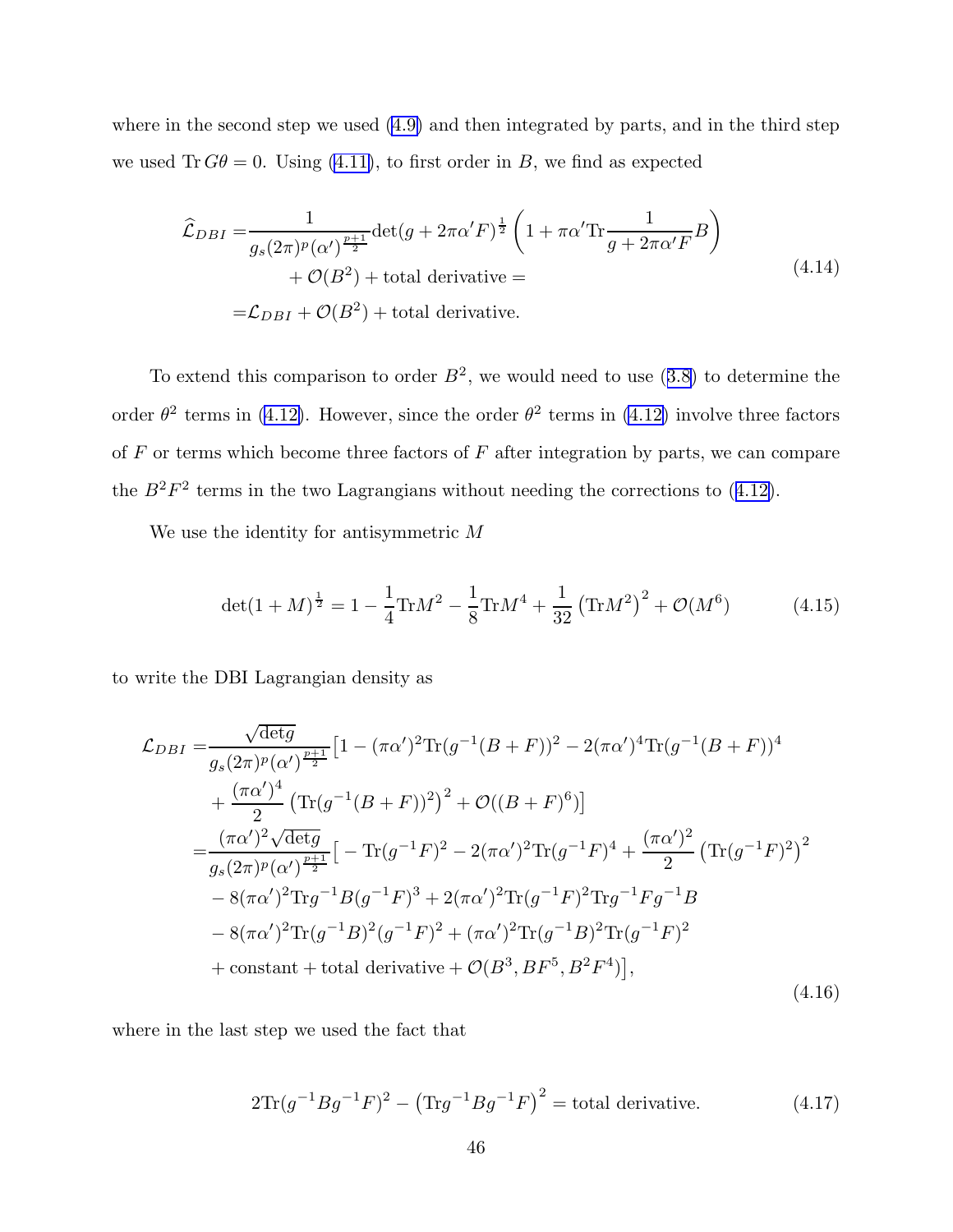where in the second step we used [\(4.9\)](#page-44-0) and then integrated by parts, and in the third step we used  $\text{Tr } G\theta = 0$ . Using [\(4.11\)](#page-45-0), to first order in B, we find as expected

$$
\hat{\mathcal{L}}_{DBI} = \frac{1}{g_s(2\pi)^p (\alpha')^{\frac{p+1}{2}}} \det(g + 2\pi \alpha' F)^{\frac{1}{2}} \left(1 + \pi \alpha' \text{Tr} \frac{1}{g + 2\pi \alpha' F} B\right) \n+ \mathcal{O}(B^2) + \text{total derivative} = \n= \mathcal{L}_{DBI} + \mathcal{O}(B^2) + \text{total derivative}.
$$
\n(4.14)

To extend this comparison to order  $B^2$ , we would need to use ([3.8\)](#page-31-0) to determine the order  $\theta^2$  terms in [\(4.12\)](#page-45-0). However, since the order  $\theta^2$  terms in (4.12) involve three factors of  $F$  or terms which become three factors of  $F$  after integration by parts, we can compare the  $B^2F^2$  terms in the two Lagrangians without needing the corrections to ([4.12\)](#page-45-0).

We use the identity for antisymmetric M

$$
\det(1+M)^{\frac{1}{2}} = 1 - \frac{1}{4}\text{Tr}M^2 - \frac{1}{8}\text{Tr}M^4 + \frac{1}{32}\left(\text{Tr}M^2\right)^2 + \mathcal{O}(M^6) \tag{4.15}
$$

to write the DBI Lagrangian density as

$$
\mathcal{L}_{DBI} = \frac{\sqrt{\det g}}{g_s(2\pi)^p (\alpha')^{\frac{p+1}{2}}} \left[ 1 - (\pi \alpha')^2 \text{Tr} (g^{-1} (B+F))^2 - 2(\pi \alpha')^4 \text{Tr} (g^{-1} (B+F))^4 \right. \\ \left. + \frac{(\pi \alpha')^4}{2} \left( \text{Tr} (g^{-1} (B+F))^2 \right)^2 + \mathcal{O}((B+F)^6) \right] \\ = \frac{(\pi \alpha')^2 \sqrt{\det g}}{g_s(2\pi)^p (\alpha')^{\frac{p+1}{2}}} \left[ -\text{Tr} (g^{-1} F)^2 - 2(\pi \alpha')^2 \text{Tr} (g^{-1} F)^4 + \frac{(\pi \alpha')^2}{2} \left( \text{Tr} (g^{-1} F)^2 \right)^2 \right. \\ \left. - 8(\pi \alpha')^2 \text{Tr} g^{-1} B(g^{-1} F)^3 + 2(\pi \alpha')^2 \text{Tr} (g^{-1} F)^2 \text{Tr} g^{-1} F g^{-1} B \right. \\ \left. - 8(\pi \alpha')^2 \text{Tr} (g^{-1} B)^2 (g^{-1} F)^2 + (\pi \alpha')^2 \text{Tr} (g^{-1} B)^2 \text{Tr} (g^{-1} F)^2 \right. \\ \left. + \text{constant} + \text{total derivative} + \mathcal{O}(B^3, BF^5, B^2 F^4) \right], \tag{4.16}
$$

where in the last step we used the fact that

$$
2\text{Tr}(g^{-1}Bg^{-1}F)^2 - (\text{Tr}g^{-1}Bg^{-1}F)^2 = \text{total derivative.}
$$
 (4.17)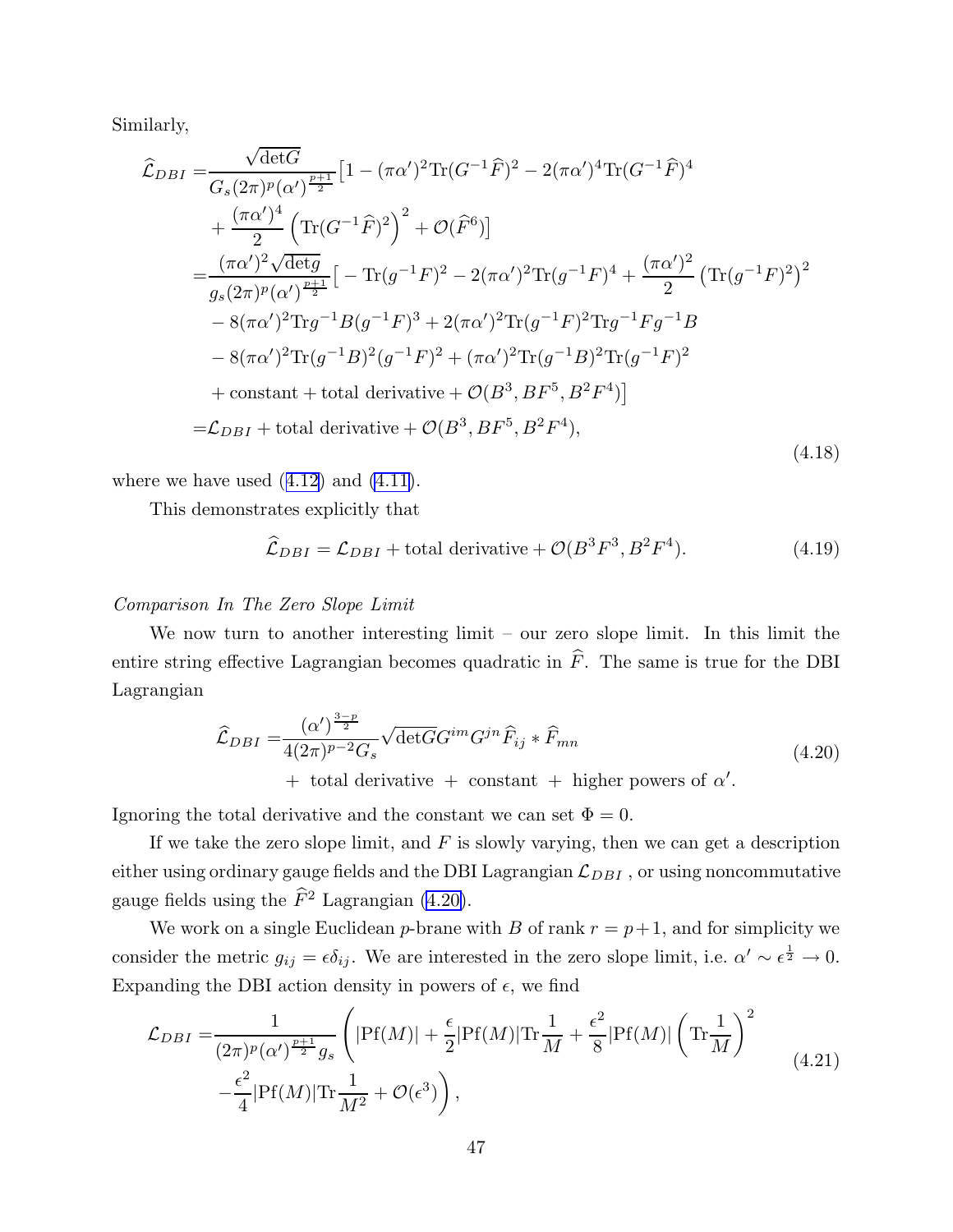<span id="page-47-0"></span>Similarly,

$$
\hat{\mathcal{L}}_{DBI} = \frac{\sqrt{\det G}}{G_s (2\pi)^p (\alpha')^{\frac{p+1}{2}}} \left[ 1 - (\pi \alpha')^2 \text{Tr} (G^{-1} \hat{F})^2 - 2(\pi \alpha')^4 \text{Tr} (G^{-1} \hat{F})^4 \right. \\
\left. + \frac{(\pi \alpha')^4}{2} \left( \text{Tr} (G^{-1} \hat{F})^2 \right)^2 + \mathcal{O}(\hat{F}^6) \right] \\
= \frac{(\pi \alpha')^2 \sqrt{\det g}}{g_s (2\pi)^p (\alpha')^{\frac{p+1}{2}}} \left[ -\text{Tr} (g^{-1} F)^2 - 2(\pi \alpha')^2 \text{Tr} (g^{-1} F)^4 + \frac{(\pi \alpha')^2}{2} \left( \text{Tr} (g^{-1} F)^2 \right)^2 \right. \\
\left. - 8(\pi \alpha')^2 \text{Tr} g^{-1} B(g^{-1} F)^3 + 2(\pi \alpha')^2 \text{Tr} (g^{-1} F)^2 \text{Tr} g^{-1} F g^{-1} B \right. \\
\left. - 8(\pi \alpha')^2 \text{Tr} (g^{-1} B)^2 (g^{-1} F)^2 + (\pi \alpha')^2 \text{Tr} (g^{-1} B)^2 \text{Tr} (g^{-1} F)^2 \right. \\
\left. + \text{constant} + \text{total derivative} + \mathcal{O}(B^3, BF^5, B^2 F^4) \right] \\
= \mathcal{L}_{DBI} + \text{total derivative} + \mathcal{O}(B^3, BF^5, B^2 F^4), \tag{4.18}
$$

where we have used  $(4.12)$  $(4.12)$  and  $(4.11)$ .

This demonstrates explicitly that

$$
\widehat{\mathcal{L}}_{DBI} = \mathcal{L}_{DBI} + \text{total derivative} + \mathcal{O}(B^3 F^3, B^2 F^4). \tag{4.19}
$$

# Comparison In The Zero Slope Limit

We now turn to another interesting limit – our zero slope limit. In this limit the entire string effective Lagrangian becomes quadratic in  $\hat{F}$ . The same is true for the DBI Lagrangian

$$
\widehat{\mathcal{L}}_{DBI} = \frac{(\alpha')^{\frac{3-p}{2}}}{4(2\pi)^{p-2}G_s} \sqrt{\det G} G^{im} G^{jn} \widehat{F}_{ij} * \widehat{F}_{mn}
$$
\n(4.20)

+ total derivative + constant + higher powers of  $\alpha'$ .

Ignoring the total derivative and the constant we can set  $\Phi = 0$ .

If we take the zero slope limit, and  $F$  is slowly varying, then we can get a description either using ordinary gauge fields and the DBI Lagrangian  $\mathcal{L}_{DBI}$ , or using noncommutative gauge fields using the  $\hat{F}^2$  Lagrangian (4.20).

We work on a single Euclidean p-brane with B of rank  $r = p+1$ , and for simplicity we consider the metric  $g_{ij} = \epsilon \delta_{ij}$ . We are interested in the zero slope limit, i.e.  $\alpha' \sim \epsilon^{\frac{1}{2}} \to 0$ . Expanding the DBI action density in powers of  $\epsilon$ , we find

$$
\mathcal{L}_{DBI} = \frac{1}{(2\pi)^p (\alpha')^{\frac{p+1}{2}} g_s} \left( |\mathbf{Pf}(M)| + \frac{\epsilon}{2} |\mathbf{Pf}(M)| \mathbf{Tr} \frac{1}{M} + \frac{\epsilon^2}{8} |\mathbf{Pf}(M)| \left( \mathbf{Tr} \frac{1}{M} \right)^2 - \frac{\epsilon^2}{4} |\mathbf{Pf}(M)| \mathbf{Tr} \frac{1}{M^2} + \mathcal{O}(\epsilon^3) \right), \tag{4.21}
$$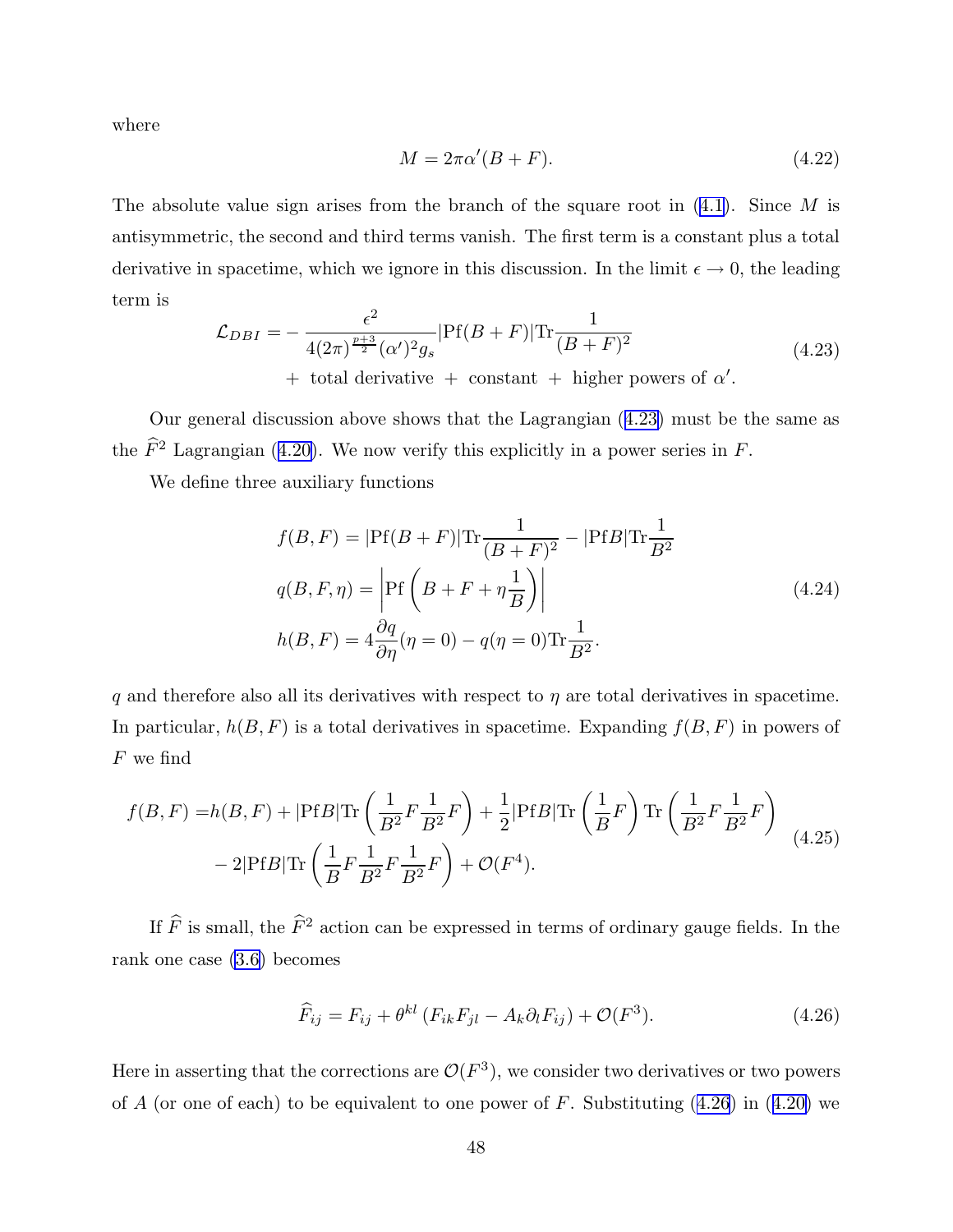<span id="page-48-0"></span>where

$$
M = 2\pi\alpha'(B + F). \tag{4.22}
$$

The absolute value sign arises from the branch of the square root in  $(4.1)$  $(4.1)$  $(4.1)$ . Since M is antisymmetric, the second and third terms vanish. The first term is a constant plus a total derivative in spacetime, which we ignore in this discussion. In the limit  $\epsilon \to 0$ , the leading term is

$$
\mathcal{L}_{DBI} = -\frac{\epsilon^2}{4(2\pi)^{\frac{p+3}{2}}(\alpha')^2 g_s} |\text{Pf}(B+F)| \text{Tr} \frac{1}{(B+F)^2} + \text{ total derivative } + \text{ constant } + \text{ higher powers of } \alpha'.
$$
\n(4.23)

Our general discussion above shows that the Lagrangian (4.23) must be the same as the  $\widehat{F}^2$  Lagrangian ([4.20\)](#page-47-0). We now verify this explicitly in a power series in F.

We define three auxiliary functions

$$
f(B, F) = |\text{Pf}(B + F)| \text{Tr} \frac{1}{(B + F)^2} - |\text{Pf}B| \text{Tr} \frac{1}{B^2}
$$
  
\n
$$
q(B, F, \eta) = \left| \text{Pf}\left(B + F + \eta \frac{1}{B}\right) \right|
$$
  
\n
$$
h(B, F) = 4 \frac{\partial q}{\partial \eta} (\eta = 0) - q(\eta = 0) \text{Tr} \frac{1}{B^2}.
$$
\n(4.24)

q and therefore also all its derivatives with respect to  $\eta$  are total derivatives in spacetime. In particular,  $h(B, F)$  is a total derivatives in spacetime. Expanding  $f(B, F)$  in powers of  $F$  we find

$$
f(B, F) = h(B, F) + |\text{Pf}B| \text{Tr}\left(\frac{1}{B^2} F \frac{1}{B^2} F\right) + \frac{1}{2} |\text{Pf}B| \text{Tr}\left(\frac{1}{B} F\right) \text{Tr}\left(\frac{1}{B^2} F \frac{1}{B^2} F\right) - 2|\text{Pf}B| \text{Tr}\left(\frac{1}{B} F \frac{1}{B^2} F \frac{1}{B^2} F\right) + \mathcal{O}(F^4).
$$
\n(4.25)

If  $\widehat{F}$  is small, the  $\widehat{F}^2$  action can be expressed in terms of ordinary gauge fields. In the rank one case [\(3.6\)](#page-31-0) becomes

$$
\widehat{F}_{ij} = F_{ij} + \theta^{kl} \left( F_{ik} F_{jl} - A_k \partial_l F_{ij} \right) + \mathcal{O}(F^3). \tag{4.26}
$$

Here in asserting that the corrections are  $\mathcal{O}(F^3)$ , we consider two derivatives or two powers of A (or one of each) to be equivalent to one power of F. Substituting  $(4.26)$  in  $(4.20)$  $(4.20)$  we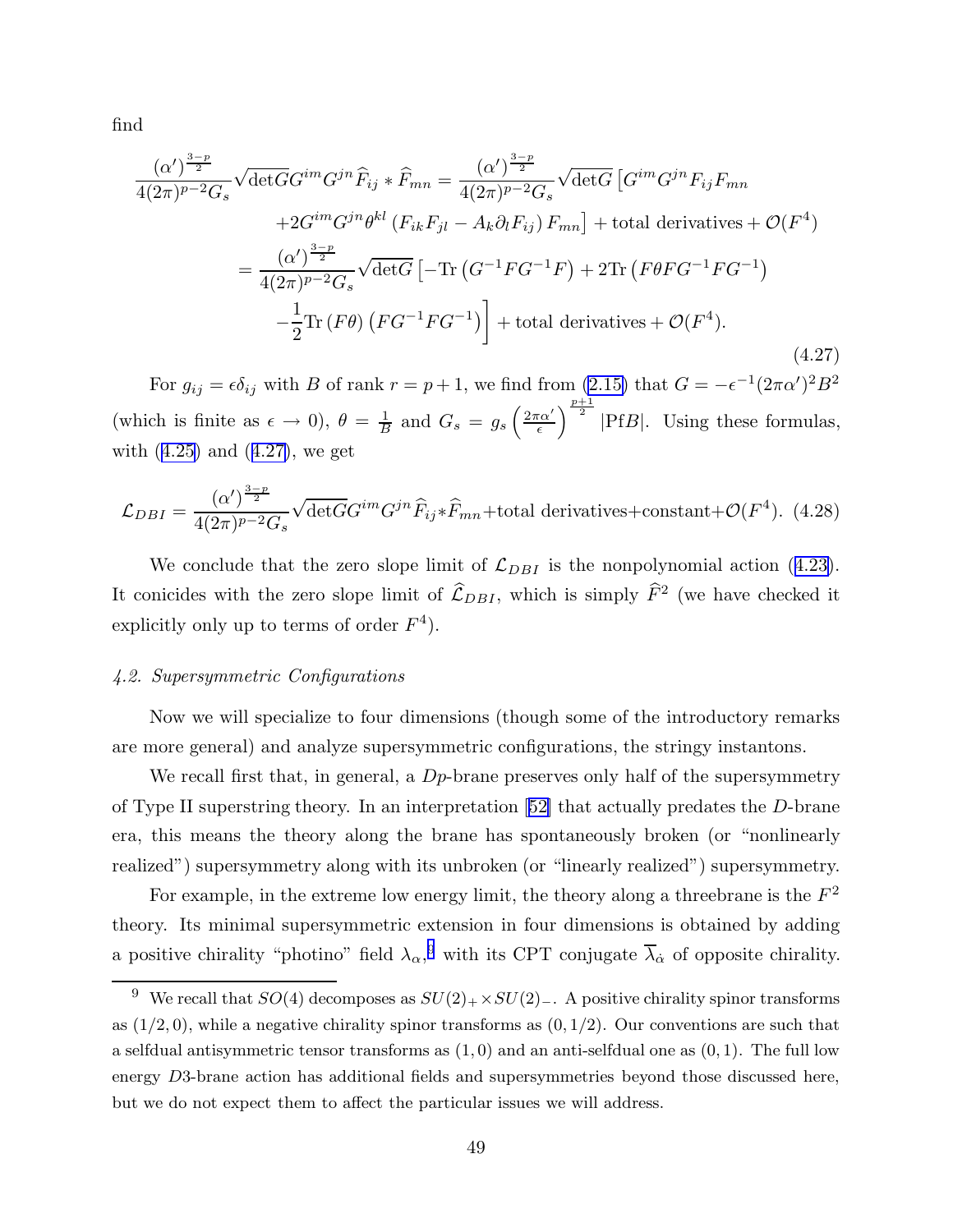find

$$
\frac{(\alpha')^{\frac{3-p}{2}}}{4(2\pi)^{p-2}G_s} \sqrt{\det G} G^{im} G^{jn} \widehat{F}_{ij} * \widehat{F}_{mn} = \frac{(\alpha')^{\frac{3-p}{2}}}{4(2\pi)^{p-2}G_s} \sqrt{\det G} \left[ G^{im} G^{jn} F_{ij} F_{mn} \right]
$$
  
+2G<sup>im</sup>G<sup>jn</sup> \theta<sup>kl</sup> (F<sub>ik</sub>F<sub>jl</sub> - A<sub>k</sub> \partial<sub>l</sub>F<sub>ij</sub>) F<sub>mn</sub>] + total derivatives + O(F<sup>4</sup>)  
= 
$$
\frac{(\alpha')^{\frac{3-p}{2}}}{4(2\pi)^{p-2}G_s} \sqrt{\det G} \left[ -\text{Tr} (G^{-1}FG^{-1}F) + 2\text{Tr} (F\theta FG^{-1}FG^{-1}) \right]
$$
  
- 
$$
\frac{1}{2} \text{Tr} (F\theta) (FG^{-1}FG^{-1}) \right] + \text{total derivatives} + O(F^4).
$$
(4.27)

For  $g_{ij} = \epsilon \delta_{ij}$  with B of rank  $r = p + 1$ , we find from  $(2.15)$  that  $G = -\epsilon^{-1}(2\pi\alpha')^2 B^2$ (which is finite as  $\epsilon \to 0$ ),  $\theta = \frac{1}{B}$  and  $G_s = g_s \left( \frac{2\pi\alpha'}{\epsilon} \right)$  $\epsilon$  $\int^{\frac{p+1}{2}}$  |PfB|. Using these formulas, with  $(4.25)$  $(4.25)$  and  $(4.27)$ , we get

$$
\mathcal{L}_{DBI} = \frac{(\alpha')^{\frac{3-p}{2}}}{4(2\pi)^{p-2}G_s} \sqrt{\det G} G^{im} G^{jn} \widehat{F}_{ij} * \widehat{F}_{mn} + \text{total derivatives} + \text{constant} + \mathcal{O}(F^4). \tag{4.28}
$$

We conclude that the zero slope limit of  $\mathcal{L}_{DBI}$  is the nonpolynomial action ([4.23\)](#page-48-0). It conicides with the zero slope limit of  $\hat{\mathcal{L}}_{DBI}$ , which is simply  $\hat{F}^2$  (we have checked it explicitly only up to terms of order  $F^4$ ).

### 4.2. Supersymmetric Configurations

Now we will specialize to four dimensions (though some of the introductory remarks are more general) and analyze supersymmetric configurations, the stringy instantons.

We recall first that, in general, a  $D_p$ -brane preserves only half of the supersymmetry of Type II superstring theory. In an interpretation [[52\]](#page-98-0) that actually predates the D-brane era, this means the theory along the brane has spontaneously broken (or "nonlinearly realized") supersymmetry along with its unbroken (or "linearly realized") supersymmetry.

For example, in the extreme low energy limit, the theory along a threebrane is the  $F^2$ theory. Its minimal supersymmetric extension in four dimensions is obtained by adding a positive chirality "photino" field  $\lambda_{\alpha}$ , with its CPT conjugate  $\overline{\lambda}_{\dot{\alpha}}$  of opposite chirality.

<sup>&</sup>lt;sup>9</sup> We recall that  $SO(4)$  decomposes as  $SU(2)_{+} \times SU(2)_{-}$ . A positive chirality spinor transforms as  $(1/2, 0)$ , while a negative chirality spinor transforms as  $(0, 1/2)$ . Our conventions are such that a selfdual antisymmetric tensor transforms as  $(1, 0)$  and an anti-selfdual one as  $(0, 1)$ . The full low energy D3-brane action has additional fields and supersymmetries beyond those discussed here, but we do not expect them to affect the particular issues we will address.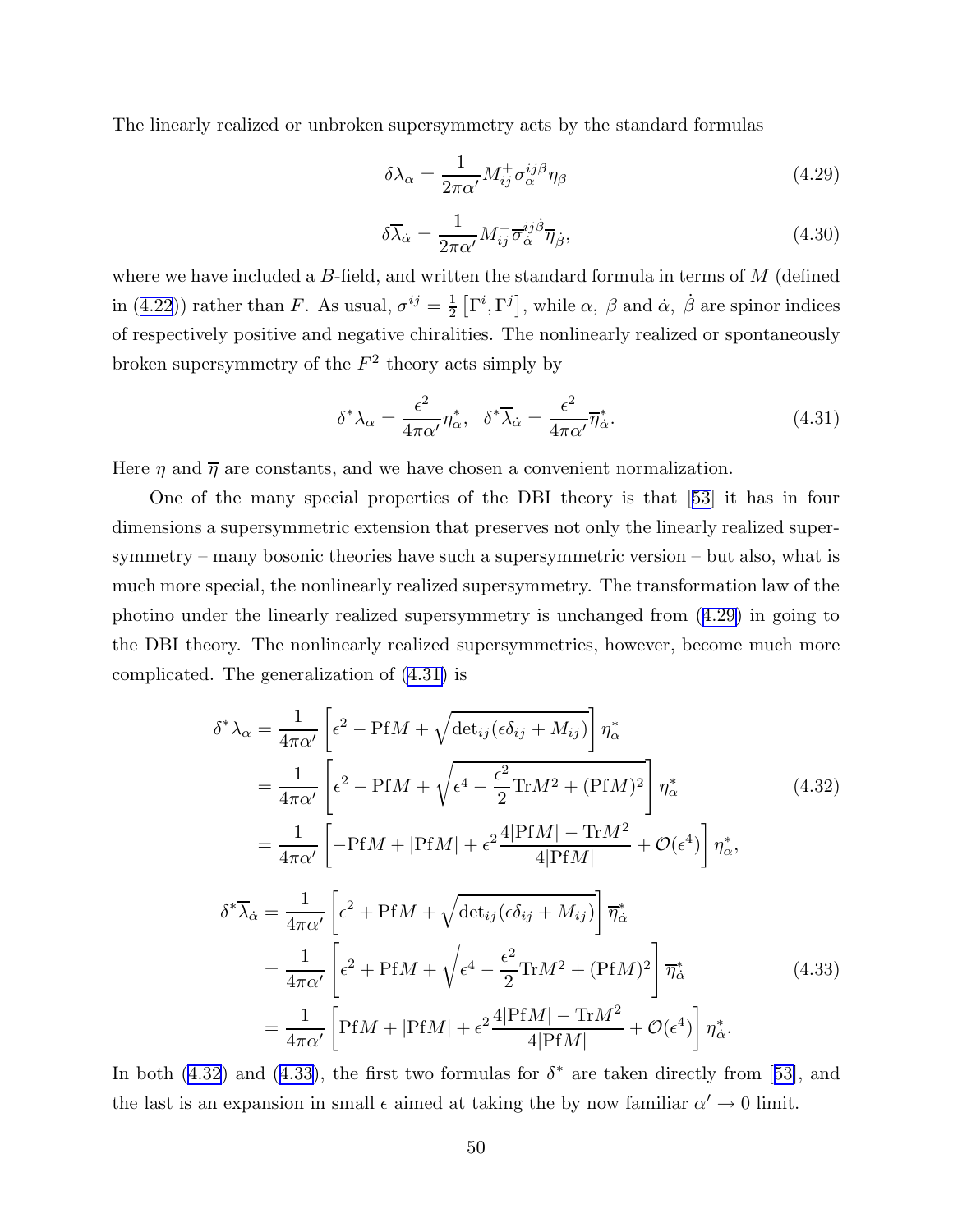<span id="page-50-0"></span>The linearly realized or unbroken supersymmetry acts by the standard formulas

$$
\delta\lambda_{\alpha} = \frac{1}{2\pi\alpha'} M_{ij}^{+} \sigma_{\alpha}^{ij\beta} \eta_{\beta}
$$
\n(4.29)

$$
\delta \overline{\lambda}_{\dot{\alpha}} = \frac{1}{2\pi\alpha'} M_{ij}^{-} \overline{\sigma}_{\dot{\alpha}}^{ij\dot{\beta}} \overline{\eta}_{\dot{\beta}},
$$
\n(4.30)

where we have included a  $B$ -field, and written the standard formula in terms of  $M$  (defined in ([4.22](#page-48-0))) rather than F. As usual,  $\sigma^{ij} = \frac{1}{2}$  $\frac{1}{2} \left[ \Gamma^i, \Gamma^j \right]$ , while  $\alpha$ ,  $\beta$  and  $\dot{\alpha}$ ,  $\dot{\beta}$  are spinor indices of respectively positive and negative chiralities. The nonlinearly realized or spontaneously broken supersymmetry of the  $F^2$  theory acts simply by

$$
\delta^* \lambda_\alpha = \frac{\epsilon^2}{4\pi \alpha'} \eta_\alpha^*, \quad \delta^* \overline{\lambda}_{\dot{\alpha}} = \frac{\epsilon^2}{4\pi \alpha'} \overline{\eta}_{\dot{\alpha}}^*.
$$
 (4.31)

Here  $\eta$  and  $\overline{\eta}$  are constants, and we have chosen a convenient normalization.

One of the many special properties of the DBI theory is that [[53\]](#page-98-0) it has in four dimensions a supersymmetric extension that preserves not only the linearly realized supersymmetry – many bosonic theories have such a supersymmetric version – but also, what is much more special, the nonlinearly realized supersymmetry. The transformation law of the photino under the linearly realized supersymmetry is unchanged from (4.29) in going to the DBI theory. The nonlinearly realized supersymmetries, however, become much more complicated. The generalization of (4.31) is

$$
\delta^* \lambda_{\alpha} = \frac{1}{4\pi\alpha'} \left[ \epsilon^2 - \text{Pf}M + \sqrt{\det_{ij}(\epsilon \delta_{ij} + M_{ij})} \right] \eta_{\alpha}^*
$$
  
\n
$$
= \frac{1}{4\pi\alpha'} \left[ \epsilon^2 - \text{Pf}M + \sqrt{\epsilon^4 - \frac{\epsilon^2}{2} \text{Tr}M^2 + (\text{Pf}M)^2} \right] \eta_{\alpha}^*
$$
(4.32)  
\n
$$
= \frac{1}{4\pi\alpha'} \left[ -\text{Pf}M + |\text{Pf}M| + \epsilon^2 \frac{4|\text{Pf}M| - \text{Tr}M^2}{4|\text{Pf}M|} + \mathcal{O}(\epsilon^4) \right] \eta_{\alpha}^*,
$$
  
\n
$$
\delta^* \overline{\lambda}_{\dot{\alpha}} = \frac{1}{4\pi\alpha'} \left[ \epsilon^2 + \text{Pf}M + \sqrt{\det_{ij}(\epsilon \delta_{ij} + M_{ij})} \right] \overline{\eta}_{\dot{\alpha}}^*
$$
  
\n
$$
= \frac{1}{4\pi\alpha'} \left[ \epsilon^2 + \text{Pf}M + \sqrt{\epsilon^4 - \frac{\epsilon^2}{2} \text{Tr}M^2 + (\text{Pf}M)^2} \right] \overline{\eta}_{\dot{\alpha}}^*
$$
(4.33)  
\n
$$
= \frac{1}{4\pi\alpha'} \left[ \text{Pf}M + |\text{Pf}M| + \epsilon^2 \frac{4|\text{Pf}M| - \text{Tr}M^2}{4|\text{Pf}M|} + \mathcal{O}(\epsilon^4) \right] \overline{\eta}_{\dot{\alpha}}^*.
$$

In both  $(4.32)$  and  $(4.33)$ , the first two formulas for  $\delta^*$  are taken directly from [[53\]](#page-98-0), and the last is an expansion in small  $\epsilon$  aimed at taking the by now familiar  $\alpha' \to 0$  limit.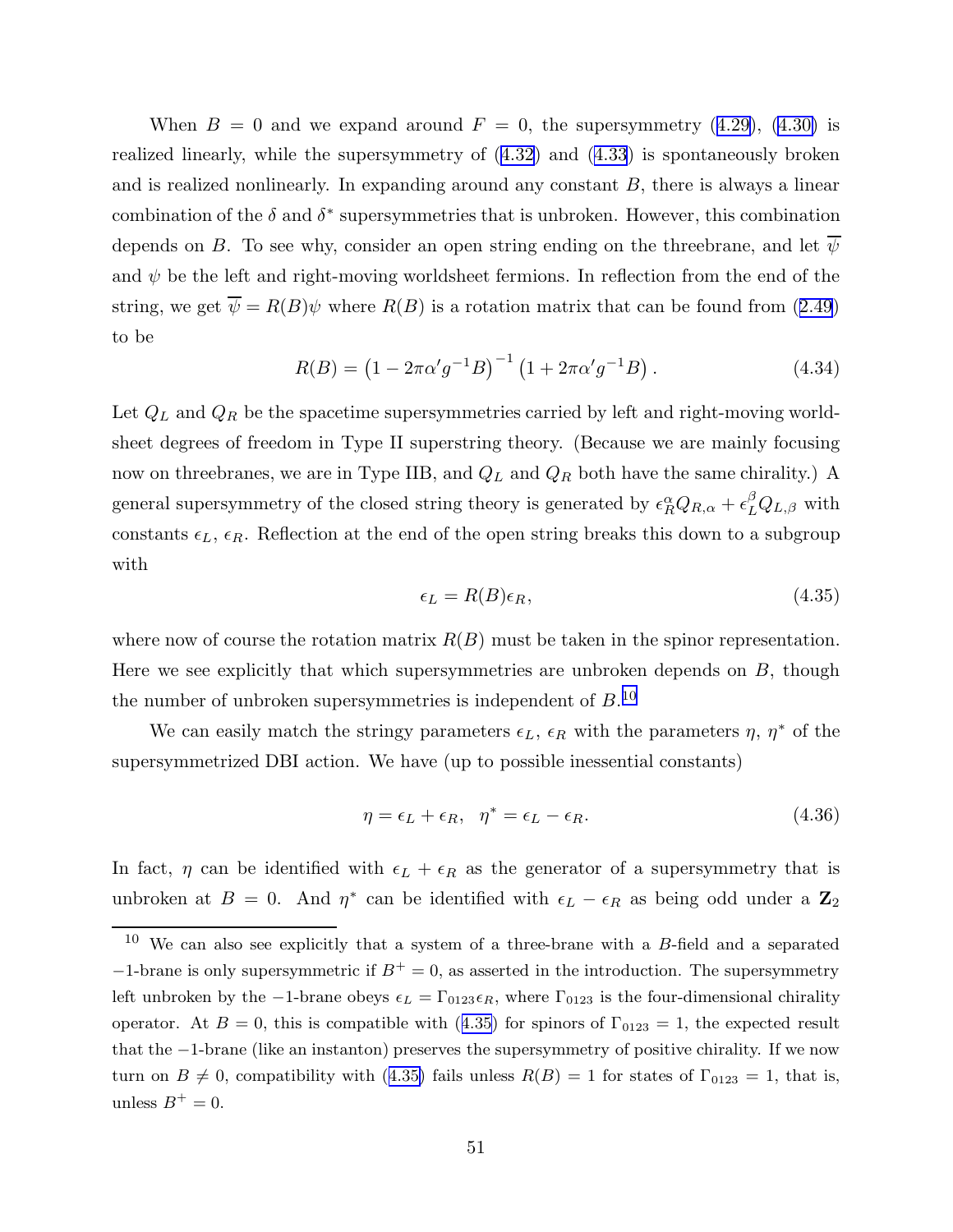<span id="page-51-0"></span>When  $B = 0$  and we expand around  $F = 0$ , the supersymmetry ([4.29\)](#page-50-0), [\(4.30\)](#page-50-0) is realized linearly, while the supersymmetry of ([4.32](#page-50-0)) and ([4.33](#page-50-0)) is spontaneously broken and is realized nonlinearly. In expanding around any constant  $B$ , there is always a linear combination of the  $\delta$  and  $\delta^*$  supersymmetries that is unbroken. However, this combination depends on B. To see why, consider an open string ending on the threebrane, and let  $\overline{\psi}$ and  $\psi$  be the left and right-moving worldsheet fermions. In reflection from the end of the string, we get  $\overline{\psi} = R(B)\psi$  where  $R(B)$  is a rotation matrix that can be found from ([2.49](#page-20-0)) to be

$$
R(B) = (1 - 2\pi\alpha' g^{-1} B)^{-1} (1 + 2\pi\alpha' g^{-1} B). \qquad (4.34)
$$

Let  $\mathcal{Q}_L$  and  $\mathcal{Q}_R$  be the spacetime supersymmetries carried by left and right-moving worldsheet degrees of freedom in Type II superstring theory. (Because we are mainly focusing now on threebranes, we are in Type IIB, and  $Q_L$  and  $Q_R$  both have the same chirality.) A general supersymmetry of the closed string theory is generated by  $\epsilon_R^{\alpha} Q_{R,\alpha} + \epsilon_L^{\beta} Q_{L,\beta}$  with constants  $\epsilon_L$ ,  $\epsilon_R$ . Reflection at the end of the open string breaks this down to a subgroup with

$$
\epsilon_L = R(B)\epsilon_R,\tag{4.35}
$$

where now of course the rotation matrix  $R(B)$  must be taken in the spinor representation. Here we see explicitly that which supersymmetries are unbroken depends on  $B$ , though the number of unbroken supersymmetries is independent of  $B^{10}$ .

We can easily match the stringy parameters  $\epsilon_L$ ,  $\epsilon_R$  with the parameters  $\eta$ ,  $\eta^*$  of the supersymmetrized DBI action. We have (up to possible inessential constants)

$$
\eta = \epsilon_L + \epsilon_R, \quad \eta^* = \epsilon_L - \epsilon_R. \tag{4.36}
$$

In fact,  $\eta$  can be identified with  $\epsilon_L + \epsilon_R$  as the generator of a supersymmetry that is unbroken at  $B = 0$ . And  $\eta^*$  can be identified with  $\epsilon_L - \epsilon_R$  as being odd under a  $\mathbb{Z}_2$ 

 $10$  We can also see explicitly that a system of a three-brane with a B-field and a separated  $-1$ -brane is only supersymmetric if  $B^+ = 0$ , as asserted in the introduction. The supersymmetry left unbroken by the -1-brane obeys  $\epsilon_L = \Gamma_{0123}\epsilon_R$ , where  $\Gamma_{0123}$  is the four-dimensional chirality operator. At  $B = 0$ , this is compatible with (4.35) for spinors of  $\Gamma_{0123} = 1$ , the expected result that the −1-brane (like an instanton) preserves the supersymmetry of positive chirality. If we now turn on  $B \neq 0$ , compatibility with (4.35) fails unless  $R(B) = 1$  for states of  $\Gamma_{0123} = 1$ , that is, unless  $B^+=0$ .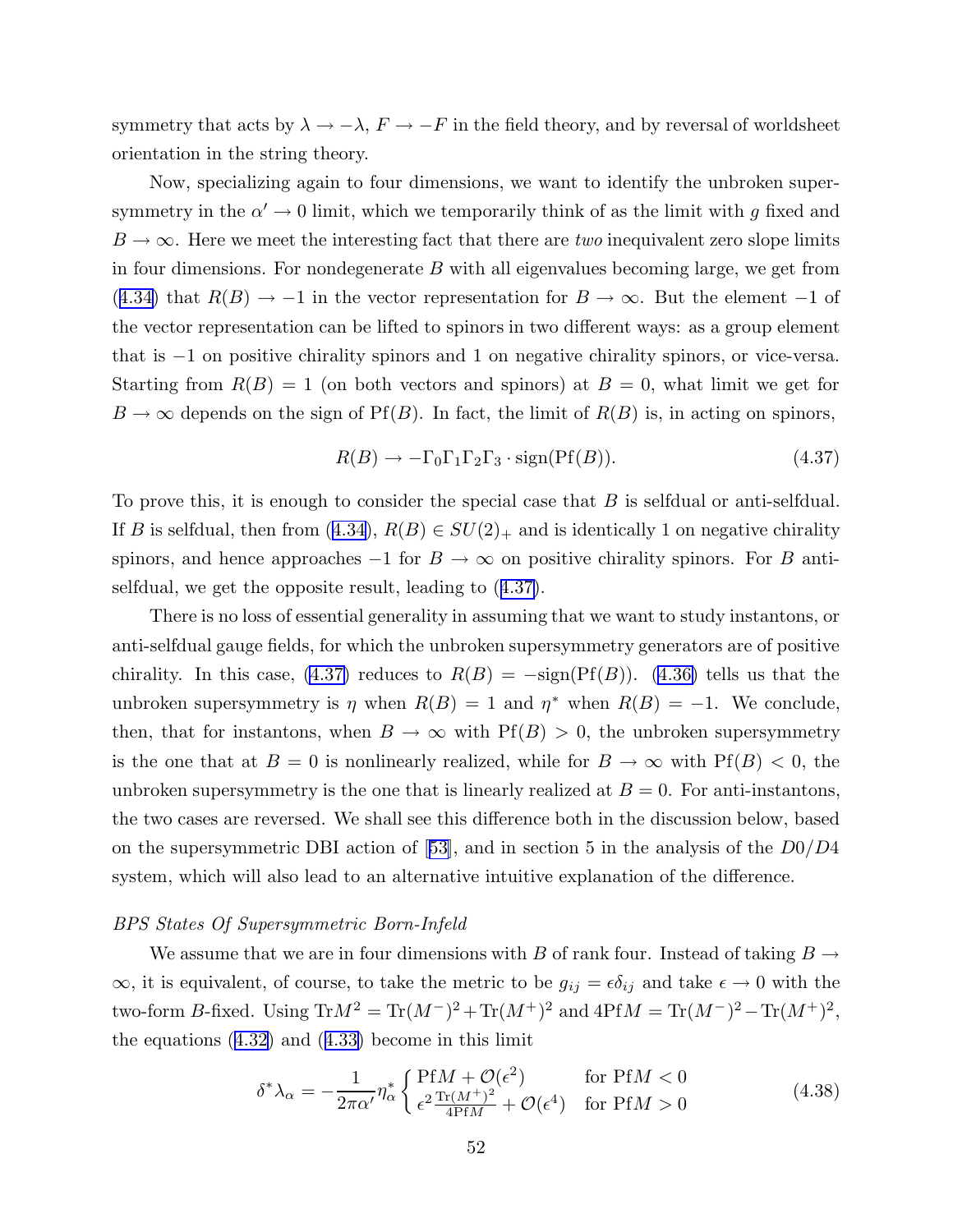<span id="page-52-0"></span>symmetry that acts by  $\lambda \to -\lambda$ ,  $F \to -F$  in the field theory, and by reversal of worldsheet orientation in the string theory.

Now, specializing again to four dimensions, we want to identify the unbroken supersymmetry in the  $\alpha' \to 0$  limit, which we temporarily think of as the limit with g fixed and  $B \to \infty$ . Here we meet the interesting fact that there are *two* inequivalent zero slope limits in four dimensions. For nondegenerate  $B$  with all eigenvalues becoming large, we get from ([4.34\)](#page-51-0) that  $R(B) \rightarrow -1$  in the vector representation for  $B \rightarrow \infty$ . But the element -1 of the vector representation can be lifted to spinors in two different ways: as a group element that is −1 on positive chirality spinors and 1 on negative chirality spinors, or vice-versa. Starting from  $R(B) = 1$  (on both vectors and spinors) at  $B = 0$ , what limit we get for  $B \to \infty$  depends on the sign of Pf(B). In fact, the limit of  $R(B)$  is, in acting on spinors,

$$
R(B) \to -\Gamma_0 \Gamma_1 \Gamma_2 \Gamma_3 \cdot \text{sign}(\text{Pf}(B)). \tag{4.37}
$$

To prove this, it is enough to consider the special case that B is selfdual or anti-selfdual. If B is selfdual, then from ([4.34\)](#page-51-0),  $R(B) \in SU(2)_+$  and is identically 1 on negative chirality spinors, and hence approaches  $-1$  for  $B \to \infty$  on positive chirality spinors. For B antiselfdual, we get the opposite result, leading to (4.37).

There is no loss of essential generality in assuming that we want to study instantons, or anti-selfdual gauge fields, for which the unbroken supersymmetry generators are of positive chirality. In this case, (4.37) reduces to  $R(B) = -\text{sign}(Pf(B))$ . [\(4.36\)](#page-51-0) tells us that the unbroken supersymmetry is  $\eta$  when  $R(B) = 1$  and  $\eta^*$  when  $R(B) = -1$ . We conclude, then, that for instantons, when  $B \to \infty$  with Pf(B) > 0, the unbroken supersymmetry is the one that at  $B = 0$  is nonlinearly realized, while for  $B \to \infty$  with  $Pf(B) < 0$ , the unbroken supersymmetry is the one that is linearly realized at  $B = 0$ . For anti-instantons, the two cases are reversed. We shall see this difference both in the discussion below, based on the supersymmetric DBI action of [[53\]](#page-98-0), and in section 5 in the analysis of the  $D0/D4$ system, which will also lead to an alternative intuitive explanation of the difference.

#### BPS States Of Supersymmetric Born-Infeld

We assume that we are in four dimensions with B of rank four. Instead of taking  $B \to$  $\infty$ , it is equivalent, of course, to take the metric to be  $g_{ij} = \epsilon \delta_{ij}$  and take  $\epsilon \to 0$  with the two-form B-fixed. Using  $\text{Tr}M^2 = \text{Tr}(M^-)^2 + \text{Tr}(M^+)^2$  and  $4\text{Pf}M = \text{Tr}(M^-)^2 - \text{Tr}(M^+)^2$ , the equations  $(4.32)$  $(4.32)$  and  $(4.33)$  $(4.33)$  become in this limit

$$
\delta^* \lambda_\alpha = -\frac{1}{2\pi \alpha'} \eta_\alpha^* \begin{cases} \text{Pf}M + \mathcal{O}(\epsilon^2) & \text{for } \text{Pf}M < 0\\ \epsilon^2 \frac{\text{Tr}(M^+)^2}{4\text{Pf}M} + \mathcal{O}(\epsilon^4) & \text{for } \text{Pf}M > 0 \end{cases} \tag{4.38}
$$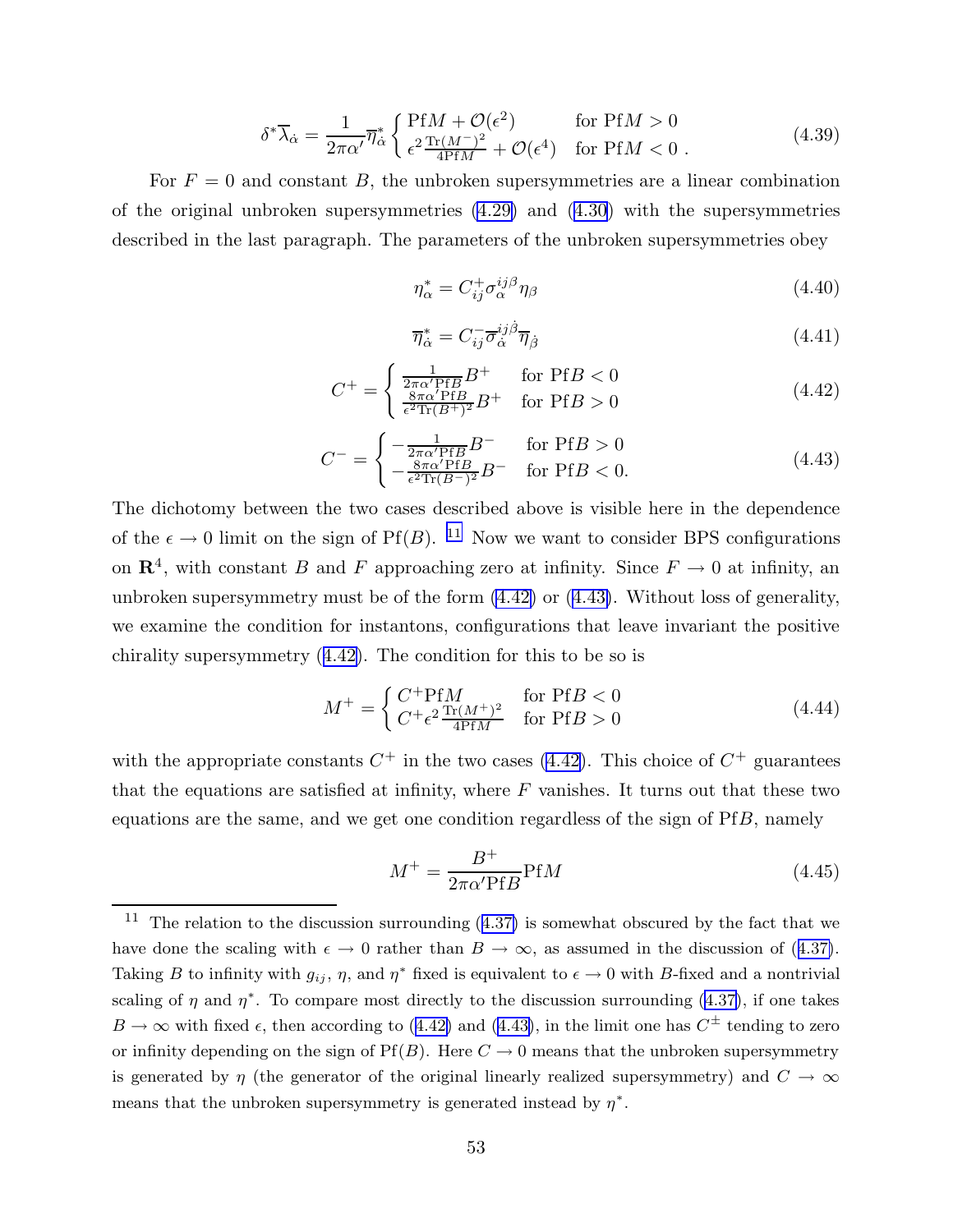$$
\delta^* \overline{\lambda}_{\dot{\alpha}} = \frac{1}{2\pi \alpha'} \overline{\eta}_{\dot{\alpha}}^* \begin{cases} \text{Pf}M + \mathcal{O}(\epsilon^2) & \text{for } \text{Pf}M > 0\\ \epsilon^2 \frac{\text{Tr}(M^-)^2}{4\text{Pf}M} + \mathcal{O}(\epsilon^4) & \text{for } \text{Pf}M < 0 \end{cases}
$$
(4.39)

<span id="page-53-0"></span>For  $F = 0$  and constant B, the unbroken supersymmetries are a linear combination of the original unbroken supersymmetries [\(4.29\)](#page-50-0) and ([4.30](#page-50-0)) with the supersymmetries described in the last paragraph. The parameters of the unbroken supersymmetries obey

$$
\eta_{\alpha}^* = C_{ij}^+ \sigma_{\alpha}^{ij\beta} \eta_{\beta} \tag{4.40}
$$

$$
\overline{\eta}_{\dot{\alpha}}^* = C_{ij}^- \overline{\sigma}_{\dot{\alpha}}^{ij\dot{\beta}} \overline{\eta}_{\dot{\beta}} \tag{4.41}
$$

$$
C^{+} = \begin{cases} \frac{1}{2\pi\alpha' \text{Pf}B} B^{+} & \text{for } \text{Pf}B < 0\\ \frac{8\pi\alpha' \text{Pf}B}{\epsilon^{2}\text{Tr}(B^{+})^{2}} B^{+} & \text{for } \text{Pf}B > 0 \end{cases}
$$
(4.42)

$$
C^{-} = \begin{cases} -\frac{1}{2\pi\alpha' \text{Pf}B} B^{-} & \text{for } \text{Pf}B > 0\\ -\frac{8\pi\alpha' \text{Pf}B}{\epsilon^{2}\text{Tr}(B^{-})^{2}} B^{-} & \text{for } \text{Pf}B < 0. \end{cases}
$$
(4.43)

The dichotomy between the two cases described above is visible here in the dependence of the  $\epsilon \to 0$  limit on the sign of Pf(B). <sup>11</sup> Now we want to consider BPS configurations on  $\mathbb{R}^4$ , with constant B and F approaching zero at infinity. Since  $F \to 0$  at infinity, an unbroken supersymmetry must be of the form (4.42) or (4.43). Without loss of generality, we examine the condition for instantons, configurations that leave invariant the positive chirality supersymmetry (4.42). The condition for this to be so is

$$
M^{+} = \begin{cases} C^{+}PfM & \text{for } PfB < 0\\ C^{+}\epsilon^{2} \frac{\text{Tr}(M^{+})^{2}}{4PfM} & \text{for } PfB > 0 \end{cases}
$$
 (4.44)

with the appropriate constants  $C^+$  in the two cases (4.42). This choice of  $C^+$  guarantees that the equations are satisfied at infinity, where  $F$  vanishes. It turns out that these two equations are the same, and we get one condition regardless of the sign of PfB, namely

$$
M^{+} = \frac{B^{+}}{2\pi\alpha' \text{Pf}B} \text{Pf}M\tag{4.45}
$$

<sup>&</sup>lt;sup>11</sup> The relation to the discussion surrounding  $(4.37)$  $(4.37)$  is somewhat obscured by the fact that we have done the scaling with  $\epsilon \to 0$  rather than  $B \to \infty$ , as assumed in the discussion of ([4.37\)](#page-52-0). Taking B to infinity with  $g_{ij}$ ,  $\eta$ , and  $\eta^*$  fixed is equivalent to  $\epsilon \to 0$  with B-fixed and a nontrivial scaling of  $\eta$  and  $\eta^*$ . To compare most directly to the discussion surrounding [\(4.37\)](#page-52-0), if one takes  $B \to \infty$  with fixed  $\epsilon$ , then according to (4.42) and (4.43), in the limit one has  $C^{\pm}$  tending to zero or infinity depending on the sign of  $Pf(B)$ . Here  $C \rightarrow 0$  means that the unbroken supersymmetry is generated by  $\eta$  (the generator of the original linearly realized supersymmetry) and  $C \to \infty$ means that the unbroken supersymmetry is generated instead by  $\eta^*$ .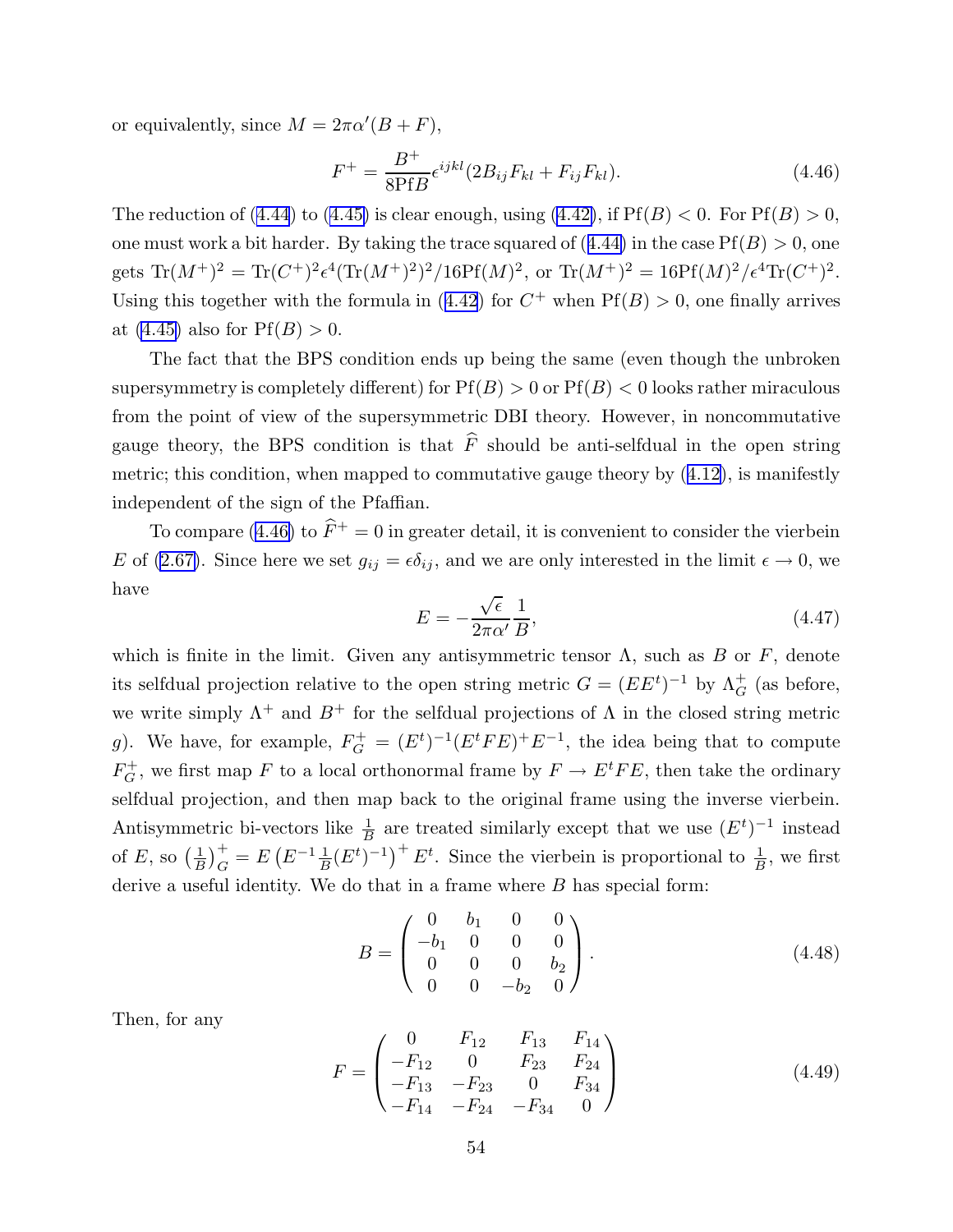<span id="page-54-0"></span>or equivalently, since  $M = 2\pi\alpha'(B + F)$ ,

$$
F^{+} = \frac{B^{+}}{8\text{Pf}B} \epsilon^{ijkl} (2B_{ij}F_{kl} + F_{ij}F_{kl}).
$$
\n(4.46)

The reduction of ([4.44](#page-53-0)) to [\(4.45\)](#page-53-0) is clear enough, using [\(4.42\)](#page-53-0), if  $Pf(B) < 0$ . For  $Pf(B) > 0$ , one must work a bit harder. By taking the trace squared of  $(4.44)$  $(4.44)$  in the case  $Pf(B) > 0$ , one gets  $\text{Tr}(M^+)^2 = \text{Tr}(C^+)^2 \epsilon^4 (\text{Tr}(M^+)^2)^2 / 16 \text{Pf}(M)^2$ , or  $\text{Tr}(M^+)^2 = 16 \text{Pf}(M)^2 / \epsilon^4 \text{Tr}(C^+)^2$ . Using this together with the formula in ([4.42](#page-53-0)) for  $C^+$  when  $Pf(B) > 0$ , one finally arrives at  $(4.45)$  also for  $Pf(B) > 0$ .

The fact that the BPS condition ends up being the same (even though the unbroken supersymmetry is completely different) for  $Pf(B) > 0$  or  $Pf(B) < 0$  looks rather miraculous from the point of view of the supersymmetric DBI theory. However, in noncommutative gauge theory, the BPS condition is that  $\hat{F}$  should be anti-selfdual in the open string metric; this condition, when mapped to commutative gauge theory by ([4.12\)](#page-45-0), is manifestly independent of the sign of the Pfaffian.

To compare (4.46) to  $\hat{F}^+ = 0$  in greater detail, it is convenient to consider the vierbein E of [\(2.67\)](#page-28-0). Since here we set  $g_{ij} = \epsilon \delta_{ij}$ , and we are only interested in the limit  $\epsilon \to 0$ , we have

$$
E = -\frac{\sqrt{\epsilon}}{2\pi\alpha'} \frac{1}{B},\tag{4.47}
$$

which is finite in the limit. Given any antisymmetric tensor  $\Lambda$ , such as B or F, denote its selfdual projection relative to the open string metric  $G = (EE<sup>t</sup>)<sup>-1</sup>$  by  $\Lambda_G^+$  (as before, we write simply  $\Lambda^+$  and  $B^+$  for the selfdual projections of  $\Lambda$  in the closed string metric g). We have, for example,  $F_G^+ = (E^t)^{-1}(E^t F E)^+ E^{-1}$ , the idea being that to compute  $F_G^+$ , we first map F to a local orthonormal frame by  $F \to E^t F E$ , then take the ordinary selfdual projection, and then map back to the original frame using the inverse vierbein. Antisymmetric bi-vectors like  $\frac{1}{R}$  $\frac{1}{B}$  are treated similarly except that we use  $(E^t)^{-1}$  instead of E, so  $\left(\frac{1}{B}\right)$  $\frac{1}{B}$ <sub>G</sub> $\frac{1}{B}$  $\left(E^{-1} \frac{1}{B} (E^t)^{-1}\right)^+ E^t$ . Since the vierbein is proportional to  $\frac{1}{B}$  $\frac{1}{B}$ , we first derive a useful identity. We do that in a frame where  $B$  has special form:

$$
B = \begin{pmatrix} 0 & b_1 & 0 & 0 \\ -b_1 & 0 & 0 & 0 \\ 0 & 0 & 0 & b_2 \\ 0 & 0 & -b_2 & 0 \end{pmatrix}.
$$
 (4.48)

Then, for any

$$
F = \begin{pmatrix} 0 & F_{12} & F_{13} & F_{14} \\ -F_{12} & 0 & F_{23} & F_{24} \\ -F_{13} & -F_{23} & 0 & F_{34} \\ -F_{14} & -F_{24} & -F_{34} & 0 \end{pmatrix}
$$
(4.49)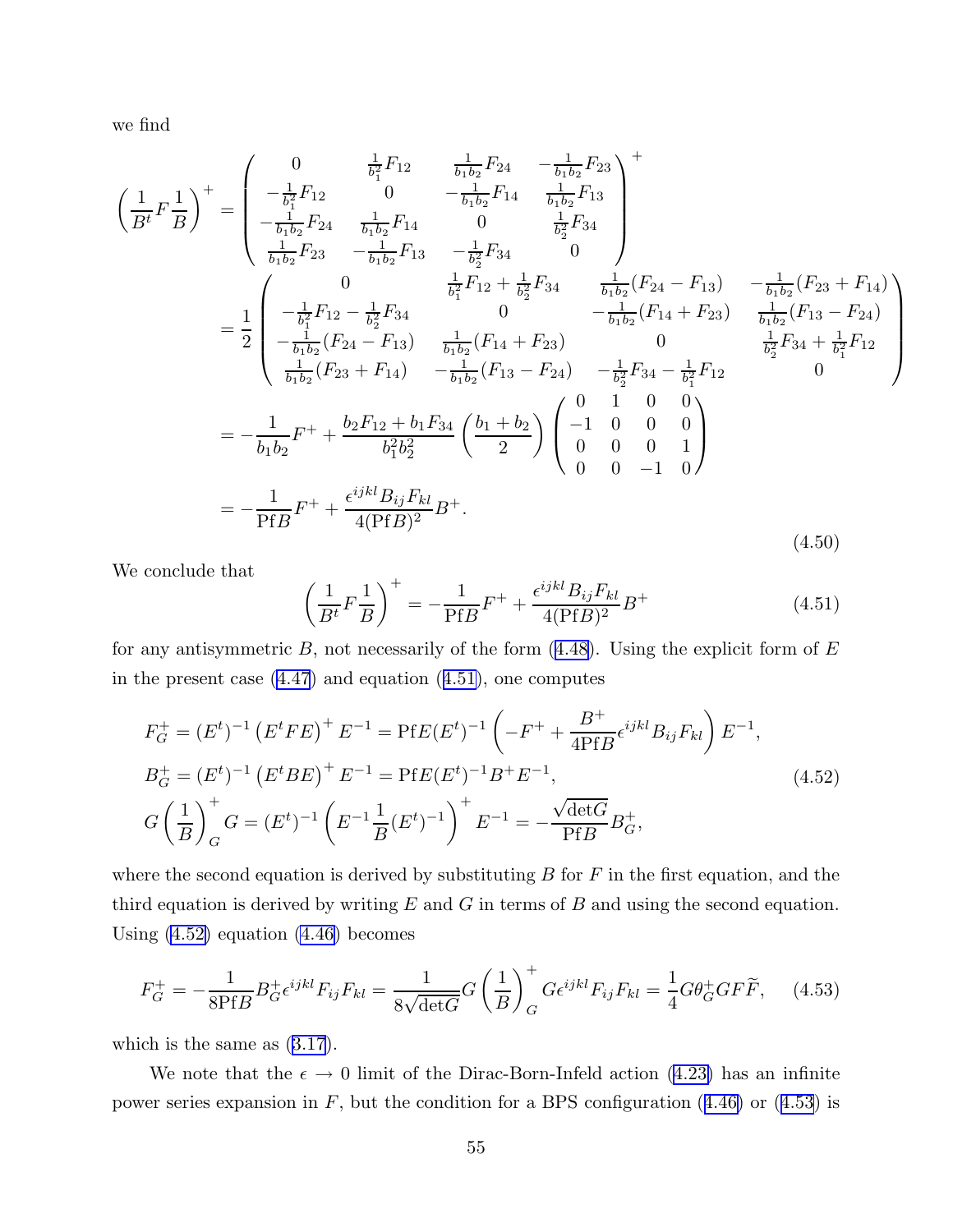<span id="page-55-0"></span>we find

$$
\left(\frac{1}{B^{t}}F\frac{1}{B}\right)^{+} = \begin{pmatrix}\n0 & \frac{1}{b_{1}^{2}}F_{12} & \frac{1}{b_{1}b_{2}}F_{24} & -\frac{1}{b_{1}b_{2}}F_{23} \\
-\frac{1}{b_{1}^{2}}F_{12} & 0 & -\frac{1}{b_{1}b_{2}}F_{14} & \frac{1}{b_{1}b_{2}}F_{13} \\
-\frac{1}{b_{1}b_{2}}F_{23} & -\frac{1}{b_{1}b_{2}}F_{13} & -\frac{1}{b_{2}^{2}}F_{34} & 0\n\end{pmatrix}
$$
\n
$$
= \frac{1}{2} \begin{pmatrix}\n0 & \frac{1}{b_{1}^{2}}F_{12} + \frac{1}{b_{2}^{2}}F_{34} \\
-\frac{1}{b_{1}b_{2}}F_{12} - \frac{1}{b_{2}^{2}}F_{34} & 0 & -\frac{1}{b_{1}b_{2}}(F_{24} - F_{13}) & -\frac{1}{b_{1}b_{2}}(F_{23} + F_{14}) \\
-\frac{1}{b_{1}^{2}}(F_{12} - F_{13}) & \frac{1}{b_{1}b_{2}}(F_{14} + F_{23}) & 0 & \frac{1}{b_{2}}(F_{13} - F_{24}) \\
-\frac{1}{b_{1}b_{2}}(F_{23} + F_{14}) & -\frac{1}{b_{1}b_{2}}(F_{13} - F_{24}) & -\frac{1}{b_{2}^{2}}F_{34} - \frac{1}{b_{2}^{2}}F_{34} + \frac{1}{b_{2}^{2}}F_{12} \\
0 & 0 & \frac{1}{b_{2}^{2}}F_{34} + \frac{1}{b_{1}^{2}}F_{12}\n\end{pmatrix}
$$
\n
$$
= -\frac{1}{b_{1}b_{2}}F^{+} + \frac{b_{2}F_{12} + b_{1}F_{34}}{b_{1}^{2}b_{2}^{2}} \left(\frac{b_{1} + b_{2}}{2}\right) \begin{pmatrix}\n0 & 1 & 0 & 0 \\
-1 & 0 & 0 & 0 \\
0 & 0 & 0 & 1 \\
0 & 0 & -1 & 0\n\end{pmatrix}
$$
\n
$$
= -\
$$

We conclude that

$$
\left(\frac{1}{B^t}F\frac{1}{B}\right)^+ = -\frac{1}{\text{Pf}B}F^+ + \frac{\epsilon^{ijkl}B_{ij}F_{kl}}{4(\text{Pf}B)^2}B^+\tag{4.51}
$$

for any antisymmetric  $B$ , not necessarily of the form  $(4.48)$  $(4.48)$ . Using the explicit form of  $E$ in the present case [\(4.47](#page-54-0)) and equation (4.51), one computes

$$
F_G^+ = (E^t)^{-1} (E^t F E)^+ E^{-1} = PfE(E^t)^{-1} \left( -F^+ + \frac{B^+}{4PfB} \epsilon^{ijkl} B_{ij} F_{kl} \right) E^{-1},
$$
  
\n
$$
B_G^+ = (E^t)^{-1} (E^t BE)^+ E^{-1} = PfE(E^t)^{-1} B^+ E^{-1},
$$
  
\n
$$
G\left(\frac{1}{B}\right)_G^+ G = (E^t)^{-1} \left(E^{-1} \frac{1}{B} (E^t)^{-1}\right)^+ E^{-1} = -\frac{\sqrt{\det G}}{PfB} B_G^+,
$$
\n(4.52)

where the second equation is derived by substituting  $B$  for  $F$  in the first equation, and the third equation is derived by writing  $E$  and  $G$  in terms of  $B$  and using the second equation. Using  $(4.52)$  equation  $(4.46)$  becomes

$$
F_G^+ = -\frac{1}{8PfB} B_G^+ \epsilon^{ijkl} F_{ij} F_{kl} = \frac{1}{8\sqrt{\det G}} G \left(\frac{1}{B}\right)_G^+ G \epsilon^{ijkl} F_{ij} F_{kl} = \frac{1}{4} G \theta_G^+ G F \widetilde{F}, \quad (4.53)
$$

which is the same as ([3.17](#page-33-0)).

We note that the  $\epsilon \to 0$  limit of the Dirac-Born-Infeld action [\(4.23\)](#page-48-0) has an infinite power series expansion in  $F$ , but the condition for a BPS configuration ([4.46\)](#page-54-0) or (4.53) is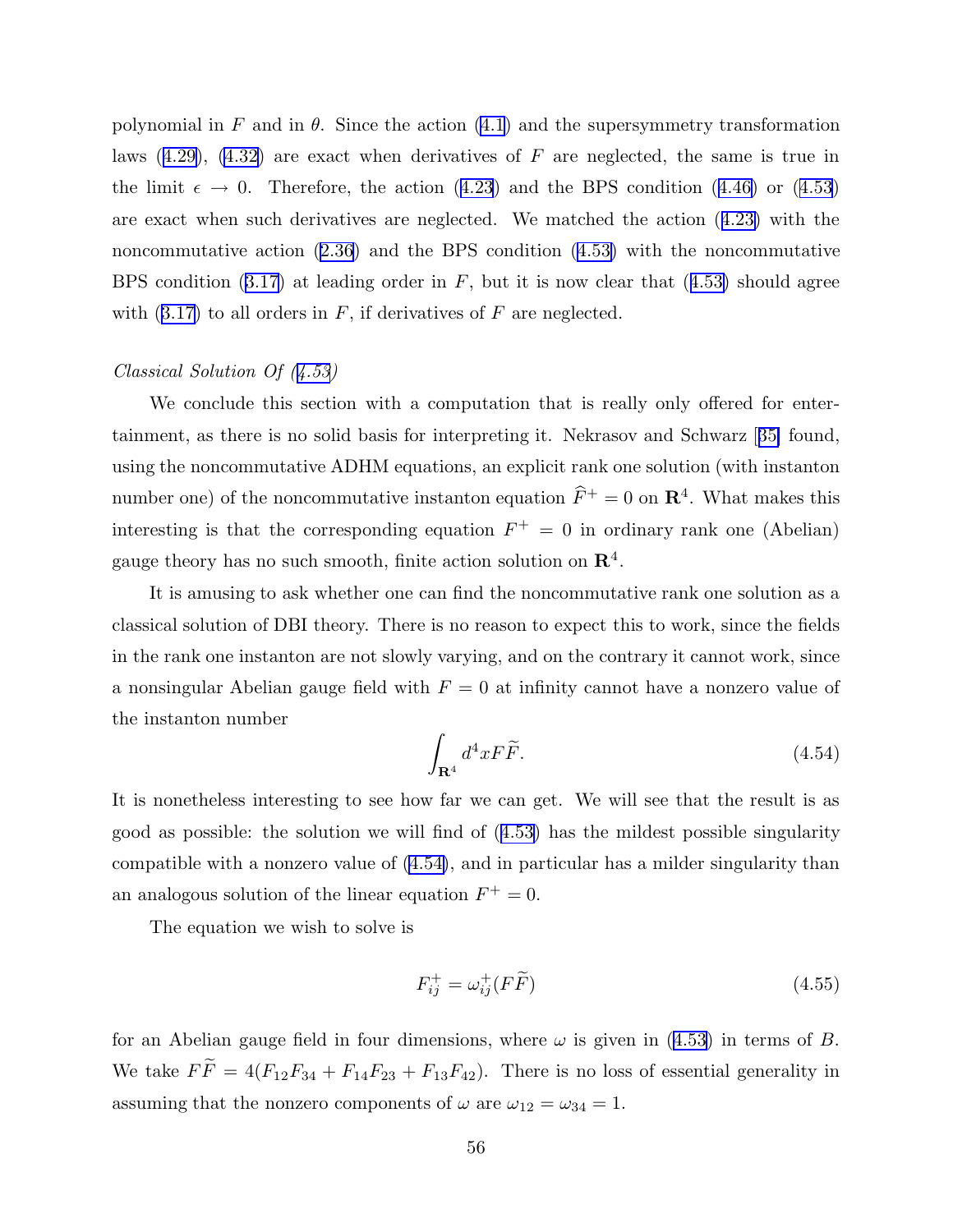<span id="page-56-0"></span>polynomial in F and in  $\theta$ . Since the action [\(4.1](#page-42-0)) and the supersymmetry transformation laws  $(4.29)$  $(4.29)$ ,  $(4.32)$  are exact when derivatives of F are neglected, the same is true in the limit  $\epsilon \to 0$ . Therefore, the action ([4.23](#page-48-0)) and the BPS condition ([4.46\)](#page-54-0) or ([4.53](#page-55-0)) are exact when such derivatives are neglected. We matched the action ([4.23\)](#page-48-0) with the noncommutative action ([2.36](#page-16-0)) and the BPS condition [\(4.53\)](#page-55-0) with the noncommutative BPS condition  $(3.17)$  $(3.17)$  at leading order in F, but it is now clear that  $(4.53)$  $(4.53)$  should agree with  $(3.17)$  $(3.17)$  to all orders in F, if derivatives of F are neglected.

# Classical Solution Of ([4.53\)](#page-55-0)

We conclude this section with a computation that is really only offered for entertainment, as there is no solid basis for interpreting it. Nekrasov and Schwarz [[35\]](#page-97-0) found, using the noncommutative ADHM equations, an explicit rank one solution (with instanton number one) of the noncommutative instanton equation  $\hat{F}^+ = 0$  on  $\mathbb{R}^4$ . What makes this interesting is that the corresponding equation  $F^+ = 0$  in ordinary rank one (Abelian) gauge theory has no such smooth, finite action solution on  $\mathbb{R}^4$ .

It is amusing to ask whether one can find the noncommutative rank one solution as a classical solution of DBI theory. There is no reason to expect this to work, since the fields in the rank one instanton are not slowly varying, and on the contrary it cannot work, since a nonsingular Abelian gauge field with  $F = 0$  at infinity cannot have a nonzero value of the instanton number

$$
\int_{\mathbf{R}^4} d^4x F \widetilde{F}.\tag{4.54}
$$

It is nonetheless interesting to see how far we can get. We will see that the result is as good as possible: the solution we will find of ([4.53\)](#page-55-0) has the mildest possible singularity compatible with a nonzero value of (4.54), and in particular has a milder singularity than an analogous solution of the linear equation  $F^+ = 0$ .

The equation we wish to solve is

$$
F_{ij}^+ = \omega_{ij}^+(F\widetilde{F})\tag{4.55}
$$

for an Abelian gauge field in four dimensions, where  $\omega$  is given in ([4.53](#page-55-0)) in terms of B. We take  $F\widetilde{F} = 4(F_{12}F_{34} + F_{14}F_{23} + F_{13}F_{42})$ . There is no loss of essential generality in assuming that the nonzero components of  $\omega$  are  $\omega_{12} = \omega_{34} = 1$ .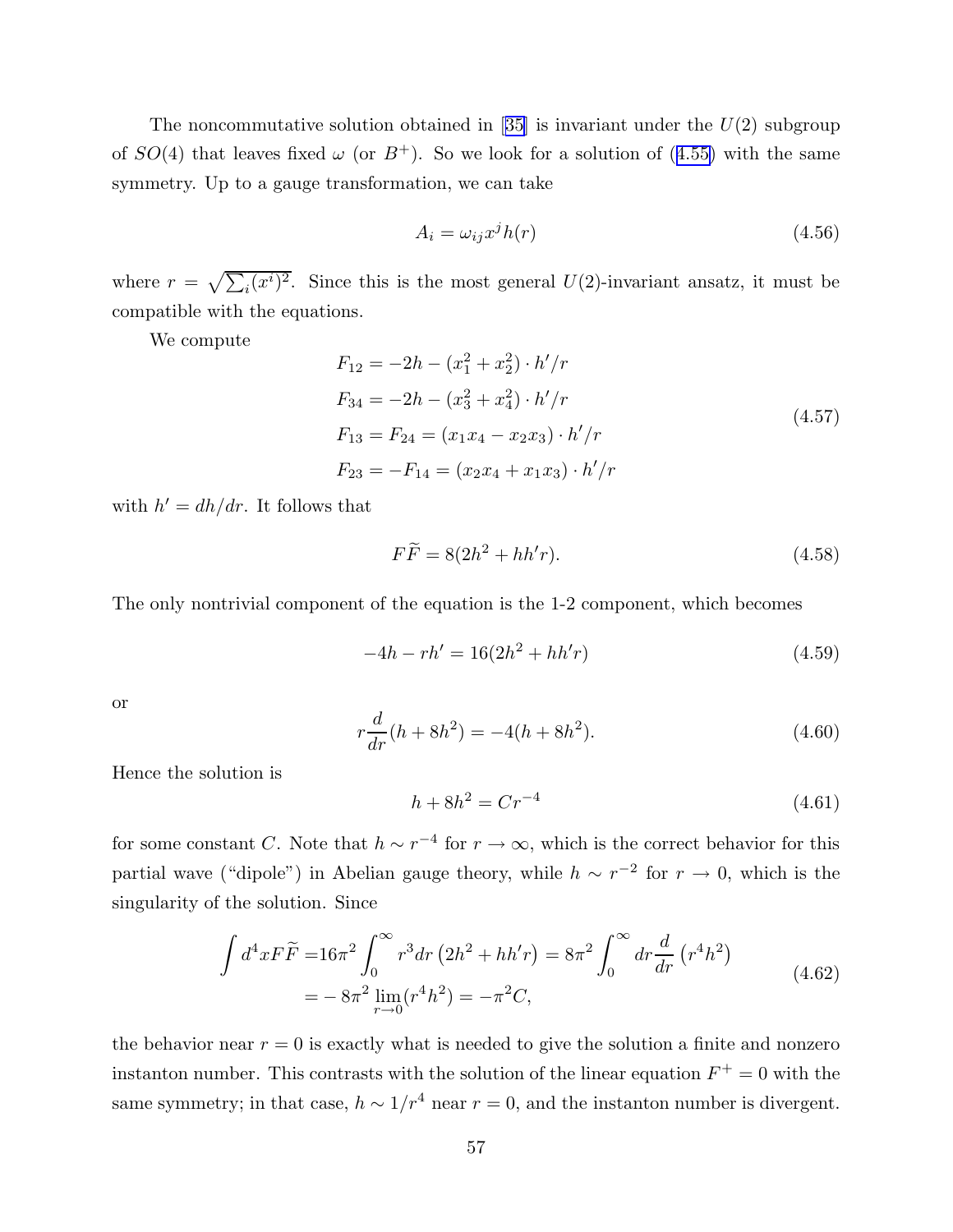The noncommutative solution obtained in [[35\]](#page-97-0) is invariant under the  $U(2)$  subgroup of  $SO(4)$  that leaves fixed  $\omega$  (or  $B^+$ ). So we look for a solution of (4.[55\)](#page-56-0) with the same symmetry. Up to a gauge transformation, we can take

$$
A_i = \omega_{ij} x^j h(r) \tag{4.56}
$$

where  $r = \sqrt{\sum_i (x^i)^2}$ . Since this is the most general U(2)-invariant ansatz, it must be compatible with the equations.

We compute

$$
F_{12} = -2h - (x_1^2 + x_2^2) \cdot h'/r
$$
  
\n
$$
F_{34} = -2h - (x_3^2 + x_4^2) \cdot h'/r
$$
  
\n
$$
F_{13} = F_{24} = (x_1x_4 - x_2x_3) \cdot h'/r
$$
  
\n
$$
F_{23} = -F_{14} = (x_2x_4 + x_1x_3) \cdot h'/r
$$
\n(4.57)

with  $h' = dh/dr$ . It follows that

$$
F\widetilde{F} = 8(2h^2 + hh'r). \tag{4.58}
$$

The only nontrivial component of the equation is the 1-2 component, which becomes

$$
-4h - rh' = 16(2h^2 + hh'r)
$$
\n(4.59)

or

$$
r\frac{d}{dr}(h+8h^2) = -4(h+8h^2). \tag{4.60}
$$

Hence the solution is

$$
h + 8h^2 = Cr^{-4}
$$
\n(4.61)

for some constant C. Note that  $h \sim r^{-4}$  for  $r \to \infty$ , which is the correct behavior for this partial wave ("dipole") in Abelian gauge theory, while  $h \sim r^{-2}$  for  $r \to 0$ , which is the singularity of the solution. Since

$$
\int d^4x F\widetilde{F} = 16\pi^2 \int_0^\infty r^3 dr \left(2h^2 + hh'r\right) = 8\pi^2 \int_0^\infty dr \frac{d}{dr} \left(r^4 h^2\right)
$$
  
=  $-8\pi^2 \lim_{r \to 0} (r^4 h^2) = -\pi^2 C,$  (4.62)

the behavior near  $r = 0$  is exactly what is needed to give the solution a finite and nonzero instanton number. This contrasts with the solution of the linear equation  $F^+ = 0$  with the same symmetry; in that case,  $h \sim 1/r^4$  near  $r = 0$ , and the instanton number is divergent.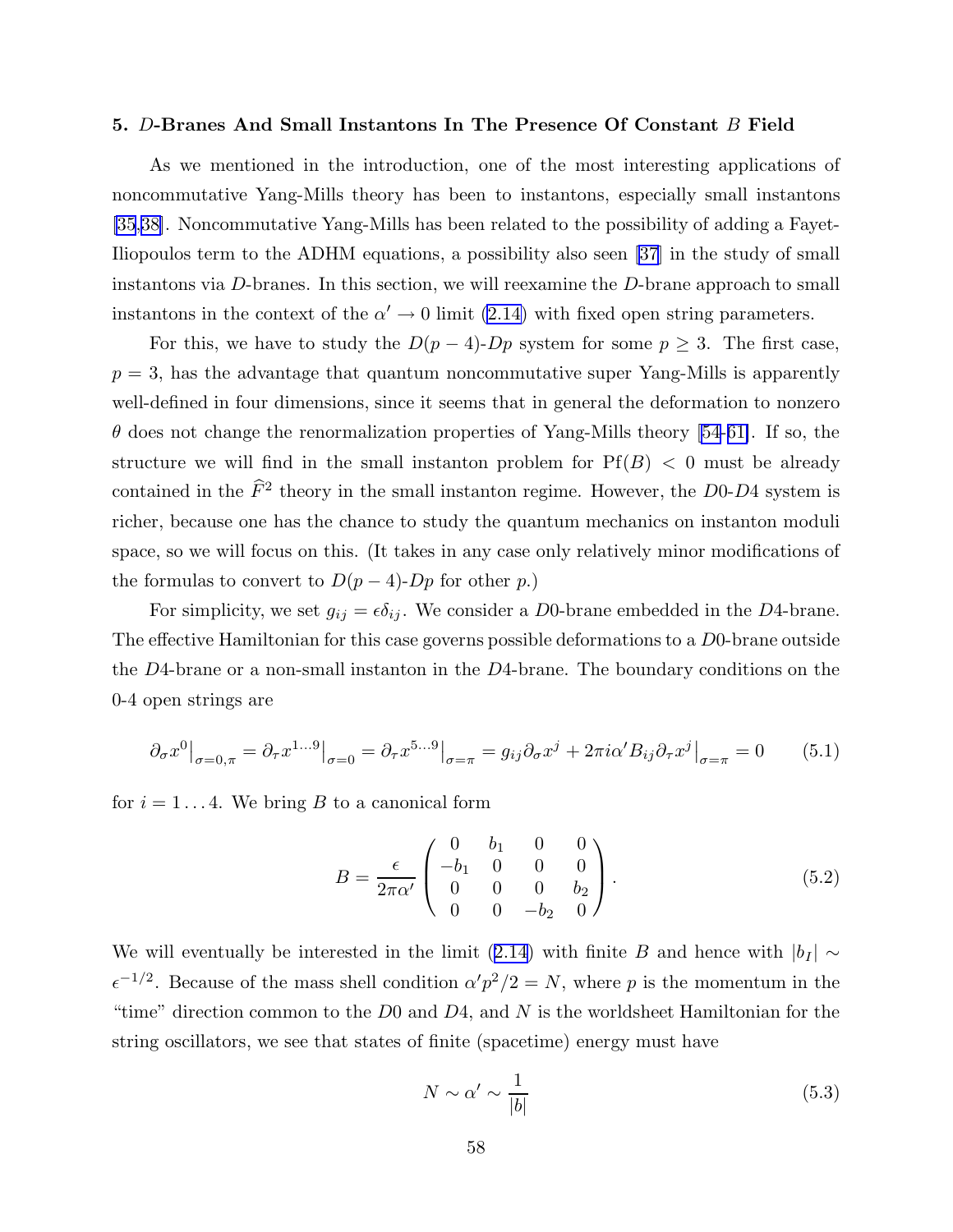#### <span id="page-58-0"></span>5. D-Branes And Small Instantons In The Presence Of Constant B Field

As we mentioned in the introduction, one of the most interesting applications of noncommutative Yang-Mills theory has been to instantons, especially small instantons [\[35](#page-97-0),[38\]](#page-97-0). Noncommutative Yang-Mills has been related to the possibility of adding a Fayet-Iliopoulos term to the ADHM equations, a possibility also seen [\[37](#page-97-0)] in the study of small instantons via D-branes. In this section, we will reexamine the D-brane approach to small instantons in the context of the  $\alpha' \to 0$  limit [\(2.14\)](#page-12-0) with fixed open string parameters.

For this, we have to study the  $D(p-4)$ -Dp system for some  $p \geq 3$ . The first case,  $p = 3$ , has the advantage that quantum noncommutative super Yang-Mills is apparently well-defined in four dimensions, since it seems that in general the deformation to nonzero  $\theta$  does not change the renormalization properties of Yang-Mills theory [\[54](#page-98-0)-[61\]](#page-99-0). If so, the structure we will find in the small instanton problem for  $Pf(B) < 0$  must be already contained in the  $\widehat{F}^2$  theory in the small instanton regime. However, the D0-D4 system is richer, because one has the chance to study the quantum mechanics on instanton moduli space, so we will focus on this. (It takes in any case only relatively minor modifications of the formulas to convert to  $D(p-4)$ - $Dp$  for other p.)

For simplicity, we set  $g_{ij} = \epsilon \delta_{ij}$ . We consider a D0-brane embedded in the D4-brane. The effective Hamiltonian for this case governs possible deformations to a D0-brane outside the D4-brane or a non-small instanton in the D4-brane. The boundary conditions on the 0-4 open strings are

$$
\partial_{\sigma}x^{0}\big|_{\sigma=0,\pi} = \partial_{\tau}x^{1...9}\big|_{\sigma=0} = \partial_{\tau}x^{5...9}\big|_{\sigma=\pi} = g_{ij}\partial_{\sigma}x^{j} + 2\pi i\alpha'B_{ij}\partial_{\tau}x^{j}\big|_{\sigma=\pi} = 0
$$
 (5.1)

for  $i = 1...4$ . We bring B to a canonical form

$$
B = \frac{\epsilon}{2\pi\alpha'} \begin{pmatrix} 0 & b_1 & 0 & 0 \\ -b_1 & 0 & 0 & 0 \\ 0 & 0 & 0 & b_2 \\ 0 & 0 & -b_2 & 0 \end{pmatrix} . \tag{5.2}
$$

We will eventually be interested in the limit ([2.14\)](#page-12-0) with finite B and hence with  $|b_I| \sim$  $\epsilon^{-1/2}$ . Because of the mass shell condition  $\alpha'p^2/2 = N$ , where p is the momentum in the "time" direction common to the  $D0$  and  $D4$ , and N is the worldsheet Hamiltonian for the string oscillators, we see that states of finite (spacetime) energy must have

$$
N \sim \alpha' \sim \frac{1}{|b|} \tag{5.3}
$$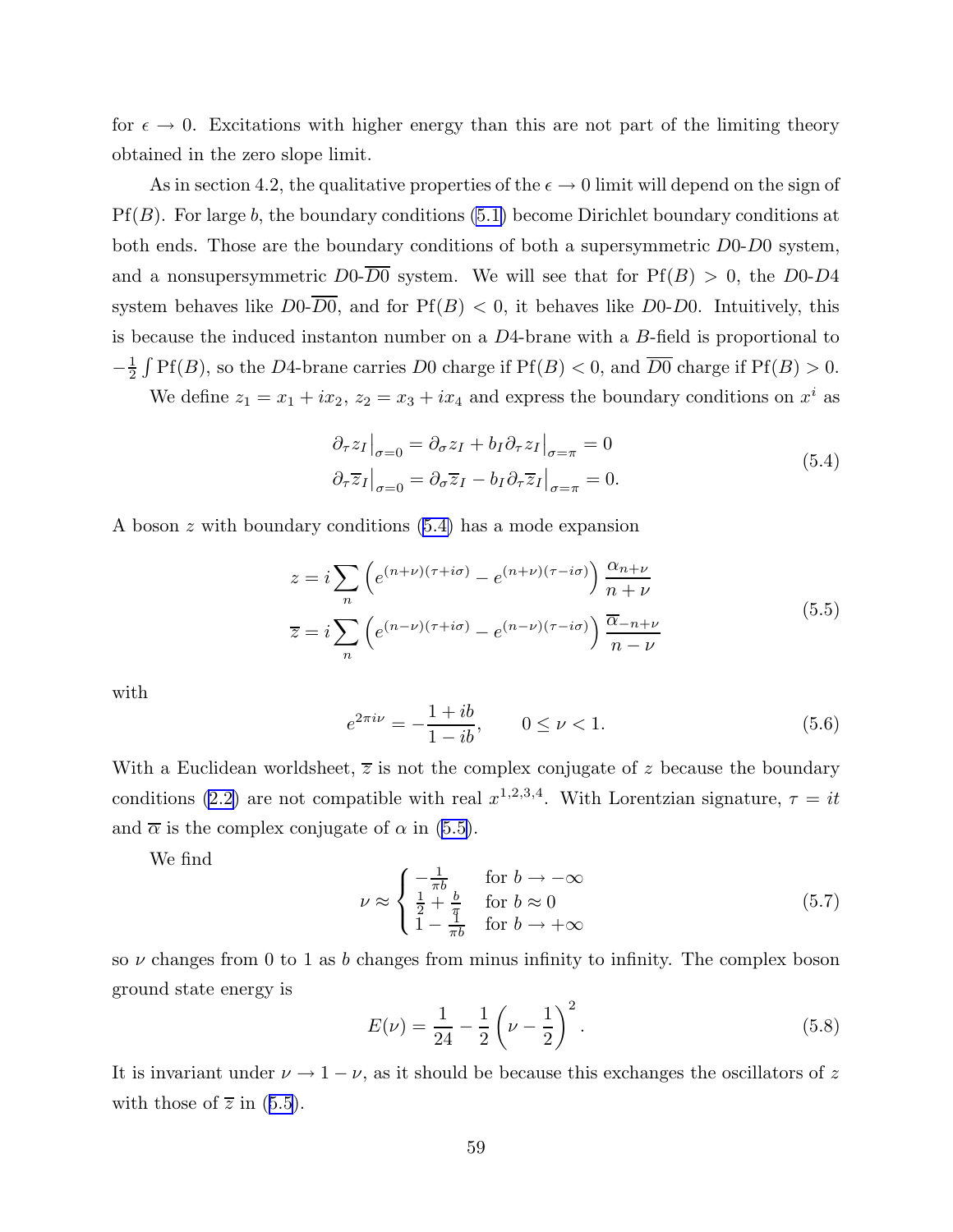<span id="page-59-0"></span>for  $\epsilon \to 0$ . Excitations with higher energy than this are not part of the limiting theory obtained in the zero slope limit.

As in section 4.2, the qualitative properties of the  $\epsilon \to 0$  limit will depend on the sign of  $Pf(B)$ . For large b, the boundary conditions [\(5.1\)](#page-58-0) become Dirichlet boundary conditions at both ends. Those are the boundary conditions of both a supersymmetric D0-D0 system, and a nonsupersymmetric  $D_0$ - $\overline{D_0}$  system. We will see that for Pf(B) > 0, the D0-D4 system behaves like  $D_0$ - $\overline{D_0}$ , and for Pf(B) < 0, it behaves like D0-D0. Intuitively, this is because the induced instanton number on a  $D<sup>4</sup>$ -brane with a B-field is proportional to  $-\frac{1}{2}$  $\frac{1}{2}$   $\int$  Pf(*B*), so the *D*4-brane carries *D*0 charge if Pf(*B*) < 0, and  $\overline{D0}$  charge if Pf(*B*) > 0.

We define  $z_1 = x_1 + ix_2$ ,  $z_2 = x_3 + ix_4$  and express the boundary conditions on  $x^i$  as

$$
\partial_{\tau} z_I \big|_{\sigma=0} = \partial_{\sigma} z_I + b_I \partial_{\tau} z_I \big|_{\sigma=\pi} = 0
$$
  

$$
\partial_{\tau} \overline{z}_I \big|_{\sigma=0} = \partial_{\sigma} \overline{z}_I - b_I \partial_{\tau} \overline{z}_I \big|_{\sigma=\pi} = 0.
$$
 (5.4)

A boson z with boundary conditions (5.4) has a mode expansion

$$
z = i \sum_{n} \left( e^{(n+\nu)(\tau+i\sigma)} - e^{(n+\nu)(\tau-i\sigma)} \right) \frac{\alpha_{n+\nu}}{n+\nu}
$$
  

$$
\overline{z} = i \sum_{n} \left( e^{(n-\nu)(\tau+i\sigma)} - e^{(n-\nu)(\tau-i\sigma)} \right) \frac{\overline{\alpha}_{-n+\nu}}{n-\nu}
$$
 (5.5)

with

$$
e^{2\pi i\nu} = -\frac{1+ib}{1-ib}, \qquad 0 \le \nu < 1. \tag{5.6}
$$

With a Euclidean worldsheet,  $\overline{z}$  is not the complex conjugate of z because the boundary conditions [\(2.2\)](#page-7-0) are not compatible with real  $x^{1,2,3,4}$ . With Lorentzian signature,  $\tau = it$ and  $\bar{\alpha}$  is the complex conjugate of  $\alpha$  in (5.5).

We find

$$
\nu \approx \begin{cases}\n-\frac{1}{\pi b} & \text{for } b \to -\infty \\
\frac{1}{2} + \frac{b}{\pi} & \text{for } b \approx 0 \\
1 - \frac{1}{\pi b} & \text{for } b \to +\infty\n\end{cases}
$$
\n(5.7)

so  $\nu$  changes from 0 to 1 as b changes from minus infinity to infinity. The complex boson ground state energy is

$$
E(\nu) = \frac{1}{24} - \frac{1}{2} \left( \nu - \frac{1}{2} \right)^2.
$$
 (5.8)

It is invariant under  $\nu \rightarrow 1 - \nu$ , as it should be because this exchanges the oscillators of z with those of  $\overline{z}$  in (5.5).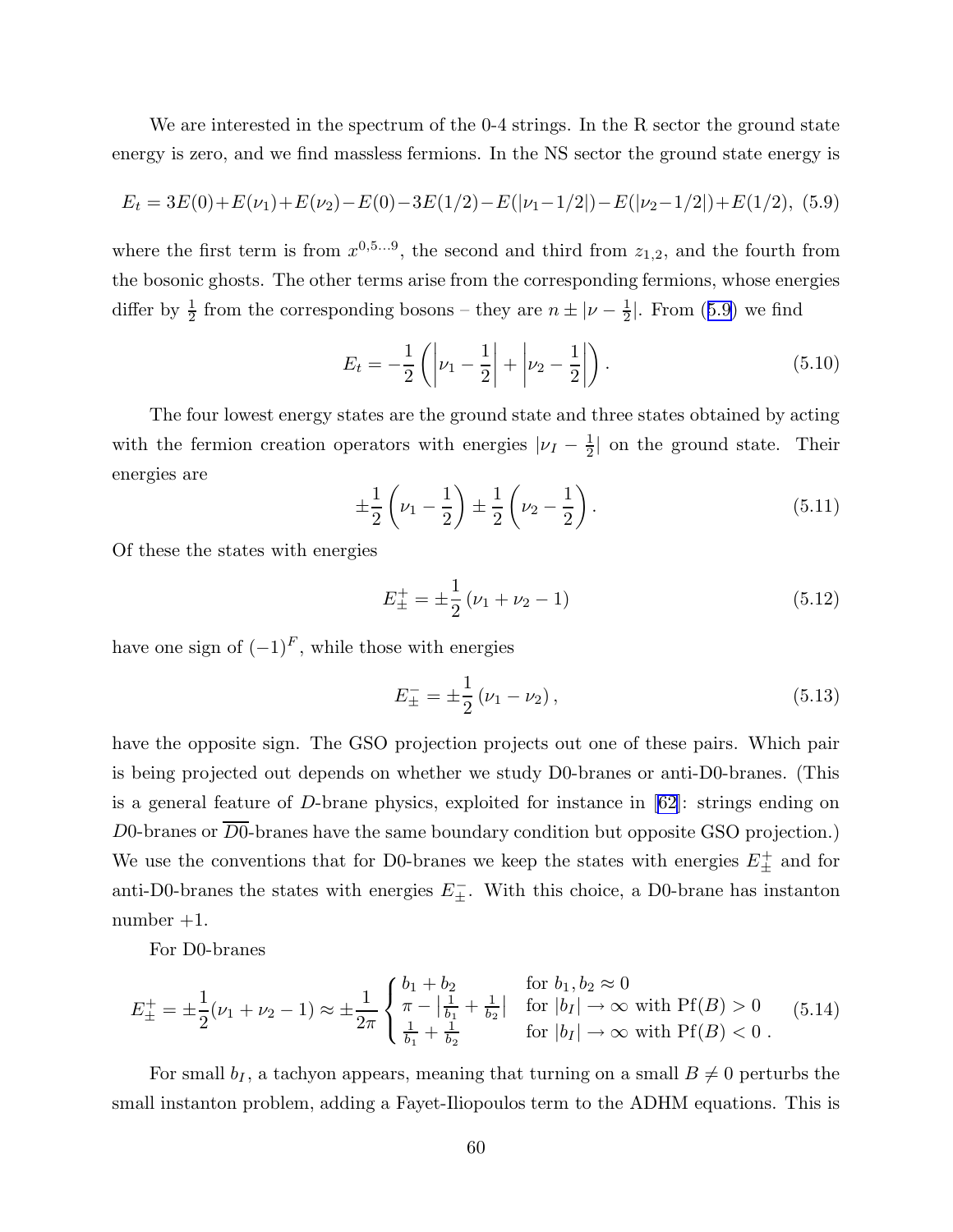We are interested in the spectrum of the 0-4 strings. In the R sector the ground state energy is zero, and we find massless fermions. In the NS sector the ground state energy is

$$
E_t = 3E(0) + E(\nu_1) + E(\nu_2) - E(0) - 3E(1/2) - E(|\nu_1 - 1/2|) - E(|\nu_2 - 1/2|) + E(1/2),
$$
 (5.9)

where the first term is from  $x^{0,5...9}$ , the second and third from  $z_{1,2}$ , and the fourth from the bosonic ghosts. The other terms arise from the corresponding fermions, whose energies differ by  $\frac{1}{2}$  $\frac{1}{2}$  from the corresponding bosons – they are  $n \pm |\nu - \frac{1}{2}\rangle$  $\frac{1}{2}$ . From (5.9) we find

$$
E_t = -\frac{1}{2} \left( \left| \nu_1 - \frac{1}{2} \right| + \left| \nu_2 - \frac{1}{2} \right| \right). \tag{5.10}
$$

The four lowest energy states are the ground state and three states obtained by acting with the fermion creation operators with energies  $|\nu_I - \frac{1}{2}\rangle$  $\frac{1}{2}$  on the ground state. Their energies are

$$
\pm \frac{1}{2} \left( \nu_1 - \frac{1}{2} \right) \pm \frac{1}{2} \left( \nu_2 - \frac{1}{2} \right). \tag{5.11}
$$

Of these the states with energies

$$
E_{\pm}^{+} = \pm \frac{1}{2} \left( \nu_1 + \nu_2 - 1 \right) \tag{5.12}
$$

have one sign of  $(-1)^F$ , while those with energies

$$
E_{\pm}^{-} = \pm \frac{1}{2} \left( \nu_1 - \nu_2 \right), \tag{5.13}
$$

have the opposite sign. The GSO projection projects out one of these pairs. Which pair is being projected out depends on whether we study D0-branes or anti-D0-branes. (This is a general feature of D-brane physics, exploited for instance in  $[62]$  $[62]$ : strings ending on  $D0$ -branes or  $\overline{D0}$ -branes have the same boundary condition but opposite GSO projection.) We use the conventions that for D0-branes we keep the states with energies  $E_{\pm}^{+}$  and for anti-D0-branes the states with energies  $E_{\pm}^-$ . With this choice, a D0-brane has instanton  $number +1$ .

For D0-branes

$$
E_{\pm}^{+} = \pm \frac{1}{2}(\nu_{1} + \nu_{2} - 1) \approx \pm \frac{1}{2\pi} \begin{cases} b_{1} + b_{2} & \text{for } b_{1}, b_{2} \approx 0\\ \pi - \left|\frac{1}{b_{1}} + \frac{1}{b_{2}}\right| & \text{for } |b_{I}| \to \infty \text{ with Pf}(B) > 0\\ \frac{1}{b_{1}} + \frac{1}{b_{2}} & \text{for } |b_{I}| \to \infty \text{ with Pf}(B) < 0 \end{cases} \tag{5.14}
$$

For small  $b_I$ , a tachyon appears, meaning that turning on a small  $B\neq 0$  perturbs the small instanton problem, adding a Fayet-Iliopoulos term to the ADHM equations. This is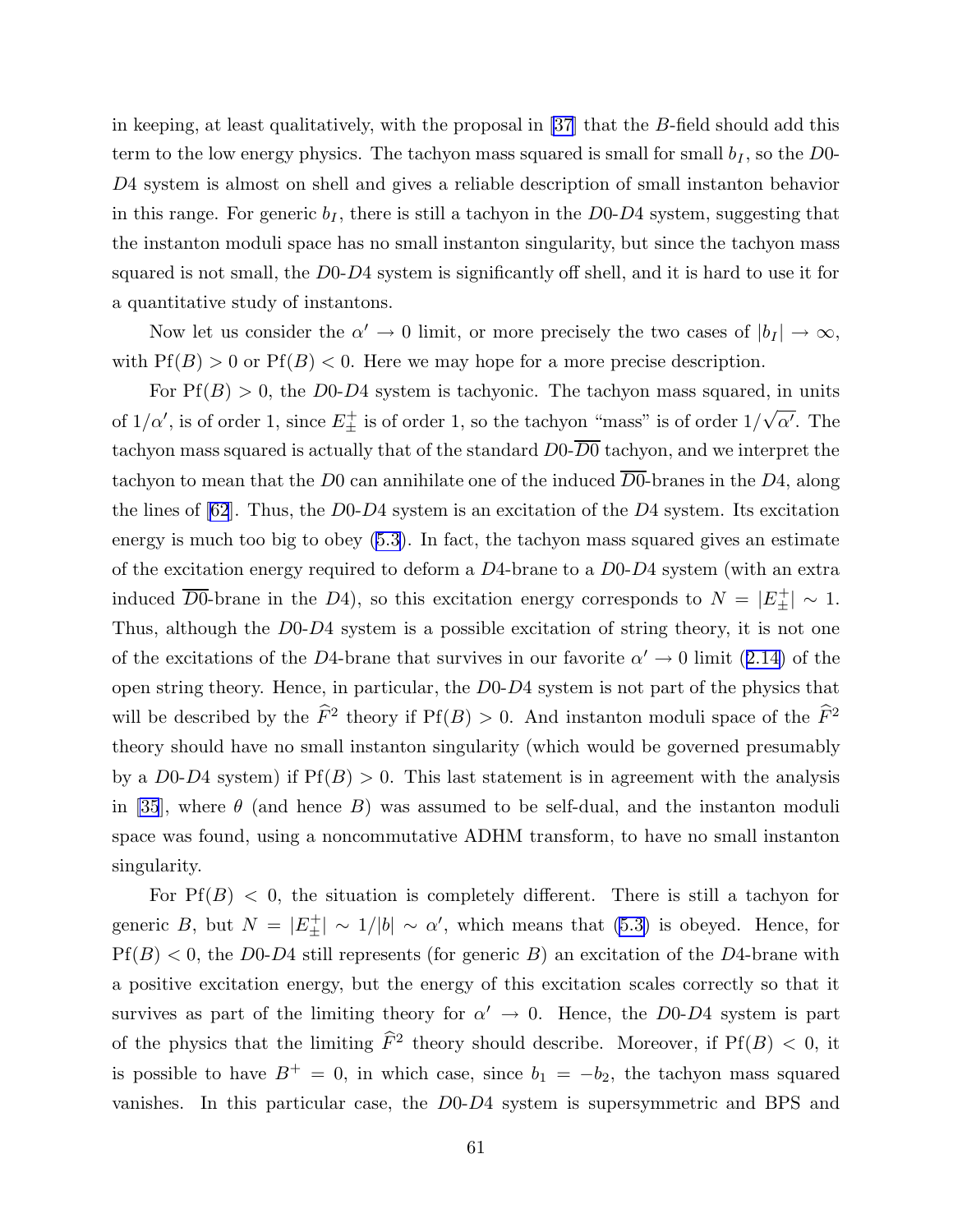in keeping, at least qualitatively, with the proposal in [\[37](#page-97-0)] that the B-field should add this term to the low energy physics. The tachyon mass squared is small for small  $b_I$ , so the D0-D4 system is almost on shell and gives a reliable description of small instanton behavior in this range. For generic  $b_I$ , there is still a tachyon in the D0-D4 system, suggesting that the instanton moduli space has no small instanton singularity, but since the tachyon mass squared is not small, the D0-D4 system is significantly off shell, and it is hard to use it for a quantitative study of instantons.

Now let us consider the  $\alpha' \to 0$  limit, or more precisely the two cases of  $|b_I| \to \infty$ , with  $Pf(B) > 0$  or  $Pf(B) < 0$ . Here we may hope for a more precise description.

For  $Pf(B) > 0$ , the D0-D4 system is tachyonic. The tachyon mass squared, in units of  $1/\alpha'$ , is of order 1, since  $E_{\pm}^{+}$  is of order 1, so the tachyon "mass" is of order  $1/\sqrt{\alpha'}$ . The tachyon mass squared is actually that of the standard  $D_0$ - $\overline{D_0}$  tachyon, and we interpret the tachyon to mean that the D0 can annihilate one of the induced  $\overline{D0}$ -branes in the D4, along the lines of  $[62]$  $[62]$ . Thus, the D0-D4 system is an excitation of the D4 system. Its excitation energy is much too big to obey ([5.3](#page-58-0)). In fact, the tachyon mass squared gives an estimate of the excitation energy required to deform a  $D<sub>4</sub>$ -brane to a  $D<sub>0</sub>-D<sub>4</sub>$  system (with an extra induced  $\overline{D0}$ -brane in the D4), so this excitation energy corresponds to  $N = |E_{\pm}^{+}| \sim 1$ . Thus, although the D0-D4 system is a possible excitation of string theory, it is not one of the excitations of the D4-brane that survives in our favorite  $\alpha' \to 0$  limit ([2.14\)](#page-12-0) of the open string theory. Hence, in particular, the D0-D4 system is not part of the physics that will be described by the  $\hat{F}^2$  theory if  $Pf(B) > 0$ . And instanton moduli space of the  $\hat{F}^2$ theory should have no small instanton singularity (which would be governed presumably by a D0-D4 system) if  $Pf(B) > 0$ . This last statement is in agreement with the analysis in [\[35](#page-97-0)], where  $\theta$  (and hence B) was assumed to be self-dual, and the instanton moduli space was found, using a noncommutative ADHM transform, to have no small instanton singularity.

For  $Pf(B) < 0$ , the situation is completely different. There is still a tachyon for generic B, but  $N = |E_{\pm}^{+}| \sim 1/|b| \sim \alpha'$ , which means that [\(5.3\)](#page-58-0) is obeyed. Hence, for  $Pf(B) < 0$ , the D0-D4 still represents (for generic B) an excitation of the D4-brane with a positive excitation energy, but the energy of this excitation scales correctly so that it survives as part of the limiting theory for  $\alpha' \to 0$ . Hence, the D0-D4 system is part of the physics that the limiting  $\hat{F}^2$  theory should describe. Moreover, if  $Pf(B) < 0$ , it is possible to have  $B^+ = 0$ , in which case, since  $b_1 = -b_2$ , the tachyon mass squared vanishes. In this particular case, the D0-D4 system is supersymmetric and BPS and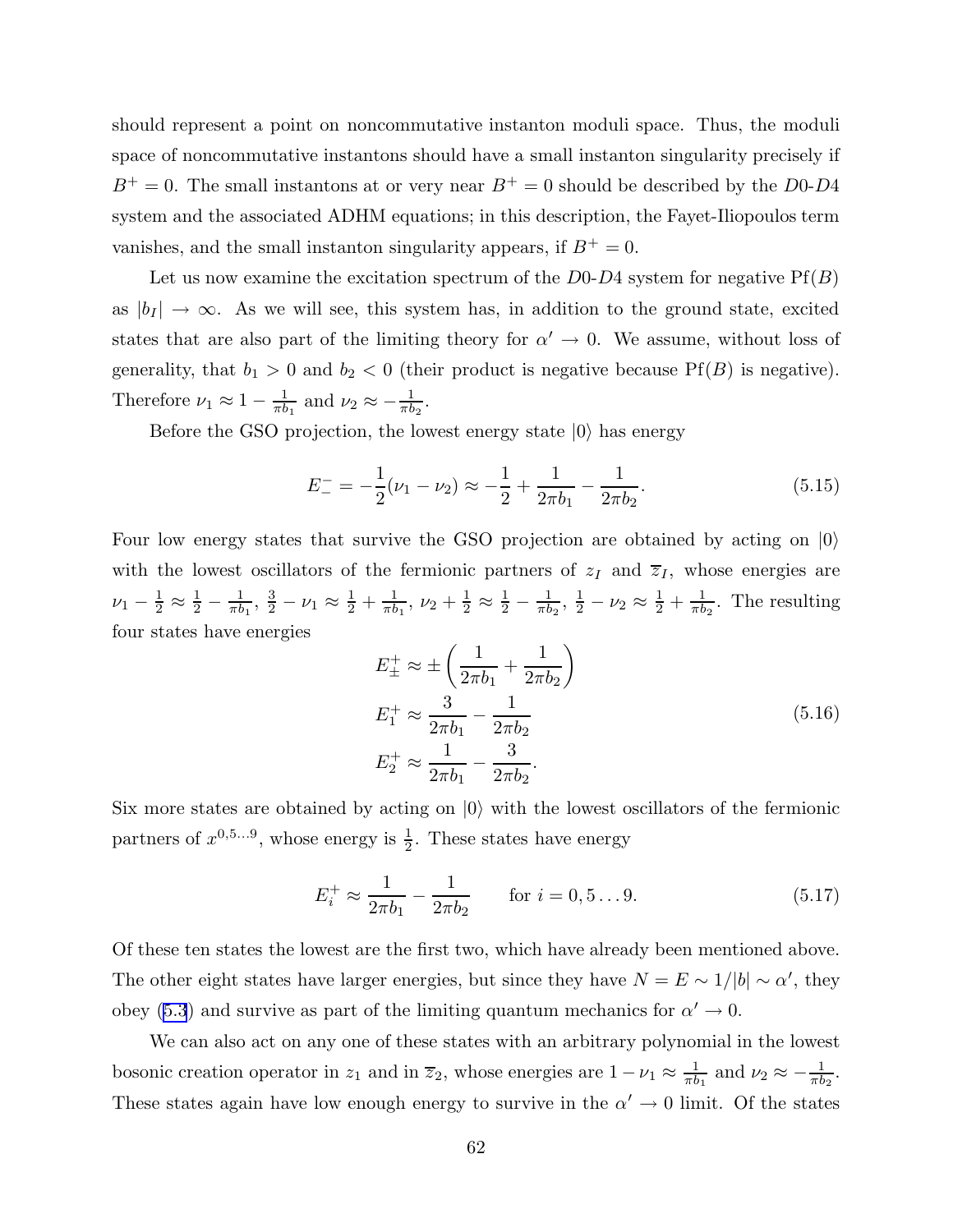should represent a point on noncommutative instanton moduli space. Thus, the moduli space of noncommutative instantons should have a small instanton singularity precisely if  $B^+=0$ . The small instantons at or very near  $B^+=0$  should be described by the D0-D4 system and the associated ADHM equations; in this description, the Fayet-Iliopoulos term vanishes, and the small instanton singularity appears, if  $B^+ = 0$ .

Let us now examine the excitation spectrum of the  $D<sub>0</sub>-D<sub>4</sub>$  system for negative  $Pf(B)$ as  $|b_I| \to \infty$ . As we will see, this system has, in addition to the ground state, excited states that are also part of the limiting theory for  $\alpha' \to 0$ . We assume, without loss of generality, that  $b_1 > 0$  and  $b_2 < 0$  (their product is negative because Pf(B) is negative). Therefore  $\nu_1 \approx 1 - \frac{1}{\pi b}$  $\frac{1}{\pi b_1}$  and  $\nu_2 \approx -\frac{1}{\pi b}$  $\frac{1}{\pi b_2}$ .

Before the GSO projection, the lowest energy state  $|0\rangle$  has energy

$$
E_{-}^{-} = -\frac{1}{2}(\nu_1 - \nu_2) \approx -\frac{1}{2} + \frac{1}{2\pi b_1} - \frac{1}{2\pi b_2}.
$$
\n(5.15)

Four low energy states that survive the GSO projection are obtained by acting on  $|0\rangle$ with the lowest oscillators of the fermionic partners of  $z_I$  and  $\overline{z}_I$ , whose energies are  $\nu_1 - \frac{1}{2} \approx \frac{1}{2} - \frac{1}{\pi b}$  $\frac{1}{\pi b_1}$ ,  $\frac{3}{2} - \nu_1 \approx \frac{1}{2} + \frac{1}{\pi b}$  $\frac{1}{\pi b_1}$ ,  $\nu_2 + \frac{1}{2} \approx \frac{1}{2} - \frac{1}{\pi b}$  $\frac{1}{\pi b_2}, \frac{1}{2} - \nu_2 \approx \frac{1}{2} + \frac{1}{\pi b}$  $\frac{1}{\pi b_2}$ . The resulting four states have energies

$$
E_{\pm}^{+} \approx \pm \left(\frac{1}{2\pi b_{1}} + \frac{1}{2\pi b_{2}}\right)
$$
  
\n
$$
E_{1}^{+} \approx \frac{3}{2\pi b_{1}} - \frac{1}{2\pi b_{2}}
$$
  
\n
$$
E_{2}^{+} \approx \frac{1}{2\pi b_{1}} - \frac{3}{2\pi b_{2}}.
$$
\n(5.16)

Six more states are obtained by acting on  $|0\rangle$  with the lowest oscillators of the fermionic partners of  $x^{0,5...9}$ , whose energy is  $\frac{1}{2}$  $\frac{1}{2}$ . These states have energy

$$
E_i^+ \approx \frac{1}{2\pi b_1} - \frac{1}{2\pi b_2} \qquad \text{for } i = 0, 5...9.
$$
 (5.17)

Of these ten states the lowest are the first two, which have already been mentioned above. The other eight states have larger energies, but since they have  $N = E \sim 1/|b| \sim \alpha'$ , they obey [\(5.3](#page-58-0)) and survive as part of the limiting quantum mechanics for  $\alpha' \to 0$ .

We can also act on any one of these states with an arbitrary polynomial in the lowest bosonic creation operator in  $z_1$  and in  $\overline{z}_2$ , whose energies are  $1 - \nu_1 \approx \frac{1}{\pi b}$  $\frac{1}{\pi b_1}$  and  $\nu_2 \approx -\frac{1}{\pi b}$  $\frac{1}{\pi b_2}$ . These states again have low enough energy to survive in the  $\alpha' \to 0$  limit. Of the states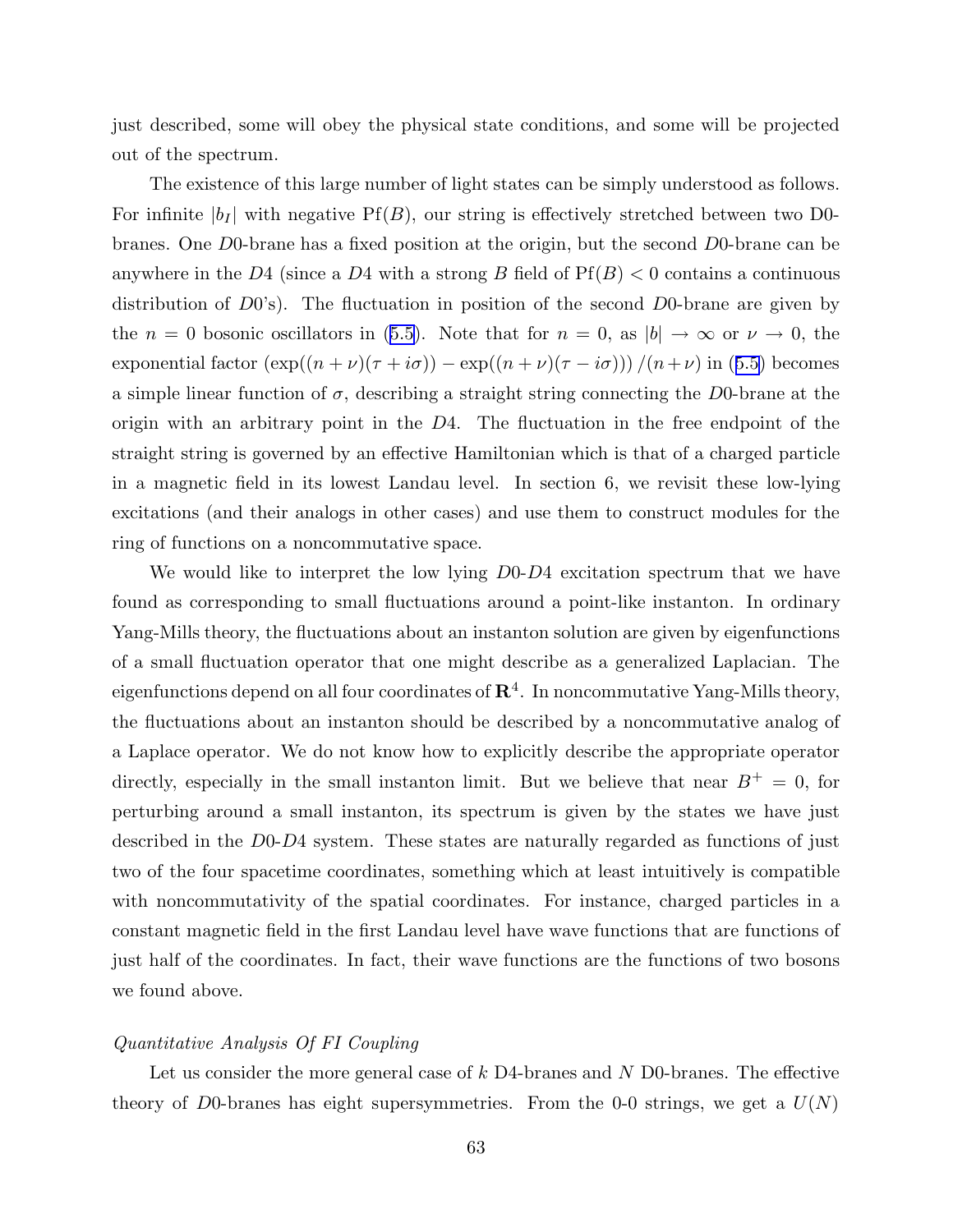just described, some will obey the physical state conditions, and some will be projected out of the spectrum.

The existence of this large number of light states can be simply understood as follows. For infinite  $|b_I|$  with negative Pf(B), our string is effectively stretched between two D0branes. One D0-brane has a fixed position at the origin, but the second D0-brane can be anywhere in the D4 (since a D4 with a strong B field of  $Pf(B) < 0$  contains a continuous distribution of  $D0's$ ). The fluctuation in position of the second  $D0$ -brane are given by the  $n = 0$  bosonic oscillators in ([5.5\)](#page-59-0). Note that for  $n = 0$ , as  $|b| \to \infty$  or  $\nu \to 0$ , the exponential factor  $(\exp((n + \nu)(\tau + i\sigma)) - \exp((n + \nu)(\tau - i\sigma))) / (n + \nu)$  in ([5.5\)](#page-59-0) becomes a simple linear function of  $\sigma$ , describing a straight string connecting the D0-brane at the origin with an arbitrary point in the  $D4$ . The fluctuation in the free endpoint of the straight string is governed by an effective Hamiltonian which is that of a charged particle in a magnetic field in its lowest Landau level. In section 6, we revisit these low-lying excitations (and their analogs in other cases) and use them to construct modules for the ring of functions on a noncommutative space.

We would like to interpret the low lying  $D<sub>0</sub>-D<sub>4</sub>$  excitation spectrum that we have found as corresponding to small fluctuations around a point-like instanton. In ordinary Yang-Mills theory, the fluctuations about an instanton solution are given by eigenfunctions of a small fluctuation operator that one might describe as a generalized Laplacian. The eigenfunctions depend on all four coordinates of  ${\bf R}^4.$  In noncommutative Yang-Mills theory, the fluctuations about an instanton should be described by a noncommutative analog of a Laplace operator. We do not know how to explicitly describe the appropriate operator directly, especially in the small instanton limit. But we believe that near  $B^+=0$ , for perturbing around a small instanton, its spectrum is given by the states we have just described in the D0-D4 system. These states are naturally regarded as functions of just two of the four spacetime coordinates, something which at least intuitively is compatible with noncommutativity of the spatial coordinates. For instance, charged particles in a constant magnetic field in the first Landau level have wave functions that are functions of just half of the coordinates. In fact, their wave functions are the functions of two bosons we found above.

### Quantitative Analysis Of FI Coupling

Let us consider the more general case of  $k$  D4-branes and N D0-branes. The effective theory of D0-branes has eight supersymmetries. From the 0-0 strings, we get a  $U(N)$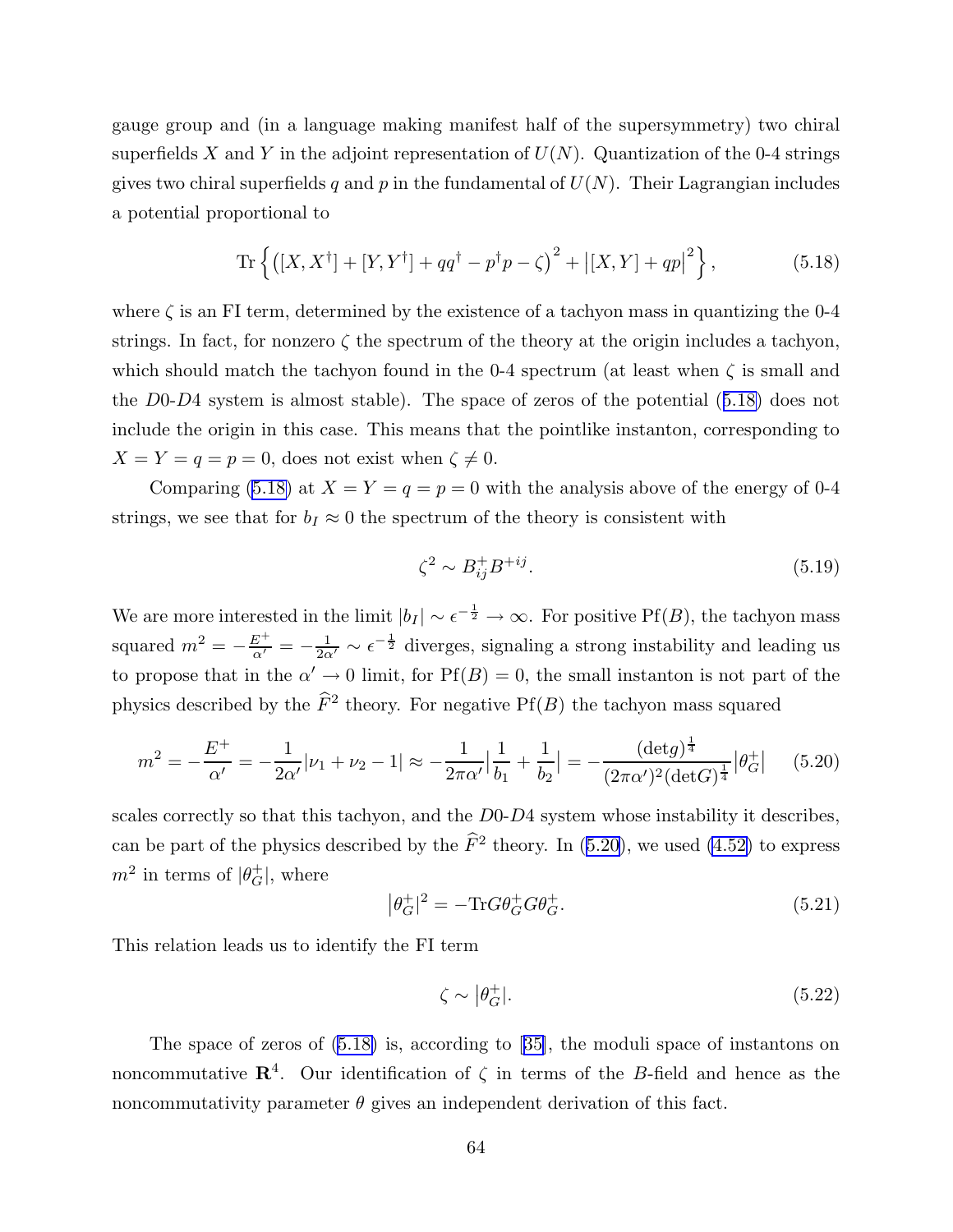gauge group and (in a language making manifest half of the supersymmetry) two chiral superfields X and Y in the adjoint representation of  $U(N)$ . Quantization of the 0-4 strings gives two chiral superfields q and p in the fundamental of  $U(N)$ . Their Lagrangian includes a potential proportional to

Tr 
$$
\left\{ ([X, X^{\dagger}] + [Y, Y^{\dagger}] + qq^{\dagger} - p^{\dagger}p - \zeta)^2 + |[X, Y] + qp|^2 \right\},
$$
 (5.18)

where  $\zeta$  is an FI term, determined by the existence of a tachyon mass in quantizing the 0-4 strings. In fact, for nonzero  $\zeta$  the spectrum of the theory at the origin includes a tachyon, which should match the tachyon found in the 0-4 spectrum (at least when  $\zeta$  is small and the D0-D4 system is almost stable). The space of zeros of the potential (5.18) does not include the origin in this case. This means that the pointlike instanton, corresponding to  $X = Y = q = p = 0$ , does not exist when  $\zeta \neq 0$ .

Comparing (5.18) at  $X = Y = q = p = 0$  with the analysis above of the energy of 0-4 strings, we see that for  $b_I \approx 0$  the spectrum of the theory is consistent with

$$
\zeta^2 \sim B_{ij}^+ B^{+ij}.\tag{5.19}
$$

We are more interested in the limit  $|b_I| \sim \epsilon^{-\frac{1}{2}} \to \infty$ . For positive Pf(B), the tachyon mass squared  $m^2 = -\frac{E^+}{\alpha'} = -\frac{1}{2\alpha'} \sim \epsilon^{-\frac{1}{2}}$  diverges, signaling a strong instability and leading us to propose that in the  $\alpha' \to 0$  limit, for  $Pf(B) = 0$ , the small instanton is not part of the physics described by the  $\widehat{F}^2$  theory. For negative Pf(B) the tachyon mass squared

$$
m^{2} = -\frac{E^{+}}{\alpha'} = -\frac{1}{2\alpha'}|\nu_{1} + \nu_{2} - 1| \approx -\frac{1}{2\pi\alpha'}\left|\frac{1}{b_{1}} + \frac{1}{b_{2}}\right| = -\frac{(\det g)^{\frac{1}{4}}}{(2\pi\alpha')^{2}(\det G)^{\frac{1}{4}}}|\theta_{G}^{+}| \quad (5.20)
$$

scales correctly so that this tachyon, and the D0-D4 system whose instability it describes, can be part of the physics described by the  $\widehat{F}^2$  theory. In (5.20), we used [\(4.52\)](#page-55-0) to express  $m^2$  in terms of  $|\theta_G^+|$ , where

$$
|\theta_G^+|^2 = -\text{Tr}G\theta_G^+G\theta_G^+. \tag{5.21}
$$

This relation leads us to identify the FI term

$$
\zeta \sim |\theta_G^+|.\tag{5.22}
$$

The space of zeros of (5.18) is, according to [[35\]](#page-97-0), the moduli space of instantons on noncommutative  $\mathbb{R}^4$ . Our identification of  $\zeta$  in terms of the B-field and hence as the noncommutativity parameter  $\theta$  gives an independent derivation of this fact.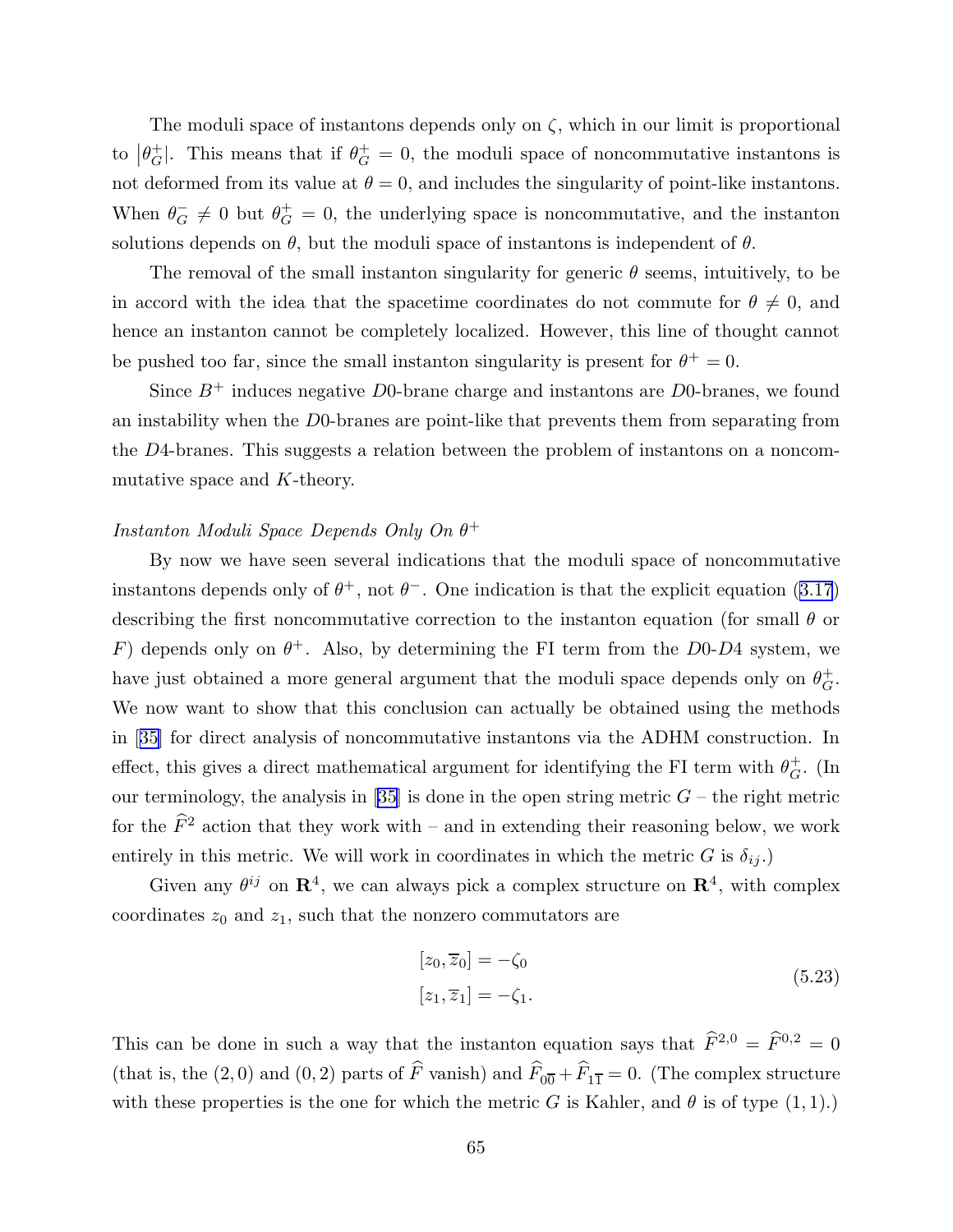The moduli space of instantons depends only on  $\zeta$ , which in our limit is proportional to  $|\theta_G^+|$ . This means that if  $\theta_G^+ = 0$ , the moduli space of noncommutative instantons is not deformed from its value at  $\theta = 0$ , and includes the singularity of point-like instantons. When  $\theta_G^-\neq 0$  but  $\theta_G^+=0$ , the underlying space is noncommutative, and the instanton solutions depends on  $\theta$ , but the moduli space of instantons is independent of  $\theta$ .

The removal of the small instanton singularity for generic  $\theta$  seems, intuitively, to be in accord with the idea that the spacetime coordinates do not commute for  $\theta \neq 0$ , and hence an instanton cannot be completely localized. However, this line of thought cannot be pushed too far, since the small instanton singularity is present for  $\theta^+ = 0$ .

Since  $B^+$  induces negative D0-brane charge and instantons are D0-branes, we found an instability when the D0-branes are point-like that prevents them from separating from the D4-branes. This suggests a relation between the problem of instantons on a noncommutative space and K-theory.

# Instanton Moduli Space Depends Only On  $\theta^+$

By now we have seen several indications that the moduli space of noncommutative instantons depends only of  $\theta^+$ , not  $\theta^-$ . One indication is that the explicit equation ([3.17](#page-33-0)) describing the first noncommutative correction to the instanton equation (for small  $\theta$  or F) depends only on  $\theta^+$ . Also, by determining the FI term from the D0-D4 system, we have just obtained a more general argument that the moduli space depends only on  $\theta_G^+$ . We now want to show that this conclusion can actually be obtained using the methods in [[35\]](#page-97-0) for direct analysis of noncommutative instantons via the ADHM construction. In effect, this gives a direct mathematical argument for identifying the FI term with  $\theta_G^+$ . (In our terminology, the analysis in [[35\]](#page-97-0) is done in the open string metric  $G$  – the right metric for the  $\widehat{F}^2$  action that they work with – and in extending their reasoning below, we work entirely in this metric. We will work in coordinates in which the metric G is  $\delta_{ij}$ .)

Given any  $\theta^{ij}$  on  $\mathbb{R}^4$ , we can always pick a complex structure on  $\mathbb{R}^4$ , with complex coordinates  $z_0$  and  $z_1$ , such that the nonzero commutators are

$$
[z_0, \overline{z}_0] = -\zeta_0
$$
  
\n
$$
[z_1, \overline{z}_1] = -\zeta_1.
$$
\n(5.23)

This can be done in such a way that the instanton equation says that  $\widehat{F}^{2,0} = \widehat{F}^{0,2} = 0$ (that is, the (2,0) and (0,2) parts of F vanish) and  $F_{00} + F_{11} = 0$ . (The complex structure with these properties is the one for which the metric G is Kahler, and  $\theta$  is of type  $(1, 1)$ .)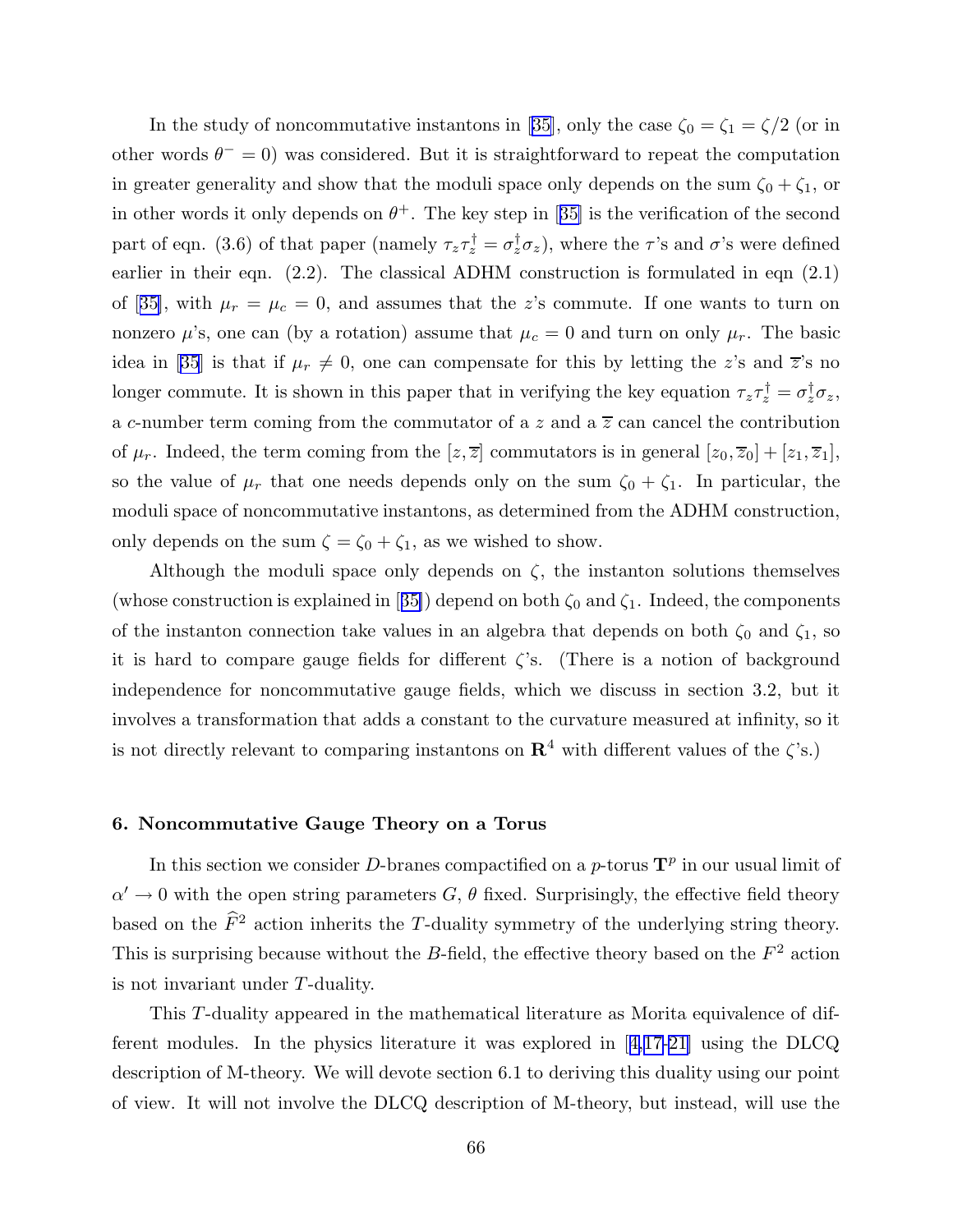In the study of noncommutative instantons in [\[35](#page-97-0)], only the case  $\zeta_0 = \zeta_1 = \zeta/2$  (or in other words  $\theta^{-} = 0$ ) was considered. But it is straightforward to repeat the computation in greater generality and show that the moduli space only depends on the sum  $\zeta_0 + \zeta_1$ , or in other words it only depends on  $\theta^+$ . The key step in [[35\]](#page-97-0) is the verification of the second part of eqn. (3.6) of that paper (namely  $\tau_z \tau_z^{\dagger} = \sigma_z^{\dagger} \sigma_z$ ), where the  $\tau$ 's and  $\sigma$ 's were defined earlier in their eqn. (2.2). The classical ADHM construction is formulated in eqn (2.1) of [[35\]](#page-97-0), with  $\mu_r = \mu_c = 0$ , and assumes that the z's commute. If one wants to turn on nonzero  $\mu$ 's, one can (by a rotation) assume that  $\mu_c = 0$  and turn on only  $\mu_r$ . The basic idea in [\[35](#page-97-0)] is that if  $\mu_r \neq 0$ , one can compensate for this by letting the z's and  $\overline{z}$ 's no longer commute. It is shown in this paper that in verifying the key equation  $\tau_z \tau_z^{\dagger} = \sigma_z^{\dagger} \sigma_z$ , a c-number term coming from the commutator of a z and a  $\overline{z}$  can cancel the contribution of  $\mu_r$ . Indeed, the term coming from the  $[z, \overline{z}]$  commutators is in general  $[z_0, \overline{z}_0] + [z_1, \overline{z}_1]$ , so the value of  $\mu_r$  that one needs depends only on the sum  $\zeta_0 + \zeta_1$ . In particular, the moduli space of noncommutative instantons, as determined from the ADHM construction, only depends on the sum  $\zeta = \zeta_0 + \zeta_1$ , as we wished to show.

Although the moduli space only depends on  $\zeta$ , the instanton solutions themselves (whose construction is explained in [[35\]](#page-97-0)) depend on both  $\zeta_0$  and  $\zeta_1$ . Indeed, the components of the instanton connection take values in an algebra that depends on both  $\zeta_0$  and  $\zeta_1$ , so it is hard to compare gauge fields for different  $\zeta$ 's. (There is a notion of background independence for noncommutative gauge fields, which we discuss in section 3.2, but it involves a transformation that adds a constant to the curvature measured at infinity, so it is not directly relevant to comparing instantons on  $\mathbb{R}^4$  with different values of the  $\zeta$ 's.)

### 6. Noncommutative Gauge Theory on a Torus

In this section we consider D-branes compactified on a p-torus  $\mathbf{T}^p$  in our usual limit of  $\alpha' \to 0$  with the open string parameters  $G, \theta$  fixed. Surprisingly, the effective field theory based on the  $\widehat{F}^2$  action inherits the T-duality symmetry of the underlying string theory. This is surprising because without the B-field, the effective theory based on the  $F<sup>2</sup>$  action is not invariant under T-duality.

This T-duality appeared in the mathematical literature as Morita equivalence of different modules. In the physics literature it was explored in [[4,](#page-95-0)[17-21\]](#page-96-0) using the DLCQ description of M-theory. We will devote section 6.1 to deriving this duality using our point of view. It will not involve the DLCQ description of M-theory, but instead, will use the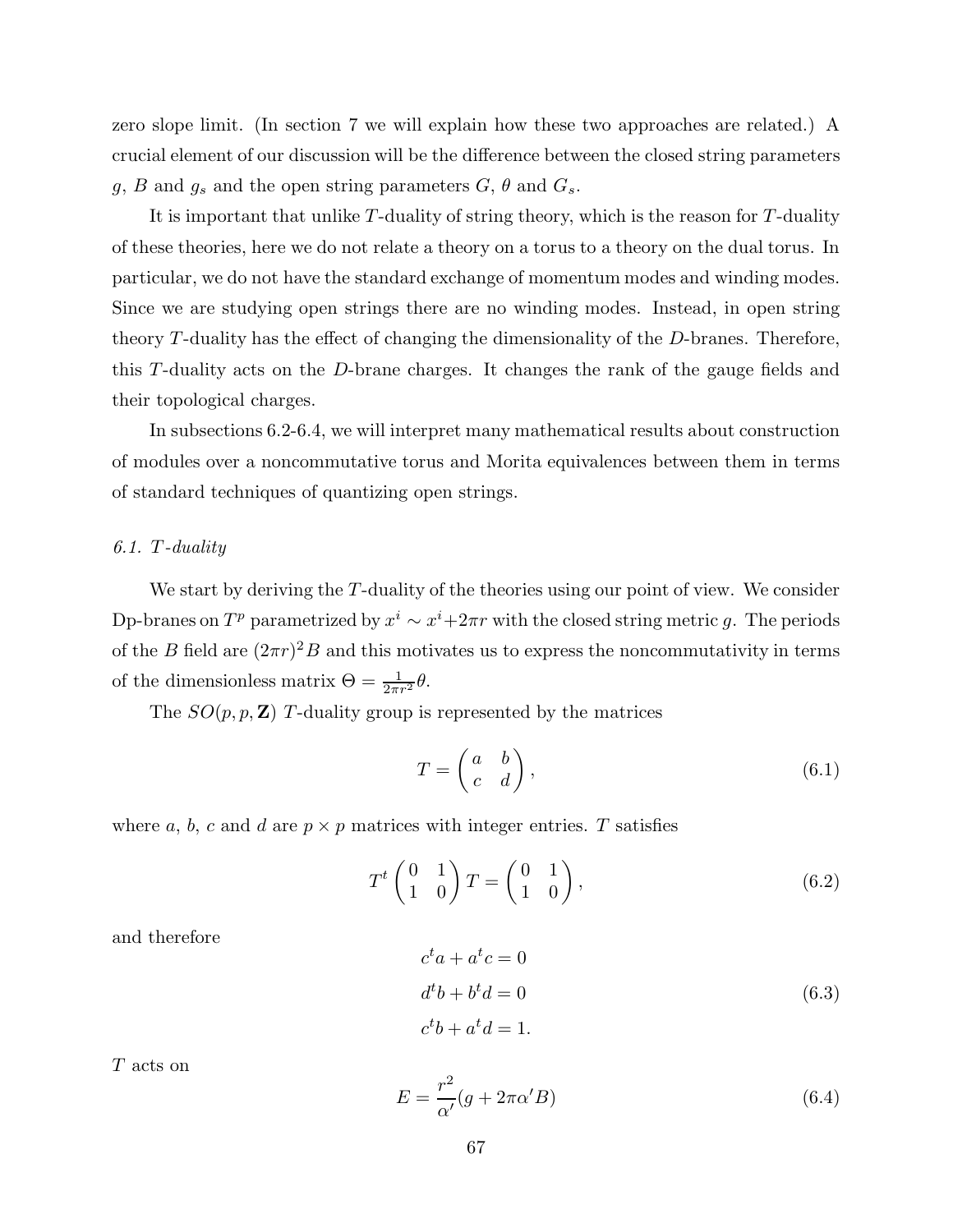<span id="page-67-0"></span>zero slope limit. (In section 7 we will explain how these two approaches are related.) A crucial element of our discussion will be the difference between the closed string parameters g, B and  $g_s$  and the open string parameters  $G, \theta$  and  $G_s$ .

It is important that unlike  $T$ -duality of string theory, which is the reason for  $T$ -duality of these theories, here we do not relate a theory on a torus to a theory on the dual torus. In particular, we do not have the standard exchange of momentum modes and winding modes. Since we are studying open strings there are no winding modes. Instead, in open string theory T-duality has the effect of changing the dimensionality of the D-branes. Therefore, this T-duality acts on the D-brane charges. It changes the rank of the gauge fields and their topological charges.

In subsections 6.2-6.4, we will interpret many mathematical results about construction of modules over a noncommutative torus and Morita equivalences between them in terms of standard techniques of quantizing open strings.

## 6.1. T-duality

We start by deriving the T-duality of the theories using our point of view. We consider Dp-branes on  $T^p$  parametrized by  $x^i \sim x^i + 2\pi r$  with the closed string metric g. The periods of the B field are  $(2\pi r)^2 B$  and this motivates us to express the noncommutativity in terms of the dimensionless matrix  $\Theta = \frac{1}{2\pi r^2} \theta$ .

The  $SO(p, p, \mathbf{Z})$  T-duality group is represented by the matrices

$$
T = \begin{pmatrix} a & b \\ c & d \end{pmatrix},\tag{6.1}
$$

where a, b, c and d are  $p \times p$  matrices with integer entries. T satisfies

$$
T^t \begin{pmatrix} 0 & 1 \\ 1 & 0 \end{pmatrix} T = \begin{pmatrix} 0 & 1 \\ 1 & 0 \end{pmatrix}, \tag{6.2}
$$

and therefore

$$
cta + atc = 0
$$
  
\n
$$
dtb + btd = 0
$$
  
\n
$$
ctb + atd = 1.
$$
\n(6.3)

T acts on

$$
E = \frac{r^2}{\alpha'} (g + 2\pi\alpha' B) \tag{6.4}
$$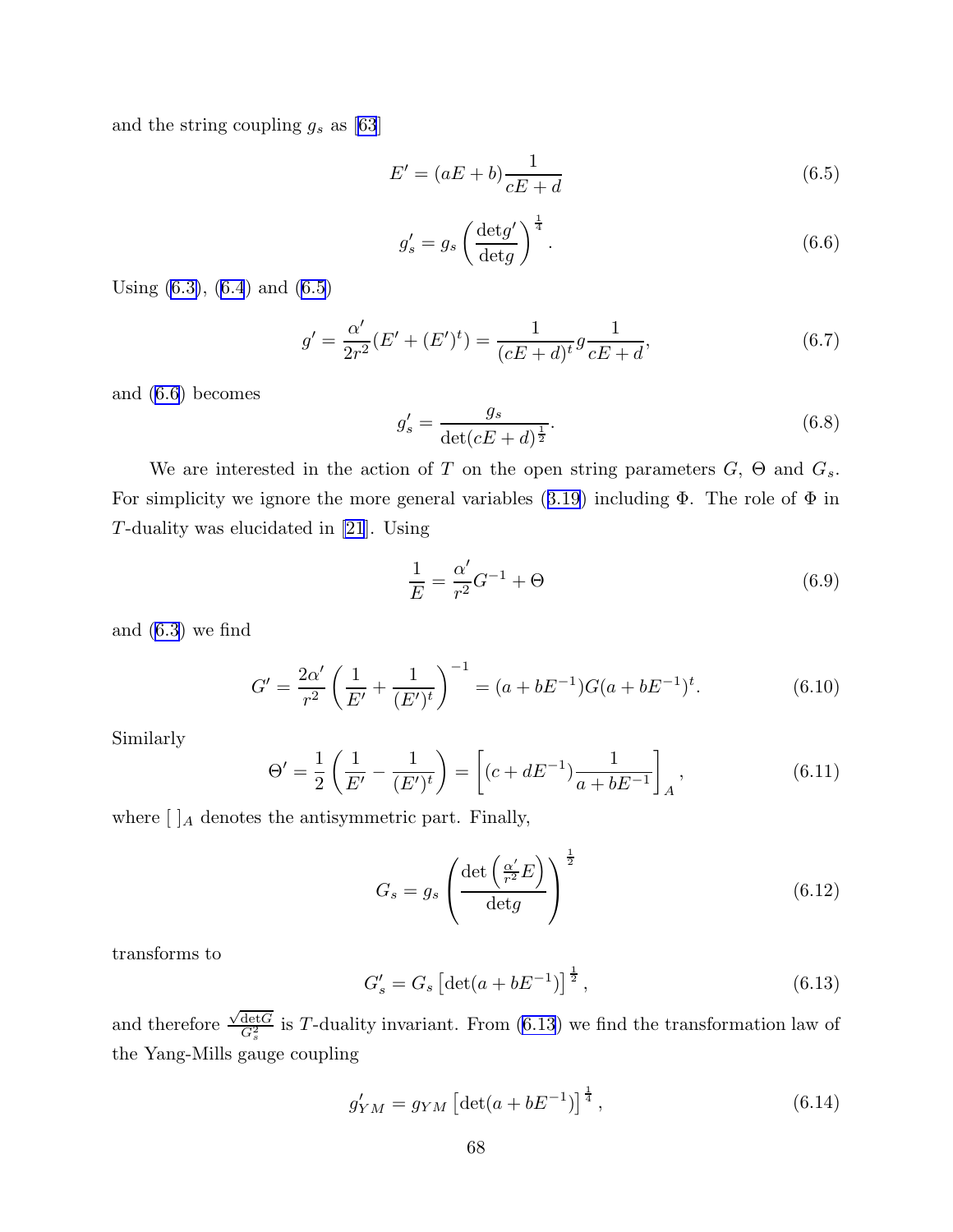<span id="page-68-0"></span>and the string coupling  $g_s$  as [\[63](#page-99-0)]

$$
E' = (aE + b)\frac{1}{cE + d}
$$
\n
$$
(6.5)
$$

$$
g'_{s} = g_{s} \left(\frac{\det g'}{\det g}\right)^{\frac{1}{4}}.
$$
\n(6.6)

Using  $(6.3)$ ,  $(6.4)$  $(6.4)$  and  $(6.5)$ 

$$
g' = \frac{\alpha'}{2r^2} (E' + (E')^t) = \frac{1}{(cE + d)^t} g \frac{1}{cE + d},
$$
\n(6.7)

and (6.6) becomes

$$
g'_{s} = \frac{g_{s}}{\det(cE + d)^{\frac{1}{2}}}.
$$
\n(6.8)

We are interested in the action of T on the open string parameters  $G$ ,  $\Theta$  and  $G_s$ . For simplicity we ignore the more general variables  $(3.19)$  $(3.19)$  including  $\Phi$ . The role of  $\Phi$  in T-duality was elucidated in [\[21](#page-96-0)]. Using

$$
\frac{1}{E} = \frac{\alpha'}{r^2} G^{-1} + \Theta \tag{6.9}
$$

and ([6.3](#page-67-0)) we find

$$
G' = \frac{2\alpha'}{r^2} \left(\frac{1}{E'} + \frac{1}{(E')^t}\right)^{-1} = (a + bE^{-1})G(a + bE^{-1})^t.
$$
 (6.10)

Similarly

$$
\Theta' = \frac{1}{2} \left( \frac{1}{E'} - \frac{1}{(E')^t} \right) = \left[ (c + dE^{-1}) \frac{1}{a + bE^{-1}} \right]_A, \tag{6.11}
$$

where  $\left[\right]_A$  denotes the antisymmetric part. Finally,

$$
G_s = g_s \left( \frac{\det \left( \frac{\alpha'}{r^2} E \right)}{\det g} \right)^{\frac{1}{2}}
$$
(6.12)

transforms to

$$
G'_{s} = G_{s} \left[ \det(a + bE^{-1}) \right]^{\frac{1}{2}}, \tag{6.13}
$$

and therefore  $\frac{\sqrt{\det G}}{G^2}$  $\frac{\text{det}G}{G_s^2}$  is T-duality invariant. From (6.13) we find the transformation law of the Yang-Mills gauge coupling

$$
g'_{YM} = g_{YM} \left[ \det(a + bE^{-1}) \right]^{\frac{1}{4}}, \tag{6.14}
$$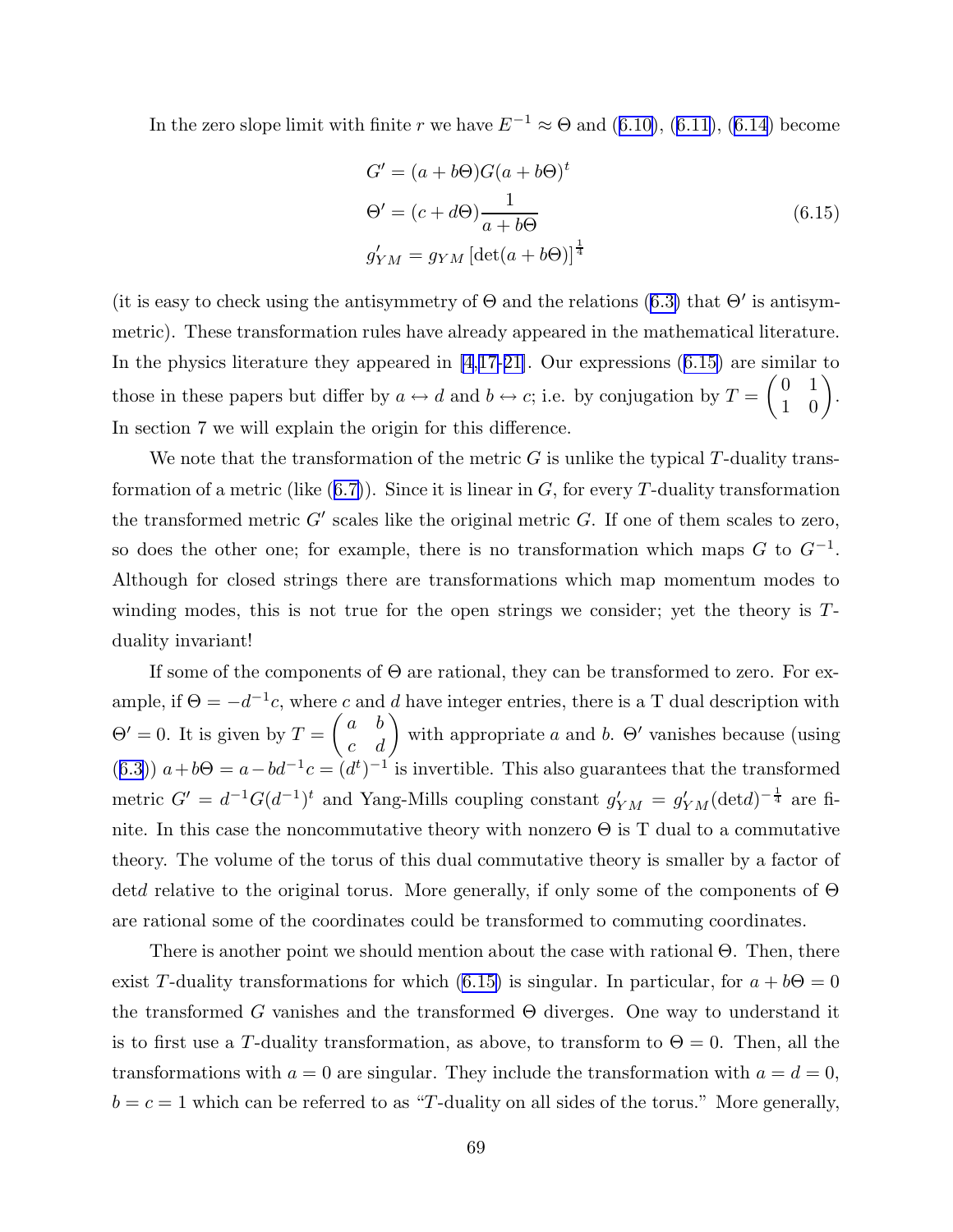In the zero slope limit with finite r we have  $E^{-1} \approx \Theta$  and ([6.10\)](#page-68-0), ([6.11](#page-68-0)), [\(6.14](#page-68-0)) become

$$
G' = (a + b\Theta)G(a + b\Theta)^t
$$
  
\n
$$
\Theta' = (c + d\Theta)\frac{1}{a + b\Theta}
$$
  
\n
$$
g'_{YM} = g_{YM} [\det(a + b\Theta)]^{\frac{1}{4}}
$$
\n(6.15)

(it is easy to check using the antisymmetry of  $\Theta$  and the relations [\(6.3\)](#page-67-0) that  $\Theta'$  is antisymmetric). These transformation rules have already appeared in the mathematical literature. In the physics literature they appeared in [\[4](#page-95-0),[17-21\]](#page-96-0). Our expressions (6.15) are similar to those in these papers but differ by  $a \leftrightarrow d$  and  $b \leftrightarrow c$ ; i.e. by conjugation by  $T =$  $\begin{pmatrix} 0 & 1 \end{pmatrix}$ 1 0  $\lambda$ . In section 7 we will explain the origin for this difference.

We note that the transformation of the metric  $G$  is unlike the typical  $T$ -duality transformation of a metric (like  $(6.7)$  $(6.7)$ ). Since it is linear in G, for every T-duality transformation the transformed metric  $G'$  scales like the original metric  $G$ . If one of them scales to zero, so does the other one; for example, there is no transformation which maps  $G$  to  $G^{-1}$ . Although for closed strings there are transformations which map momentum modes to winding modes, this is not true for the open strings we consider; yet the theory is Tduality invariant!

If some of the components of  $\Theta$  are rational, they can be transformed to zero. For example, if  $\Theta = -d^{-1}c$ , where c and d have integer entries, there is a T dual description with  $\Theta' = 0$ . It is given by  $T =$  $\int a b$ c d  $\setminus$ with appropriate a and b.  $\Theta'$  vanishes because (using ([6.3\)](#page-67-0))  $a + b\Theta = a - bd^{-1}c = (d^t)^{-1}$  is invertible. This also guarantees that the transformed metric  $G' = d^{-1}G(d^{-1})^t$  and Yang-Mills coupling constant  $g'_{YM} = g'_{YM} (\text{det} d)^{-\frac{1}{4}}$  are finite. In this case the noncommutative theory with nonzero  $\Theta$  is T dual to a commutative theory. The volume of the torus of this dual commutative theory is smaller by a factor of detd relative to the original torus. More generally, if only some of the components of Θ are rational some of the coordinates could be transformed to commuting coordinates.

There is another point we should mention about the case with rational Θ. Then, there exist T-duality transformations for which (6.15) is singular. In particular, for  $a + b\Theta = 0$ the transformed G vanishes and the transformed  $\Theta$  diverges. One way to understand it is to first use a T-duality transformation, as above, to transform to  $\Theta = 0$ . Then, all the transformations with  $a = 0$  are singular. They include the transformation with  $a = d = 0$ ,  $b = c = 1$  which can be referred to as "T-duality on all sides of the torus." More generally,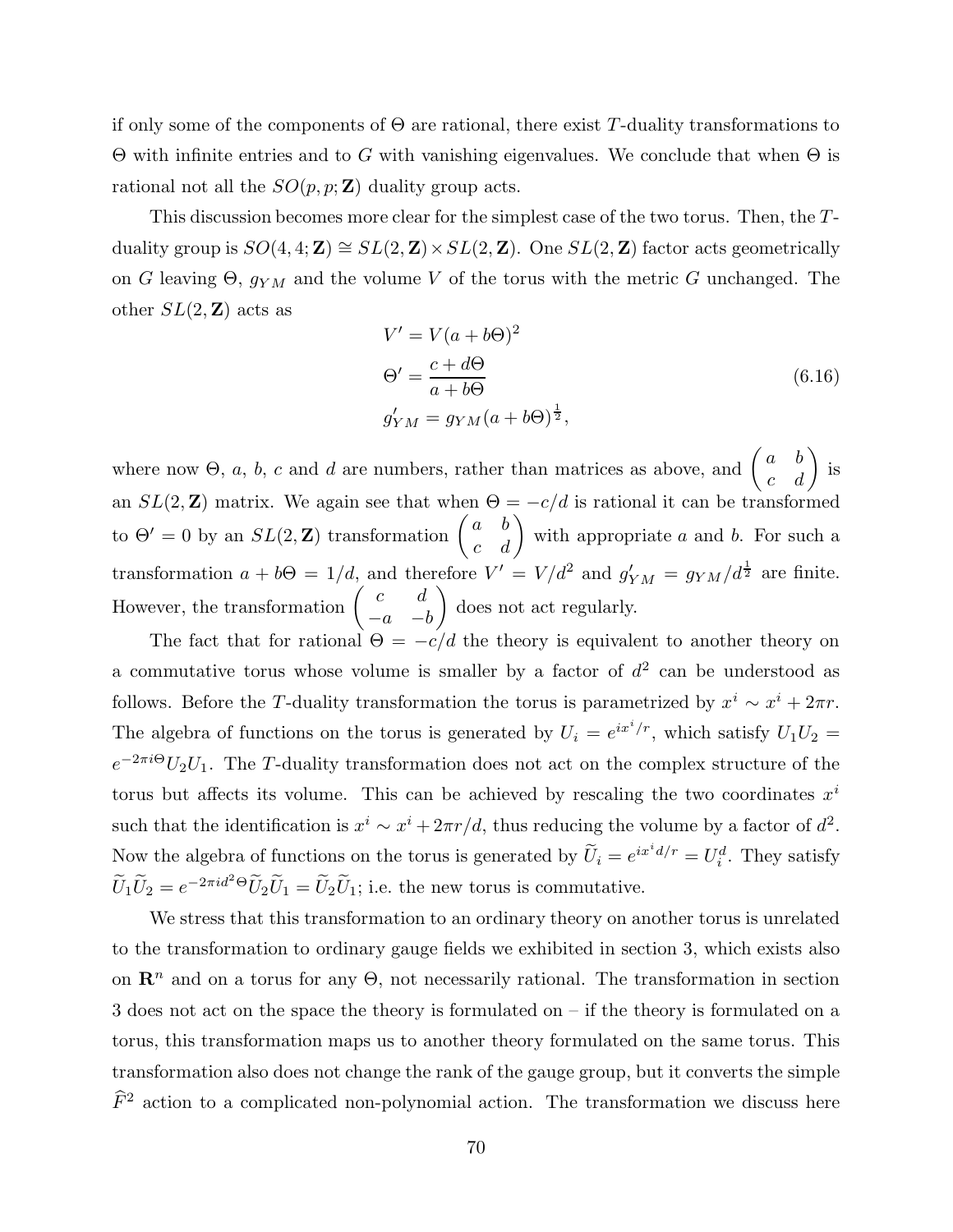if only some of the components of  $\Theta$  are rational, there exist T-duality transformations to Θ with infinite entries and to G with vanishing eigenvalues. We conclude that when Θ is rational not all the  $SO(p, p; \mathbf{Z})$  duality group acts.

This discussion becomes more clear for the simplest case of the two torus. Then, the Tduality group is  $SO(4, 4; \mathbb{Z}) \cong SL(2, \mathbb{Z}) \times SL(2, \mathbb{Z})$ . One  $SL(2, \mathbb{Z})$  factor acts geometrically on G leaving  $\Theta$ ,  $g_{YM}$  and the volume V of the torus with the metric G unchanged. The other  $SL(2, \mathbb{Z})$  acts as

$$
V' = V(a + b\Theta)^2
$$
  
\n
$$
\Theta' = \frac{c + d\Theta}{a + b\Theta}
$$
  
\n
$$
g'_{YM} = g_{YM}(a + b\Theta)^{\frac{1}{2}},
$$
\n(6.16)

where now  $\Theta$ , a, b, c and d are numbers, rather than matrices as above, and  $\int a b$ c d  $\overline{ }$ is an  $SL(2, \mathbb{Z})$  matrix. We again see that when  $\Theta = -c/d$  is rational it can be transformed to  $\Theta' = 0$  by an  $SL(2, \mathbb{Z})$  transformation  $\int a b$ c d  $\setminus$ with appropriate  $a$  and  $b$ . For such a transformation  $a + b\Theta = 1/d$ , and therefore  $V' = V/d^2$  and  $g'_{YM} = g_{YM}/d^{\frac{1}{2}}$  are finite. However, the transformation  $\int c \, d$  $-a$   $-b$  $\lambda$ does not act regularly.

The fact that for rational  $\Theta = -c/d$  the theory is equivalent to another theory on a commutative torus whose volume is smaller by a factor of  $d^2$  can be understood as follows. Before the T-duality transformation the torus is parametrized by  $x^i \sim x^i + 2\pi r$ . The algebra of functions on the torus is generated by  $U_i = e^{ix^i/r}$ , which satisfy  $U_1U_2 =$  $e^{-2\pi i\Theta}U_2U_1$ . The T-duality transformation does not act on the complex structure of the torus but affects its volume. This can be achieved by rescaling the two coordinates  $x^i$ such that the identification is  $x^i \sim x^i + 2\pi r/d$ , thus reducing the volume by a factor of  $d^2$ . Now the algebra of functions on the torus is generated by  $\widetilde{U}_i = e^{ix^i d/r} = U_i^d$ . They satisfy  $\widetilde{U}_1 \widetilde{U}_2 = e^{-2\pi i d^2 \Theta} \widetilde{U}_2 \widetilde{U}_1 = \widetilde{U}_2 \widetilde{U}_1$ ; i.e. the new torus is commutative.

We stress that this transformation to an ordinary theory on another torus is unrelated to the transformation to ordinary gauge fields we exhibited in section 3, which exists also on  $\mathbb{R}^n$  and on a torus for any  $\Theta$ , not necessarily rational. The transformation in section 3 does not act on the space the theory is formulated on – if the theory is formulated on a torus, this transformation maps us to another theory formulated on the same torus. This transformation also does not change the rank of the gauge group, but it converts the simple  $\widehat{F}^2$  action to a complicated non-polynomial action. The transformation we discuss here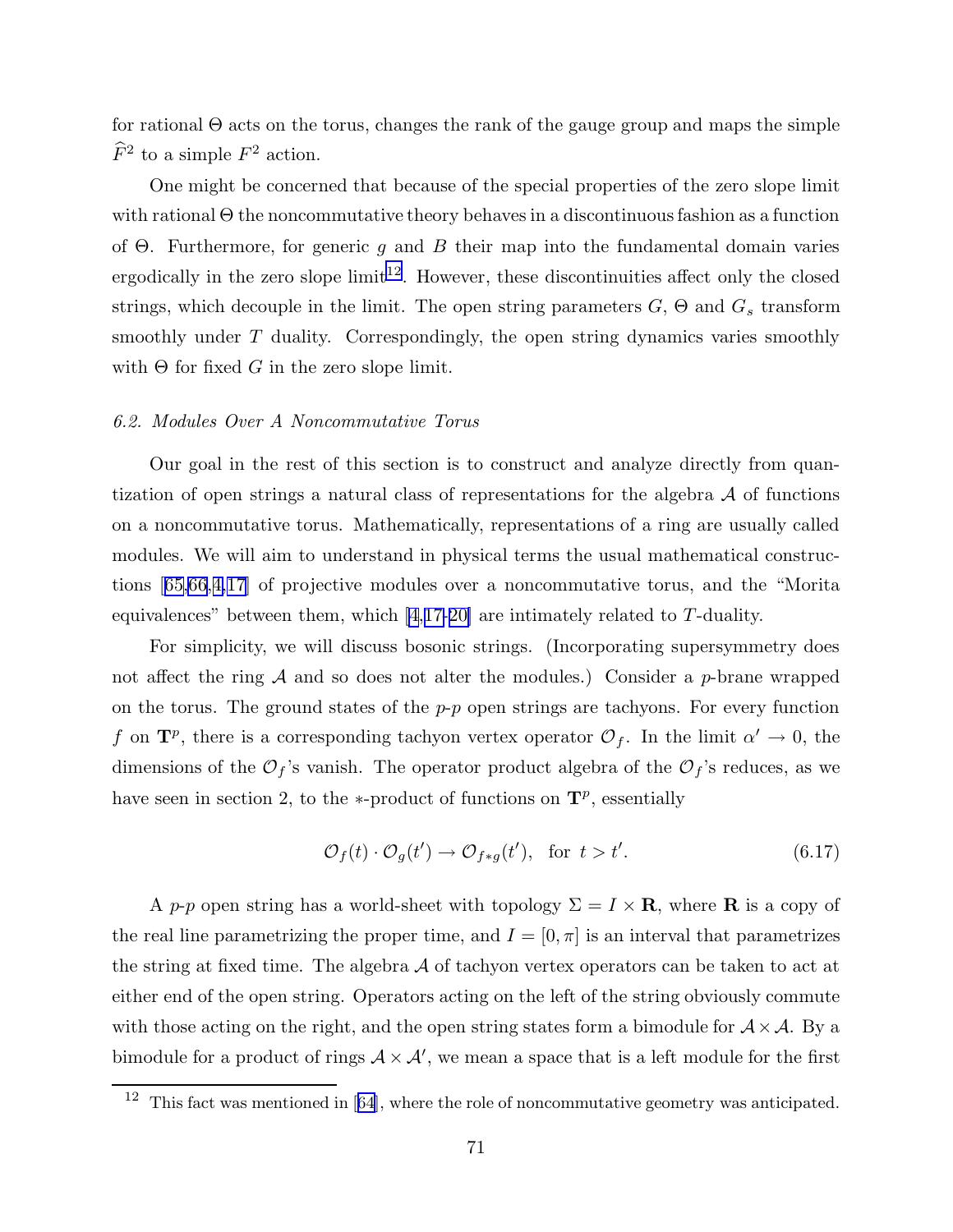for rational  $\Theta$  acts on the torus, changes the rank of the gauge group and maps the simple  $\widehat{F}^2$  to a simple  $F^2$  action.

One might be concerned that because of the special properties of the zero slope limit with rational  $\Theta$  the noncommutative theory behaves in a discontinuous fashion as a function of  $\Theta$ . Furthermore, for generic q and B their map into the fundamental domain varies ergodically in the zero slope limit<sup>12</sup>. However, these discontinuities affect only the closed strings, which decouple in the limit. The open string parameters  $G$ ,  $\Theta$  and  $G_s$  transform smoothly under T duality. Correspondingly, the open string dynamics varies smoothly with  $\Theta$  for fixed G in the zero slope limit.

### 6.2. Modules Over A Noncommutative Torus

Our goal in the rest of this section is to construct and analyze directly from quantization of open strings a natural class of representations for the algebra  $A$  of functions on a noncommutative torus. Mathematically, representations of a ring are usually called modules. We will aim to understand in physical terms the usual mathematical constructions [[65,66](#page-99-0),[4,](#page-95-0)[17\]](#page-96-0) of projective modules over a noncommutative torus, and the "Morita equivalences" between them, which  $[4,17-20]$  $[4,17-20]$  $[4,17-20]$  are intimately related to T-duality.

For simplicity, we will discuss bosonic strings. (Incorporating supersymmetry does not affect the ring  $A$  and so does not alter the modules.) Consider a p-brane wrapped on the torus. The ground states of the  $p-p$  open strings are tachyons. For every function f on  $\mathbf{T}^p$ , there is a corresponding tachyon vertex operator  $\mathcal{O}_f$ . In the limit  $\alpha' \to 0$ , the dimensions of the  $\mathcal{O}_f$ 's vanish. The operator product algebra of the  $\mathcal{O}_f$ 's reduces, as we have seen in section 2, to the  $*$ -product of functions on  $\mathbf{T}^p$ , essentially

$$
\mathcal{O}_f(t) \cdot \mathcal{O}_g(t') \to \mathcal{O}_{f*g}(t'), \text{ for } t > t'. \tag{6.17}
$$

A p-p open string has a world-sheet with topology  $\Sigma = I \times \mathbf{R}$ , where **R** is a copy of the real line parametrizing the proper time, and  $I = [0, \pi]$  is an interval that parametrizes the string at fixed time. The algebra  $A$  of tachyon vertex operators can be taken to act at either end of the open string. Operators acting on the left of the string obviously commute with those acting on the right, and the open string states form a bimodule for  $A \times A$ . By a bimodule for a product of rings  $A \times A'$ , we mean a space that is a left module for the first

 $12$  This fact was mentioned in [[64\]](#page-99-0), where the role of noncommutative geometry was anticipated.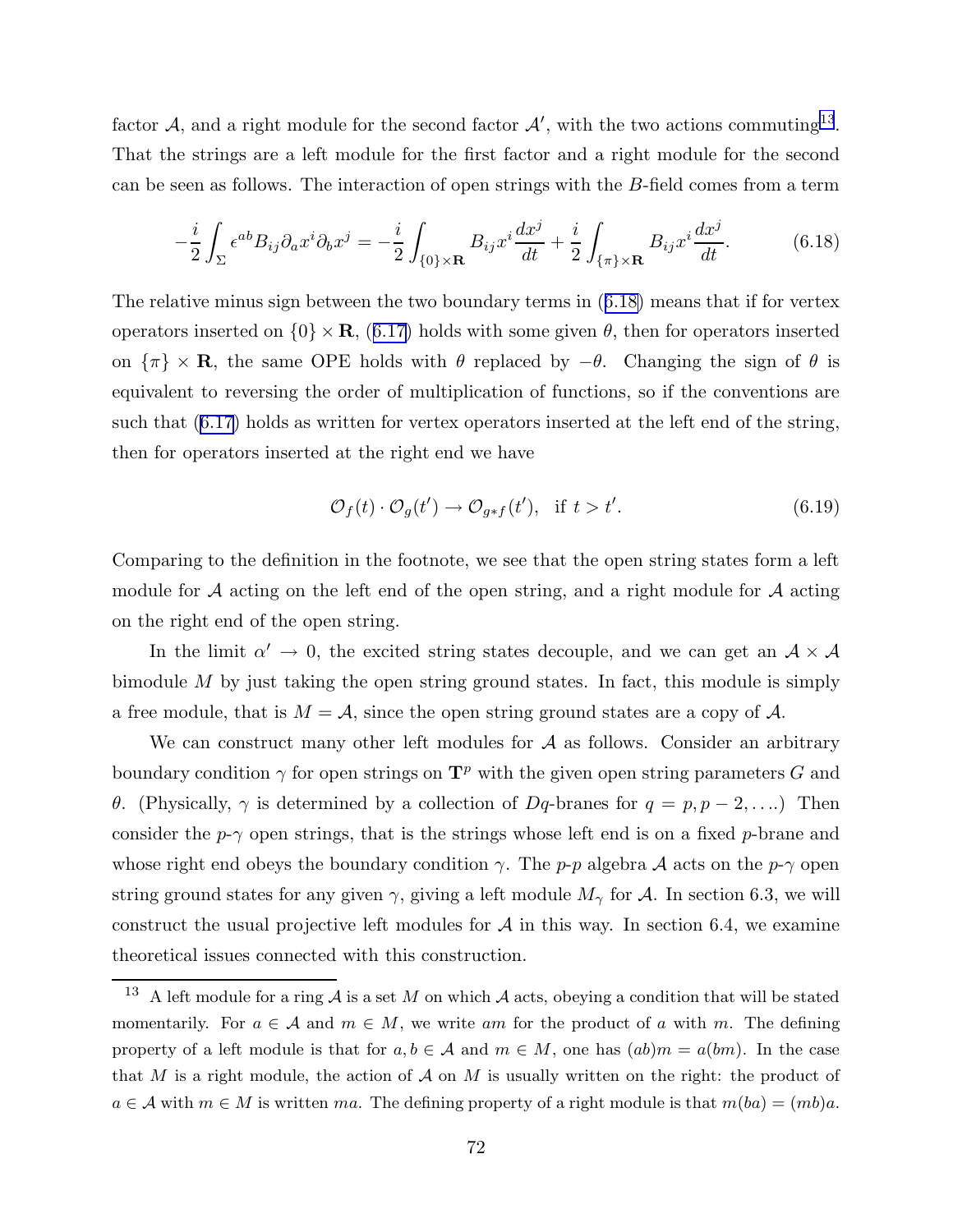factor A, and a right module for the second factor  $A'$ , with the two actions commuting<sup>13</sup>. That the strings are a left module for the first factor and a right module for the second can be seen as follows. The interaction of open strings with the B-field comes from a term

$$
-\frac{i}{2}\int_{\Sigma} \epsilon^{ab} B_{ij} \partial_a x^i \partial_b x^j = -\frac{i}{2} \int_{\{0\} \times \mathbf{R}} B_{ij} x^i \frac{dx^j}{dt} + \frac{i}{2} \int_{\{\pi\} \times \mathbf{R}} B_{ij} x^i \frac{dx^j}{dt}.
$$
 (6.18)

The relative minus sign between the two boundary terms in (6.18) means that if for vertex operators inserted on  $\{0\} \times \mathbf{R}$ , ([6.17\)](#page-71-0) holds with some given  $\theta$ , then for operators inserted on  $\{\pi\}\times\mathbf{R}$ , the same OPE holds with  $\theta$  replaced by  $-\theta$ . Changing the sign of  $\theta$  is equivalent to reversing the order of multiplication of functions, so if the conventions are such that ([6.17\)](#page-71-0) holds as written for vertex operators inserted at the left end of the string, then for operators inserted at the right end we have

$$
\mathcal{O}_f(t) \cdot \mathcal{O}_g(t') \to \mathcal{O}_{g*f}(t'), \quad \text{if } t > t'. \tag{6.19}
$$

Comparing to the definition in the footnote, we see that the open string states form a left module for  $A$  acting on the left end of the open string, and a right module for  $A$  acting on the right end of the open string.

In the limit  $\alpha' \to 0$ , the excited string states decouple, and we can get an  $\mathcal{A} \times \mathcal{A}$ bimodule  $M$  by just taking the open string ground states. In fact, this module is simply a free module, that is  $M = A$ , since the open string ground states are a copy of A.

We can construct many other left modules for  $A$  as follows. Consider an arbitrary boundary condition  $\gamma$  for open strings on  $\mathbf{T}^p$  with the given open string parameters G and θ. (Physically,  $\gamma$  is determined by a collection of Dq-branes for  $q = p, p - 2, ...$ ) Then consider the  $p-\gamma$  open strings, that is the strings whose left end is on a fixed p-brane and whose right end obeys the boundary condition  $\gamma$ . The p-p algebra A acts on the p- $\gamma$  open string ground states for any given  $\gamma$ , giving a left module  $M_{\gamma}$  for A. In section 6.3, we will construct the usual projective left modules for  $A$  in this way. In section 6.4, we examine theoretical issues connected with this construction.

<sup>&</sup>lt;sup>13</sup> A left module for a ring  $A$  is a set M on which  $A$  acts, obeying a condition that will be stated momentarily. For  $a \in A$  and  $m \in M$ , we write am for the product of a with m. The defining property of a left module is that for  $a, b \in A$  and  $m \in M$ , one has  $(ab)m = a(bm)$ . In the case that M is a right module, the action of  $\mathcal A$  on M is usually written on the right: the product of  $a \in \mathcal{A}$  with  $m \in M$  is written ma. The defining property of a right module is that  $m(ba) = (mb)a$ .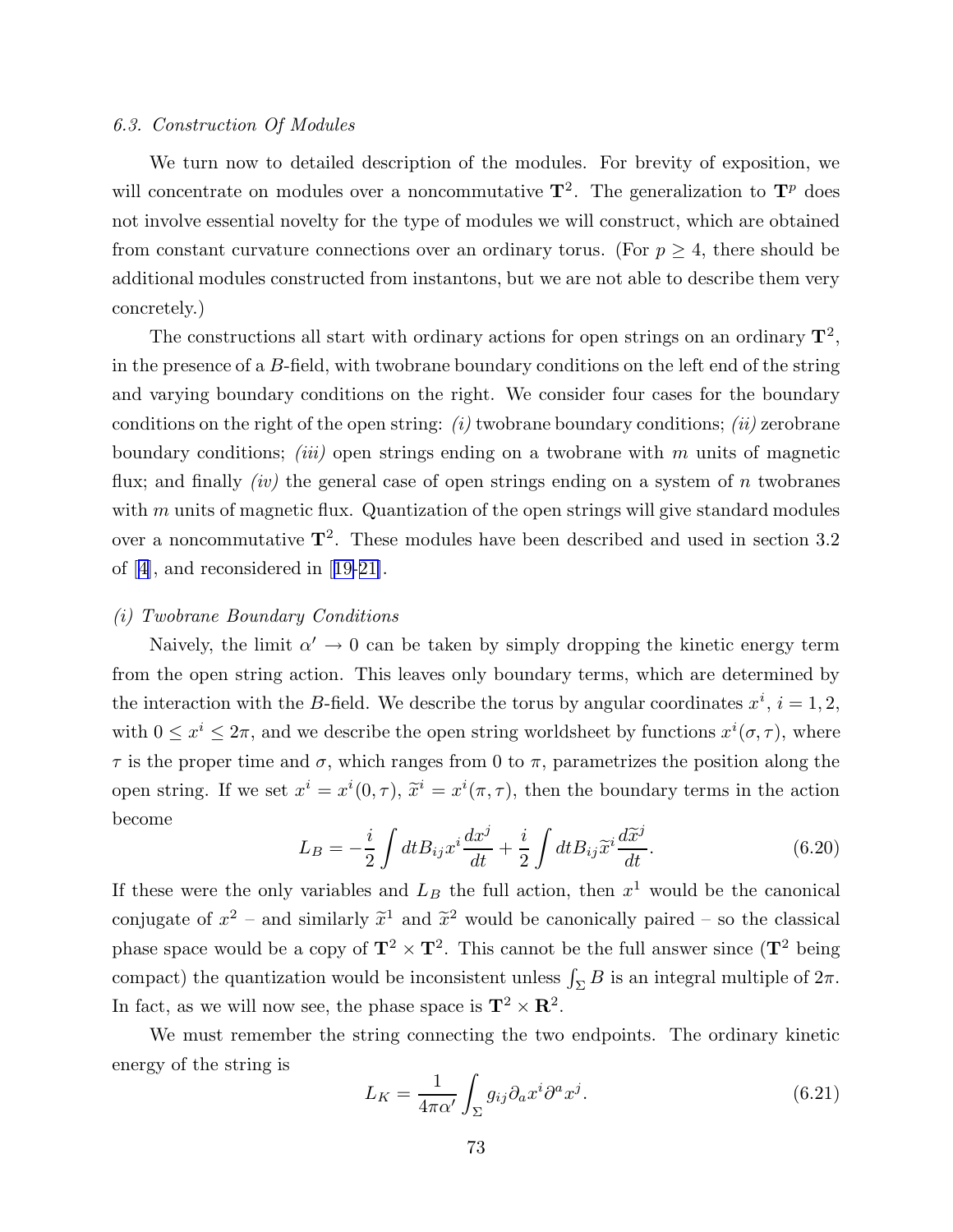#### 6.3. Construction Of Modules

We turn now to detailed description of the modules. For brevity of exposition, we will concentrate on modules over a noncommutative  $\mathbf{T}^2$ . The generalization to  $\mathbf{T}^p$  does not involve essential novelty for the type of modules we will construct, which are obtained from constant curvature connections over an ordinary torus. (For  $p \geq 4$ , there should be additional modules constructed from instantons, but we are not able to describe them very concretely.)

The constructions all start with ordinary actions for open strings on an ordinary  $\mathbf{T}^2$ , in the presence of a B-field, with twobrane boundary conditions on the left end of the string and varying boundary conditions on the right. We consider four cases for the boundary conditions on the right of the open string:  $(i)$  twobrane boundary conditions;  $(ii)$  zerobrane boundary conditions; *(iii)* open strings ending on a twobrane with  $m$  units of magnetic flux; and finally  $(iv)$  the general case of open strings ending on a system of n twobranes with  $m$  units of magnetic flux. Quantization of the open strings will give standard modules over a noncommutative  $\mathbf{T}^2$ . These modules have been described and used in section 3.2 of [[4](#page-95-0)], and reconsidered in [[19-21\]](#page-96-0).

### (i) Twobrane Boundary Conditions

Naively, the limit  $\alpha' \to 0$  can be taken by simply dropping the kinetic energy term from the open string action. This leaves only boundary terms, which are determined by the interaction with the B-field. We describe the torus by angular coordinates  $x^i$ ,  $i = 1, 2$ , with  $0 \leq x^i \leq 2\pi$ , and we describe the open string worldsheet by functions  $x^i(\sigma, \tau)$ , where  $\tau$  is the proper time and  $\sigma$ , which ranges from 0 to  $\pi$ , parametrizes the position along the open string. If we set  $x^i = x^i(0, \tau)$ ,  $\tilde{x}^i = x^i(\pi, \tau)$ , then the boundary terms in the action become

$$
L_B = -\frac{i}{2} \int dt B_{ij} x^i \frac{dx^j}{dt} + \frac{i}{2} \int dt B_{ij} \widetilde{x}^i \frac{d\widetilde{x}^j}{dt}.
$$
 (6.20)

If these were the only variables and  $L_B$  the full action, then  $x<sup>1</sup>$  would be the canonical conjugate of  $x^2$  – and similarly  $\tilde{x}^1$  and  $\tilde{x}^2$  would be canonically paired – so the classical phase space would be a copy of  $\mathbf{T}^2 \times \mathbf{T}^2$ . This cannot be the full answer since  $(\mathbf{T}^2$  being compact) the quantization would be inconsistent unless  $\int_{\Sigma} B$  is an integral multiple of  $2\pi$ . In fact, as we will now see, the phase space is  $\mathbf{T}^2 \times \mathbf{R}^2$ .

We must remember the string connecting the two endpoints. The ordinary kinetic energy of the string is

$$
L_K = \frac{1}{4\pi\alpha'} \int_{\Sigma} g_{ij} \partial_a x^i \partial^a x^j.
$$
 (6.21)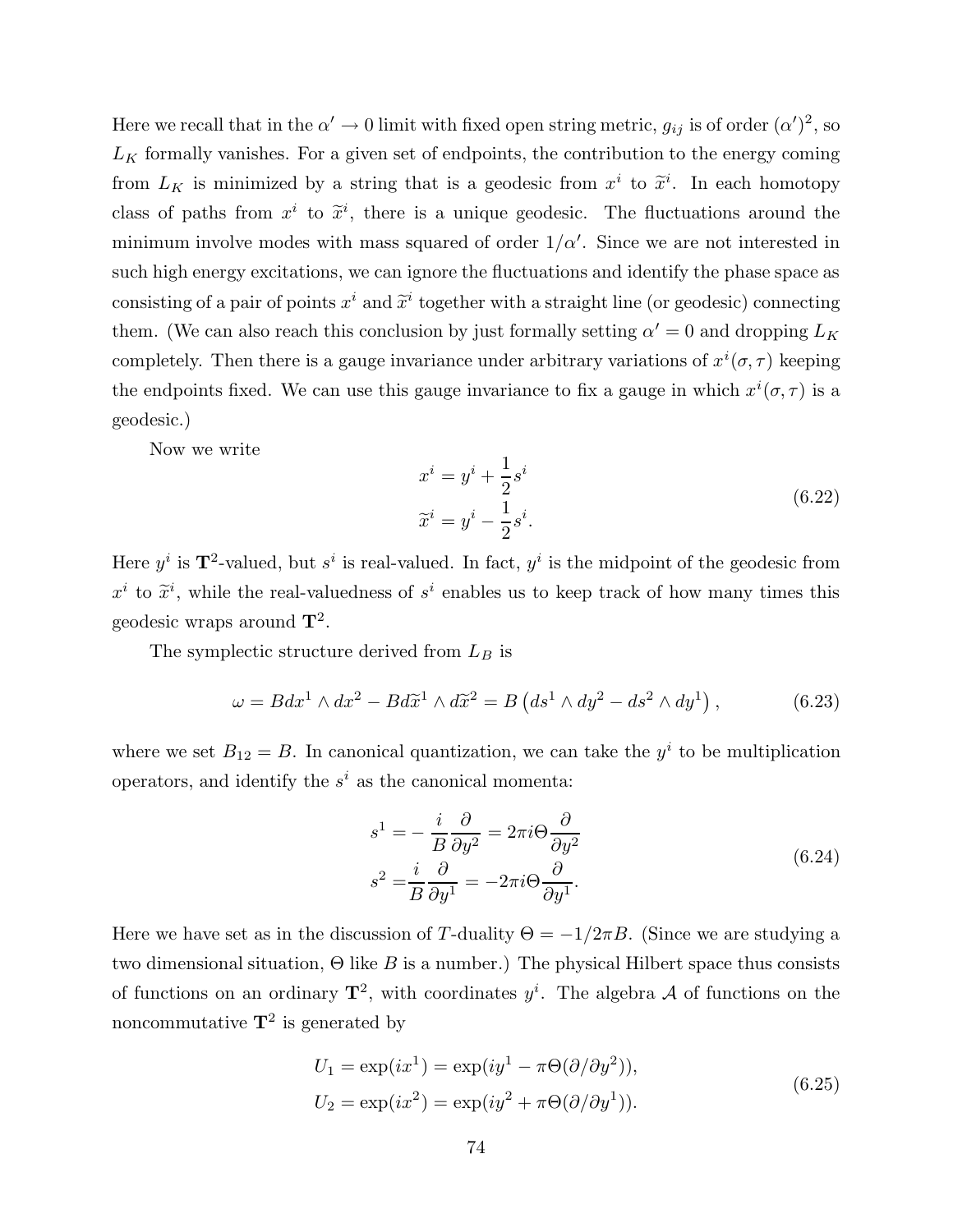Here we recall that in the  $\alpha' \to 0$  limit with fixed open string metric,  $g_{ij}$  is of order  $(\alpha')^2$ , so  $L_K$  formally vanishes. For a given set of endpoints, the contribution to the energy coming from  $L_K$  is minimized by a string that is a geodesic from  $x^i$  to  $\tilde{x}^i$ . In each homotopy class of paths from  $x^i$  to  $\tilde{x}^i$ , there is a unique geodesic. The fluctuations around the minimum involve modes with mass squared of order  $1/\alpha'$ . Since we are not interested in such high energy excitations, we can ignore the fluctuations and identify the phase space as consisting of a pair of points  $x^i$  and  $\tilde{x}^i$  together with a straight line (or geodesic) connecting them. (We can also reach this conclusion by just formally setting  $\alpha' = 0$  and dropping  $L_K$ completely. Then there is a gauge invariance under arbitrary variations of  $x^{i}(\sigma, \tau)$  keeping the endpoints fixed. We can use this gauge invariance to fix a gauge in which  $x^{i}(\sigma, \tau)$  is a geodesic.)

Now we write

$$
x^{i} = y^{i} + \frac{1}{2}s^{i}
$$
  
\n
$$
\widetilde{x}^{i} = y^{i} - \frac{1}{2}s^{i}.
$$
\n(6.22)

Here  $y^i$  is  $\mathbf{T}^2$ -valued, but  $s^i$  is real-valued. In fact,  $y^i$  is the midpoint of the geodesic from  $x^i$  to  $\tilde{x}^i$ , while the real-valuedness of  $s^i$  enables us to keep track of how many times this geodesic wraps around  $\mathbf{T}^2$ .

The symplectic structure derived from  $L_B$  is

$$
\omega = Bdx^1 \wedge dx^2 - Bd\tilde{x}^1 \wedge d\tilde{x}^2 = B\left(ds^1 \wedge dy^2 - ds^2 \wedge dy^1\right),\tag{6.23}
$$

where we set  $B_{12} = B$ . In canonical quantization, we can take the  $y^i$  to be multiplication operators, and identify the  $s^i$  as the canonical momenta:

$$
s^{1} = -\frac{i}{B} \frac{\partial}{\partial y^{2}} = 2\pi i \Theta \frac{\partial}{\partial y^{2}}
$$
  

$$
s^{2} = \frac{i}{B} \frac{\partial}{\partial y^{1}} = -2\pi i \Theta \frac{\partial}{\partial y^{1}}.
$$
 (6.24)

Here we have set as in the discussion of T-duality  $\Theta = -1/2\pi B$ . (Since we are studying a two dimensional situation,  $\Theta$  like B is a number.) The physical Hilbert space thus consists of functions on an ordinary  $\mathbf{T}^2$ , with coordinates  $y^i$ . The algebra A of functions on the noncommutative  $\mathbf{T}^2$  is generated by

$$
U_1 = \exp(ix^1) = \exp(iy^1 - \pi\Theta(\partial/\partial y^2)),
$$
  
\n
$$
U_2 = \exp(ix^2) = \exp(iy^2 + \pi\Theta(\partial/\partial y^1)).
$$
\n(6.25)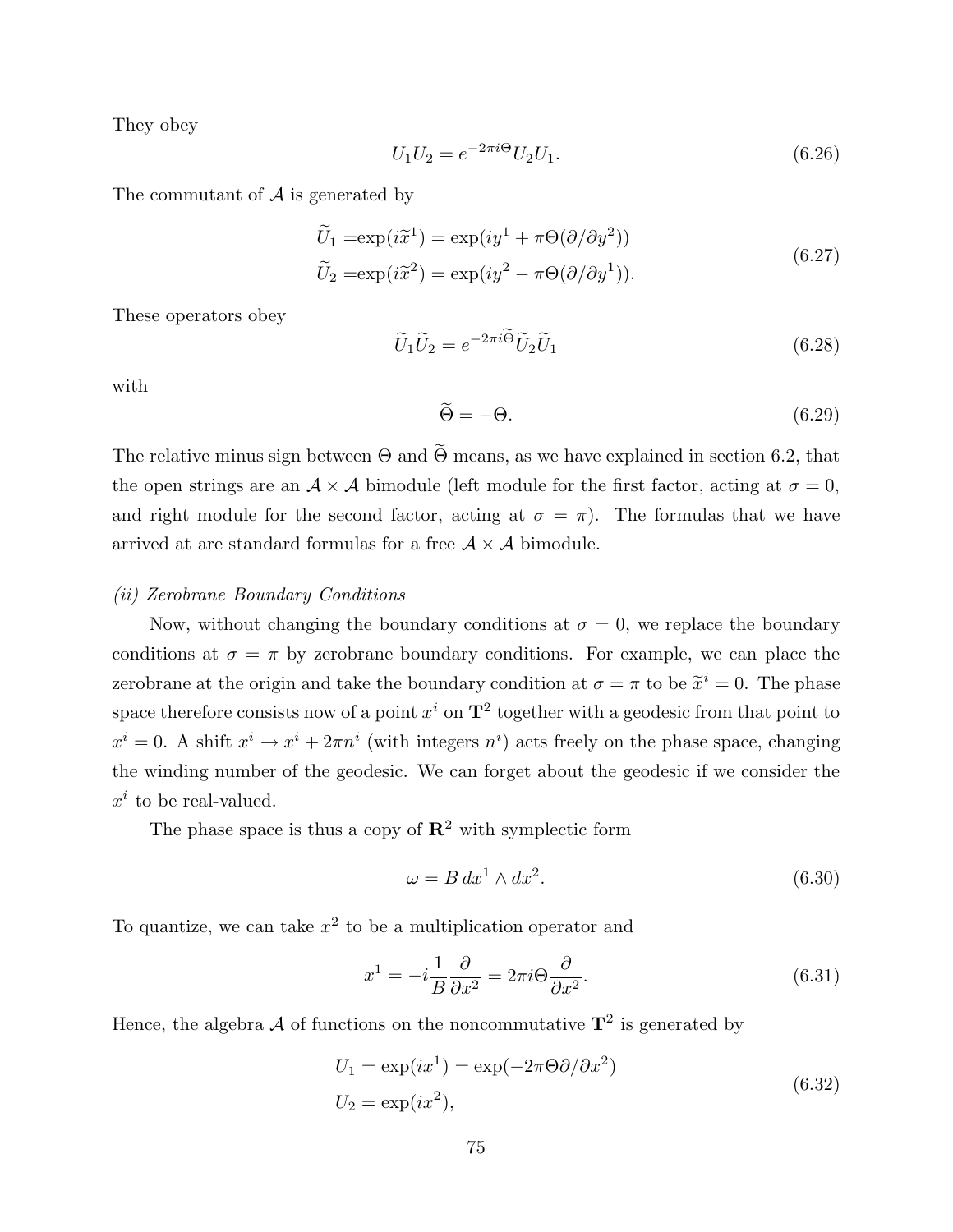They obey

$$
U_1 U_2 = e^{-2\pi i \Theta} U_2 U_1. \tag{6.26}
$$

The commutant of  $A$  is generated by

$$
\widetilde{U}_1 = \exp(i\widetilde{x}^1) = \exp(iy^1 + \pi \Theta(\partial/\partial y^2))
$$
\n
$$
\widetilde{U}_2 = \exp(i\widetilde{x}^2) = \exp(iy^2 - \pi \Theta(\partial/\partial y^1)).
$$
\n(6.27)

These operators obey

$$
\widetilde{U}_1 \widetilde{U}_2 = e^{-2\pi i \widetilde{\Theta}} \widetilde{U}_2 \widetilde{U}_1 \tag{6.28}
$$

with

$$
\widetilde{\Theta} = -\Theta. \tag{6.29}
$$

The relative minus sign between  $\Theta$  and  $\widetilde{\Theta}$  means, as we have explained in section 6.2, that the open strings are an  $A \times A$  bimodule (left module for the first factor, acting at  $\sigma = 0$ , and right module for the second factor, acting at  $\sigma = \pi$ ). The formulas that we have arrived at are standard formulas for a free  $A \times A$  bimodule.

#### (ii) Zerobrane Boundary Conditions

Now, without changing the boundary conditions at  $\sigma = 0$ , we replace the boundary conditions at  $\sigma = \pi$  by zerobrane boundary conditions. For example, we can place the zerobrane at the origin and take the boundary condition at  $\sigma = \pi$  to be  $\tilde{x}^i = 0$ . The phase space therefore consists now of a point  $x^i$  on  $\mathbf{T}^2$  together with a geodesic from that point to  $x^i = 0$ . A shift  $x^i \to x^i + 2\pi n^i$  (with integers  $n^i$ ) acts freely on the phase space, changing the winding number of the geodesic. We can forget about the geodesic if we consider the  $x^i$  to be real-valued.

The phase space is thus a copy of  $\mathbb{R}^2$  with symplectic form

$$
\omega = B \, dx^1 \wedge dx^2. \tag{6.30}
$$

To quantize, we can take  $x^2$  to be a multiplication operator and

$$
x^{1} = -i\frac{1}{B}\frac{\partial}{\partial x^{2}} = 2\pi i\Theta \frac{\partial}{\partial x^{2}}.
$$
\n(6.31)

Hence, the algebra  $\mathcal A$  of functions on the noncommutative  $\mathbf T^2$  is generated by

$$
U_1 = \exp(ix^1) = \exp(-2\pi\Theta\partial/\partial x^2)
$$
  
\n
$$
U_2 = \exp(ix^2),
$$
\n(6.32)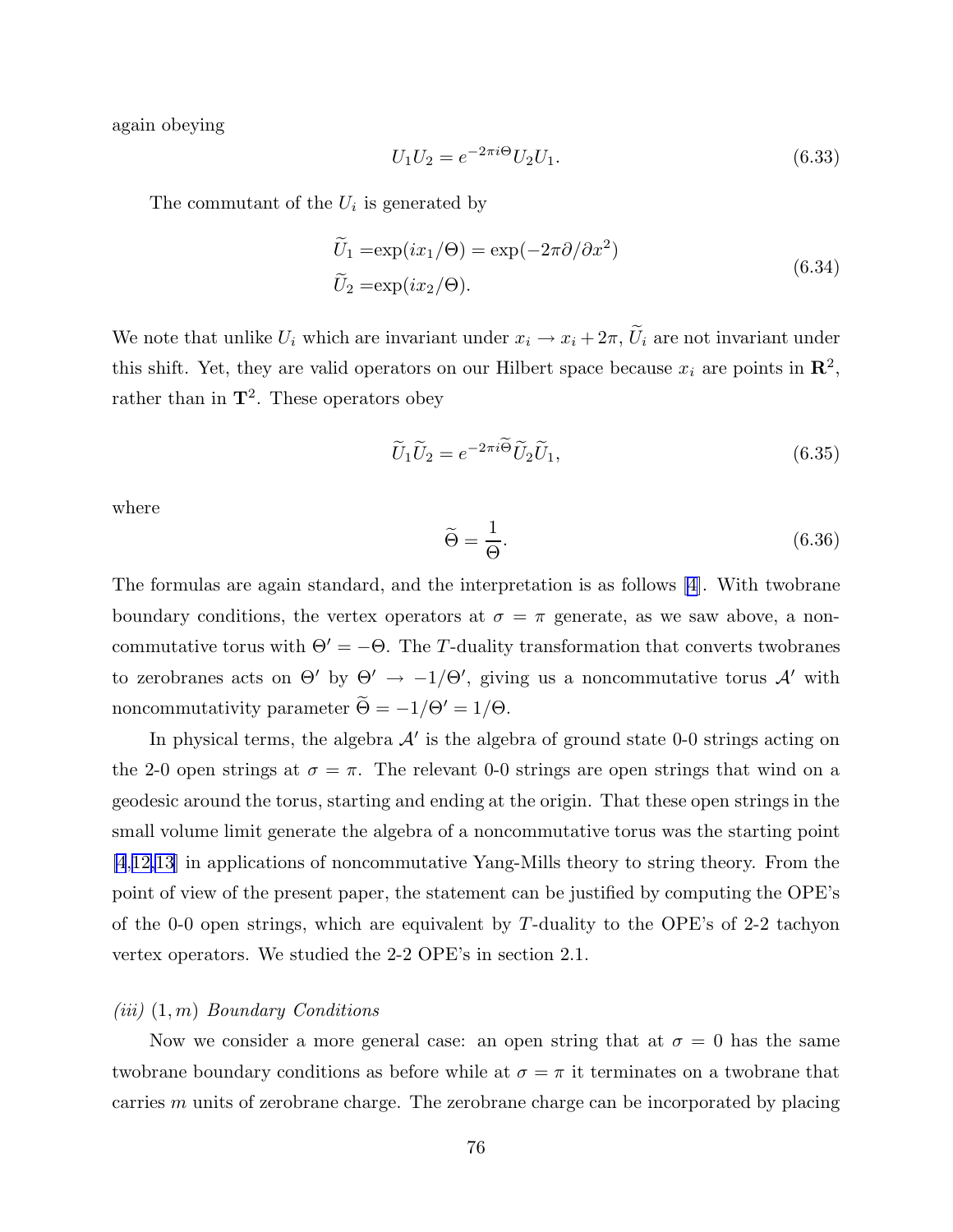again obeying

$$
U_1 U_2 = e^{-2\pi i \Theta} U_2 U_1. \tag{6.33}
$$

The commutant of the  $U_i$  is generated by

$$
\widetilde{U}_1 = \exp(ix_1/\Theta) = \exp(-2\pi\partial/\partial x^2)
$$
\n
$$
\widetilde{U}_2 = \exp(ix_2/\Theta). \tag{6.34}
$$

We note that unlike  $U_i$  which are invariant under  $x_i \to x_i + 2\pi$ ,  $\widetilde{U}_i$  are not invariant under this shift. Yet, they are valid operators on our Hilbert space because  $x_i$  are points in  $\mathbb{R}^2$ , rather than in  $\mathbf{T}^2$ . These operators obey

$$
\widetilde{U}_1 \widetilde{U}_2 = e^{-2\pi i \widetilde{\Theta}} \widetilde{U}_2 \widetilde{U}_1,\tag{6.35}
$$

where

$$
\widetilde{\Theta} = \frac{1}{\Theta}.\tag{6.36}
$$

The formulas are again standard, and the interpretation is as follows [[4\]](#page-95-0). With twobrane boundary conditions, the vertex operators at  $\sigma = \pi$  generate, as we saw above, a noncommutative torus with  $\Theta' = -\Theta$ . The T-duality transformation that converts twobranes to zerobranes acts on  $\Theta'$  by  $\Theta' \to -1/\Theta'$ , giving us a noncommutative torus  $\mathcal{A}'$  with noncommutativity parameter  $\widetilde{\Theta} = -1/\Theta' = 1/\Theta$ .

In physical terms, the algebra  $\mathcal{A}'$  is the algebra of ground state 0-0 strings acting on the 2-0 open strings at  $\sigma = \pi$ . The relevant 0-0 strings are open strings that wind on a geodesic around the torus, starting and ending at the origin. That these open strings in the small volume limit generate the algebra of a noncommutative torus was the starting point [\[4](#page-95-0),[12,13](#page-95-0)] in applications of noncommutative Yang-Mills theory to string theory. From the point of view of the present paper, the statement can be justified by computing the OPE's of the 0-0 open strings, which are equivalent by  $T$ -duality to the OPE's of 2-2 tachyon vertex operators. We studied the 2-2 OPE's in section 2.1.

# $(iii)$   $(1, m)$  Boundary Conditions

Now we consider a more general case: an open string that at  $\sigma = 0$  has the same twobrane boundary conditions as before while at  $\sigma = \pi$  it terminates on a twobrane that carries  $m$  units of zerobrane charge. The zerobrane charge can be incorporated by placing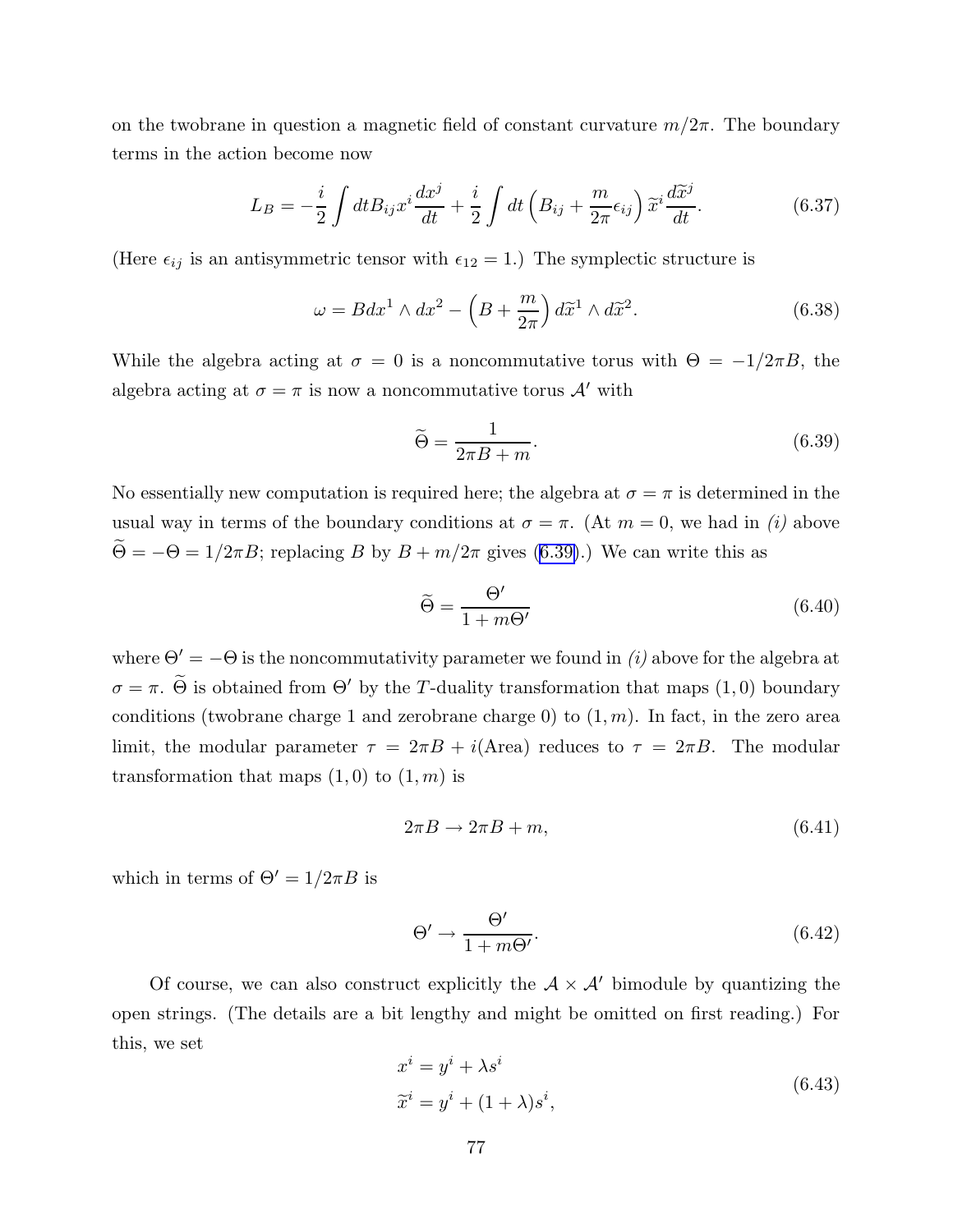on the twobrane in question a magnetic field of constant curvature  $m/2\pi$ . The boundary terms in the action become now

$$
L_B = -\frac{i}{2} \int dt B_{ij} x^i \frac{dx^j}{dt} + \frac{i}{2} \int dt \left( B_{ij} + \frac{m}{2\pi} \epsilon_{ij} \right) \widetilde{x}^i \frac{d\widetilde{x}^j}{dt}.
$$
 (6.37)

(Here  $\epsilon_{ij}$  is an antisymmetric tensor with  $\epsilon_{12} = 1$ .) The symplectic structure is

$$
\omega = B dx^1 \wedge dx^2 - \left( B + \frac{m}{2\pi} \right) d\widetilde{x}^1 \wedge d\widetilde{x}^2.
$$
 (6.38)

While the algebra acting at  $\sigma = 0$  is a noncommutative torus with  $\Theta = -1/2\pi B$ , the algebra acting at  $\sigma = \pi$  is now a noncommutative torus  $\mathcal{A}'$  with

$$
\widetilde{\Theta} = \frac{1}{2\pi B + m}.\tag{6.39}
$$

No essentially new computation is required here; the algebra at  $\sigma = \pi$  is determined in the usual way in terms of the boundary conditions at  $\sigma = \pi$ . (At  $m = 0$ , we had in *(i)* above  $\widetilde{\Theta} = -\Theta = 1/2\pi B$ ; replacing B by  $B + m/2\pi$  gives (6.39).) We can write this as

$$
\widetilde{\Theta} = \frac{\Theta'}{1 + m\Theta'}\tag{6.40}
$$

where  $\Theta' = -\Theta$  is the noncommutativity parameter we found in (i) above for the algebra at  $\sigma = \pi$ .  $\widetilde{\Theta}$  is obtained from  $\Theta'$  by the T-duality transformation that maps  $(1,0)$  boundary conditions (twobrane charge 1 and zerobrane charge 0) to  $(1, m)$ . In fact, in the zero area limit, the modular parameter  $\tau = 2\pi B + i$ (Area) reduces to  $\tau = 2\pi B$ . The modular transformation that maps  $(1,0)$  to  $(1,m)$  is

$$
2\pi B \to 2\pi B + m,\tag{6.41}
$$

which in terms of  $\Theta' = 1/2\pi B$  is

$$
\Theta' \to \frac{\Theta'}{1 + m\Theta'}.\tag{6.42}
$$

Of course, we can also construct explicitly the  $A \times A'$  bimodule by quantizing the open strings. (The details are a bit lengthy and might be omitted on first reading.) For this, we set

$$
x^{i} = y^{i} + \lambda s^{i}
$$
  
\n
$$
\tilde{x}^{i} = y^{i} + (1 + \lambda)s^{i},
$$
\n(6.43)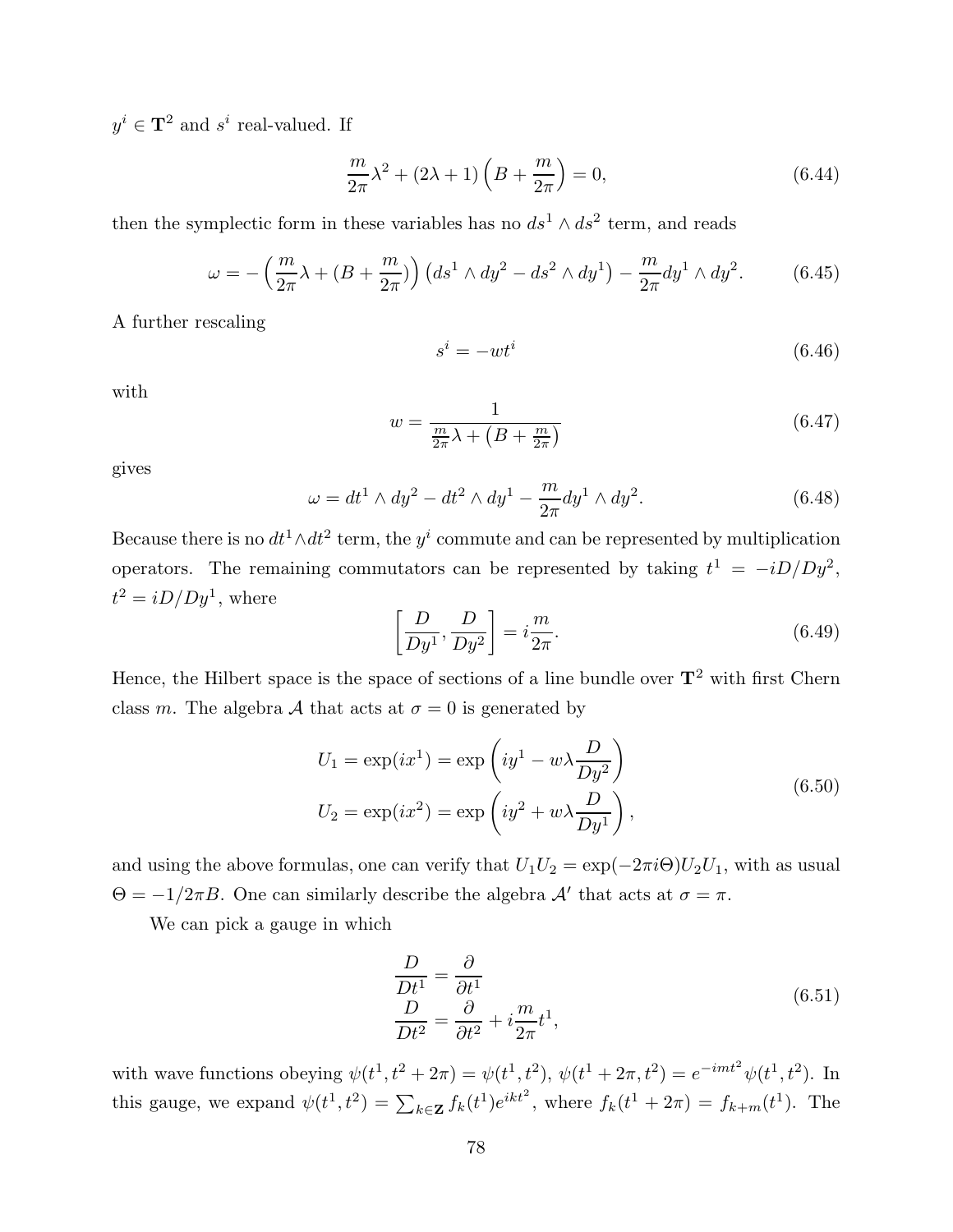$y^i \in \mathbf{T}^2$  and  $s^i$  real-valued. If

$$
\frac{m}{2\pi}\lambda^2 + (2\lambda + 1)\left(B + \frac{m}{2\pi}\right) = 0,\tag{6.44}
$$

then the symplectic form in these variables has no  $ds^1 \wedge ds^2$  term, and reads

$$
\omega = -\left(\frac{m}{2\pi}\lambda + (B + \frac{m}{2\pi})\right) \left(ds^1 \wedge dy^2 - ds^2 \wedge dy^1\right) - \frac{m}{2\pi} dy^1 \wedge dy^2.
$$
 (6.45)

A further rescaling

$$
s^i = -wt^i \tag{6.46}
$$

with

$$
w = \frac{1}{\frac{m}{2\pi}\lambda + \left(B + \frac{m}{2\pi}\right)}\tag{6.47}
$$

gives

$$
\omega = dt^1 \wedge dy^2 - dt^2 \wedge dy^1 - \frac{m}{2\pi} dy^1 \wedge dy^2.
$$
 (6.48)

Because there is no  $dt^1 \wedge dt^2$  term, the  $y^i$  commute and can be represented by multiplication operators. The remaining commutators can be represented by taking  $t^1 = -iD/Dy^2$ ,  $t^2 = iD/Dy^1$ , where

$$
\left[\frac{D}{Dy^1}, \frac{D}{Dy^2}\right] = i\frac{m}{2\pi}.\tag{6.49}
$$

Hence, the Hilbert space is the space of sections of a line bundle over  $T^2$  with first Chern class m. The algebra A that acts at  $\sigma = 0$  is generated by

$$
U_1 = \exp(ix^1) = \exp\left(iy^1 - w\lambda \frac{D}{Dy^2}\right)
$$
  
\n
$$
U_2 = \exp(ix^2) = \exp\left(iy^2 + w\lambda \frac{D}{Dy^1}\right),
$$
\n(6.50)

and using the above formulas, one can verify that  $U_1U_2 = \exp(-2\pi i \Theta)U_2U_1$ , with as usual  $\Theta = -1/2\pi B$ . One can similarly describe the algebra  $\mathcal{A}'$  that acts at  $\sigma = \pi$ .

We can pick a gauge in which

$$
\frac{D}{Dt^1} = \frac{\partial}{\partial t^1} \n\frac{D}{Dt^2} = \frac{\partial}{\partial t^2} + i\frac{m}{2\pi}t^1,
$$
\n(6.51)

with wave functions obeying  $\psi(t^1, t^2 + 2\pi) = \psi(t^1, t^2), \, \psi(t^1 + 2\pi, t^2) = e^{-imt^2} \psi(t^1, t^2)$ . In this gauge, we expand  $\psi(t^1, t^2) = \sum_{k \in \mathbf{Z}} f_k(t^1) e^{ikt^2}$ , where  $f_k(t^1 + 2\pi) = f_{k+m}(t^1)$ . The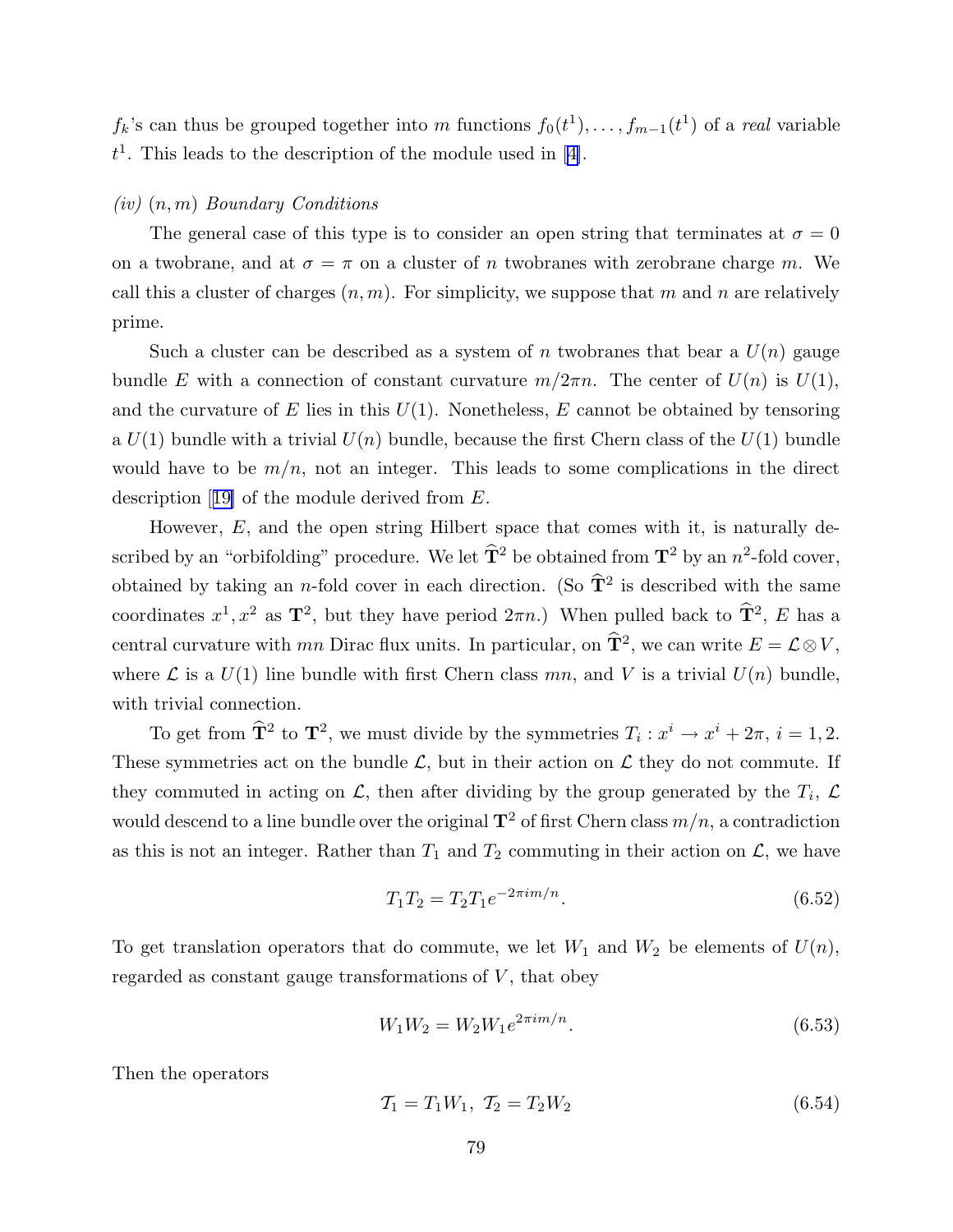$f_k$ 's can thus be grouped together into m functions  $f_0(t^1), \ldots, f_{m-1}(t^1)$  of a real variable  $t<sup>1</sup>$ . This leads to the description of the module used in [[4\]](#page-95-0).

# $(iv)$   $(n, m)$  Boundary Conditions

The general case of this type is to consider an open string that terminates at  $\sigma = 0$ on a twobrane, and at  $\sigma = \pi$  on a cluster of n twobranes with zerobrane charge m. We call this a cluster of charges  $(n, m)$ . For simplicity, we suppose that m and n are relatively prime.

Such a cluster can be described as a system of n twobranes that bear a  $U(n)$  gauge bundle E with a connection of constant curvature  $m/2\pi n$ . The center of  $U(n)$  is  $U(1)$ , and the curvature of E lies in this  $U(1)$ . Nonetheless, E cannot be obtained by tensoring a  $U(1)$  bundle with a trivial  $U(n)$  bundle, because the first Chern class of the  $U(1)$  bundle would have to be  $m/n$ , not an integer. This leads to some complications in the direct description [[19\]](#page-96-0) of the module derived from E.

However,  $E$ , and the open string Hilbert space that comes with it, is naturally described by an "orbifolding" procedure. We let  $\hat{T}^2$  be obtained from  $T^2$  by an  $n^2$ -fold cover, obtained by taking an *n*-fold cover in each direction. (So  $\hat{T}^2$  is described with the same coordinates  $x^1, x^2$  as  $\mathbf{T}^2$ , but they have period  $2\pi n$ .) When pulled back to  $\mathbf{T}^2$ , E has a central curvature with  $mn$  Dirac flux units. In particular, on  $\hat{T}^2$ , we can write  $E = \mathcal{L} \otimes V$ , where  $\mathcal L$  is a  $U(1)$  line bundle with first Chern class mn, and V is a trivial  $U(n)$  bundle, with trivial connection.

To get from  $\hat{\mathbf{T}}^2$  to  $\mathbf{T}^2$ , we must divide by the symmetries  $T_i : x^i \to x^i + 2\pi, i = 1, 2$ . These symmetries act on the bundle  $\mathcal{L}$ , but in their action on  $\mathcal{L}$  they do not commute. If they commuted in acting on  $\mathcal{L}$ , then after dividing by the group generated by the  $T_i$ ,  $\mathcal{L}$ would descend to a line bundle over the original  $\mathbf{T}^2$  of first Chern class  $m/n$ , a contradiction as this is not an integer. Rather than  $T_1$  and  $T_2$  commuting in their action on  $\mathcal{L}$ , we have

$$
T_1 T_2 = T_2 T_1 e^{-2\pi i m/n}.
$$
\n(6.52)

To get translation operators that do commute, we let  $W_1$  and  $W_2$  be elements of  $U(n)$ , regarded as constant gauge transformations of  $V$ , that obey

$$
W_1 W_2 = W_2 W_1 e^{2\pi i m/n}.
$$
\n(6.53)

Then the operators

$$
T_1 = T_1 W_1, \ T_2 = T_2 W_2 \tag{6.54}
$$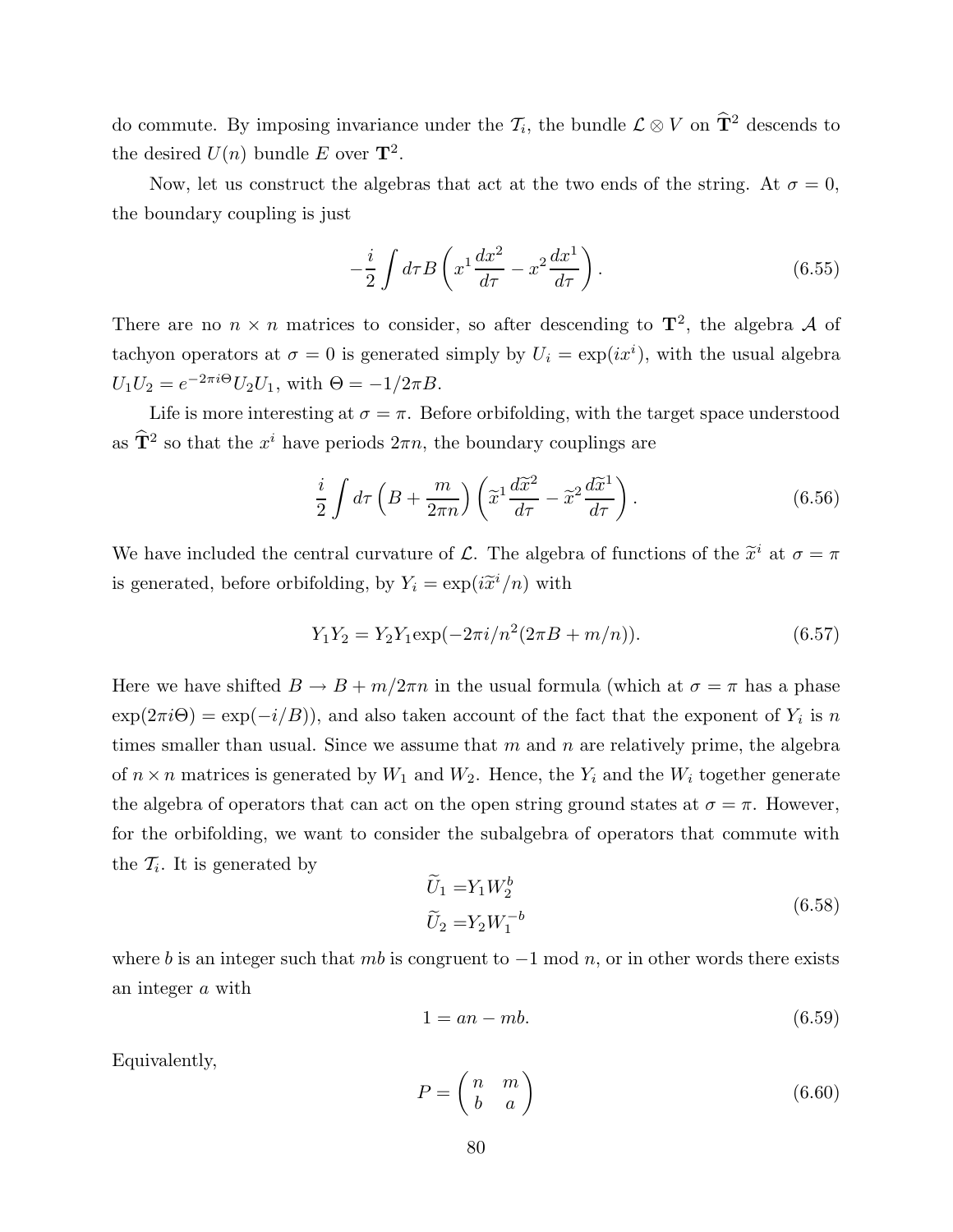<span id="page-80-0"></span>do commute. By imposing invariance under the  $\mathcal{T}_i$ , the bundle  $\mathcal{L} \otimes V$  on  $\hat{T}^2$  descends to the desired  $U(n)$  bundle E over  $\mathbf{T}^2$ .

Now, let us construct the algebras that act at the two ends of the string. At  $\sigma = 0$ , the boundary coupling is just

$$
-\frac{i}{2}\int d\tau B \left(x^1 \frac{dx^2}{d\tau} - x^2 \frac{dx^1}{d\tau}\right).
$$
\n(6.55)

There are no  $n \times n$  matrices to consider, so after descending to  $\mathbf{T}^2$ , the algebra A of tachyon operators at  $\sigma = 0$  is generated simply by  $U_i = \exp(ix^i)$ , with the usual algebra  $U_1 U_2 = e^{-2\pi i \Theta} U_2 U_1$ , with  $\Theta = -1/2\pi B$ .

Life is more interesting at  $\sigma = \pi$ . Before orbifolding, with the target space understood as  $\hat{\mathbf{T}}^2$  so that the  $x^i$  have periods  $2\pi n$ , the boundary couplings are

$$
\frac{i}{2} \int d\tau \left( B + \frac{m}{2\pi n} \right) \left( \tilde{x}^1 \frac{d\tilde{x}^2}{d\tau} - \tilde{x}^2 \frac{d\tilde{x}^1}{d\tau} \right). \tag{6.56}
$$

We have included the central curvature of  $\mathcal{L}$ . The algebra of functions of the  $\tilde{x}^i$  at  $\sigma = \pi$ is generated, before orbifolding, by  $Y_i = \exp(i\tilde{x}^i/n)$  with

$$
Y_1 Y_2 = Y_2 Y_1 \exp(-2\pi i/n^2 (2\pi B + m/n)).
$$
\n(6.57)

Here we have shifted  $B \to B + m/2\pi n$  in the usual formula (which at  $\sigma = \pi$  has a phase  $\exp(2\pi i\Theta) = \exp(-i/B)$ , and also taken account of the fact that the exponent of  $Y_i$  is n times smaller than usual. Since we assume that  $m$  and  $n$  are relatively prime, the algebra of  $n \times n$  matrices is generated by  $W_1$  and  $W_2$ . Hence, the  $Y_i$  and the  $W_i$  together generate the algebra of operators that can act on the open string ground states at  $\sigma = \pi$ . However, for the orbifolding, we want to consider the subalgebra of operators that commute with the  $\mathcal{T}_i$ . It is generated by

$$
\widetilde{U}_1 = Y_1 W_2^b
$$
\n
$$
\widetilde{U}_2 = Y_2 W_1^{-b}
$$
\n(6.58)

where b is an integer such that mb is congruent to  $-1 \mod n$ , or in other words there exists an integer a with

$$
1 = an - mb.\t\t(6.59)
$$

Equivalently,

$$
P = \begin{pmatrix} n & m \\ b & a \end{pmatrix} \tag{6.60}
$$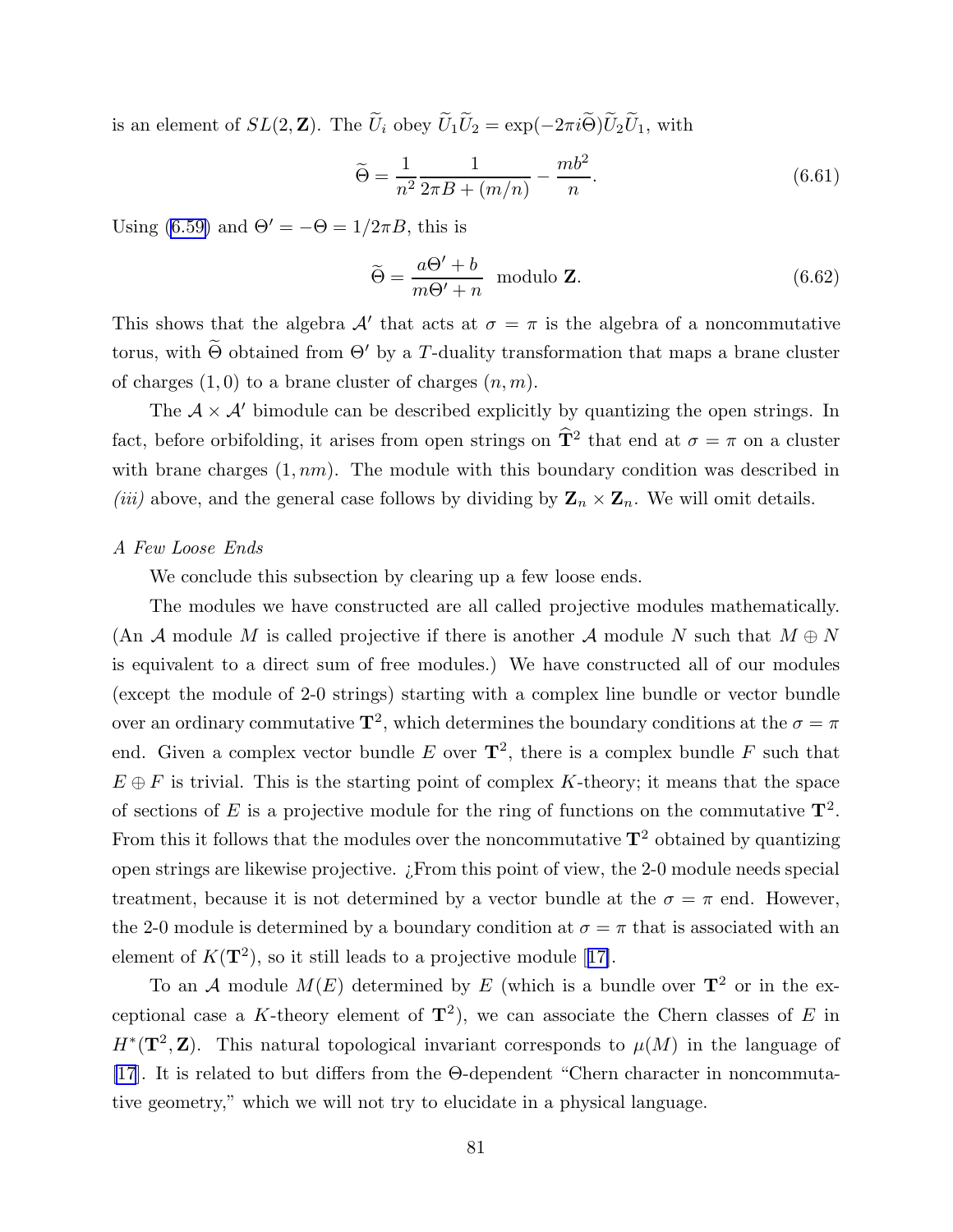is an element of  $SL(2, \mathbb{Z})$ . The  $\widetilde{U}_i$  obey  $\widetilde{U}_1\widetilde{U}_2 = \exp(-2\pi i \widetilde{\Theta})\widetilde{U}_2\widetilde{U}_1$ , with

$$
\tilde{\Theta} = \frac{1}{n^2} \frac{1}{2\pi B + (m/n)} - \frac{mb^2}{n}.
$$
\n(6.61)

Using [\(6.59\)](#page-80-0) and  $\Theta' = -\Theta = 1/2\pi B$ , this is

$$
\widetilde{\Theta} = \frac{a\Theta' + b}{m\Theta' + n} \text{ modulo } \mathbf{Z}.
$$
\n(6.62)

This shows that the algebra  $\mathcal{A}'$  that acts at  $\sigma = \pi$  is the algebra of a noncommutative torus, with  $\widetilde{\Theta}$  obtained from  $\Theta'$  by a T-duality transformation that maps a brane cluster of charges  $(1,0)$  to a brane cluster of charges  $(n, m)$ .

The  $A \times A'$  bimodule can be described explicitly by quantizing the open strings. In fact, before orbifolding, it arises from open strings on  $\hat{T}^2$  that end at  $\sigma = \pi$  on a cluster with brane charges  $(1, nm)$ . The module with this boundary condition was described in (iii) above, and the general case follows by dividing by  $\mathbf{Z}_n \times \mathbf{Z}_n$ . We will omit details.

#### A Few Loose Ends

We conclude this subsection by clearing up a few loose ends.

The modules we have constructed are all called projective modules mathematically. (An A module M is called projective if there is another A module N such that  $M \oplus N$ is equivalent to a direct sum of free modules.) We have constructed all of our modules (except the module of 2-0 strings) starting with a complex line bundle or vector bundle over an ordinary commutative  $\mathbf{T}^2$ , which determines the boundary conditions at the  $\sigma = \pi$ end. Given a complex vector bundle E over  $\mathbf{T}^2$ , there is a complex bundle F such that  $E \oplus F$  is trivial. This is the starting point of complex K-theory; it means that the space of sections of E is a projective module for the ring of functions on the commutative  $\mathbf{T}^2$ . From this it follows that the modules over the noncommutative  $T^2$  obtained by quantizing open strings are likewise projective. ¿From this point of view, the 2-0 module needs special treatment, because it is not determined by a vector bundle at the  $\sigma = \pi$  end. However, the 2-0 module is determined by a boundary condition at  $\sigma = \pi$  that is associated with an element of  $K(\mathbf{T}^2)$ , so it still leads to a projective module [[17\]](#page-96-0).

To an A module  $M(E)$  determined by E (which is a bundle over  $\mathbf{T}^2$  or in the exceptional case a K-theory element of  $\mathbf{T}^2$ ), we can associate the Chern classes of E in  $H^*(\mathbf{T}^2, \mathbf{Z})$ . This natural topological invariant corresponds to  $\mu(M)$  in the language of [\[17](#page-96-0)]. It is related to but differs from the Θ-dependent "Chern character in noncommutative geometry," which we will not try to elucidate in a physical language.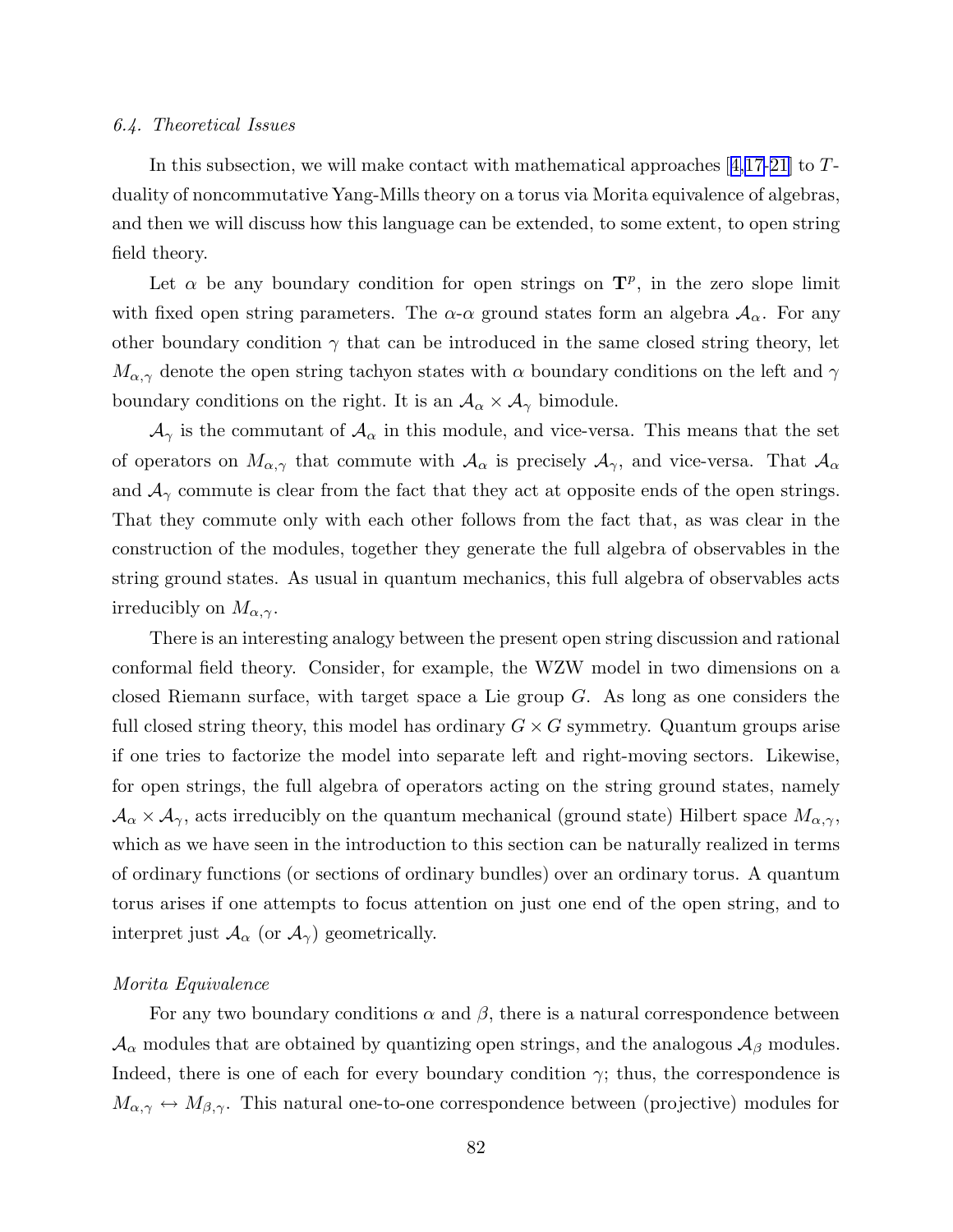#### 6.4. Theoretical Issues

In this subsection, we will make contact with mathematical approaches [[4,](#page-95-0)[17-21\]](#page-96-0) to Tduality of noncommutative Yang-Mills theory on a torus via Morita equivalence of algebras, and then we will discuss how this language can be extended, to some extent, to open string field theory.

Let  $\alpha$  be any boundary condition for open strings on  $\mathbf{T}^p$ , in the zero slope limit with fixed open string parameters. The  $\alpha$ - $\alpha$  ground states form an algebra  $A_{\alpha}$ . For any other boundary condition  $\gamma$  that can be introduced in the same closed string theory, let  $M_{\alpha,\gamma}$  denote the open string tachyon states with  $\alpha$  boundary conditions on the left and  $\gamma$ boundary conditions on the right. It is an  $A_{\alpha} \times A_{\gamma}$  bimodule.

 $\mathcal{A}_{\gamma}$  is the commutant of  $\mathcal{A}_{\alpha}$  in this module, and vice-versa. This means that the set of operators on  $M_{\alpha,\gamma}$  that commute with  $\mathcal{A}_{\alpha}$  is precisely  $\mathcal{A}_{\gamma}$ , and vice-versa. That  $\mathcal{A}_{\alpha}$ and  $A_{\gamma}$  commute is clear from the fact that they act at opposite ends of the open strings. That they commute only with each other follows from the fact that, as was clear in the construction of the modules, together they generate the full algebra of observables in the string ground states. As usual in quantum mechanics, this full algebra of observables acts irreducibly on  $M_{\alpha,\gamma}$ .

There is an interesting analogy between the present open string discussion and rational conformal field theory. Consider, for example, the WZW model in two dimensions on a closed Riemann surface, with target space a Lie group G. As long as one considers the full closed string theory, this model has ordinary  $G \times G$  symmetry. Quantum groups arise if one tries to factorize the model into separate left and right-moving sectors. Likewise, for open strings, the full algebra of operators acting on the string ground states, namely  $\mathcal{A}_{\alpha} \times \mathcal{A}_{\gamma}$ , acts irreducibly on the quantum mechanical (ground state) Hilbert space  $M_{\alpha,\gamma}$ , which as we have seen in the introduction to this section can be naturally realized in terms of ordinary functions (or sections of ordinary bundles) over an ordinary torus. A quantum torus arises if one attempts to focus attention on just one end of the open string, and to interpret just  $\mathcal{A}_{\alpha}$  (or  $\mathcal{A}_{\gamma}$ ) geometrically.

# Morita Equivalence

For any two boundary conditions  $\alpha$  and  $\beta$ , there is a natural correspondence between  $\mathcal{A}_{\alpha}$  modules that are obtained by quantizing open strings, and the analogous  $\mathcal{A}_{\beta}$  modules. Indeed, there is one of each for every boundary condition  $\gamma$ ; thus, the correspondence is  $M_{\alpha,\gamma} \leftrightarrow M_{\beta,\gamma}$ . This natural one-to-one correspondence between (projective) modules for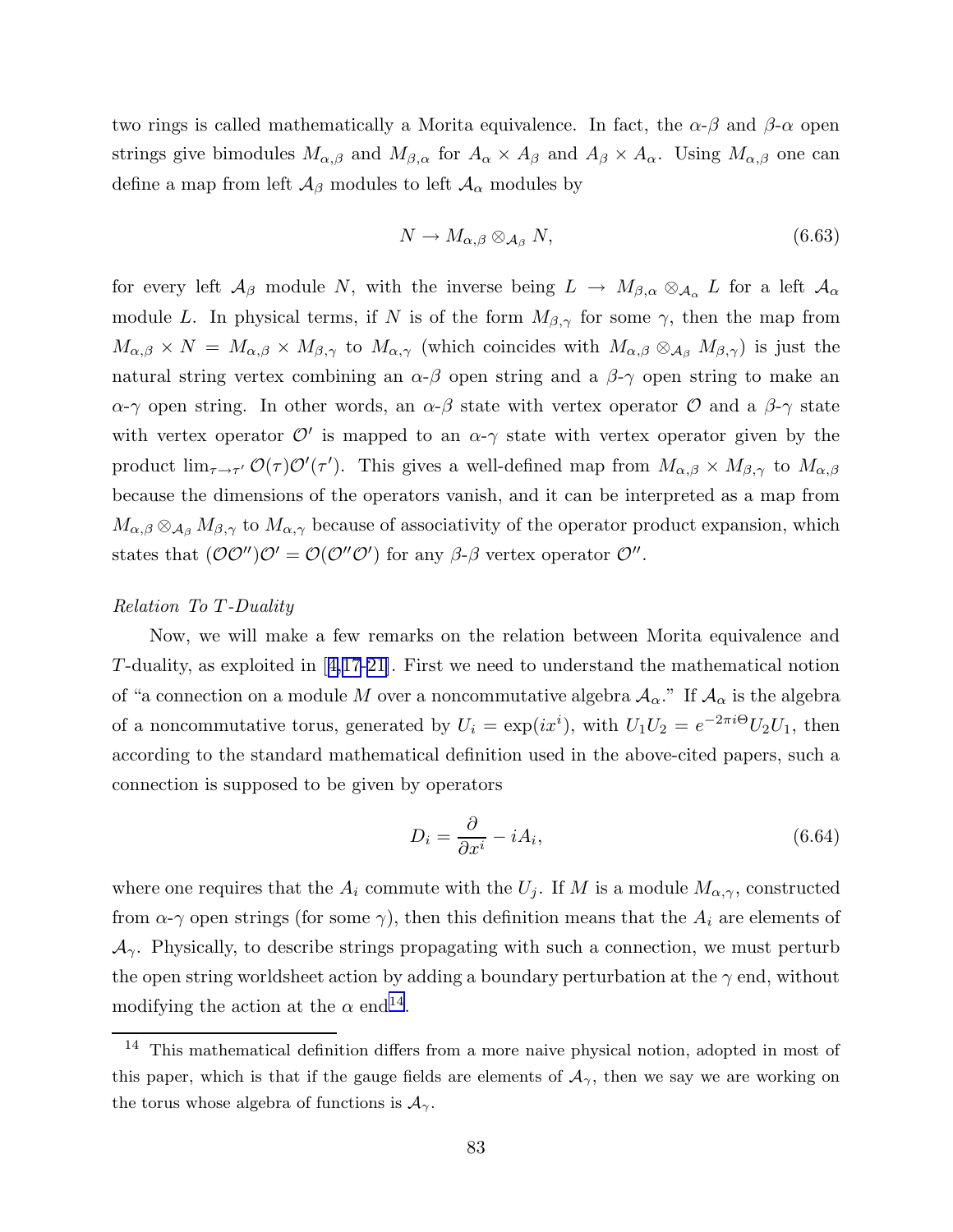two rings is called mathematically a Morita equivalence. In fact, the  $\alpha-\beta$  and  $\beta-\alpha$  open strings give bimodules  $M_{\alpha,\beta}$  and  $M_{\beta,\alpha}$  for  $A_{\alpha} \times A_{\beta}$  and  $A_{\beta} \times A_{\alpha}$ . Using  $M_{\alpha,\beta}$  one can define a map from left  $\mathcal{A}_{\beta}$  modules to left  $\mathcal{A}_{\alpha}$  modules by

$$
N \to M_{\alpha,\beta} \otimes_{\mathcal{A}_{\beta}} N, \tag{6.63}
$$

for every left  $\mathcal{A}_{\beta}$  module N, with the inverse being  $L \to M_{\beta,\alpha} \otimes_{\mathcal{A}_{\alpha}} L$  for a left  $\mathcal{A}_{\alpha}$ module L. In physical terms, if N is of the form  $M_{\beta,\gamma}$  for some  $\gamma$ , then the map from  $M_{\alpha,\beta} \times N = M_{\alpha,\beta} \times M_{\beta,\gamma}$  to  $M_{\alpha,\gamma}$  (which coincides with  $M_{\alpha,\beta} \otimes_{\mathcal{A}_{\beta}} M_{\beta,\gamma}$ ) is just the natural string vertex combining an  $\alpha$ - $\beta$  open string and a  $\beta$ - $\gamma$  open string to make an  $\alpha$ -γ open string. In other words, an  $\alpha$ -β state with vertex operator  $\mathcal O$  and a  $\beta$ -γ state with vertex operator  $\mathcal{O}'$  is mapped to an  $\alpha$ - $\gamma$  state with vertex operator given by the product  $\lim_{\tau\to\tau'}\mathcal{O}(\tau)\mathcal{O}'(\tau')$ . This gives a well-defined map from  $M_{\alpha,\beta}\times M_{\beta,\gamma}$  to  $M_{\alpha,\beta}$ because the dimensions of the operators vanish, and it can be interpreted as a map from  $M_{\alpha,\beta} \otimes_{\mathcal{A}_{\beta}} M_{\beta,\gamma}$  to  $M_{\alpha,\gamma}$  because of associativity of the operator product expansion, which states that  $(\mathcal{O}\mathcal{O}'')\mathcal{O}' = \mathcal{O}(\mathcal{O}''\mathcal{O}')$  for any  $\beta$ - $\beta$  vertex operator  $\mathcal{O}''$ .

#### Relation To T-Duality

Now, we will make a few remarks on the relation between Morita equivalence and T-duality, as exploited in [[4,](#page-95-0)[17-21](#page-96-0)]. First we need to understand the mathematical notion of "a connection on a module M over a noncommutative algebra  $A_{\alpha}$ ." If  $A_{\alpha}$  is the algebra of a noncommutative torus, generated by  $U_i = \exp(ix^i)$ , with  $U_1U_2 = e^{-2\pi i \Theta} U_2U_1$ , then according to the standard mathematical definition used in the above-cited papers, such a connection is supposed to be given by operators

$$
D_i = \frac{\partial}{\partial x^i} - iA_i,\tag{6.64}
$$

where one requires that the  $A_i$  commute with the  $U_j$ . If M is a module  $M_{\alpha,\gamma}$ , constructed from  $\alpha$ -γ open strings (for some γ), then this definition means that the  $A_i$  are elements of  $\mathcal{A}_{\gamma}$ . Physically, to describe strings propagating with such a connection, we must perturb the open string worldsheet action by adding a boundary perturbation at the  $\gamma$  end, without modifying the action at the  $\alpha$  end<sup>14</sup>.

 $14$  This mathematical definition differs from a more naive physical notion, adopted in most of this paper, which is that if the gauge fields are elements of  $A_{\gamma}$ , then we say we are working on the torus whose algebra of functions is  $\mathcal{A}_{\gamma}$ .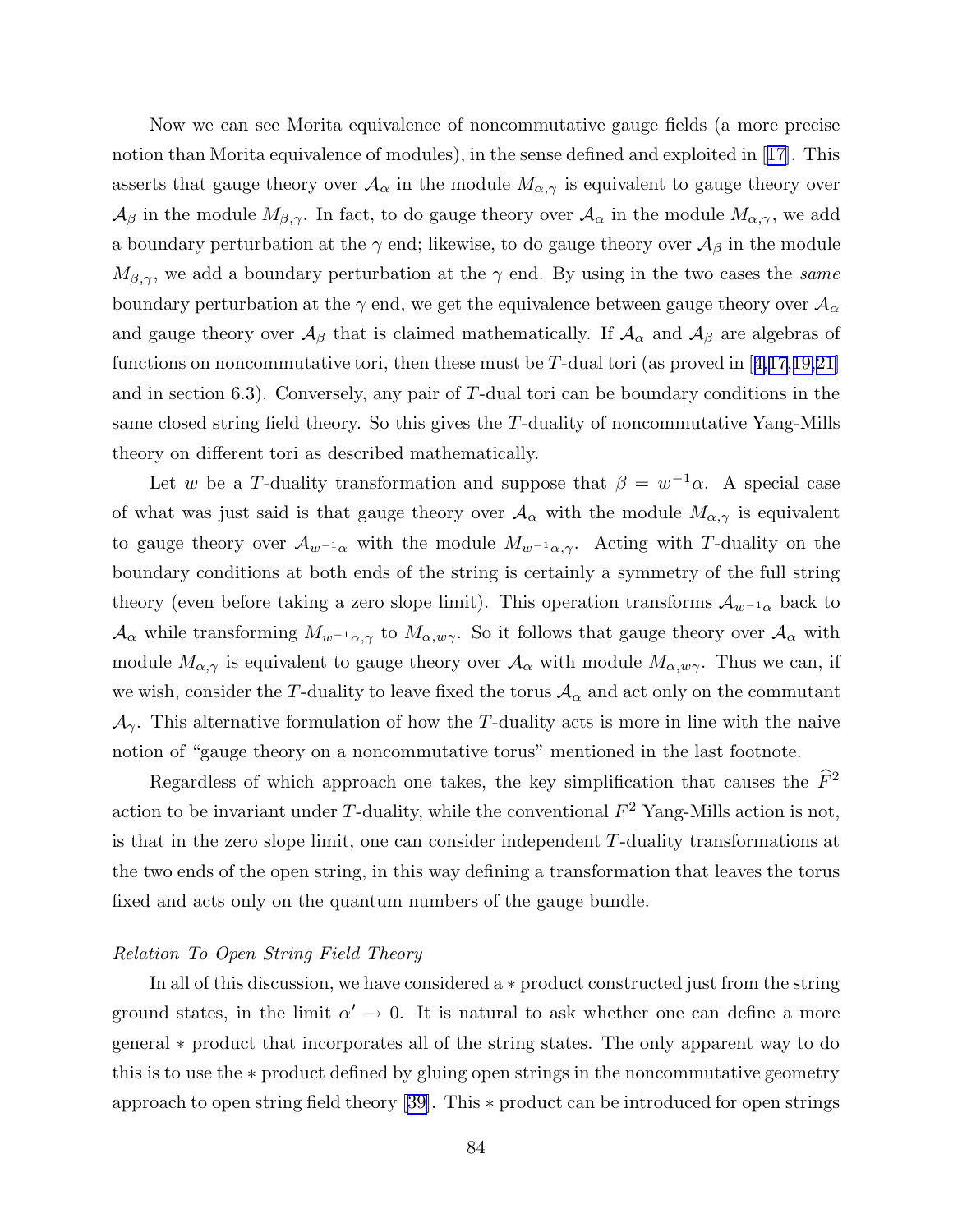Now we can see Morita equivalence of noncommutative gauge fields (a more precise notion than Morita equivalence of modules), in the sense defined and exploited in [[17\]](#page-96-0). This asserts that gauge theory over  $A_{\alpha}$  in the module  $M_{\alpha,\gamma}$  is equivalent to gauge theory over  $\mathcal{A}_{\beta}$  in the module  $M_{\beta,\gamma}$ . In fact, to do gauge theory over  $\mathcal{A}_{\alpha}$  in the module  $M_{\alpha,\gamma}$ , we add a boundary perturbation at the  $\gamma$  end; likewise, to do gauge theory over  $\mathcal{A}_{\beta}$  in the module  $M_{\beta,\gamma}$ , we add a boundary perturbation at the  $\gamma$  end. By using in the two cases the same boundary perturbation at the  $\gamma$  end, we get the equivalence between gauge theory over  $\mathcal{A}_{\alpha}$ and gauge theory over  $\mathcal{A}_{\beta}$  that is claimed mathematically. If  $\mathcal{A}_{\alpha}$  and  $\mathcal{A}_{\beta}$  are algebras of functions on noncommutative tori, then these must be T-dual tori (as proved in  $\left[4,17,19,21\right]$  $\left[4,17,19,21\right]$  $\left[4,17,19,21\right]$ and in section 6.3). Conversely, any pair of  $T$ -dual tori can be boundary conditions in the same closed string field theory. So this gives the T-duality of noncommutative Yang-Mills theory on different tori as described mathematically.

Let w be a T-duality transformation and suppose that  $\beta = w^{-1}\alpha$ . A special case of what was just said is that gauge theory over  $A_{\alpha}$  with the module  $M_{\alpha,\gamma}$  is equivalent to gauge theory over  $\mathcal{A}_{w^{-1}\alpha}$  with the module  $M_{w^{-1}\alpha,\gamma}$ . Acting with T-duality on the boundary conditions at both ends of the string is certainly a symmetry of the full string theory (even before taking a zero slope limit). This operation transforms  $A_{w^{-1}\alpha}$  back to  $\mathcal{A}_{\alpha}$  while transforming  $M_{w^{-1}\alpha,\gamma}$  to  $M_{\alpha,w\gamma}$ . So it follows that gauge theory over  $\mathcal{A}_{\alpha}$  with module  $M_{\alpha,\gamma}$  is equivalent to gauge theory over  $\mathcal{A}_{\alpha}$  with module  $M_{\alpha,w\gamma}$ . Thus we can, if we wish, consider the T-duality to leave fixed the torus  $A_{\alpha}$  and act only on the commutant  $\mathcal{A}_{\gamma}$ . This alternative formulation of how the T-duality acts is more in line with the naive notion of "gauge theory on a noncommutative torus" mentioned in the last footnote.

Regardless of which approach one takes, the key simplification that causes the  $\tilde{F}^2$ action to be invariant under T-duality, while the conventional  $F^2$  Yang-Mills action is not, is that in the zero slope limit, one can consider independent T-duality transformations at the two ends of the open string, in this way defining a transformation that leaves the torus fixed and acts only on the quantum numbers of the gauge bundle.

# Relation To Open String Field Theory

In all of this discussion, we have considered a ∗ product constructed just from the string ground states, in the limit  $\alpha' \to 0$ . It is natural to ask whether one can define a more general ∗ product that incorporates all of the string states. The only apparent way to do this is to use the ∗ product defined by gluing open strings in the noncommutative geometry approach to open string field theory [[39\]](#page-97-0). This ∗ product can be introduced for open strings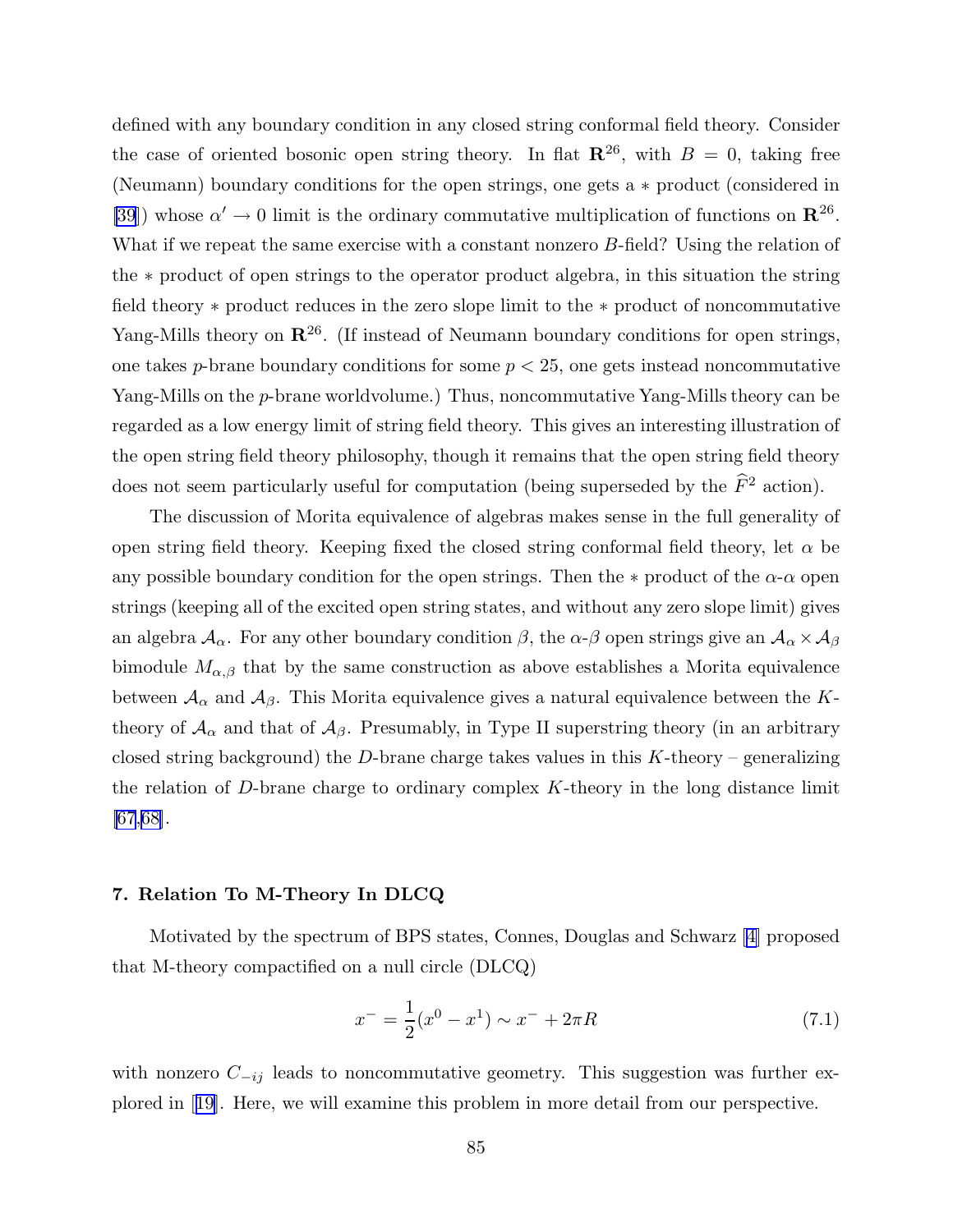<span id="page-85-0"></span>defined with any boundary condition in any closed string conformal field theory. Consider the case of oriented bosonic open string theory. In flat  $\mathbb{R}^{26}$ , with  $B = 0$ , taking free (Neumann) boundary conditions for the open strings, one gets a ∗ product (considered in [\[39](#page-97-0)]) whose  $\alpha' \to 0$  limit is the ordinary commutative multiplication of functions on  $\mathbb{R}^{26}$ . What if we repeat the same exercise with a constant nonzero B-field? Using the relation of the ∗ product of open strings to the operator product algebra, in this situation the string field theory ∗ product reduces in the zero slope limit to the ∗ product of noncommutative Yang-Mills theory on  $\mathbb{R}^{26}$ . (If instead of Neumann boundary conditions for open strings, one takes p-brane boundary conditions for some  $p < 25$ , one gets instead noncommutative Yang-Mills on the p-brane worldvolume.) Thus, noncommutative Yang-Mills theory can be regarded as a low energy limit of string field theory. This gives an interesting illustration of the open string field theory philosophy, though it remains that the open string field theory does not seem particularly useful for computation (being superseded by the  $\widehat{F}^2$  action).

The discussion of Morita equivalence of algebras makes sense in the full generality of open string field theory. Keeping fixed the closed string conformal field theory, let  $\alpha$  be any possible boundary condition for the open strings. Then the  $*$  product of the  $\alpha$ - $\alpha$  open strings (keeping all of the excited open string states, and without any zero slope limit) gives an algebra  $\mathcal{A}_{\alpha}$ . For any other boundary condition  $\beta$ , the  $\alpha$ - $\beta$  open strings give an  $\mathcal{A}_{\alpha}\times\mathcal{A}_{\beta}$ bimodule  $M_{\alpha,\beta}$  that by the same construction as above establishes a Morita equivalence between  $A_{\alpha}$  and  $A_{\beta}$ . This Morita equivalence gives a natural equivalence between the Ktheory of  $A_{\alpha}$  and that of  $A_{\beta}$ . Presumably, in Type II superstring theory (in an arbitrary closed string background) the D-brane charge takes values in this  $K$ -theory – generalizing the relation of D-brane charge to ordinary complex  $K$ -theory in the long distance limit  $[67,68]$  $[67,68]$  $[67,68]$ .

# 7. Relation To M-Theory In DLCQ

Motivated by the spectrum of BPS states, Connes, Douglas and Schwarz [[4\]](#page-95-0) proposed that M-theory compactified on a null circle (DLCQ)

$$
x^{-} = \frac{1}{2}(x^{0} - x^{1}) \sim x^{-} + 2\pi R
$$
\n(7.1)

with nonzero  $C_{-ij}$  leads to noncommutative geometry. This suggestion was further explored in [[19\]](#page-96-0). Here, we will examine this problem in more detail from our perspective.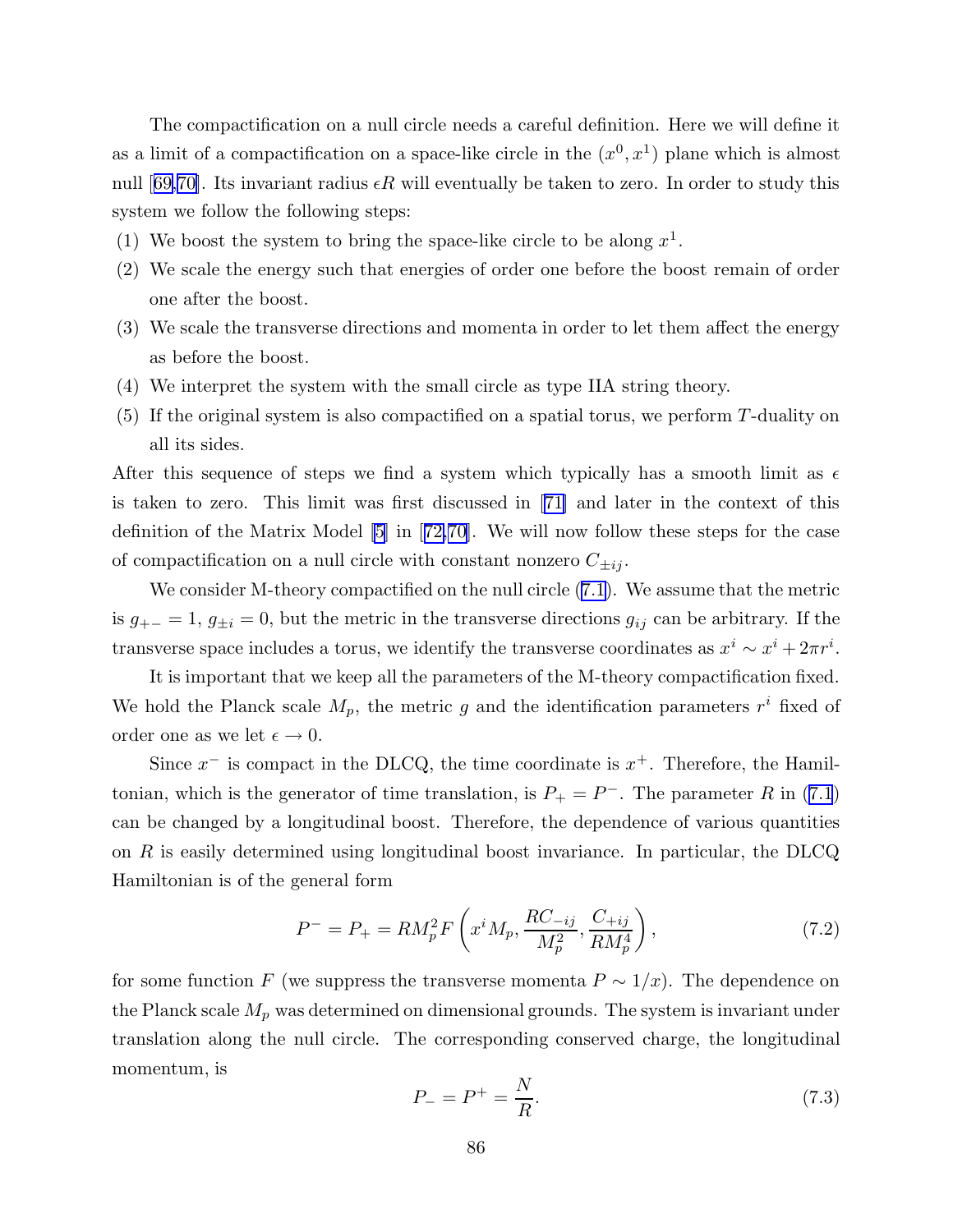The compactification on a null circle needs a careful definition. Here we will define it as a limit of a compactification on a space-like circle in the  $(x^0, x^1)$  plane which is almost null [[69,70\]](#page-99-0). Its invariant radius  $\epsilon R$  will eventually be taken to zero. In order to study this system we follow the following steps:

- (1) We boost the system to bring the space-like circle to be along  $x^1$ .
- (2) We scale the energy such that energies of order one before the boost remain of order one after the boost.
- (3) We scale the transverse directions and momenta in order to let them affect the energy as before the boost.
- (4) We interpret the system with the small circle as type IIA string theory.
- (5) If the original system is also compactified on a spatial torus, we perform T-duality on all its sides.

After this sequence of steps we find a system which typically has a smooth limit as  $\epsilon$ is taken to zero. This limit was first discussed in [[71\]](#page-99-0) and later in the context of this definition of the Matrix Model [\[5](#page-95-0)] in [[72,70\]](#page-99-0). We will now follow these steps for the case of compactification on a null circle with constant nonzero  $C_{\pm ij}$ .

We consider M-theory compactified on the null circle ([7.1](#page-85-0)). We assume that the metric is  $g_{+-} = 1$ ,  $g_{\pm i} = 0$ , but the metric in the transverse directions  $g_{ij}$  can be arbitrary. If the transverse space includes a torus, we identify the transverse coordinates as  $x^i \sim x^i + 2\pi r^i$ .

It is important that we keep all the parameters of the M-theory compactification fixed. We hold the Planck scale  $M_p$ , the metric g and the identification parameters  $r^i$  fixed of order one as we let  $\epsilon \to 0$ .

Since  $x^-$  is compact in the DLCQ, the time coordinate is  $x^+$ . Therefore, the Hamiltonian, which is the generator of time translation, is  $P_+ = P^-$ . The parameter R in [\(7.1](#page-85-0)) can be changed by a longitudinal boost. Therefore, the dependence of various quantities on  $R$  is easily determined using longitudinal boost invariance. In particular, the DLCQ Hamiltonian is of the general form

$$
P^{-} = P_{+} = RM_{p}^{2} F\left(x^{i} M_{p}, \frac{R C_{-ij}}{M_{p}^{2}}, \frac{C_{+ij}}{R M_{p}^{4}}\right),
$$
\n(7.2)

for some function F (we suppress the transverse momenta  $P \sim 1/x$ ). The dependence on the Planck scale  $M_p$  was determined on dimensional grounds. The system is invariant under translation along the null circle. The corresponding conserved charge, the longitudinal momentum, is

$$
P_{-} = P^{+} = \frac{N}{R}.
$$
\n(7.3)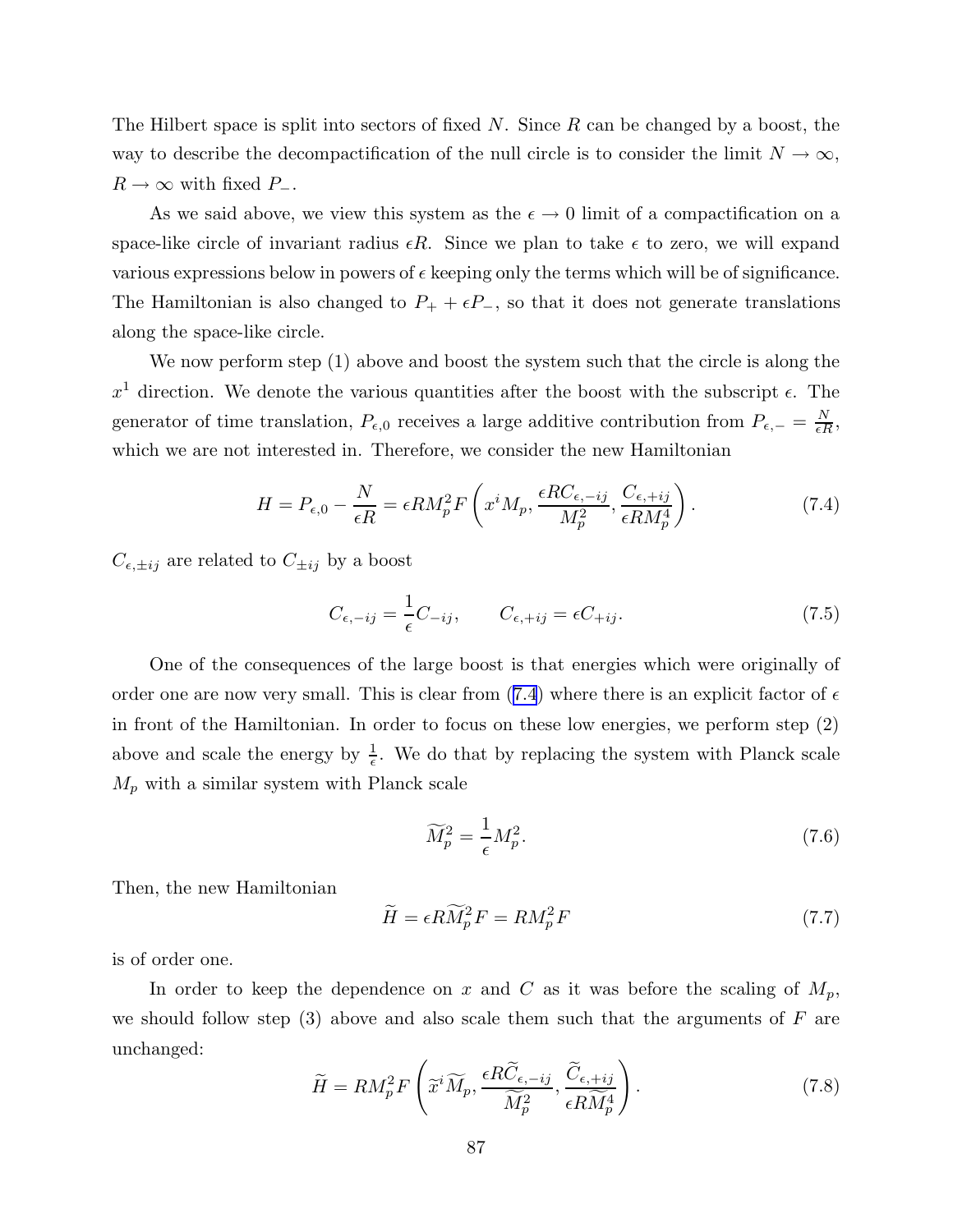The Hilbert space is split into sectors of fixed  $N$ . Since  $R$  can be changed by a boost, the way to describe the decompactification of the null circle is to consider the limit  $N \to \infty$ ,  $R\rightarrow\infty$  with fixed  $P_-.$ 

As we said above, we view this system as the  $\epsilon \to 0$  limit of a compactification on a space-like circle of invariant radius  $\epsilon R$ . Since we plan to take  $\epsilon$  to zero, we will expand various expressions below in powers of  $\epsilon$  keeping only the terms which will be of significance. The Hamiltonian is also changed to  $P_+ + \epsilon P_-$ , so that it does not generate translations along the space-like circle.

We now perform step (1) above and boost the system such that the circle is along the  $x<sup>1</sup>$  direction. We denote the various quantities after the boost with the subscript  $\epsilon$ . The generator of time translation,  $P_{\epsilon,0}$  receives a large additive contribution from  $P_{\epsilon,-} = \frac{N}{\epsilon H}$  $\frac{N}{\epsilon R},$ which we are not interested in. Therefore, we consider the new Hamiltonian

$$
H = P_{\epsilon,0} - \frac{N}{\epsilon R} = \epsilon RM_p^2 F\left(x^i M_p, \frac{\epsilon R C_{\epsilon,-ij}}{M_p^2}, \frac{C_{\epsilon,+ij}}{\epsilon R M_p^4}\right).
$$
 (7.4)

 $C_{\epsilon,\pm ij}$  are related to  $C_{\pm ij}$  by a boost

$$
C_{\epsilon, -ij} = \frac{1}{\epsilon} C_{-ij}, \qquad C_{\epsilon, +ij} = \epsilon C_{+ij}.
$$
 (7.5)

One of the consequences of the large boost is that energies which were originally of order one are now very small. This is clear from (7.4) where there is an explicit factor of  $\epsilon$ in front of the Hamiltonian. In order to focus on these low energies, we perform step (2) above and scale the energy by  $\frac{1}{6}$  $\frac{1}{\epsilon}$ . We do that by replacing the system with Planck scale  $M_p$  with a similar system with Planck scale

$$
\widetilde{M}_p^2 = \frac{1}{\epsilon} M_p^2. \tag{7.6}
$$

Then, the new Hamiltonian

$$
\widetilde{H} = \epsilon R \widetilde{M}_p^2 F = R M_p^2 F \tag{7.7}
$$

is of order one.

In order to keep the dependence on x and C as it was before the scaling of  $M_p$ , we should follow step  $(3)$  above and also scale them such that the arguments of F are unchanged:

$$
\widetilde{H} = RM_p^2 F\left(\widetilde{x}^i \widetilde{M}_p, \frac{\epsilon R \widetilde{C}_{\epsilon, -ij}}{\widetilde{M}_p^2}, \frac{\widetilde{C}_{\epsilon, +ij}}{\epsilon R \widetilde{M}_p^4}\right).
$$
\n(7.8)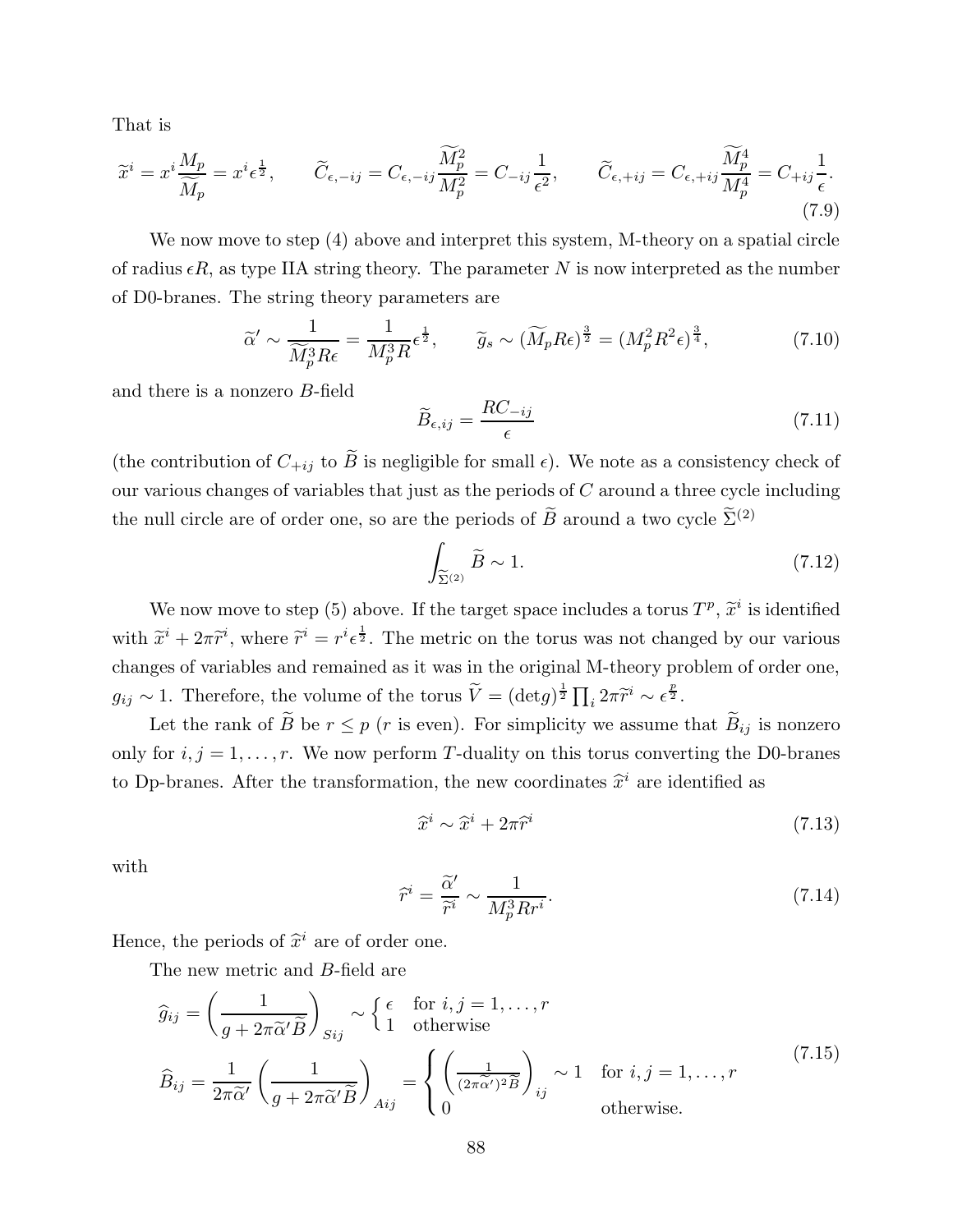<span id="page-88-0"></span>That is

$$
\widetilde{x}^{i} = x^{i} \frac{M_{p}}{\widetilde{M}_{p}} = x^{i} \epsilon^{\frac{1}{2}}, \qquad \widetilde{C}_{\epsilon, -ij} = C_{\epsilon, -ij} \frac{\widetilde{M}_{p}^{2}}{M_{p}^{2}} = C_{-ij} \frac{1}{\epsilon^{2}}, \qquad \widetilde{C}_{\epsilon, +ij} = C_{\epsilon, +ij} \frac{\widetilde{M}_{p}^{4}}{M_{p}^{4}} = C_{+ij} \frac{1}{\epsilon}.
$$
\n(7.9)

We now move to step (4) above and interpret this system, M-theory on a spatial circle of radius  $\epsilon R$ , as type IIA string theory. The parameter N is now interpreted as the number of D0-branes. The string theory parameters are

$$
\widetilde{\alpha}' \sim \frac{1}{\widetilde{M}_p^3 R \epsilon} = \frac{1}{M_p^3 R} \epsilon^{\frac{1}{2}}, \qquad \widetilde{g}_s \sim (\widetilde{M}_p R \epsilon)^{\frac{3}{2}} = (M_p^2 R^2 \epsilon)^{\frac{3}{4}},\tag{7.10}
$$

and there is a nonzero B-field

$$
\widetilde{B}_{\epsilon,ij} = \frac{RC_{-ij}}{\epsilon} \tag{7.11}
$$

(the contribution of  $C_{+ij}$  to  $\widetilde{B}$  is negligible for small  $\epsilon$ ). We note as a consistency check of our various changes of variables that just as the periods of  $C$  around a three cycle including the null circle are of order one, so are the periods of  $\widetilde{B}$  around a two cycle  $\widetilde{\Sigma}^{(2)}$ 

$$
\int_{\widetilde{\Sigma}^{(2)}} \widetilde{B} \sim 1. \tag{7.12}
$$

We now move to step (5) above. If the target space includes a torus  $T^p$ ,  $\tilde{x}^i$  is identified with  $\tilde{x}^i + 2\pi \tilde{r}^i$ , where  $\tilde{r}^i = r^i \epsilon^{\frac{1}{2}}$ . The metric on the torus was not changed by our various changes of variables and remained as it was in the original M-theory problem of order one,  $g_{ij} \sim 1$ . Therefore, the volume of the torus  $\widetilde{V} = (\det g)^{\frac{1}{2}} \prod_i 2\pi \widetilde{r}^i \sim \epsilon^{\frac{p}{2}}$ .

Let the rank of  $\widetilde{B}$  be  $r \leq p$  (*r* is even). For simplicity we assume that  $\widetilde{B}_{ij}$  is nonzero only for  $i, j = 1, \ldots, r$ . We now perform T-duality on this torus converting the D0-branes to Dp-branes. After the transformation, the new coordinates  $\hat{x}^i$  are identified as

$$
\widehat{x}^i \sim \widehat{x}^i + 2\pi \widehat{r}^i \tag{7.13}
$$

with

$$
\widehat{r}^i = \frac{\widetilde{\alpha}'}{\widetilde{r}^i} \sim \frac{1}{M_p^3 R r^i}.
$$
\n(7.14)

Hence, the periods of  $\hat{x}^i$  are of order one.

The new metric and B-field are

$$
\widehat{g}_{ij} = \left(\frac{1}{g + 2\pi \widetilde{\alpha}' \widetilde{B}}\right)_{Sij} \sim \begin{cases} \epsilon & \text{for } i, j = 1, \dots, r \\ 1 & \text{otherwise} \end{cases}
$$
\n
$$
\widehat{B}_{ij} = \frac{1}{2\pi \widetilde{\alpha}'} \left(\frac{1}{g + 2\pi \widetilde{\alpha}' \widetilde{B}}\right)_{Aij} = \begin{cases} \left(\frac{1}{(2\pi \widetilde{\alpha}')^2 \widetilde{B}}\right)_{ij} \sim 1 & \text{for } i, j = 1, \dots, r \\ 0 & \text{otherwise.} \end{cases}
$$
\n(7.15)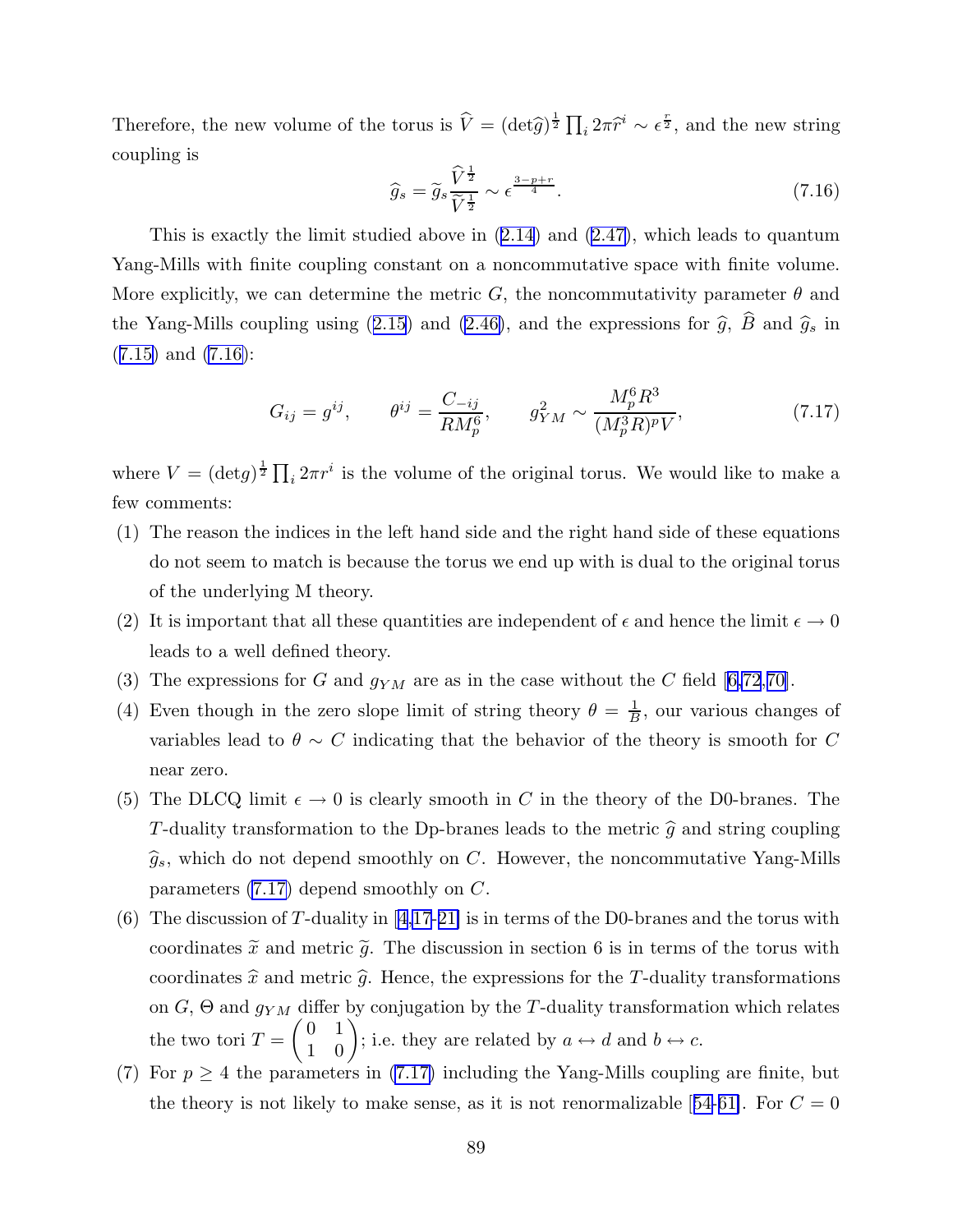Therefore, the new volume of the torus is  $\hat{V} = (\det \hat{g})^{\frac{1}{2}} \prod_i 2\pi \hat{r}^i \sim \epsilon^{\frac{r}{2}}$ , and the new string coupling is

$$
\widehat{g}_s = \widetilde{g}_s \frac{\widehat{V}^{\frac{1}{2}}}{\widetilde{V}^{\frac{1}{2}}} \sim \epsilon^{\frac{3-p+r}{4}}.
$$
\n(7.16)

This is exactly the limit studied above in ([2.14](#page-12-0)) and [\(2.47\)](#page-19-0), which leads to quantum Yang-Mills with finite coupling constant on a noncommutative space with finite volume. More explicitly, we can determine the metric G, the noncommutativity parameter  $\theta$  and the Yang-Mills coupling using ([2.15\)](#page-12-0) and [\(2.46\)](#page-19-0), and the expressions for  $\hat{g}$ ,  $\hat{B}$  and  $\hat{g}_s$  in  $(7.15)$  $(7.15)$  and  $(7.16)$ :

$$
G_{ij} = g^{ij}, \qquad \theta^{ij} = \frac{C_{-ij}}{RM_p^6}, \qquad g_{YM}^2 \sim \frac{M_p^6 R^3}{(M_p^3 R)^p V}, \tag{7.17}
$$

where  $V = (\det g)^{\frac{1}{2}} \prod_i 2\pi r^i$  is the volume of the original torus. We would like to make a few comments:

- (1) The reason the indices in the left hand side and the right hand side of these equations do not seem to match is because the torus we end up with is dual to the original torus of the underlying M theory.
- (2) It is important that all these quantities are independent of  $\epsilon$  and hence the limit  $\epsilon \to 0$ leads to a well defined theory.
- (3) The expressions for G and  $g_{YM}$  are as in the case without the C field [[6,](#page-95-0)[72](#page-99-0),[70\]](#page-99-0).
- (4) Even though in the zero slope limit of string theory  $\theta = \frac{1}{B}$  $\frac{1}{B}$ , our various changes of variables lead to  $\theta \sim C$  indicating that the behavior of the theory is smooth for C near zero.
- (5) The DLCQ limit  $\epsilon \to 0$  is clearly smooth in C in the theory of the D0-branes. The T-duality transformation to the Dp-branes leads to the metric  $\hat{g}$  and string coupling  $\widehat{g}_s$ , which do not depend smoothly on C. However, the noncommutative Yang-Mills parameters (7.17) depend smoothly on C.
- (6) The discussion of T-duality in [[4](#page-95-0)[,17](#page-96-0)-[21\]](#page-96-0) is in terms of the D0-branes and the torus with coordinates  $\tilde{x}$  and metric  $\tilde{g}$ . The discussion in section 6 is in terms of the torus with coordinates  $\hat{x}$  and metric  $\hat{g}$ . Hence, the expressions for the T-duality transformations on  $G$ ,  $\Theta$  and  $g_{YM}$  differ by conjugation by the T-duality transformation which relates the two tori  $T =$  $(0 1)$ 1 0  $\sum$ ; i.e. they are related by  $a \leftrightarrow d$  and  $b \leftrightarrow c$ .
- (7) For  $p \geq 4$  the parameters in (7.17) including the Yang-Mills coupling are finite, but the theory is not likely to make sense, as it is not renormalizable [[54-](#page-98-0)[61\]](#page-99-0). For  $C = 0$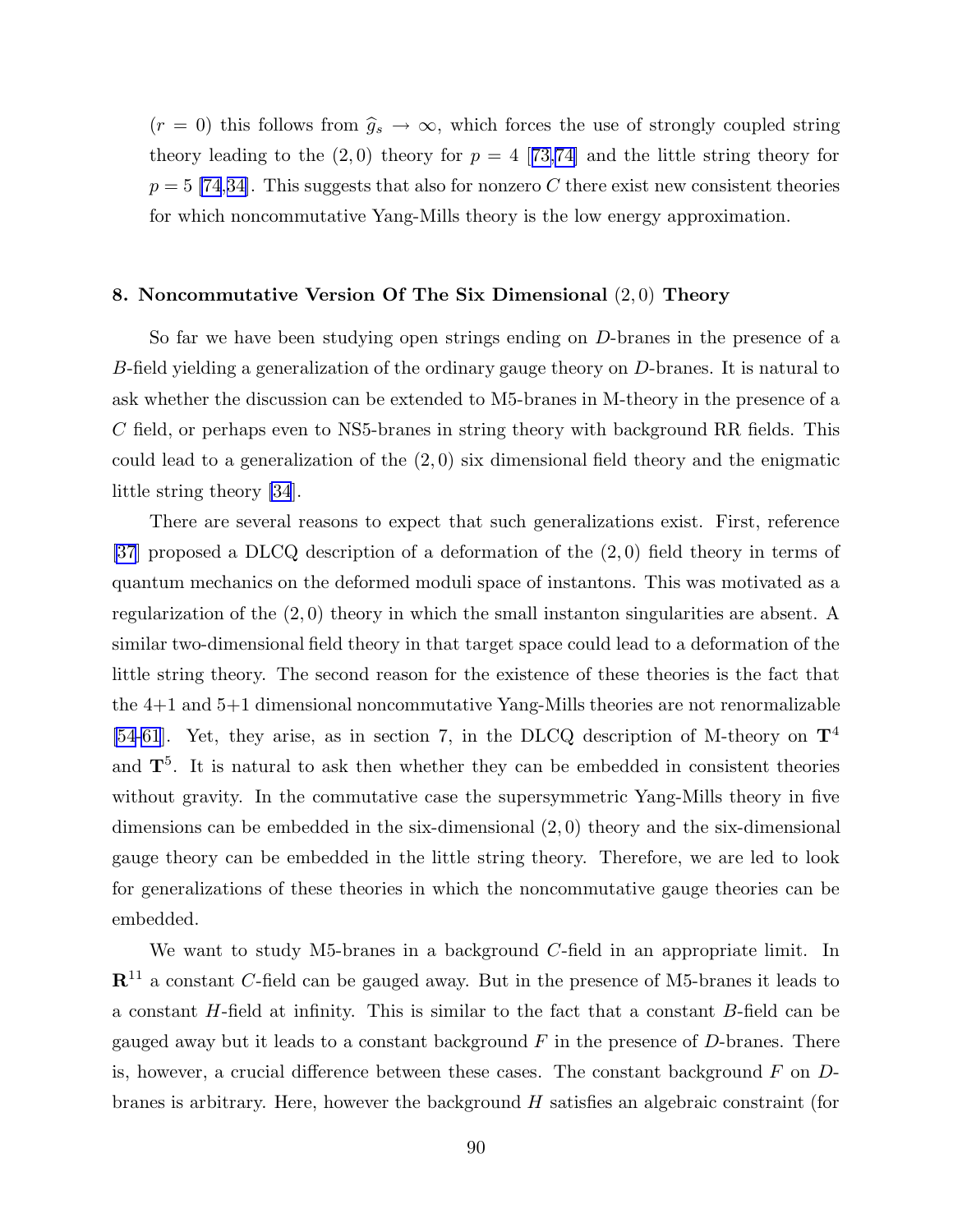$(r = 0)$  this follows from  $\hat{g}_s \to \infty$ , which forces the use of strongly coupled string theory leading to the  $(2,0)$  theory for  $p = 4$  [[73,74\]](#page-99-0) and the little string theory for  $p = 5$  [\[74](#page-99-0),[34\]](#page-97-0). This suggests that also for nonzero C there exist new consistent theories for which noncommutative Yang-Mills theory is the low energy approximation.

# 8. Noncommutative Version Of The Six Dimensional  $(2,0)$  Theory

So far we have been studying open strings ending on D-branes in the presence of a B-field yielding a generalization of the ordinary gauge theory on  $D$ -branes. It is natural to ask whether the discussion can be extended to M5-branes in M-theory in the presence of a C field, or perhaps even to NS5-branes in string theory with background RR fields. This could lead to a generalization of the  $(2,0)$  six dimensional field theory and the enigmatic little string theory [\[34](#page-97-0)].

There are several reasons to expect that such generalizations exist. First, reference [\[37](#page-97-0)] proposed a DLCQ description of a deformation of the (2, 0) field theory in terms of quantum mechanics on the deformed moduli space of instantons. This was motivated as a regularization of the  $(2,0)$  theory in which the small instanton singularities are absent. A similar two-dimensional field theory in that target space could lead to a deformation of the little string theory. The second reason for the existence of these theories is the fact that the 4+1 and 5+1 dimensional noncommutative Yang-Mills theories are not renormalizable [\[54](#page-98-0)[-61](#page-99-0)]. Yet, they arise, as in section 7, in the DLCQ description of M-theory on  $\mathbf{T}^4$ and  $T<sup>5</sup>$ . It is natural to ask then whether they can be embedded in consistent theories without gravity. In the commutative case the supersymmetric Yang-Mills theory in five dimensions can be embedded in the six-dimensional (2, 0) theory and the six-dimensional gauge theory can be embedded in the little string theory. Therefore, we are led to look for generalizations of these theories in which the noncommutative gauge theories can be embedded.

We want to study M5-branes in a background C-field in an appropriate limit. In  $\mathbb{R}^{11}$  a constant C-field can be gauged away. But in the presence of M5-branes it leads to a constant H-field at infinity. This is similar to the fact that a constant B-field can be gauged away but it leads to a constant background  $F$  in the presence of  $D$ -branes. There is, however, a crucial difference between these cases. The constant background  $F$  on  $D$ branes is arbitrary. Here, however the background  $H$  satisfies an algebraic constraint (for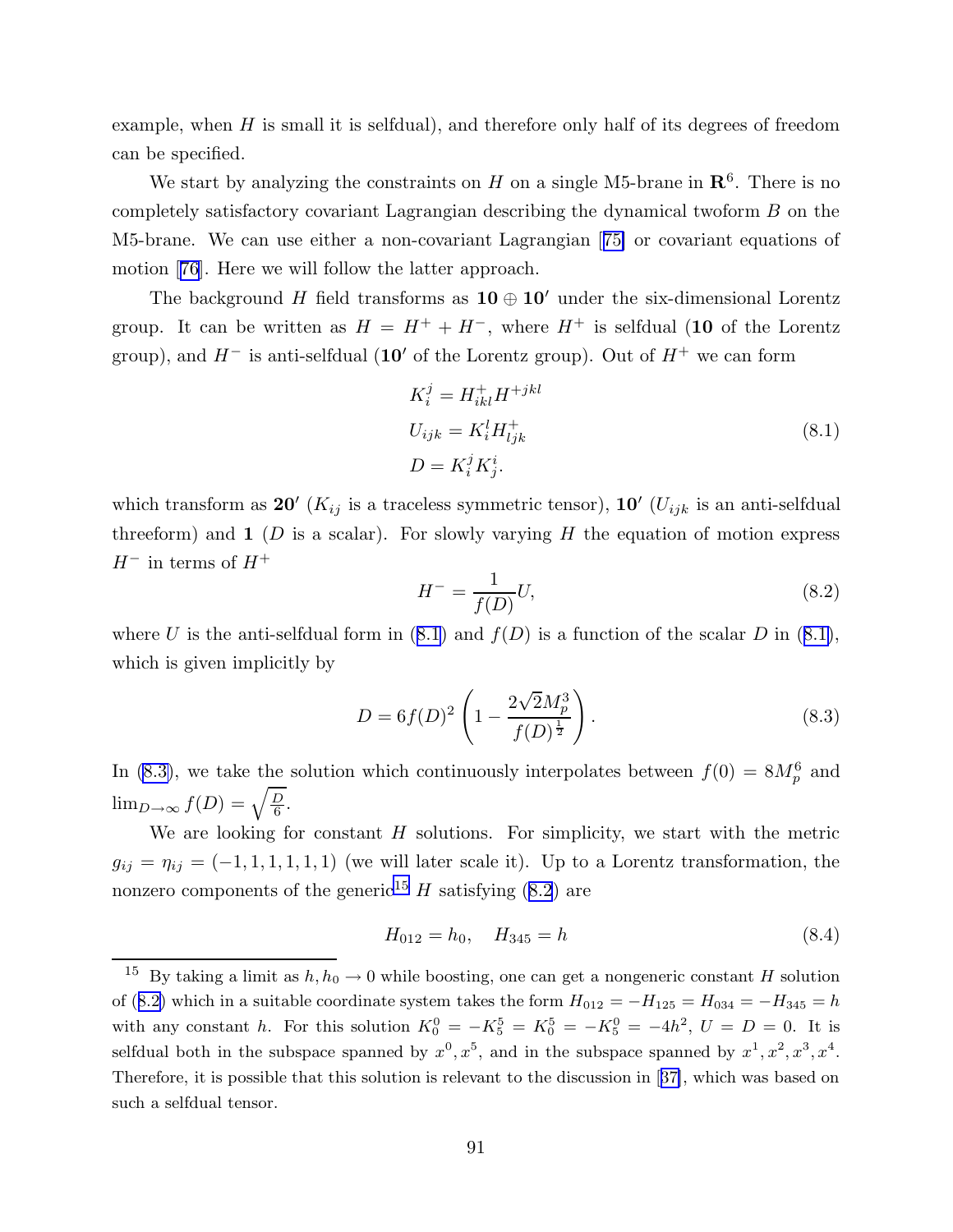<span id="page-91-0"></span>example, when  $H$  is small it is selfdual), and therefore only half of its degrees of freedom can be specified.

We start by analyzing the constraints on H on a single M5-brane in  $\mathbb{R}^6$ . There is no completely satisfactory covariant Lagrangian describing the dynamical twoform B on the M5-brane. We can use either a non-covariant Lagrangian [[75\]](#page-99-0) or covariant equations of motion [[76\]](#page-99-0). Here we will follow the latter approach.

The background H field transforms as  $10 \oplus 10'$  under the six-dimensional Lorentz group. It can be written as  $H = H^+ + H^-$ , where  $H^+$  is selfdual (10 of the Lorentz group), and  $H^-$  is anti-selfdual (10' of the Lorentz group). Out of  $H^+$  we can form

$$
K_i^j = H_{ikl}^+ H^{+jkl}
$$
  
\n
$$
U_{ijk} = K_i^l H_{ljk}^+
$$
  
\n
$$
D = K_i^j K_j^i.
$$
\n(8.1)

which transform as  $20'$  ( $K_{ij}$  is a traceless symmetric tensor),  $10'$  ( $U_{ijk}$  is an anti-selfdual threeform) and  $\bf{1}$  (D is a scalar). For slowly varying H the equation of motion express  $H^-$  in terms of  $H^+$ 

$$
H^{-} = \frac{1}{f(D)}U,
$$
\n(8.2)

where U is the anti-selfdual form in  $(8.1)$  and  $f(D)$  is a function of the scalar D in  $(8.1)$ , which is given implicitly by

$$
D = 6f(D)^{2} \left(1 - \frac{2\sqrt{2}M_{p}^{3}}{f(D)^{\frac{1}{2}}}\right).
$$
\n(8.3)

In (8.3), we take the solution which continuously interpolates between  $f(0) = 8M_p^6$  and  $\lim_{D\to\infty} f(D) = \sqrt{\frac{D}{6}}$  $\frac{D}{6}$ .

We are looking for constant  $H$  solutions. For simplicity, we start with the metric  $g_{ij} = \eta_{ij} = (-1, 1, 1, 1, 1, 1)$  (we will later scale it). Up to a Lorentz transformation, the nonzero components of the generic<sup>15</sup>  $H$  satisfying (8.2) are

$$
H_{012} = h_0, \quad H_{345} = h \tag{8.4}
$$

<sup>&</sup>lt;sup>15</sup> By taking a limit as  $h, h_0 \to 0$  while boosting, one can get a nongeneric constant H solution of (8.2) which in a suitable coordinate system takes the form  $H_{012} = -H_{125} = H_{034} = -H_{345} = h$ with any constant h. For this solution  $K_0^0 = -K_5^5 = K_0^5 = -K_5^0 = -4h^2$ ,  $U = D = 0$ . It is selfdual both in the subspace spanned by  $x^0, x^5$ , and in the subspace spanned by  $x^1, x^2, x^3, x^4$ . Therefore, it is possible that this solution is relevant to the discussion in [[37\]](#page-97-0), which was based on such a selfdual tensor.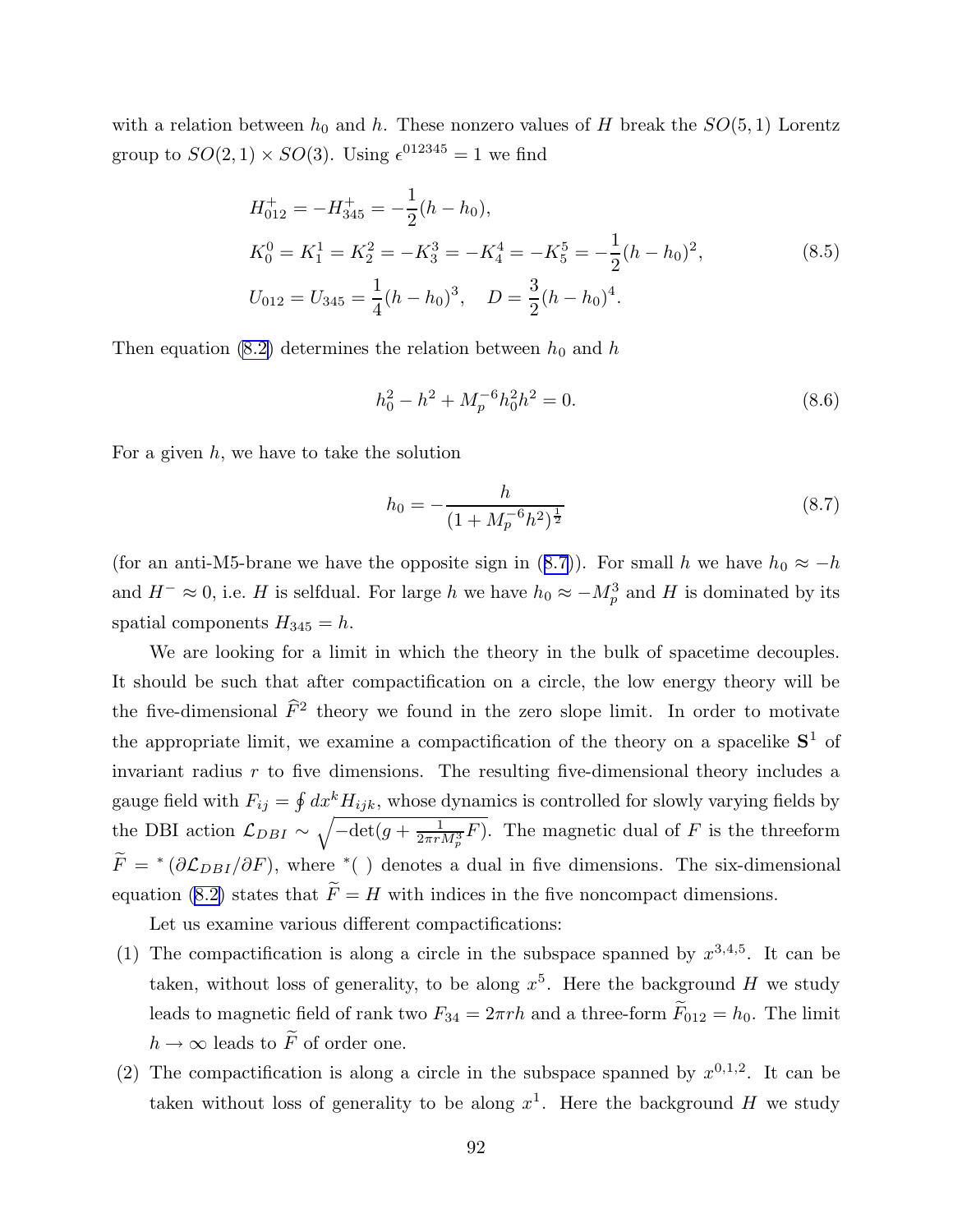with a relation between  $h_0$  and h. These nonzero values of H break the  $SO(5,1)$  Lorentz group to  $SO(2,1) \times SO(3)$ . Using  $\epsilon^{012345} = 1$  we find

$$
H_{012}^{+} = -H_{345}^{+} = -\frac{1}{2}(h - h_{0}),
$$
  
\n
$$
K_{0}^{0} = K_{1}^{1} = K_{2}^{2} = -K_{3}^{3} = -K_{4}^{4} = -K_{5}^{5} = -\frac{1}{2}(h - h_{0})^{2},
$$
  
\n
$$
U_{012} = U_{345} = \frac{1}{4}(h - h_{0})^{3}, \quad D = \frac{3}{2}(h - h_{0})^{4}.
$$
\n(8.5)

Then equation [\(8.2\)](#page-91-0) determines the relation between  $h_0$  and  $h$ 

$$
h_0^2 - h^2 + M_p^{-6} h_0^2 h^2 = 0.
$$
\n(8.6)

For a given  $h$ , we have to take the solution

$$
h_0 = -\frac{h}{(1 + M_p^{-6}h^2)^{\frac{1}{2}}}
$$
\n(8.7)

(for an anti-M5-brane we have the opposite sign in (8.7)). For small h we have  $h_0 \approx -h$ and  $H^{-} \approx 0$ , i.e. H is selfdual. For large h we have  $h_0 \approx -M_p^3$  and H is dominated by its spatial components  $H_{345} = h$ .

We are looking for a limit in which the theory in the bulk of spacetime decouples. It should be such that after compactification on a circle, the low energy theory will be the five-dimensional  $\hat{F}^2$  theory we found in the zero slope limit. In order to motivate the appropriate limit, we examine a compactification of the theory on a spacelike  $S^1$  of invariant radius  $r$  to five dimensions. The resulting five-dimensional theory includes a gauge field with  $F_{ij} = \oint dx^k H_{ijk}$ , whose dynamics is controlled for slowly varying fields by the DBI action  $\mathcal{L}_{DBI} \sim \sqrt{-\det(g + \frac{1}{2\pi r_I})}$  $\frac{1}{2\pi r M_p^3} F$ ). The magnetic dual of F is the threeform  $F = *(\partial \mathcal{L}_{DBI}/\partial F)$ , where \*( ) denotes a dual in five dimensions. The six-dimensional equation [\(8.2\)](#page-91-0) states that  $\widetilde{F} = H$  with indices in the five noncompact dimensions.

Let us examine various different compactifications:

- (1) The compactification is along a circle in the subspace spanned by  $x^{3,4,5}$ . It can be taken, without loss of generality, to be along  $x^5$ . Here the background H we study leads to magnetic field of rank two  $F_{34} = 2\pi rh$  and a three-form  $F_{012} = h_0$ . The limit  $h\to\infty$  leads to  $\widetilde{F}$  of order one.
- (2) The compactification is along a circle in the subspace spanned by  $x^{0,1,2}$ . It can be taken without loss of generality to be along  $x^1$ . Here the background H we study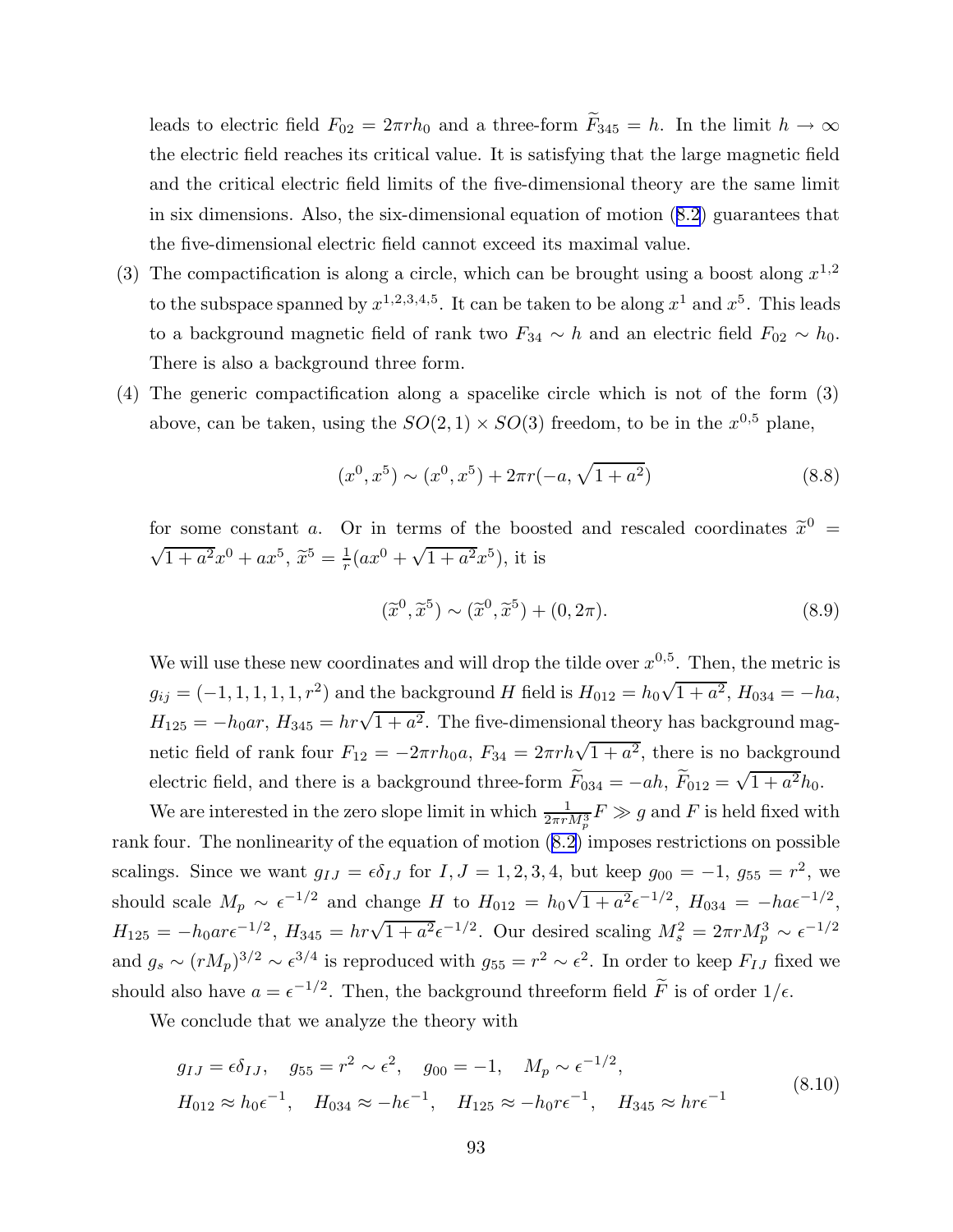leads to electric field  $F_{02} = 2\pi rh_0$  and a three-form  $\widetilde{F}_{345} = h$ . In the limit  $h \to \infty$ the electric field reaches its critical value. It is satisfying that the large magnetic field and the critical electric field limits of the five-dimensional theory are the same limit in six dimensions. Also, the six-dimensional equation of motion ([8.2\)](#page-91-0) guarantees that the five-dimensional electric field cannot exceed its maximal value.

- (3) The compactification is along a circle, which can be brought using a boost along  $x^{1,2}$ to the subspace spanned by  $x^{1,2,3,4,5}$ . It can be taken to be along  $x^1$  and  $x^5$ . This leads to a background magnetic field of rank two  $F_{34} \sim h$  and an electric field  $F_{02} \sim h_0$ . There is also a background three form.
- (4) The generic compactification along a spacelike circle which is not of the form (3) above, can be taken, using the  $SO(2,1) \times SO(3)$  freedom, to be in the  $x^{0,5}$  plane,

$$
(x^{0}, x^{5}) \sim (x^{0}, x^{5}) + 2\pi r(-a, \sqrt{1+a^{2}})
$$
\n(8.8)

for some constant a. Or in terms of the boosted and rescaled coordinates  $\tilde{x}^0$  =  $\sqrt{1+a^2}x^0 + ax^5$ ,  $\tilde{x}^5 = \frac{1}{r}(ax^0 + \sqrt{1+a^2}x^5)$ , it is

$$
(\tilde{x}^0, \tilde{x}^5) \sim (\tilde{x}^0, \tilde{x}^5) + (0, 2\pi). \tag{8.9}
$$

We will use these new coordinates and will drop the tilde over  $x^{0,5}$ . Then, the metric is  $g_{ij} = (-1, 1, 1, 1, 1, r^2)$  and the background H field is  $H_{012} = h_0 \sqrt{1 + a^2}$ ,  $H_{034} = -ha$ ,  $H_{125} = -h_0ar$ ,  $H_{345} = hr\sqrt{1+a^2}$ . The five-dimensional theory has background magnetic field of rank four  $F_{12} = -2\pi rh_0 a$ ,  $F_{34} = 2\pi rh\sqrt{1+a^2}$ , there is no background electric field, and there is a background three-form  $\tilde{F}_{034} = -ah$ ,  $\tilde{F}_{012} = \sqrt{1 + a^2}h_0$ .

We are interested in the zero slope limit in which  $\frac{1}{2\pi r}$  $\frac{1}{2\pi r M_p^3} F \gg g$  and  $F$  is held fixed with rank four. The nonlinearity of the equation of motion ([8.2](#page-91-0)) imposes restrictions on possible scalings. Since we want  $g_{IJ} = \epsilon \delta_{IJ}$  for  $I, J = 1, 2, 3, 4$ , but keep  $g_{00} = -1, g_{55} = r^2$ , we should scale  $M_p \sim \epsilon^{-1/2}$  and change H to  $H_{012} = h_0 \sqrt{1 + a^2} \epsilon^{-1/2}$ ,  $H_{034} = -h a \epsilon^{-1/2}$ ,  $H_{125} = -h_0 a r \epsilon^{-1/2}$ ,  $H_{345} = h r \sqrt{1 + a^2} \epsilon^{-1/2}$ . Our desired scaling  $M_s^2 = 2 \pi r M_p^3 \sim \epsilon^{-1/2}$ and  $g_s \sim (rM_p)^{3/2} \sim \epsilon^{3/4}$  is reproduced with  $g_{55} = r^2 \sim \epsilon^2$ . In order to keep  $F_{IJ}$  fixed we should also have  $a = \epsilon^{-1/2}$ . Then, the background threeform field  $\tilde{F}$  is of order  $1/\epsilon$ .

We conclude that we analyze the theory with

$$
g_{IJ} = \epsilon \delta_{IJ}, \quad g_{55} = r^2 \sim \epsilon^2, \quad g_{00} = -1, \quad M_p \sim \epsilon^{-1/2},
$$
  
\n
$$
H_{012} \approx h_0 \epsilon^{-1}, \quad H_{034} \approx -h \epsilon^{-1}, \quad H_{125} \approx -h_0 r \epsilon^{-1}, \quad H_{345} \approx h r \epsilon^{-1}
$$
\n(8.10)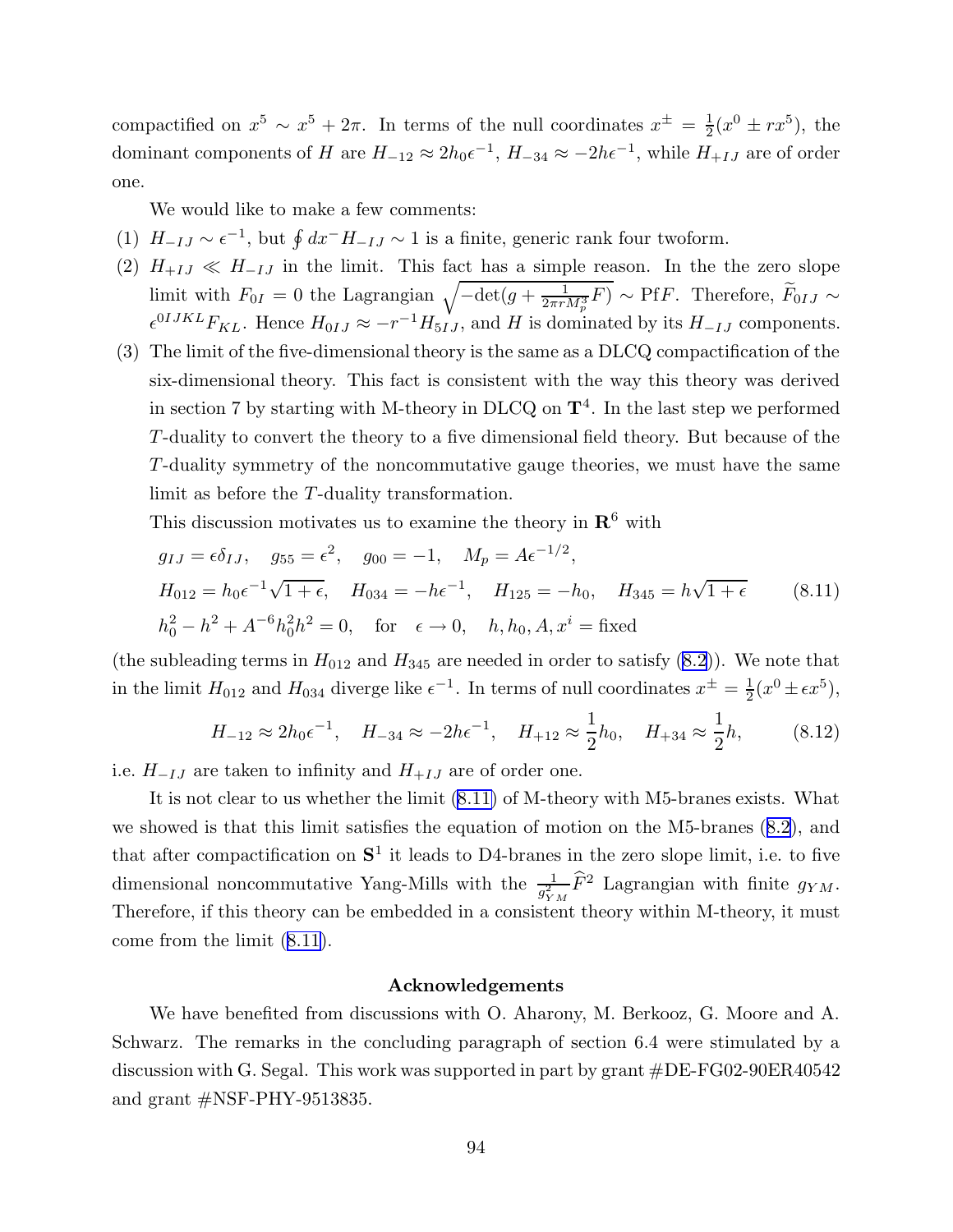compactified on  $x^5 \sim x^5 + 2\pi$ . In terms of the null coordinates  $x^{\pm} = \frac{1}{2}$  $\frac{1}{2}(x^0 \pm rx^5)$ , the dominant components of H are  $H_{-12} \approx 2h_0 \epsilon^{-1}$ ,  $H_{-34} \approx -2h \epsilon^{-1}$ , while  $H_{+IJ}$  are of order one.

We would like to make a few comments:

- (1)  $H_{-IJ} \sim \epsilon^{-1}$ , but  $\oint dx^- H_{-IJ} \sim 1$  is a finite, generic rank four twoform.
- (2)  $H_{+IJ} \ll H_{-IJ}$  in the limit. This fact has a simple reason. In the the zero slope limit with  $F_{0I} = 0$  the Lagrangian  $\sqrt{-\det(g + \frac{1}{2\pi r M_p^3} F)} \sim P f F$ . Therefore,  $\widetilde{F}_{0IJ} \sim$  $\epsilon^{0IJKL}F_{KL}$ . Hence  $H_{0IJ} \approx -r^{-1}H_{5IJ}$ , and H is dominated by its  $H_{-IJ}$  components.
- (3) The limit of the five-dimensionaltheory is the same as a DLCQ compactification of the six-dimensional theory. This fact is consistent with the way this theory was derived in section 7 by starting with M-theory in DLCQ on  $\mathbf{T}^4$ . In the last step we performed T-duality to convert the theory to a five dimensional field theory. But because of the T-duality symmetry of the noncommutative gauge theories, we must have the same limit as before the T-duality transformation.

This discussion motivates us to examine the theory in  $\mathbb{R}^6$  with

$$
g_{IJ} = \epsilon \delta_{IJ}, \quad g_{55} = \epsilon^2, \quad g_{00} = -1, \quad M_p = A \epsilon^{-1/2},
$$
  
\n
$$
H_{012} = h_0 \epsilon^{-1} \sqrt{1 + \epsilon}, \quad H_{034} = -h \epsilon^{-1}, \quad H_{125} = -h_0, \quad H_{345} = h \sqrt{1 + \epsilon} \tag{8.11}
$$
  
\n
$$
h_0^2 - h^2 + A^{-6} h_0^2 h^2 = 0, \quad \text{for } \epsilon \to 0, \quad h, h_0, A, x^i = \text{fixed}
$$

(the subleading terms in  $H_{012}$  and  $H_{345}$  are needed in order to satisfy ([8.2](#page-91-0))). We note that in the limit  $H_{012}$  and  $H_{034}$  diverge like  $\epsilon^{-1}$ . In terms of null coordinates  $x^{\pm} = \frac{1}{2}$  $\frac{1}{2}(x^0 \pm \epsilon x^5),$ 

$$
H_{-12} \approx 2h_0 \epsilon^{-1}, \quad H_{-34} \approx -2h \epsilon^{-1}, \quad H_{+12} \approx \frac{1}{2}h_0, \quad H_{+34} \approx \frac{1}{2}h,\tag{8.12}
$$

i.e.  $H_{-IJ}$  are taken to infinity and  $H_{+IJ}$  are of order one.

It is not clear to us whether the limit (8.11) of M-theory with M5-branes exists. What we showed is that this limit satisfies the equation of motion on the M5-branes ([8.2\)](#page-91-0), and that after compactification on  $S<sup>1</sup>$  it leads to D4-branes in the zero slope limit, i.e. to five dimensional noncommutative Yang-Mills with the  $\frac{1}{a^2}$  $\frac{1}{g_{YM}^2} \hat{F}^2$  Lagrangian with finite  $g_{YM}$ . Therefore, if this theory can be embedded in a consistent theory within M-theory, it must come from the limit (8.11).

#### Acknowledgements

We have benefited from discussions with O. Aharony, M. Berkooz, G. Moore and A. Schwarz. The remarks in the concluding paragraph of section 6.4 were stimulated by a discussion with G. Segal. This work was supported in part by grant #DE-FG02-90ER40542 and grant #NSF-PHY-9513835.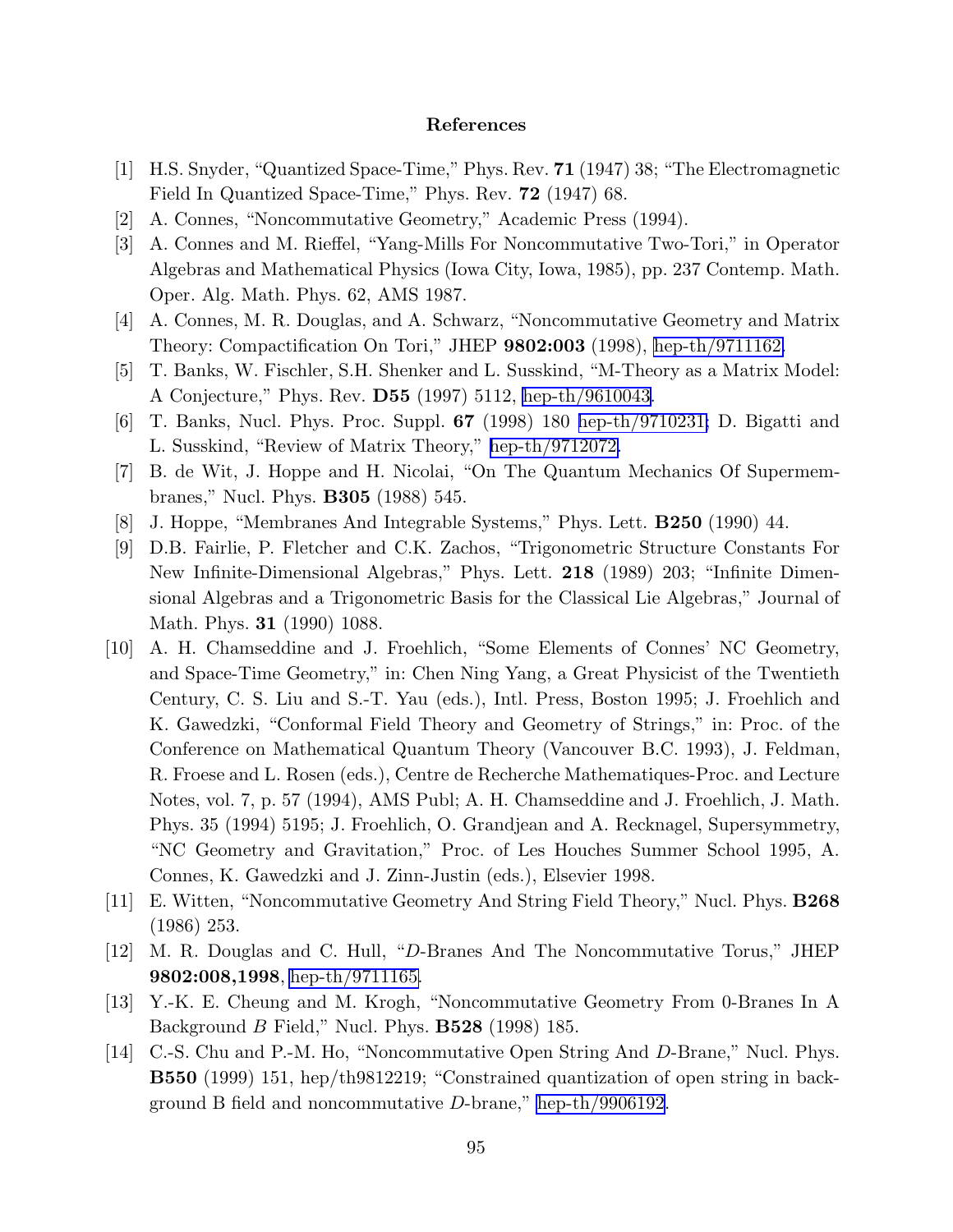## References

- <span id="page-95-0"></span>[1] H.S. Snyder, "Quantized Space-Time," Phys. Rev. 71 (1947) 38; "The Electromagnetic Field In Quantized Space-Time," Phys. Rev. 72 (1947) 68.
- [2] A. Connes, "Noncommutative Geometry," Academic Press (1994).
- [3] A. Connes and M. Rieffel, "Yang-Mills For Noncommutative Two-Tori," in Operator Algebras and Mathematical Physics (Iowa City, Iowa, 1985), pp. 237 Contemp. Math. Oper. Alg. Math. Phys. 62, AMS 1987.
- [4] A. Connes, M. R. Douglas, and A. Schwarz, "Noncommutative Geometry and Matrix Theory: Compactification On Tori," JHEP 9802:003 (1998), [hep-th/9711162.](http://lanl.arXiv.org/abs/hep-th/9711162)
- [5] T. Banks, W. Fischler, S.H. Shenker and L. Susskind, "M-Theory as a Matrix Model: A Conjecture," Phys. Rev. D55 (1997) 5112, [hep-th/9610043.](http://lanl.arXiv.org/abs/hep-th/9610043)
- [6] T. Banks, Nucl. Phys. Proc. Suppl. 67 (1998) 180 [hep-th/9710231;](http://lanl.arXiv.org/abs/hep-th/9710231) D. Bigatti and L. Susskind, "Review of Matrix Theory," [hep-th/9712072.](http://lanl.arXiv.org/abs/hep-th/9712072)
- [7] B. de Wit, J. Hoppe and H. Nicolai, "On The Quantum Mechanics Of Supermembranes," Nucl. Phys. B305 (1988) 545.
- [8] J. Hoppe, "Membranes And Integrable Systems," Phys. Lett. B250 (1990) 44.
- [9] D.B. Fairlie, P. Fletcher and C.K. Zachos, "Trigonometric Structure Constants For New Infinite-Dimensional Algebras," Phys. Lett. 218 (1989) 203; "Infinite Dimensional Algebras and a Trigonometric Basis for the Classical Lie Algebras," Journal of Math. Phys. 31 (1990) 1088.
- [10] A. H. Chamseddine and J. Froehlich, "Some Elements of Connes' NC Geometry, and Space-Time Geometry," in: Chen Ning Yang, a Great Physicist of the Twentieth Century, C. S. Liu and S.-T. Yau (eds.), Intl. Press, Boston 1995; J. Froehlich and K. Gawedzki, "Conformal Field Theory and Geometry of Strings," in: Proc. of the Conference on Mathematical Quantum Theory (Vancouver B.C. 1993), J. Feldman, R. Froese and L. Rosen (eds.), Centre de Recherche Mathematiques-Proc. and Lecture Notes, vol. 7, p. 57 (1994), AMS Publ; A. H. Chamseddine and J. Froehlich, J. Math. Phys. 35 (1994) 5195; J. Froehlich, O. Grandjean and A. Recknagel, Supersymmetry, "NC Geometry and Gravitation," Proc. of Les Houches Summer School 1995, A. Connes, K. Gawedzki and J. Zinn-Justin (eds.), Elsevier 1998.
- [11] E. Witten, "Noncommutative Geometry And String Field Theory," Nucl. Phys. B268 (1986) 253.
- [12] M. R. Douglas and C. Hull, "D-Branes And The Noncommutative Torus," JHEP 9802:008,1998, [hep-th/9711165.](http://lanl.arXiv.org/abs/hep-th/9711165)
- [13] Y.-K. E. Cheung and M. Krogh, "Noncommutative Geometry From 0-Branes In A Background  $B$  Field," Nucl. Phys. **B528** (1998) 185.
- [14] C.-S. Chu and P.-M. Ho, "Noncommutative Open String And D-Brane," Nucl. Phys. B550 (1999) 151, hep/th9812219; "Constrained quantization of open string in background B field and noncommutative D-brane," [hep-th/9906192](http://lanl.arXiv.org/abs/hep-th/9906192).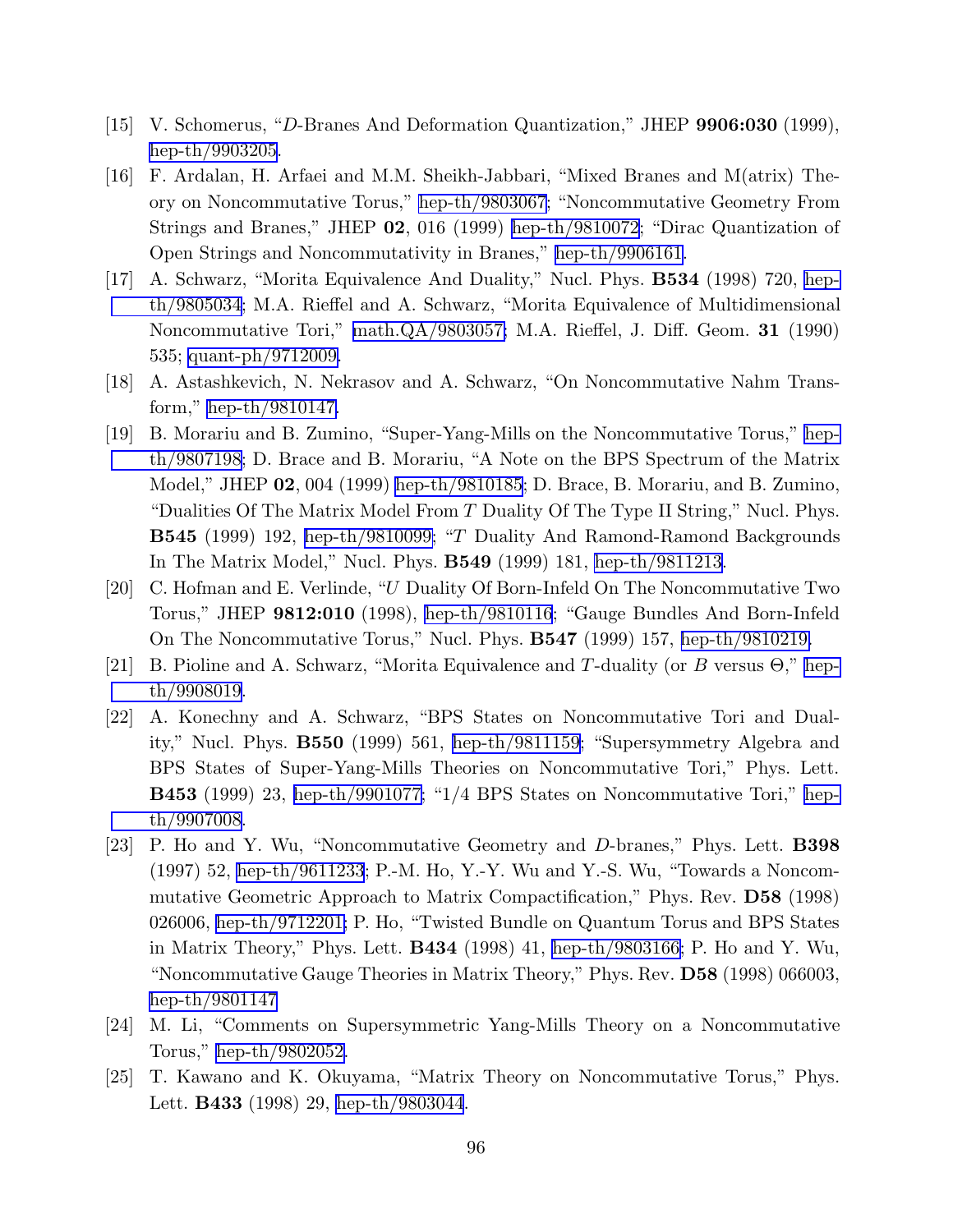- <span id="page-96-0"></span>[15] V. Schomerus, "D-Branes And Deformation Quantization," JHEP 9906:030 (1999), [hep-th/9903205.](http://lanl.arXiv.org/abs/hep-th/9903205)
- [16] F. Ardalan, H. Arfaei and M.M. Sheikh-Jabbari, "Mixed Branes and M(atrix) Theory on Noncommutative Torus," [hep-th/9803067](http://lanl.arXiv.org/abs/hep-th/9803067); "Noncommutative Geometry From Strings and Branes," JHEP 02, 016 (1999) [hep-th/9810072;](http://lanl.arXiv.org/abs/hep-th/9810072) "Dirac Quantization of Open Strings and Noncommutativity in Branes," [hep-th/9906161.](http://lanl.arXiv.org/abs/hep-th/9906161)
- [17] A. Schwarz, "Morita Equivalence And Duality," Nucl. Phys. B534 (1998) 720, [hep](http://lanl.arXiv.org/abs/hep-th/9805034)[th/9805034](http://lanl.arXiv.org/abs/hep-th/9805034); M.A. Rieffel and A. Schwarz, "Morita Equivalence of Multidimensional Noncommutative Tori," [math.QA/9803057;](http://lanl.arXiv.org/abs/math/9803057) M.A. Rieffel, J. Diff. Geom. 31 (1990) 535; [quant-ph/9712009.](http://lanl.arXiv.org/abs/quant-ph/9712009)
- [18] A. Astashkevich, N. Nekrasov and A. Schwarz, "On Noncommutative Nahm Transform," [hep-th/9810147.](http://lanl.arXiv.org/abs/hep-th/9810147)
- [19] B. Morariu and B. Zumino, "Super-Yang-Mills on the Noncommutative Torus," [hep](http://lanl.arXiv.org/abs/hep-th/9807198)[th/9807198](http://lanl.arXiv.org/abs/hep-th/9807198); D. Brace and B. Morariu, "A Note on the BPS Spectrum of the Matrix Model," JHEP 02, 004 (1999) [hep-th/9810185;](http://lanl.arXiv.org/abs/hep-th/9810185) D. Brace, B. Morariu, and B. Zumino, "Dualities Of The Matrix Model From T Duality Of The Type II String," Nucl. Phys. B545 (1999) 192, [hep-th/9810099;](http://lanl.arXiv.org/abs/hep-th/9810099) "T Duality And Ramond-Ramond Backgrounds In The Matrix Model," Nucl. Phys. B549 (1999) 181, [hep-th/9811213](http://lanl.arXiv.org/abs/hep-th/9811213).
- [20] C. Hofman and E. Verlinde, "U Duality Of Born-Infeld On The Noncommutative Two Torus," JHEP 9812:010 (1998), [hep-th/9810116](http://lanl.arXiv.org/abs/hep-th/9810116); "Gauge Bundles And Born-Infeld On The Noncommutative Torus," Nucl. Phys. B547 (1999) 157, [hep-th/9810219.](http://lanl.arXiv.org/abs/hep-th/9810219)
- [21] B. Pioline and A. Schwarz, "Morita Equivalence and T-duality (or B versus Θ," [hep](http://lanl.arXiv.org/abs/hep-th/9908019)[th/9908019](http://lanl.arXiv.org/abs/hep-th/9908019).
- [22] A. Konechny and A. Schwarz, "BPS States on Noncommutative Tori and Duality," Nucl. Phys. B550 (1999) 561, [hep-th/9811159;](http://lanl.arXiv.org/abs/hep-th/9811159) "Supersymmetry Algebra and BPS States of Super-Yang-Mills Theories on Noncommutative Tori," Phys. Lett. B453 (1999) 23, [hep-th/9901077;](http://lanl.arXiv.org/abs/hep-th/9901077) "1/4 BPS States on Noncommutative Tori," [hep](http://lanl.arXiv.org/abs/hep-th/9907008)[th/9907008](http://lanl.arXiv.org/abs/hep-th/9907008).
- [23] P. Ho and Y. Wu, "Noncommutative Geometry and D-branes," Phys. Lett. B398 (1997) 52, [hep-th/9611233](http://lanl.arXiv.org/abs/hep-th/9611233); P.-M. Ho, Y.-Y. Wu and Y.-S. Wu, "Towards a Noncommutative Geometric Approach to Matrix Compactification," Phys. Rev. D58 (1998) 026006, [hep-th/9712201;](http://lanl.arXiv.org/abs/hep-th/9712201) P. Ho, "Twisted Bundle on Quantum Torus and BPS States in Matrix Theory," Phys. Lett. B434 (1998) 41, [hep-th/9803166;](http://lanl.arXiv.org/abs/hep-th/9803166) P. Ho and Y. Wu, "Noncommutative Gauge Theories in Matrix Theory," Phys. Rev. D58 (1998) 066003, [hep-th/9801147](http://lanl.arXiv.org/abs/hep-th/9801147)
- [24] M. Li, "Comments on Supersymmetric Yang-Mills Theory on a Noncommutative Torus," [hep-th/9802052.](http://lanl.arXiv.org/abs/hep-th/9802052)
- [25] T. Kawano and K. Okuyama, "Matrix Theory on Noncommutative Torus," Phys. Lett. **B433** (1998) 29, [hep-th/9803044](http://lanl.arXiv.org/abs/hep-th/9803044).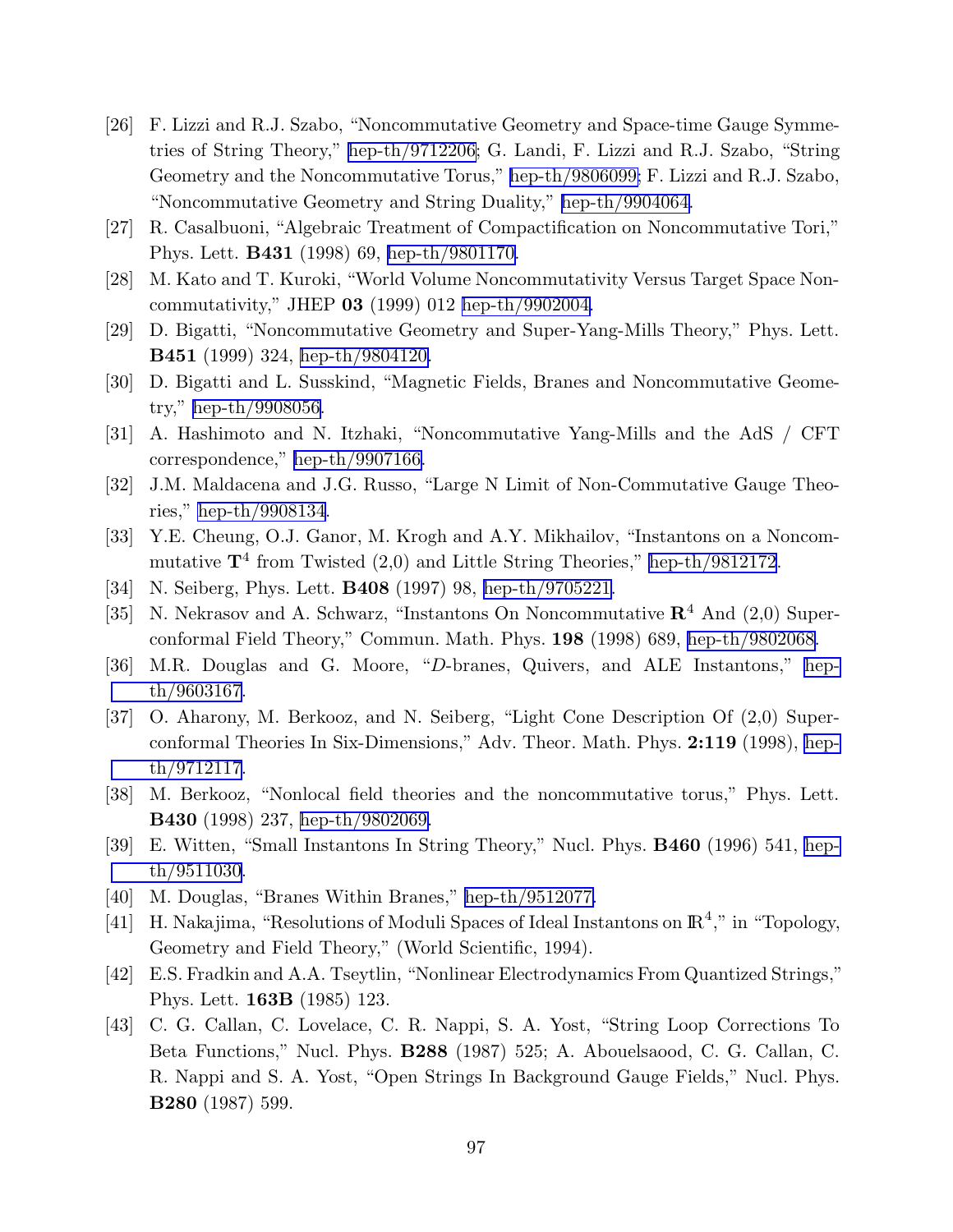- <span id="page-97-0"></span>[26] F. Lizzi and R.J. Szabo, "Noncommutative Geometry and Space-time Gauge Symmetries of String Theory," [hep-th/9712206;](http://lanl.arXiv.org/abs/hep-th/9712206) G. Landi, F. Lizzi and R.J. Szabo, "String Geometry and the Noncommutative Torus," [hep-th/9806099;](http://lanl.arXiv.org/abs/hep-th/9806099) F. Lizzi and R.J. Szabo, "Noncommutative Geometry and String Duality," [hep-th/9904064.](http://lanl.arXiv.org/abs/hep-th/9904064)
- [27] R. Casalbuoni, "Algebraic Treatment of Compactification on Noncommutative Tori," Phys. Lett. B431 (1998) 69, [hep-th/9801170.](http://lanl.arXiv.org/abs/hep-th/9801170)
- [28] M. Kato and T. Kuroki, "World Volume Noncommutativity Versus Target Space Noncommutativity," JHEP 03 (1999) 012 [hep-th/9902004.](http://lanl.arXiv.org/abs/hep-th/9902004)
- [29] D. Bigatti, "Noncommutative Geometry and Super-Yang-Mills Theory," Phys. Lett. B451 (1999) 324, [hep-th/9804120.](http://lanl.arXiv.org/abs/hep-th/9804120)
- [30] D. Bigatti and L. Susskind, "Magnetic Fields, Branes and Noncommutative Geometry," [hep-th/9908056.](http://lanl.arXiv.org/abs/hep-th/9908056)
- [31] A. Hashimoto and N. Itzhaki, "Noncommutative Yang-Mills and the AdS / CFT correspondence," [hep-th/9907166.](http://lanl.arXiv.org/abs/hep-th/9907166)
- [32] J.M. Maldacena and J.G. Russo, "Large N Limit of Non-Commutative Gauge Theories," [hep-th/9908134](http://lanl.arXiv.org/abs/hep-th/9908134).
- [33] Y.E. Cheung, O.J. Ganor, M. Krogh and A.Y. Mikhailov, "Instantons on a Noncommutative  $\mathbf{T}^4$  from Twisted  $(2,0)$  and Little String Theories," [hep-th/9812172](http://lanl.arXiv.org/abs/hep-th/9812172).
- [34] N. Seiberg, Phys. Lett. B408 (1997) 98, [hep-th/9705221.](http://lanl.arXiv.org/abs/hep-th/9705221)
- [35] N. Nekrasov and A. Schwarz, "Instantons On Noncommutative  $\mathbb{R}^4$  And (2,0) Superconformal Field Theory," Commun. Math. Phys. 198 (1998) 689, [hep-th/9802068.](http://lanl.arXiv.org/abs/hep-th/9802068)
- [36] M.R. Douglas and G. Moore, "D-branes, Quivers, and ALE Instantons," [hep](http://lanl.arXiv.org/abs/hep-th/9603167)[th/9603167](http://lanl.arXiv.org/abs/hep-th/9603167).
- [37] O. Aharony, M. Berkooz, and N. Seiberg, "Light Cone Description Of (2,0) Superconformal Theories In Six-Dimensions," Adv. Theor. Math. Phys. 2:119 (1998), [hep](http://lanl.arXiv.org/abs/hep-th/9712117)[th/9712117](http://lanl.arXiv.org/abs/hep-th/9712117).
- [38] M. Berkooz, "Nonlocal field theories and the noncommutative torus," Phys. Lett. B430 (1998) 237, [hep-th/9802069.](http://lanl.arXiv.org/abs/hep-th/9802069)
- [39] E. Witten, "Small Instantons In String Theory," Nucl. Phys. B460 (1996) 541, [hep](http://lanl.arXiv.org/abs/hep-th/9511030)[th/9511030](http://lanl.arXiv.org/abs/hep-th/9511030).
- [40] M. Douglas, "Branes Within Branes," [hep-th/9512077.](http://lanl.arXiv.org/abs/hep-th/9512077)
- [41] H. Nakajima, "Resolutions of Moduli Spaces of Ideal Instantons on  $\mathbb{R}^4$ ," in "Topology, Geometry and Field Theory," (World Scientific, 1994).
- [42] E.S. Fradkin and A.A. Tseytlin, "Nonlinear Electrodynamics From Quantized Strings," Phys. Lett. 163B (1985) 123.
- [43] C. G. Callan, C. Lovelace, C. R. Nappi, S. A. Yost, "String Loop Corrections To Beta Functions," Nucl. Phys. B288 (1987) 525; A. Abouelsaood, C. G. Callan, C. R. Nappi and S. A. Yost, "Open Strings In Background Gauge Fields," Nucl. Phys. B280 (1987) 599.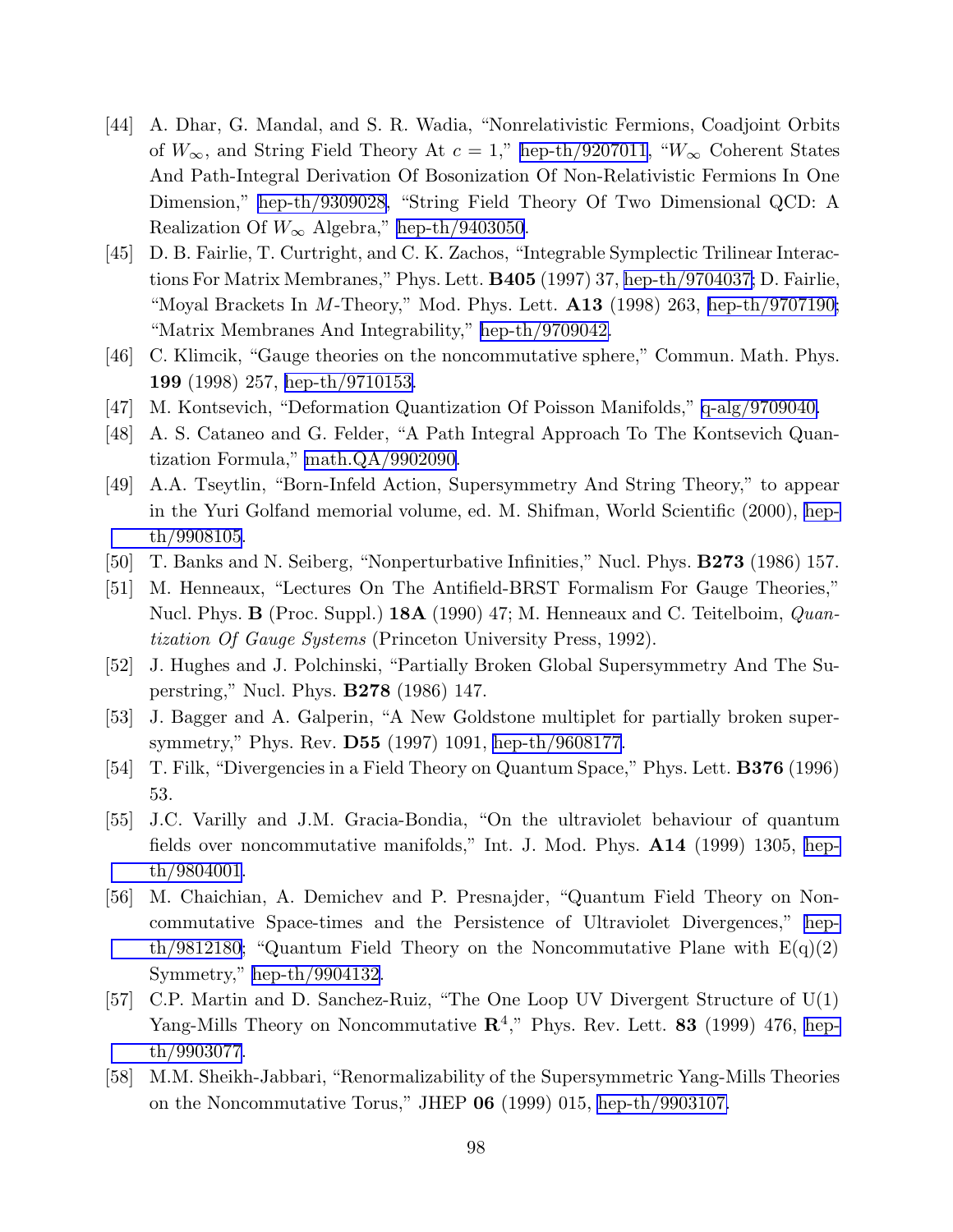- <span id="page-98-0"></span>[44] A. Dhar, G. Mandal, and S. R. Wadia, "Nonrelativistic Fermions, Coadjoint Orbits of  $W_{\infty}$ , and String Field Theory At  $c = 1$ ," [hep-th/9207011](http://lanl.arXiv.org/abs/hep-th/9207011), " $W_{\infty}$  Coherent States And Path-Integral Derivation Of Bosonization Of Non-Relativistic Fermions In One Dimension," [hep-th/9309028](http://lanl.arXiv.org/abs/hep-th/9309028), "String Field Theory Of Two Dimensional QCD: A Realization Of  $W_{\infty}$  Algebra," [hep-th/9403050](http://lanl.arXiv.org/abs/hep-th/9403050).
- [45] D. B. Fairlie, T. Curtright, and C. K. Zachos, "Integrable Symplectic Trilinear Interactions For Matrix Membranes," Phys. Lett. B405 (1997) 37, [hep-th/9704037;](http://lanl.arXiv.org/abs/hep-th/9704037) D. Fairlie, "Moyal Brackets In M-Theory," Mod. Phys. Lett.  $\mathbf{A13}$  (1998) 263, [hep-th/9707190;](http://lanl.arXiv.org/abs/hep-th/9707190) "Matrix Membranes And Integrability," [hep-th/9709042.](http://lanl.arXiv.org/abs/hep-th/9709042)
- [46] C. Klimcik, "Gauge theories on the noncommutative sphere," Commun. Math. Phys. 199 (1998) 257, [hep-th/9710153.](http://lanl.arXiv.org/abs/hep-th/9710153)
- [47] M. Kontsevich, "Deformation Quantization Of Poisson Manifolds," [q-alg/9709040.](http://lanl.arXiv.org/abs/q-alg/9709040)
- [48] A. S. Cataneo and G. Felder, "A Path Integral Approach To The Kontsevich Quantization Formula," [math.QA/9902090.](http://lanl.arXiv.org/abs/math/9902090)
- [49] A.A. Tseytlin, "Born-Infeld Action, Supersymmetry And String Theory," to appear in the Yuri Golfand memorial volume, ed. M. Shifman, World Scientific (2000), [hep](http://lanl.arXiv.org/abs/hep-th/9908105)[th/9908105](http://lanl.arXiv.org/abs/hep-th/9908105).
- [50] T. Banks and N. Seiberg, "Nonperturbative Infinities," Nucl. Phys. B273 (1986) 157.
- [51] M. Henneaux, "Lectures On The Antifield-BRST Formalism For Gauge Theories," Nucl. Phys. **B** (Proc. Suppl.) **18A** (1990) 47; M. Henneaux and C. Teitelboim,  $Quan$ tization Of Gauge Systems (Princeton University Press, 1992).
- [52] J. Hughes and J. Polchinski, "Partially Broken Global Supersymmetry And The Superstring," Nucl. Phys. B278 (1986) 147.
- [53] J. Bagger and A. Galperin, "A New Goldstone multiplet for partially broken supersymmetry," Phys. Rev. D55 (1997) 1091, [hep-th/9608177](http://lanl.arXiv.org/abs/hep-th/9608177).
- [54] T. Filk, "Divergencies in a Field Theory on Quantum Space," Phys. Lett. **B376** (1996) 53.
- [55] J.C. Varilly and J.M. Gracia-Bondia, "On the ultraviolet behaviour of quantum fields over noncommutative manifolds," Int. J. Mod. Phys. A14 (1999) 1305, [hep](http://lanl.arXiv.org/abs/hep-th/9804001)[th/9804001](http://lanl.arXiv.org/abs/hep-th/9804001).
- [56] M. Chaichian, A. Demichev and P. Presnajder, "Quantum Field Theory on Noncommutative Space-times and the Persistence of Ultraviolet Divergences," [hep](http://lanl.arXiv.org/abs/hep-th/9812180)[th/9812180](http://lanl.arXiv.org/abs/hep-th/9812180); "Quantum Field Theory on the Noncommutative Plane with  $E(q)(2)$ Symmetry," [hep-th/9904132.](http://lanl.arXiv.org/abs/hep-th/9904132)
- [57] C.P. Martin and D. Sanchez-Ruiz, "The One Loop UV Divergent Structure of U(1) Yang-Mills Theory on Noncommutative  $\mathbb{R}^4$ ," Phys. Rev. Lett. 83 (1999) 476, [hep](http://lanl.arXiv.org/abs/hep-th/9903077)[th/9903077](http://lanl.arXiv.org/abs/hep-th/9903077).
- [58] M.M. Sheikh-Jabbari, "Renormalizability of the Supersymmetric Yang-Mills Theories on the Noncommutative Torus," JHEP 06 (1999) 015, [hep-th/9903107.](http://lanl.arXiv.org/abs/hep-th/9903107)